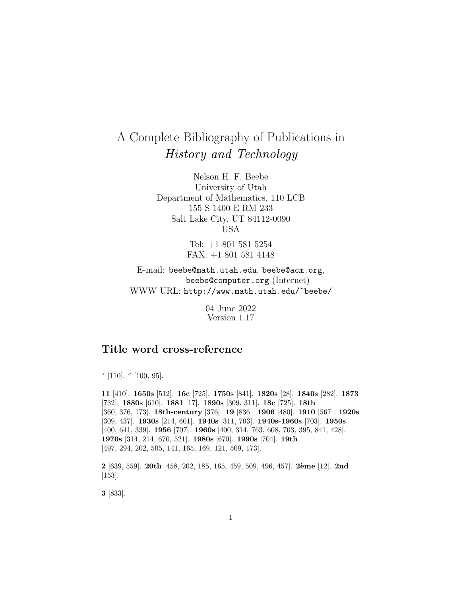# A Complete Bibliography of Publications in History and Technology

Nelson H. F. Beebe University of Utah Department of Mathematics, 110 LCB 155 S 1400 E RM 233 Salt Lake City, UT 84112-0090 USA

> Tel: +1 801 581 5254 FAX: +1 801 581 4148

E-mail: beebe@math.utah.edu, beebe@acm.org, beebe@computer.org (Internet) WWW URL: http://www.math.utah.edu/~beebe/

> 04 June 2022 Version 1.17

# **Title word cross-reference**

 $\degree$  [110].  $\degree$  [100, 95].

**11** [410]. **1650s** [512]. **16c** [725]. **1750s** [841]. **1820s** [28]. **1840s** [282]. **1873** [732]. **1880s** [610]. **1881** [17]. **1890s** [309, 311]. **18c** [725]. **18th** [360, 376, 173]. **18th-century** [376]. **19** [836]. **1906** [480]. **1910** [567]. **1920s** [309, 437]. **1930s** [214, 601]. **1940s** [311, 703]. **1940s-1960s** [703]. **1950s** [400, 641, 339]. **1956** [707]. **1960s** [400, 314, 763, 608, 703, 395, 841, 428]. **1970s** [314, 214, 670, 521]. **1980s** [670]. **1990s** [704]. **19th** [497, 294, 202, 505, 141, 165, 169, 121, 509, 173].

**2** [639, 559]. **20th** [458, 202, 185, 165, 459, 509, 496, 457]. **2`eme** [12]. **2nd** [153].

**3** [833].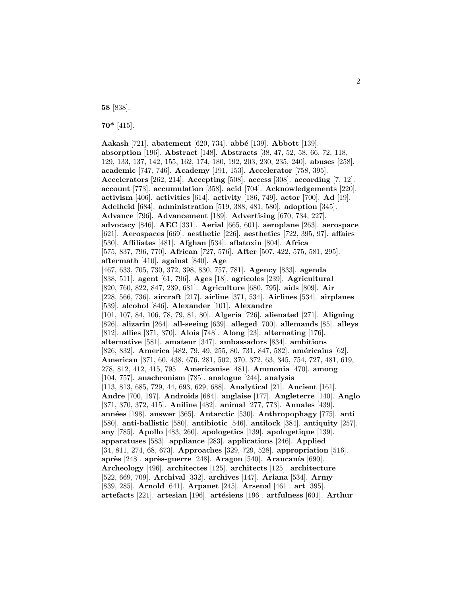**58** [838].

**70\*** [415].

**Aakash** [721]. **abatement** [620, 734]. **abb´e** [139]. **Abbott** [139]. **absorption** [196]. **Abstract** [148]. **Abstracts** [38, 47, 52, 58, 66, 72, 118, 129, 133, 137, 142, 155, 162, 174, 180, 192, 203, 230, 235, 240]. **abuses** [258]. **academic** [747, 746]. **Academy** [191, 153]. **Accelerator** [758, 395]. **Accelerators** [262, 214]. **Accepting** [508]. **access** [308]. **according** [7, 12]. **account** [773]. **accumulation** [358]. **acid** [704]. **Acknowledgements** [220]. **activism** [406]. **activities** [614]. **activity** [186, 749]. **actor** [700]. **Ad** [19]. **Adelheid** [684]. **administration** [519, 388, 481, 580]. **adoption** [345]. **Advance** [796]. **Advancement** [189]. **Advertising** [670, 734, 227]. **advocacy** [846]. **AEC** [331]. **Aerial** [665, 601]. **aeroplane** [263]. **aerospace** [621]. **Aerospaces** [669]. **aesthetic** [226]. **aesthetics** [722, 395, 97]. **affairs** [530]. **Affiliates** [481]. **Afghan** [534]. **aflatoxin** [804]. **Africa** [575, 837, 796, 770]. **African** [727, 576]. **After** [507, 422, 575, 581, 295]. **aftermath** [410]. **against** [840]. **Age** [467, 633, 705, 730, 372, 398, 830, 757, 781]. **Agency** [833]. **agenda** [838, 511]. **agent** [61, 796]. **Ages** [18]. **agricoles** [239]. **Agricultural** [820, 760, 822, 847, 239, 681]. **Agriculture** [680, 795]. **aids** [809]. **Air** [228, 566, 736]. **aircraft** [217]. **airline** [371, 534]. **Airlines** [534]. **airplanes** [539]. **alcohol** [846]. **Alexander** [101]. **Alexandre** [101, 107, 84, 106, 78, 79, 81, 80]. **Algeria** [726]. **alienated** [271]. **Aligning** [826]. **alizarin** [264]. **all-seeing** [639]. **alleged** [700]. **allemands** [85]. **alleys** [812]. **allies** [371, 370]. **Alois** [748]. **Along** [23]. **alternating** [176]. **alternative** [581]. **amateur** [347]. **ambassadors** [834]. **ambitions** [826, 832]. **America** [482, 79, 49, 255, 80, 731, 847, 582]. **américains** [62]. **American** [371, 60, 438, 676, 281, 502, 370, 372, 63, 345, 754, 727, 481, 619, 278, 812, 412, 415, 795]. **Americanise** [481]. **Ammonia** [470]. **among** [104, 757]. **anachronism** [785]. **analogue** [244]. **analysis** [113, 813, 685, 729, 44, 693, 629, 688]. **Analytical** [21]. **Ancient** [161]. **Andre** [700, 197]. **Androids** [684]. **anglaise** [177]. **Angleterre** [140]. **Anglo** [371, 370, 372, 415]. **Aniline** [482]. **animal** [277, 773]. **Annales** [439]. **ann´ees** [198]. **answer** [365]. **Antarctic** [530]. **Anthropophagy** [775]. **anti** [580]. **anti-ballistic** [580]. **antibiotic** [546]. **antilock** [384]. **antiquity** [257]. **any** [785]. **Apollo** [483, 260]. **apologetics** [139]. **apologetique** [139]. **apparatuses** [583]. **appliance** [283]. **applications** [246]. **Applied** [34, 811, 274, 68, 673]. **Approaches** [329, 729, 528]. **appropriation** [516]. **après** [248]. **après-guerre** [248]. **Aragon** [540]. **Araucanía** [690]. **Archeology** [496]. **architectes** [125]. **architects** [125]. **architecture** [522, 669, 709]. **Archival** [332]. **archives** [147]. **Ariana** [534]. **Army** [839, 285]. **Arnold** [641]. **Arpanet** [245]. **Arsenal** [461]. **art** [395]. **artefacts** [221]. **artesian** [196]. **artésiens** [196]. **artfulness** [601]. **Arthur**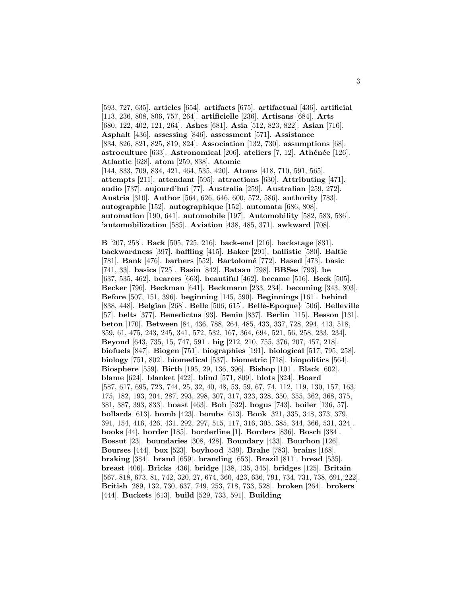[593, 727, 635]. **articles** [654]. **artifacts** [675]. **artifactual** [436]. **artificial** [113, 236, 808, 806, 757, 264]. **artificielle** [236]. **Artisans** [684]. **Arts** [680, 122, 402, 121, 264]. **Ashes** [681]. **Asia** [512, 823, 822]. **Asian** [716]. **Asphalt** [436]. **assessing** [846]. **assessment** [571]. **Assistance** [834, 826, 821, 825, 819, 824]. **Association** [132, 730]. **assumptions** [68]. **astroculture** [633]. **Astronomical** [206]. **ateliers** [7, 12]. **Athénée** [126]. **Atlantic** [628]. **atom** [259, 838]. **Atomic** [144, 833, 709, 834, 421, 464, 535, 420]. **Atoms** [418, 710, 591, 565]. **attempts** [211]. **attendant** [595]. **attractions** [630]. **Attributing** [471]. **audio** [737]. **aujourd'hui** [77]. **Australia** [259]. **Australian** [259, 272]. **Austria** [310]. **Author** [564, 626, 646, 600, 572, 586]. **authority** [783]. **autographic** [152]. **autographique** [152]. **automata** [686, 808]. **automation** [190, 641]. **automobile** [197]. **Automobility** [582, 583, 586]. **'automobilization** [585]. **Aviation** [438, 485, 371]. **awkward** [708].

**B** [207, 258]. **Back** [505, 725, 216]. **back-end** [216]. **backstage** [831]. **backwardness** [397]. **baffling** [415]. **Baker** [291]. **ballistic** [580]. **Baltic** [781]. **Bank** [476]. **barbers** [552]. **Bartolom´e** [772]. **Based** [473]. **basic** [741, 33]. **basics** [725]. **Basin** [842]. **Bataan** [798]. **BBSes** [793]. **be** [637, 535, 462]. **bearers** [663]. **beautiful** [462]. **became** [516]. **Beck** [505]. **Becker** [796]. **Beckman** [641]. **Beckmann** [233, 234]. **becoming** [343, 803]. **Before** [507, 151, 396]. **beginning** [145, 590]. **Beginnings** [161]. **behind** [838, 448]. **Belgian** [268]. **Belle** [506, 615]. **Belle-Epoque**} [506]. **Belleville** [57]. **belts** [377]. **Benedictus** [93]. **Benin** [837]. **Berlin** [115]. **Besson** [131]. **beton** [170]. **Between** [84, 436, 788, 264, 485, 433, 337, 728, 294, 413, 518, 359, 61, 475, 243, 245, 341, 572, 532, 167, 364, 694, 521, 56, 258, 233, 234]. **Beyond** [643, 735, 15, 747, 591]. **big** [212, 210, 755, 376, 207, 457, 218]. **biofuels** [847]. **Biogen** [751]. **biographies** [191]. **biological** [517, 795, 258]. **biology** [751, 802]. **biomedical** [537]. **biometric** [718]. **biopolitics** [564]. **Biosphere** [559]. **Birth** [195, 29, 136, 396]. **Bishop** [101]. **Black** [602]. **blame** [624]. **blanket** [422]. **blind** [571, 809]. **blots** [324]. **Board** [587, 617, 695, 723, 744, 25, 32, 40, 48, 53, 59, 67, 74, 112, 119, 130, 157, 163, 175, 182, 193, 204, 287, 293, 298, 307, 317, 323, 328, 350, 355, 362, 368, 375, 381, 387, 393, 833]. **boast** [463]. **Bob** [532]. **bogus** [743]. **boiler** [136, 57]. **bollards** [613]. **bomb** [423]. **bombs** [613]. **Book** [321, 335, 348, 373, 379, 391, 154, 416, 426, 431, 292, 297, 515, 117, 316, 305, 385, 344, 366, 531, 324]. **books** [44]. **border** [185]. **borderline** [1]. **Borders** [836]. **Bosch** [384]. **Bossut** [23]. **boundaries** [308, 428]. **Boundary** [433]. **Bourbon** [126]. **Bourses** [444]. **box** [523]. **boyhood** [539]. **Brahe** [783]. **brains** [168]. **braking** [384]. **brand** [659]. **branding** [653]. **Brazil** [811]. **bread** [535]. **breast** [406]. **Bricks** [436]. **bridge** [138, 135, 345]. **bridges** [125]. **Britain** [567, 818, 673, 81, 742, 320, 27, 674, 360, 423, 636, 791, 734, 731, 738, 691, 222]. **British** [289, 132, 730, 637, 749, 253, 718, 733, 528]. **broken** [264]. **brokers** [444]. **Buckets** [613]. **build** [529, 733, 591]. **Building**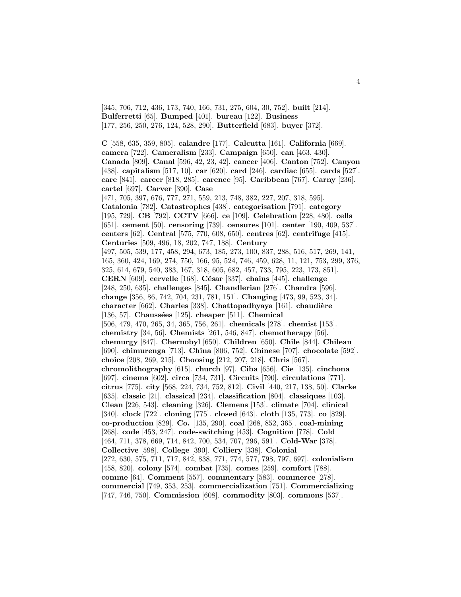[345, 706, 712, 436, 173, 740, 166, 731, 275, 604, 30, 752]. **built** [214]. **Bulferretti** [65]. **Bumped** [401]. **bureau** [122]. **Business** [177, 256, 250, 276, 124, 528, 290]. **Butterfield** [683]. **buyer** [372].

**C** [558, 635, 359, 805]. **calandre** [177]. **Calcutta** [161]. **California** [669]. **camera** [722]. **Cameralism** [233]. **Campaign** [650]. **can** [463, 430]. **Canada** [809]. **Canal** [596, 42, 23, 42]. **cancer** [406]. **Canton** [752]. **Canyon** [438]. **capitalism** [517, 10]. **car** [620]. **card** [246]. **cardiac** [655]. **cards** [527]. **care** [841]. **career** [818, 285]. **carence** [95]. **Caribbean** [767]. **Carny** [236]. **cartel** [697]. **Carver** [390]. **Case** [471, 705, 397, 676, 777, 271, 559, 213, 748, 382, 227, 207, 318, 595]. **Catalonia** [782]. **Catastrophes** [438]. **categorisation** [791]. **category** [195, 729]. **CB** [792]. **CCTV** [666]. **ce** [109]. **Celebration** [228, 480]. **cells** [651]. **cement** [50]. **censoring** [739]. **censures** [101]. **center** [190, 409, 537]. **centers** [62]. **Central** [575, 770, 608, 650]. **centres** [62]. **centrifuge** [415]. **Centuries** [509, 496, 18, 202, 747, 188]. **Century** [497, 505, 539, 177, 458, 294, 673, 185, 273, 100, 837, 288, 516, 517, 269, 141, 165, 360, 424, 169, 274, 750, 166, 95, 524, 746, 459, 628, 11, 121, 753, 299, 376, 325, 614, 679, 540, 383, 167, 318, 605, 682, 457, 733, 795, 223, 173, 851]. **CERN** [609]. **cervelle** [168]. **C´esar** [337]. **chains** [445]. **challenge** [248, 250, 635]. **challenges** [845]. **Chandlerian** [276]. **Chandra** [596]. **change** [356, 86, 742, 704, 231, 781, 151]. **Changing** [473, 99, 523, 34]. **character** [662]. **Charles** [338]. **Chattopadhyaya** [161]. **chaudière** [136, 57]. **Chaussées** [125]. **cheaper** [511]. **Chemical** [506, 479, 470, 265, 34, 365, 756, 261]. **chemicals** [278]. **chemist** [153]. **chemistry** [34, 56]. **Chemists** [261, 546, 847]. **chemotherapy** [56]. **chemurgy** [847]. **Chernobyl** [650]. **Children** [650]. **Chile** [844]. **Chilean** [690]. **chimurenga** [713]. **China** [806, 752]. **Chinese** [707]. **chocolate** [592]. **choice** [208, 269, 215]. **Choosing** [212, 207, 218]. **Chris** [567]. **chromolithography** [615]. **church** [97]. **Ciba** [656]. **Cie** [135]. **cinchona** [697]. **cinema** [602]. **circa** [734, 731]. **Circuits** [790]. **circulations** [771]. **citrus** [775]. **city** [568, 224, 734, 752, 812]. **Civil** [440, 217, 138, 50]. **Clarke** [635]. **classic** [21]. **classical** [234]. **classification** [804]. **classiques** [103]. **Clean** [226, 543]. **cleaning** [326]. **Clemens** [153]. **climate** [704]. **clinical** [340]. **clock** [722]. **cloning** [775]. **closed** [643]. **cloth** [135, 773]. **co** [829]. **co-production** [829]. **Co.** [135, 290]. **coal** [268, 852, 365]. **coal-mining** [268]. **code** [453, 247]. **code-switching** [453]. **Cognition** [778]. **Cold** [464, 711, 378, 669, 714, 842, 700, 534, 707, 296, 591]. **Cold-War** [378]. **Collective** [598]. **College** [390]. **Colliery** [338]. **Colonial** [272, 630, 575, 711, 717, 842, 838, 771, 774, 577, 798, 797, 697]. **colonialism** [458, 820]. **colony** [574]. **combat** [735]. **comes** [259]. **comfort** [788]. **comme** [64]. **Comment** [557]. **commentary** [583]. **commerce** [278]. **commercial** [749, 353, 253]. **commercialization** [751]. **Commercializing** [747, 746, 750]. **Commission** [608]. **commodity** [803]. **commons** [537].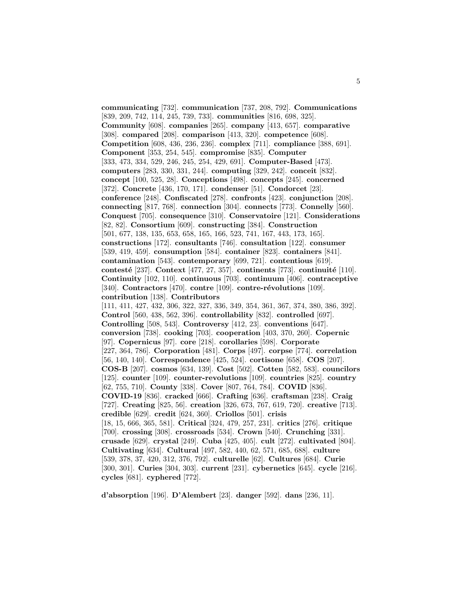**communicating** [732]. **communication** [737, 208, 792]. **Communications** [839, 209, 742, 114, 245, 739, 733]. **communities** [816, 698, 325]. **Community** [608]. **companies** [265]. **company** [413, 657]. **comparative** [308]. **compared** [208]. **comparison** [413, 320]. **competence** [608]. **Competition** [608, 436, 236, 236]. **complex** [711]. **compliance** [388, 691]. **Component** [353, 254, 545]. **compromise** [835]. **Computer** [333, 473, 334, 529, 246, 245, 254, 429, 691]. **Computer-Based** [473]. **computers** [283, 330, 331, 244]. **computing** [329, 242]. **conceit** [832]. **concept** [100, 525, 28]. **Conceptions** [498]. **concepts** [245]. **concerned** [372]. **Concrete** [436, 170, 171]. **condenser** [51]. **Condorcet** [23]. **conference** [248]. **Confiscated** [278]. **confronts** [423]. **conjunction** [208]. **connecting** [817, 768]. **connection** [304]. **connects** [773]. **Connelly** [560]. **Conquest** [705]. **consequence** [310]. **Conservatoire** [121]. **Considerations** [82, 82]. **Consortium** [609]. **constructing** [384]. **Construction** [501, 677, 138, 135, 653, 658, 165, 166, 523, 741, 167, 443, 173, 165]. **constructions** [172]. **consultants** [746]. **consultation** [122]. **consumer** [539, 419, 459]. **consumption** [584]. **container** [823]. **containers** [841]. **contamination** [543]. **contemporary** [699, 721]. **contentious** [619]. **contesté** [237]. **Context** [477, 27, 357]. **continents** [773]. **continuité** [110]. **Continuity** [102, 110]. **continuous** [703]. **continuum** [406]. **contraceptive** [340]. **Contractors** [470]. **contre** [109]. **contre-révolutions** [109]. **contribution** [138]. **Contributors** [111, 411, 427, 432, 306, 322, 327, 336, 349, 354, 361, 367, 374, 380, 386, 392]. **Control** [560, 438, 562, 396]. **controllability** [832]. **controlled** [697]. **Controlling** [508, 543]. **Controversy** [412, 23]. **conventions** [647]. **conversion** [738]. **cooking** [703]. **cooperation** [403, 370, 260]. **Copernic** [97]. **Copernicus** [97]. **core** [218]. **corollaries** [598]. **Corporate** [227, 364, 786]. **Corporation** [481]. **Corps** [497]. **corpse** [774]. **correlation** [56, 140, 140]. **Correspondence** [425, 524]. **cortisone** [658]. **COS** [207]. **COS-B** [207]. **cosmos** [634, 139]. **Cost** [502]. **Cotten** [582, 583]. **councilors** [125]. **counter** [109]. **counter-revolutions** [109]. **countries** [825]. **country** [62, 755, 710]. **County** [338]. **Cover** [807, 764, 784]. **COVID** [836]. **COVID-19** [836]. **cracked** [666]. **Crafting** [636]. **craftsman** [238]. **Craig** [727]. **Creating** [825, 56]. **creation** [326, 673, 767, 619, 720]. **creative** [713]. **credible** [629]. **credit** [624, 360]. **Criollos** [501]. **crisis** [18, 15, 666, 365, 581]. **Critical** [324, 479, 257, 231]. **critics** [276]. **critique** [700]. **crossing** [308]. **crossroads** [534]. **Crown** [540]. **Crunching** [331]. **crusade** [629]. **crystal** [249]. **Cuba** [425, 405]. **cult** [272]. **cultivated** [804]. **Cultivating** [634]. **Cultural** [497, 582, 440, 62, 571, 685, 688]. **culture** [539, 378, 37, 420, 312, 376, 792]. **culturelle** [62]. **Cultures** [684]. **Curie** [300, 301]. **Curies** [304, 303]. **current** [231]. **cybernetics** [645]. **cycle** [216]. **cycles** [681]. **cyphered** [772].

**d'absorption** [196]. **D'Alembert** [23]. **danger** [592]. **dans** [236, 11].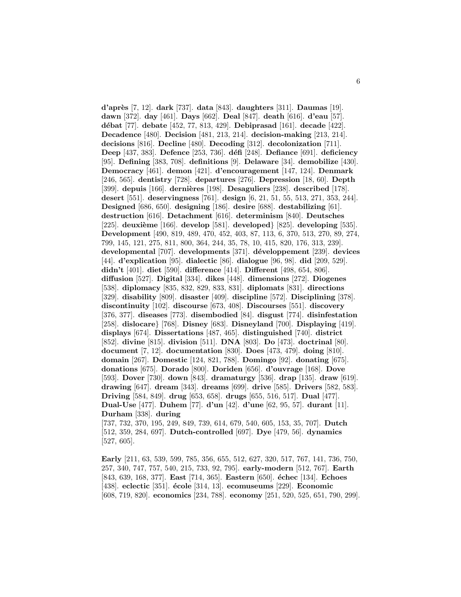**d'apr`es** [7, 12]. **dark** [737]. **data** [843]. **daughters** [311]. **Daumas** [19]. **dawn** [372]. **day** [461]. **Days** [662]. **Deal** [847]. **death** [616]. **d'eau** [57]. **d´ebat** [77]. **debate** [452, 77, 813, 429]. **Debiprasad** [161]. **decade** [422]. **Decadence** [480]. **Decision** [481, 213, 214]. **decision-making** [213, 214]. **decisions** [816]. **Decline** [480]. **Decoding** [312]. **decolonization** [711]. **Deep** [437, 383]. **Defence** [253, 736]. **d´efi** [248]. **Defiance** [691]. **deficiency** [95]. **Defining** [383, 708]. **definitions** [9]. **Delaware** [34]. **demobilize** [430]. **Democracy** [461]. **demon** [421]. **d'encouragement** [147, 124]. **Denmark** [246, 565]. **dentistry** [728]. **departures** [276]. **Depression** [18, 60]. **Depth** [399]. **depuis** [166]. **derni`eres** [198]. **Desaguliers** [238]. **described** [178]. **desert** [551]. **deservingness** [761]. **design** [6, 21, 51, 55, 513, 271, 353, 244]. **Designed** [686, 650]. **designing** [186]. **desire** [688]. **destabilizing** [61]. **destruction** [616]. **Detachment** [616]. **determinism** [840]. **Deutsches** [225]. **deuxi`eme** [166]. **develop** [581]. **developed**} [825]. **developing** [535]. **Development** [490, 819, 489, 470, 452, 403, 87, 113, 6, 370, 513, 270, 89, 274, 799, 145, 121, 275, 811, 800, 364, 244, 35, 78, 10, 415, 820, 176, 313, 239]. **developmental** [707]. **developments** [371]. **d´eveloppement** [239]. **devices** [44]. **d'explication** [95]. **dialectic** [86]. **dialogue** [96, 98]. **did** [209, 529]. **didn't** [401]. **diet** [590]. **difference** [414]. **Different** [498, 654, 806]. **diffusion** [527]. **Digital** [334]. **dikes** [448]. **dimensions** [272]. **Diogenes** [538]. **diplomacy** [835, 832, 829, 833, 831]. **diplomats** [831]. **directions** [329]. **disability** [809]. **disaster** [409]. **discipline** [572]. **Disciplining** [378]. **discontinuity** [102]. **discourse** [673, 408]. **Discourses** [551]. **discovery** [376, 377]. **diseases** [773]. **disembodied** [84]. **disgust** [774]. **disinfestation** [258]. **dislocare**} [768]. **Disney** [683]. **Disneyland** [700]. **Displaying** [419]. **displays** [674]. **Dissertations** [487, 465]. **distinguished** [740]. **district** [852]. **divine** [815]. **division** [511]. **DNA** [803]. **Do** [473]. **doctrinal** [80]. **document** [7, 12]. **documentation** [830]. **Does** [473, 479]. **doing** [810]. **domain** [267]. **Domestic** [124, 821, 788]. **Domingo** [92]. **donating** [675]. **donations** [675]. **Dorado** [800]. **Doriden** [656]. **d'ouvrage** [168]. **Dove** [593]. **Dover** [730]. **down** [843]. **dramaturgy** [536]. **drap** [135]. **draw** [619]. **drawing** [647]. **dream** [343]. **dreams** [699]. **drive** [585]. **Drivers** [582, 583]. **Driving** [584, 849]. **drug** [653, 658]. **drugs** [655, 516, 517]. **Dual** [477]. **Dual-Use** [477]. **Duhem** [77]. **d'un** [42]. **d'une** [62, 95, 57]. **durant** [11]. **Durham** [338]. **during**

[737, 732, 370, 195, 249, 849, 739, 614, 679, 540, 605, 153, 35, 707]. **Dutch** [512, 359, 284, 697]. **Dutch-controlled** [697]. **Dye** [479, 56]. **dynamics** [527, 605].

**Early** [211, 63, 539, 599, 785, 356, 655, 512, 627, 320, 517, 767, 141, 736, 750, 257, 340, 747, 757, 540, 215, 733, 92, 795]. **early-modern** [512, 767]. **Earth** [843, 639, 168, 377]. **East** [714, 365]. **Eastern** [650]. **´echec** [134]. **Echoes** [438]. **eclectic** [351]. **´ecole** [314, 13]. **ecomuseums** [229]. **Economic** [608, 719, 820]. **economics** [234, 788]. **economy** [251, 520, 525, 651, 790, 299].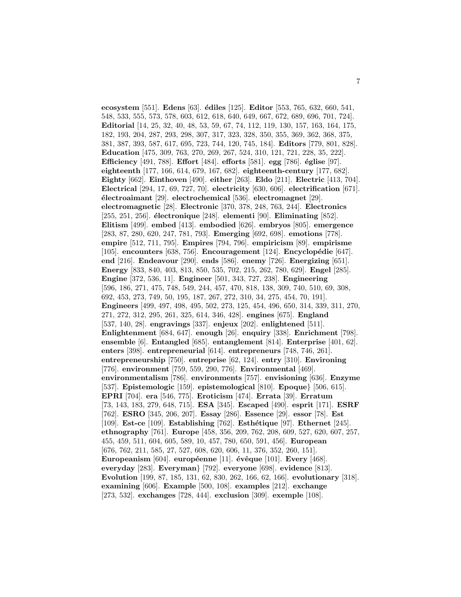**ecosystem** [551]. **Edens** [63]. **´ediles** [125]. **Editor** [553, 765, 632, 660, 541, 548, 533, 555, 573, 578, 603, 612, 618, 640, 649, 667, 672, 689, 696, 701, 724]. **Editorial** [14, 25, 32, 40, 48, 53, 59, 67, 74, 112, 119, 130, 157, 163, 164, 175, 182, 193, 204, 287, 293, 298, 307, 317, 323, 328, 350, 355, 369, 362, 368, 375, 381, 387, 393, 587, 617, 695, 723, 744, 120, 745, 184]. **Editors** [779, 801, 828]. **Education** [475, 309, 763, 270, 269, 267, 524, 310, 121, 721, 228, 35, 222]. **Efficiency** [491, 788]. **Effort** [484]. **efforts** [581]. **egg** [786]. **´eglise** [97]. **eighteenth** [177, 166, 614, 679, 167, 682]. **eighteenth-century** [177, 682]. **Eighty** [662]. **Einthoven** [490]. **either** [263]. **Eldo** [211]. **Electric** [413, 704]. **Electrical** [294, 17, 69, 727, 70]. **electricity** [630, 606]. **electrification** [671]. **´electroaimant** [29]. **electrochemical** [536]. **electromagnet** [29]. **electromagnetic** [28]. **Electronic** [370, 378, 248, 763, 244]. **Electronics** [255, 251, 256]. **´electronique** [248]. **elementi** [90]. **Eliminating** [852]. **Elitism** [499]. **embed** [413]. **embodied** [626]. **embryos** [805]. **emergence** [283, 87, 280, 620, 247, 781, 793]. **Emerging** [692, 698]. **emotions** [778]. **empire** [512, 711, 795]. **Empires** [794, 796]. **empiricism** [89]. **empirisme** [105]. **encounters** [638, 756]. **Encouragement** [124]. **Encyclopédie** [647]. **end** [216]. **Endeavour** [290]. **ends** [586]. **enemy** [726]. **Energizing** [651]. **Energy** [833, 840, 403, 813, 850, 535, 702, 215, 262, 780, 629]. **Engel** [285]. **Engine** [372, 536, 11]. **Engineer** [501, 343, 727, 238]. **Engineering** [596, 186, 271, 475, 748, 549, 244, 457, 470, 818, 138, 309, 740, 510, 69, 308, 692, 453, 273, 749, 50, 195, 187, 267, 272, 310, 34, 275, 454, 70, 191]. **Engineers** [499, 497, 498, 495, 502, 273, 125, 454, 496, 650, 314, 339, 311, 270, 271, 272, 312, 295, 261, 325, 614, 346, 428]. **engines** [675]. **England** [537, 140, 28]. **engravings** [337]. **enjeux** [202]. **enlightened** [511]. **Enlightenment** [684, 647]. **enough** [26]. **enquiry** [338]. **Enrichment** [798]. **ensemble** [6]. **Entangled** [685]. **entanglement** [814]. **Enterprise** [401, 62]. **enters** [398]. **entrepreneurial** [614]. **entrepreneurs** [748, 746, 261]. **entrepreneurship** [750]. **entreprise** [62, 124]. **entry** [310]. **Environing** [776]. **environment** [759, 559, 290, 776]. **Environmental** [469]. **environmentalism** [786]. **environments** [757]. **envisioning** [636]. **Enzyme** [537]. **Epistemologic** [159]. **epistemological** [810]. **Epoque**} [506, 615]. **EPRI** [704]. **era** [546, 775]. **Eroticism** [474]. **Errata** [39]. **Erratum** [73, 143, 183, 279, 648, 715]. **ESA** [345]. **Escaped** [490]. **esprit** [171]. **ESRF** [762]. **ESRO** [345, 206, 207]. **Essay** [286]. **Essence** [29]. **essor** [78]. **Est** [109]. **Est-ce** [109]. **Establishing** [762]. **Esth´etique** [97]. **Ethernet** [245]. **ethnography** [761]. **Europe** [458, 356, 209, 762, 208, 609, 527, 620, 607, 257, 455, 459, 511, 604, 605, 589, 10, 457, 780, 650, 591, 456]. **European** [676, 762, 211, 585, 27, 527, 608, 620, 606, 11, 376, 352, 260, 151]. **Europeanism** [604]. **européenne** [11]. **évêque** [101]. **Every** [468]. **everyday** [283]. **Everyman**} [792]. **everyone** [698]. **evidence** [813]. **Evolution** [199, 87, 185, 131, 62, 830, 262, 166, 62, 166]. **evolutionary** [318]. **examining** [606]. **Example** [500, 108]. **examples** [212]. **exchange** [273, 532]. **exchanges** [728, 444]. **exclusion** [309]. **exemple** [108].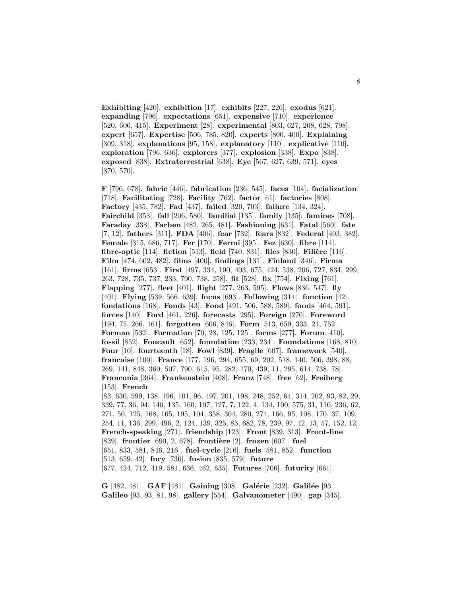**Exhibiting** [420]. **exhibition** [17]. **exhibits** [227, 226]. **exodus** [621]. **expanding** [796]. **expectations** [651]. **expensive** [710]. **experience** [520, 606, 415]. **Experiment** [28]. **experimental** [803, 627, 208, 628, 798]. **expert** [657]. **Expertise** [506, 785, 820]. **experts** [800, 400]. **Explaining** [309, 318]. **explanations** [95, 158]. **explanatory** [110]. **explicative** [110]. **exploration** [796, 636]. **explorers** [377]. **explosion** [338]. **Expo** [838]. **exposed** [838]. **Extraterrestrial** [638]. **Eye** [567, 627, 639, 571]. **eyes** [370, 570].

**F** [796, 678]. **fabric** [446]. **fabrication** [236, 545]. **faces** [104]. **facialization** [718]. **Facilitating** [728]. **Facility** [762]. **factor** [61]. **factories** [808]. **Factory** [435, 782]. **Fad** [437]. **failed** [320, 703]. **failure** [134, 324]. **Fairchild** [353]. **fall** [206, 580]. **familial** [135]. **family** [135]. **famines** [708]. **Faraday** [338]. **Farben** [482, 265, 481]. **Fashioning** [631]. **Fatal** [560]. **fate** [7, 12]. **fathers** [311]. **FDA** [406]. **fear** [732]. **fears** [832]. **Federal** [403, 382]. **Female** [315, 686, 717]. **Fer** [170]. **Fermi** [395]. **Fez** [630]. **fibre** [114]. **fibre-optic** [114]. **fiction** [513]. **field** [740, 831]. **files** [830]. **Filière** [116]. **Film** [474, 602, 482]. **films** [400]. **findings** [131]. **Finland** [346]. **Firma** [161]. **firms** [653]. **First** [497, 334, 190, 403, 675, 424, 538, 206, 727, 834, 299, 263, 728, 735, 737, 233, 790, 738, 258]. **fit** [528]. **fix** [754]. **Fixing** [761]. **Flapping** [277]. **fleet** [401]. **flight** [277, 263, 595]. **Flows** [836, 547]. **fly** [401]. **Flying** [539, 566, 639]. **focus** [693]. **Following** [314]. **fonction** [42]. **fondations** [168]. **Fonds** [43]. **Food** [491, 506, 588, 589]. **foods** [464, 591]. **forces** [140]. **Ford** [461, 226]. **forecasts** [295]. **Foreign** [270]. **Foreword** [194, 75, 266, 161]. **forgotten** [606, 846]. **Form** [513, 659, 333, 21, 752]. **Forman** [532]. **Formation** [70, 28, 125, 125]. **forms** [277]. **Forum** [410]. **fossil** [852]. **Foucault** [652]. **foundation** [233, 234]. **Foundations** [168, 810]. **Four** [10]. **fourteenth** [18]. **Fowl** [839]. **Fragile** [607]. **framework** [540]. **francaise** [100]. **France** [177, 196, 294, 655, 69, 202, 518, 140, 506, 398, 88, 269, 141, 848, 360, 507, 790, 615, 95, 282, 170, 439, 11, 295, 614, 738, 78]. **Franconia** [364]. **Frankenstein** [408]. **Franz** [748]. **free** [62]. **Freiberg** [153]. **French** [83, 630, 599, 138, 196, 101, 96, 497, 201, 198, 248, 252, 64, 314, 202, 93, 82, 29, 339, 77, 36, 94, 140, 135, 160, 107, 127, 7, 122, 4, 134, 100, 575, 31, 110, 236, 62, 271, 50, 125, 168, 165, 195, 104, 358, 304, 280, 274, 166, 95, 108, 170, 37, 109, 254, 11, 136, 299, 496, 2, 124, 139, 325, 85, 682, 78, 239, 97, 42, 13, 57, 152, 12]. **French-speaking** [271]. **friendship** [123]. **Front** [839, 313]. **Front-line** [839]. **frontier** [690, 2, 678]. **frontière** [2]. **frozen** [607]. **fuel** 

[651, 833, 581, 846, 216]. **fuel-cycle** [216]. **fuels** [581, 852]. **function**

[513, 659, 42]. **fury** [736]. **fusion** [835, 579]. **future**

[677, 424, 712, 419, 581, 636, 462, 635]. **Futures** [706]. **futurity** [661].

**G** [482, 481]. **GAF** [481]. **Gaining** [308]. **Galérie** [232]. **Galilée** [93]. **Galileo** [93, 93, 81, 98]. **gallery** [554]. **Galvanometer** [490]. **gap** [345].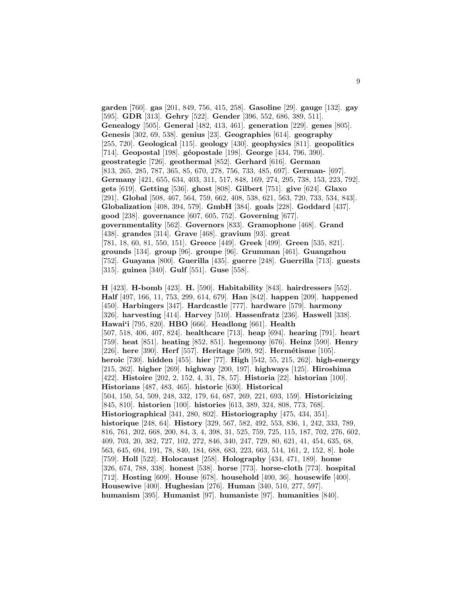**garden** [760]. **gas** [201, 849, 756, 415, 258]. **Gasoline** [29]. **gauge** [132]. **gay** [595]. **GDR** [313]. **Gehry** [522]. **Gender** [396, 552, 686, 389, 511]. **Genealogy** [505]. **General** [482, 413, 461]. **generation** [229]. **genes** [805]. **Genesis** [302, 69, 538]. **genius** [23]. **Geographies** [614]. **geography** [255, 720]. **Geological** [115]. **geology** [430]. **geophysics** [811]. **geopolitics** [714]. **Geopostal** [198]. **g´eopostale** [198]. **George** [434, 796, 390]. **geostrategic** [726]. **geothermal** [852]. **Gerhard** [616]. **German** [813, 265, 285, 787, 365, 85, 670, 278, 756, 733, 485, 697]. **German-** [697]. **Germany** [421, 655, 634, 403, 311, 517, 848, 169, 274, 295, 738, 153, 223, 792]. **gets** [619]. **Getting** [536]. **ghost** [808]. **Gilbert** [751]. **give** [624]. **Glaxo** [291]. **Global** [508, 467, 564, 759, 662, 408, 538, 621, 563, 720, 733, 534, 843]. **Globalization** [408, 394, 579]. **GmbH** [384]. **goals** [228]. **Goddard** [437]. **good** [238]. **governance** [607, 605, 752]. **Governing** [677]. **governmentality** [562]. **Governors** [833]. **Gramophone** [468]. **Grand** [438]. **grandes** [314]. **Grave** [468]. **gravium** [93]. **great** [781, 18, 60, 81, 550, 151]. **Greece** [449]. **Greek** [499]. **Green** [535, 821]. **grounds** [134]. **group** [96]. **groupe** [96]. **Grumman** [461]. **Guangzhou** [752]. **Guayana** [800]. **Guerilla** [435]. **guerre** [248]. **Guerrilla** [713]. **guests** [315]. **guinea** [340]. **Gulf** [551]. **Guse** [558].

**H** [423]. **H-bomb** [423]. **H.** [590]. **Habitability** [843]. **hairdressers** [552]. **Half** [497, 166, 11, 753, 299, 614, 679]. **Han** [842]. **happen** [209]. **happened** [450]. **Harbingers** [347]. **Hardcastle** [777]. **hardware** [579]. **harmony** [326]. **harvesting** [414]. **Harvey** [510]. **Hassenfratz** [236]. **Haswell** [338]. **Hawai'i** [795, 820]. **HBO** [666]. **Headlong** [661]. **Health** [507, 518, 406, 407, 824]. **healthcare** [713]. **heap** [694]. **hearing** [791]. **heart** [759]. **heat** [851]. **heating** [852, 851]. **hegemony** [676]. **Heinz** [590]. **Henry** [226]. **here** [390]. **Herf** [557]. **Heritage** [509, 92]. **Herm´etisme** [105]. **heroic** [730]. **hidden** [455]. **hier** [77]. **High** [542, 55, 215, 262]. **high-energy** [215, 262]. **higher** [269]. **highway** [200, 197]. **highways** [125]. **Hiroshima** [422]. **Histoire** [202, 2, 152, 4, 31, 78, 57]. **Historia** [22]. **historian** [100]. **Historians** [487, 483, 465]. **historic** [630]. **Historical** [504, 150, 54, 509, 248, 332, 179, 64, 687, 269, 221, 693, 159]. **Historicizing** [845, 810]. **historien** [100]. **histories** [613, 389, 324, 808, 773, 768]. **Historiographical** [341, 280, 802]. **Historiography** [475, 434, 351]. **historique** [248, 64]. **History** [329, 567, 582, 492, 553, 836, 1, 242, 333, 789, 816, 761, 202, 668, 200, 84, 3, 4, 398, 31, 525, 759, 725, 115, 187, 702, 276, 602, 409, 703, 20, 382, 727, 102, 272, 846, 340, 247, 729, 80, 621, 41, 454, 635, 68, 563, 645, 694, 191, 78, 840, 184, 688, 683, 223, 663, 514, 161, 2, 152, 8]. **hole** [759]. **Holl** [522]. **Holocaust** [258]. **Holography** [434, 471, 189]. **home** [326, 674, 788, 338]. **honest** [538]. **horse** [773]. **horse-cloth** [773]. **hospital** [712]. **Hosting** [609]. **House** [678]. **household** [400, 36]. **housewife** [400]. **Housewive** [400]. **Hughesian** [276]. **Human** [340, 510, 277, 597]. **humanism** [395]. **Humanist** [97]. **humaniste** [97]. **humanities** [840].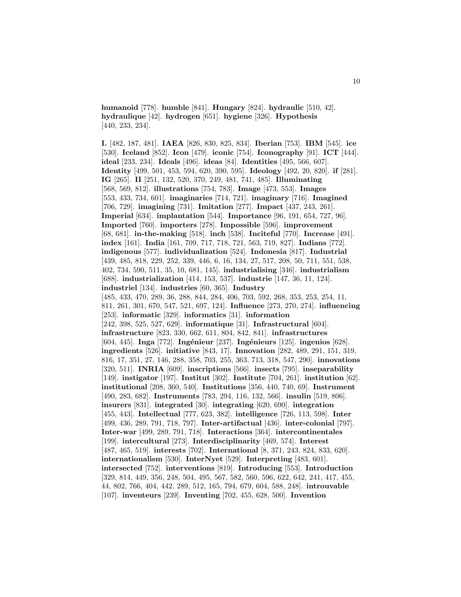**humanoid** [778]. **humble** [841]. **Hungary** [824]. **hydraulic** [510, 42]. **hydraulique** [42]. **hydrogen** [651]. **hygiene** [326]. **Hypothesis** [440, 233, 234].

**I.** [482, 187, 481]. **IAEA** [826, 830, 825, 834]. **Iberian** [753]. **IBM** [545]. **ice** [530]. **Iceland** [852]. **Icon** [479]. **iconic** [754]. **Iconography** [91]. **ICT** [444]. **ideal** [233, 234]. **Ideals** [496]. **ideas** [84]. **Identities** [495, 566, 607]. **Identity** [499, 501, 453, 594, 620, 390, 595]. **Ideology** [492, 20, 820]. **if** [281]. **IG** [265]. **II** [251, 132, 520, 370, 249, 481, 741, 485]. **Illuminating** [568, 569, 812]. **illustrations** [754, 783]. **Image** [473, 553]. **Images** [553, 433, 734, 601]. **imaginaries** [714, 721]. **imaginary** [716]. **Imagined** [706, 729]. **imagining** [731]. **Imitation** [277]. **Impact** [437, 243, 261]. **Imperial** [634]. **implantation** [544]. **Importance** [96, 191, 654, 727, 96]. **Imported** [760]. **importers** [278]. **Impossible** [596]. **improvement** [68, 681]. **in-the-making** [518]. **inch** [538]. **Inciteful** [770]. **Increase** [491]. **index** [161]. **India** [161, 709, 717, 718, 721, 563, 719, 827]. **Indians** [772]. **indigenous** [577]. **individualization** [524]. **Indonesia** [817]. **Industrial** [439, 485, 818, 229, 252, 339, 446, 6, 16, 134, 27, 517, 208, 50, 711, 551, 538, 402, 734, 590, 511, 35, 10, 681, 145]. **industrialising** [346]. **industrialism** [688]. **industrialization** [414, 153, 537]. **industrie** [147, 36, 11, 124]. **industriel** [134]. **industries** [60, 365]. **Industry** [485, 433, 470, 289, 36, 288, 844, 284, 406, 703, 592, 268, 353, 253, 254, 11, 811, 261, 301, 670, 547, 521, 697, 124]. **Influence** [273, 270, 274]. **influencing** [253]. **informatic** [329]. **informatics** [31]. **information** [242, 398, 525, 527, 629]. **informatique** [31]. **Infrastructural** [604]. **infrastructure** [823, 330, 662, 611, 804, 842, 841]. **infrastructures** [604, 445]. **Inga** [772]. **Ing´enieur** [237]. **Ing´enieurs** [125]. **ingenios** [628]. **ingredients** [526]. **initiative** [843, 17]. **Innovation** [282, 489, 291, 151, 319, 816, 17, 351, 27, 146, 288, 358, 703, 255, 363, 713, 318, 547, 290]. **innovations** [320, 511]. **INRIA** [609]. **inscriptions** [566]. **insects** [795]. **inseparability** [149]. **instigator** [197]. **Institut** [302]. **Institute** [704, 261]. **institution** [62]. **institutional** [208, 360, 540]. **Institutions** [356, 440, 740, 69]. **Instrument** [490, 283, 682]. **Instruments** [783, 294, 116, 132, 566]. **insulin** [519, 806]. **insurers** [831]. **integrated** [30]. **integrating** [620, 690]. **integration** [455, 443]. **Intellectual** [777, 623, 382]. **intelligence** [726, 113, 598]. **Inter** [499, 436, 289, 791, 718, 797]. **Inter-artifactual** [436]. **inter-colonial** [797]. **Inter-war** [499, 289, 791, 718]. **Interactions** [364]. **intercontinentales** [199]. **intercultural** [273]. **Interdisciplinarity** [469, 574]. **Interest** [487, 465, 519]. **interests** [702]. **International** [8, 371, 243, 824, 833, 620]. **internationalism** [530]. **InterNyet** [529]. **Interpreting** [483, 601]. **intersected** [752]. **interventions** [819]. **Introducing** [553]. **Introduction** [329, 814, 449, 356, 248, 504, 495, 567, 582, 560, 596, 622, 642, 241, 417, 455, 44, 802, 766, 404, 442, 289, 512, 165, 794, 679, 604, 588, 248]. **introuvable** [107]. **inventeurs** [239]. **Inventing** [702, 455, 628, 500]. **Invention**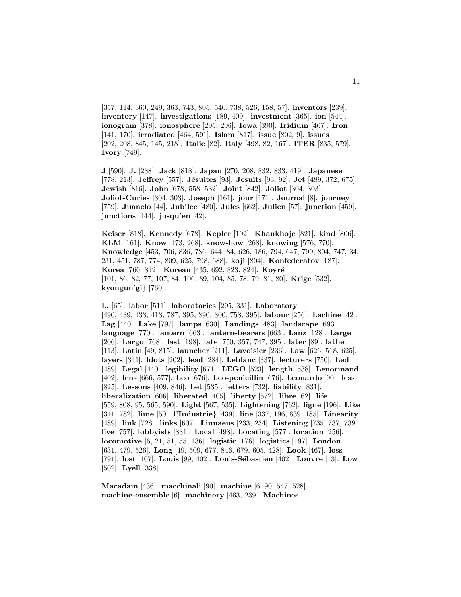[357, 114, 360, 249, 363, 743, 805, 540, 738, 526, 158, 57]. **inventors** [239]. **inventory** [147]. **investigations** [189, 409]. **investment** [365]. **ion** [544]. **ionogram** [378]. **ionosphere** [295, 296]. **Iowa** [390]. **Iridium** [467]. **Iron** [141, 170]. **irradiated** [464, 591]. **Islam** [817]. **issue** [802, 9]. **issues** [202, 208, 845, 145, 218]. **Italie** [82]. **Italy** [498, 82, 167]. **ITER** [835, 579]. **Ivory** [749].

**J** [590]. **J.** [238]. **Jack** [818]. **Japan** [270, 208, 832, 833, 419]. **Japanese** [778, 213]. **Jeffrey** [557]. **Jésuites** [93]. **Jesuits** [93, 92]. **Jet** [489, 372, 675]. **Jewish** [816]. **John** [678, 558, 532]. **Joint** [842]. **Joliot** [304, 303]. **Joliot-Curies** [304, 303]. **Joseph** [161]. **jour** [171]. **Journal** [8]. **journey** [759]. **Juanelo** [44]. **Jubilee** [480]. **Jules** [662]. **Julien** [57]. **junction** [459]. **junctions** [444]. **jusqu'en** [42].

**Keiser** [818]. **Kennedy** [678]. **Kepler** [102]. **Khankhoje** [821]. **kind** [806]. **KLM** [161]. **Know** [473, 268]. **know-how** [268]. **knowing** [576, 770]. **Knowledge** [453, 706, 836, 786, 644, 84, 626, 186, 794, 647, 799, 804, 747, 34, 231, 451, 787, 774, 809, 625, 798, 688]. **koji** [804]. **Konfederatov** [187]. **Korea** [760, 842]. **Korean** [435, 692, 823, 824]. **Koyré** [101, 86, 82, 77, 107, 84, 106, 89, 104, 85, 78, 79, 81, 80]. **Krige** [532]. **kyongun'gi**} [760].

**L.** [65]. **labor** [511]. **laboratories** [295, 331]. **Laboratory** [490, 439, 433, 413, 787, 395, 390, 300, 758, 395]. **labour** [256]. **Lachine** [42]. **Lag** [440]. **Lake** [797]. **lamps** [630]. **Landings** [483]. **landscape** [693]. **language** [770]. **lantern** [663]. **lantern-bearers** [663]. **Lanz** [128]. **Large** [206]. **Largo** [768]. **last** [198]. **late** [750, 357, 747, 395]. **later** [89]. **lathe** [113]. **Latin** [49, 815]. **launcher** [211]. **Lavoisier** [236]. **Law** [626, 518, 625]. **layers** [341]. **ldots** [202]. **lead** [284]. **Leblanc** [337]. **lecturers** [750]. **Led** [489]. **Legal** [440]. **legibility** [671]. **LEGO** [523]. **length** [538]. **Lenormand** [402]. **lens** [666, 577]. **Leo** [676]. **Leo-penicillin** [676]. **Leonardo** [90]. **less** [825]. **Lessons** [409, 846]. **Let** [535]. **letters** [732]. **liability** [831]. **liberalization** [606]. **liberated** [405]. **liberty** [572]. **libre** [62]. **life** [559, 808, 95, 565, 590]. **Light** [567, 535]. **Lightening** [762]. **ligne** [196]. **Like** [311, 782]. **lime** [50]. **l'Industrie**} [439]. **line** [337, 196, 839, 185]. **Linearity** [489]. **link** [728]. **links** [607]. **Linnaeus** [233, 234]. **Listening** [735, 737, 739]. **live** [757]. **lobbyists** [831]. **Local** [498]. **Locating** [577]. **location** [256]. **locomotive** [6, 21, 51, 55, 136]. **logistic** [176]. **logistics** [197]. **London** [631, 479, 526]. **Long** [49, 509, 677, 846, 679, 605, 428]. **Look** [467]. **loss** [791]. **lost** [107]. **Louis** [99, 402]. **Louis-S´ebastien** [402]. **Louvre** [13]. **Low** [502]. **Lyell** [338].

**Macadam** [436]. **macchinali** [90]. **machine** [6, 90, 547, 528]. **machine-ensemble** [6]. **machinery** [463, 239]. **Machines**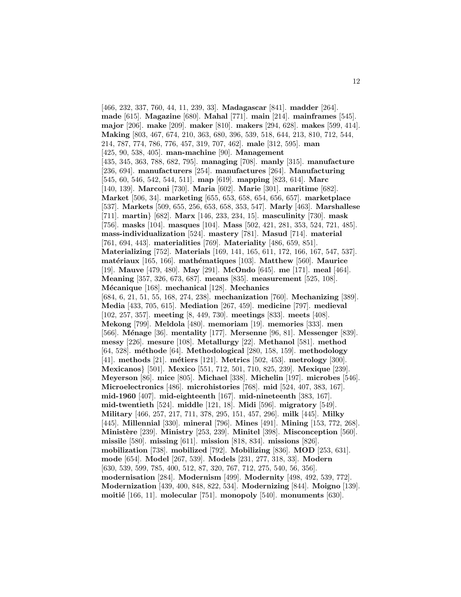[466, 232, 337, 760, 44, 11, 239, 33]. **Madagascar** [841]. **madder** [264]. **made** [615]. **Magazine** [680]. **Mahal** [771]. **main** [214]. **mainframes** [545]. **major** [206]. **make** [209]. **maker** [810]. **makers** [294, 628]. **makes** [599, 414]. **Making** [803, 467, 674, 210, 363, 680, 396, 539, 518, 644, 213, 810, 712, 544, 214, 787, 774, 786, 776, 457, 319, 707, 462]. **male** [312, 595]. **man** [425, 90, 538, 405]. **man-machine** [90]. **Management** [435, 345, 363, 788, 682, 795]. **managing** [708]. **manly** [315]. **manufacture** [236, 694]. **manufacturers** [254]. **manufactures** [264]. **Manufacturing** [545, 60, 546, 542, 544, 511]. **map** [619]. **mapping** [823, 614]. **Marc** [140, 139]. **Marconi** [730]. **Maria** [602]. **Marie** [301]. **maritime** [682]. **Market** [506, 34]. **marketing** [655, 653, 658, 654, 656, 657]. **marketplace** [537]. **Markets** [509, 655, 256, 653, 658, 353, 547]. **Marly** [463]. **Marshallese** [711]. **martin**} [682]. **Marx** [146, 233, 234, 15]. **masculinity** [730]. **mask** [756]. **masks** [104]. **masques** [104]. **Mass** [502, 421, 281, 353, 524, 721, 485]. **mass-individualization** [524]. **mastery** [781]. **Masud** [714]. **material** [761, 694, 443]. **materialities** [769]. **Materiality** [486, 659, 851]. **Materializing** [752]. **Materials** [169, 141, 165, 611, 172, 166, 167, 547, 537]. **mat´eriaux** [165, 166]. **math´ematiques** [103]. **Matthew** [560]. **Maurice** [19]. **Mauve** [479, 480]. **May** [291]. **McOndo** [645]. **me** [171]. **meal** [464]. **Meaning** [357, 326, 673, 687]. **means** [835]. **measurement** [525, 108]. **M´ecanique** [168]. **mechanical** [128]. **Mechanics** [684, 6, 21, 51, 55, 168, 274, 238]. **mechanization** [760]. **Mechanizing** [389]. **Media** [433, 705, 615]. **Mediation** [267, 459]. **medicine** [797]. **medieval** [102, 257, 357]. **meeting** [8, 449, 730]. **meetings** [833]. **meets** [408]. **Mekong** [799]. **Meldola** [480]. **memoriam** [19]. **memories** [333]. **men** [566]. **M´enage** [36]. **mentality** [177]. **Mersenne** [96, 81]. **Messenger** [839]. **messy** [226]. **mesure** [108]. **Metallurgy** [22]. **Methanol** [581]. **method** [64, 528]. **m´ethode** [64]. **Methodological** [280, 158, 159]. **methodology** [41]. **methods** [21]. **m´etiers** [121]. **Metrics** [502, 453]. **metrology** [300]. **Mexicanos**} [501]. **Mexico** [551, 712, 501, 710, 825, 239]. **Mexique** [239]. **Meyerson** [86]. **mice** [805]. **Michael** [338]. **Michelin** [197]. **microbes** [546]. **Microelectronics** [486]. **microhistories** [768]. **mid** [524, 407, 383, 167]. **mid-1960** [407]. **mid-eighteenth** [167]. **mid-nineteenth** [383, 167]. **mid-twentieth** [524]. **middle** [121, 18]. **Midi** [596]. **migratory** [549]. **Military** [466, 257, 217, 711, 378, 295, 151, 457, 296]. **milk** [445]. **Milky** [445]. **Millennial** [330]. **mineral** [796]. **Mines** [491]. **Mining** [153, 772, 268]. **Minist`ere** [239]. **Ministry** [253, 239]. **Minitel** [398]. **Misconception** [560]. **missile** [580]. **missing** [611]. **mission** [818, 834]. **missions** [826]. **mobilization** [738]. **mobilized** [792]. **Mobilizing** [836]. **MOD** [253, 631]. **mode** [654]. **Model** [267, 539]. **Models** [231, 277, 318, 33]. **Modern** [630, 539, 599, 785, 400, 512, 87, 320, 767, 712, 275, 540, 56, 356]. **modernisation** [284]. **Modernism** [499]. **Modernity** [498, 492, 539, 772]. **Modernization** [439, 400, 848, 822, 534]. **Modernizing** [844]. **Moigno** [139]. **moiti´e** [166, 11]. **molecular** [751]. **monopoly** [540]. **monuments** [630].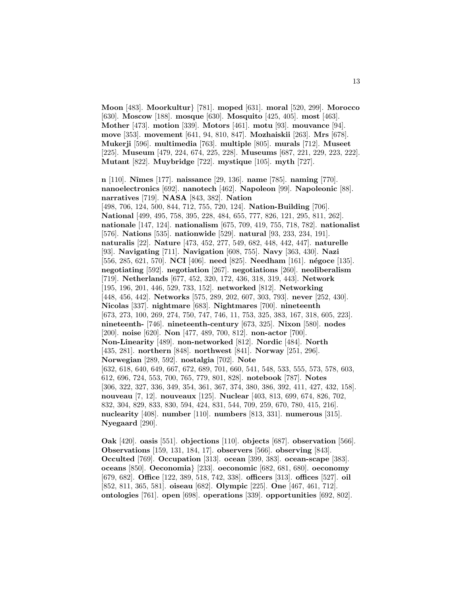**Moon** [483]. **Moorkultur**} [781]. **moped** [631]. **moral** [520, 299]. **Morocco** [630]. **Moscow** [188]. **mosque** [630]. **Mosquito** [425, 405]. **most** [463]. **Mother** [473]. **motion** [339]. **Motors** [461]. **motu** [93]. **mouvance** [94]. **move** [353]. **movement** [641, 94, 810, 847]. **Mozhaiskii** [263]. **Mrs** [678]. **Mukerji** [596]. **multimedia** [763]. **multiple** [805]. **murals** [712]. **Museet** [225]. **Museum** [479, 224, 674, 225, 228]. **Museums** [687, 221, 229, 223, 222]. **Mutant** [822]. **Muybridge** [722]. **mystique** [105]. **myth** [727].

**n** [110]. **Nˆımes** [177]. **naissance** [29, 136]. **name** [785]. **naming** [770]. **nanoelectronics** [692]. **nanotech** [462]. **Napoleon** [99]. **Napoleonic** [88]. **narratives** [719]. **NASA** [843, 382]. **Nation** [498, 706, 124, 500, 844, 712, 755, 720, 124]. **Nation-Building** [706]. **National** [499, 495, 758, 395, 228, 484, 655, 777, 826, 121, 295, 811, 262]. **nationale** [147, 124]. **nationalism** [675, 709, 419, 755, 718, 782]. **nationalist** [576]. **Nations** [535]. **nationwide** [529]. **natural** [93, 233, 234, 191]. **naturalis** [22]. **Nature** [473, 452, 277, 549, 682, 448, 442, 447]. **naturelle** [93]. **Navigating** [711]. **Navigation** [608, 755]. **Navy** [363, 430]. **Nazi** [556, 285, 621, 570]. **NCI** [406]. **need** [825]. **Needham** [161]. **n´egoce** [135]. **negotiating** [592]. **negotiation** [267]. **negotiations** [260]. **neoliberalism** [719]. **Netherlands** [677, 452, 320, 172, 436, 318, 319, 443]. **Network** [195, 196, 201, 446, 529, 733, 152]. **networked** [812]. **Networking** [448, 456, 442]. **Networks** [575, 289, 202, 607, 303, 793]. **never** [252, 430]. **Nicolas** [337]. **nightmare** [683]. **Nightmares** [700]. **nineteenth** [673, 273, 100, 269, 274, 750, 747, 746, 11, 753, 325, 383, 167, 318, 605, 223]. **nineteenth-** [746]. **nineteenth-century** [673, 325]. **Nixon** [580]. **nodes** [200]. **noise** [620]. **Non** [477, 489, 700, 812]. **non-actor** [700]. **Non-Linearity** [489]. **non-networked** [812]. **Nordic** [484]. **North** [435, 281]. **northern** [848]. **northwest** [841]. **Norway** [251, 296]. **Norwegian** [289, 592]. **nostalgia** [702]. **Note** [632, 618, 640, 649, 667, 672, 689, 701, 660, 541, 548, 533, 555, 573, 578, 603, 612, 696, 724, 553, 700, 765, 779, 801, 828]. **notebook** [787]. **Notes** [306, 322, 327, 336, 349, 354, 361, 367, 374, 380, 386, 392, 411, 427, 432, 158]. **nouveau** [7, 12]. **nouveaux** [125]. **Nuclear** [403, 813, 699, 674, 826, 702, 832, 304, 829, 833, 830, 594, 424, 831, 544, 709, 259, 670, 780, 415, 216]. **nuclearity** [408]. **number** [110]. **numbers** [813, 331]. **numerous** [315]. **Nyegaard** [290].

**Oak** [420]. **oasis** [551]. **objections** [110]. **objects** [687]. **observation** [566]. **Observations** [159, 131, 184, 17]. **observers** [566]. **observing** [843]. **Occulted** [769]. **Occupation** [313]. **ocean** [399, 383]. **ocean-scape** [383]. **oceans** [850]. **Oeconomia**} [233]. **oeconomic** [682, 681, 680]. **oeconomy** [679, 682]. **Office** [122, 389, 518, 742, 338]. **officers** [313]. **offices** [527]. **oil** [852, 811, 365, 581]. **oiseau** [682]. **Olympic** [225]. **One** [467, 461, 712]. **ontologies** [761]. **open** [698]. **operations** [339]. **opportunities** [692, 802].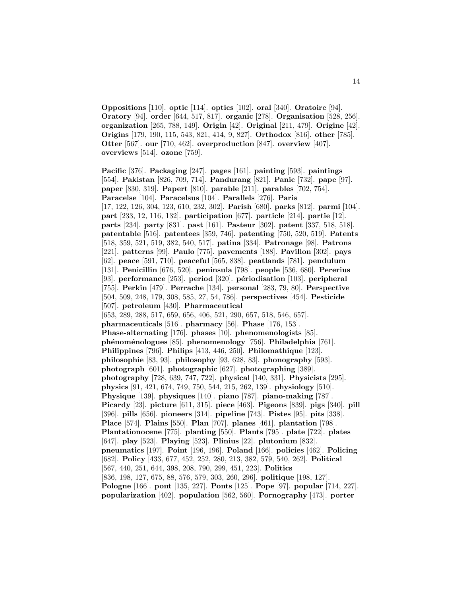**Oppositions** [110]. **optic** [114]. **optics** [102]. **oral** [340]. **Oratoire** [94]. **Oratory** [94]. **order** [644, 517, 817]. **organic** [278]. **Organisation** [528, 256]. **organization** [265, 788, 149]. **Origin** [42]. **Original** [211, 479]. **Origine** [42]. **Origins** [179, 190, 115, 543, 821, 414, 9, 827]. **Orthodox** [816]. **other** [785]. **Otter** [567]. **our** [710, 462]. **overproduction** [847]. **overview** [407]. **overviews** [514]. **ozone** [759].

**Pacific** [376]. **Packaging** [247]. **pages** [161]. **painting** [593]. **paintings** [554]. **Pakistan** [826, 709, 714]. **Pandurang** [821]. **Panic** [732]. **pape** [97]. **paper** [830, 319]. **Papert** [810]. **parable** [211]. **parables** [702, 754]. **Paracelse** [104]. **Paracelsus** [104]. **Parallels** [276]. **Paris** [17, 122, 126, 304, 123, 610, 232, 302]. **Parish** [680]. **parks** [812]. **parmi** [104]. **part** [233, 12, 116, 132]. **participation** [677]. **particle** [214]. **partie** [12]. **parts** [234]. **party** [831]. **past** [161]. **Pasteur** [302]. **patent** [337, 518, 518]. **patentable** [516]. **patentees** [359, 746]. **patenting** [750, 520, 519]. **Patents** [518, 359, 521, 519, 382, 540, 517]. **patina** [334]. **Patronage** [98]. **Patrons** [221]. **patterns** [99]. **Paulo** [775]. **pavements** [188]. **Pavillon** [302]. **pays** [62]. **peace** [591, 710]. **peaceful** [565, 838]. **peatlands** [781]. **pendulum** [131]. **Penicillin** [676, 520]. **peninsula** [798]. **people** [536, 680]. **Pererius** [93]. **performance** [253]. **period** [320]. **p´eriodisation** [103]. **peripheral** [755]. **Perkin** [479]. **Perrache** [134]. **personal** [283, 79, 80]. **Perspective** [504, 509, 248, 179, 308, 585, 27, 54, 786]. **perspectives** [454]. **Pesticide** [507]. **petroleum** [430]. **Pharmaceutical** [653, 289, 288, 517, 659, 656, 406, 521, 290, 657, 518, 546, 657]. **pharmaceuticals** [516]. **pharmacy** [56]. **Phase** [176, 153]. **Phase-alternating** [176]. **phases** [10]. **phenomenologists** [85]. **ph´enom´enologues** [85]. **phenomenology** [756]. **Philadelphia** [761]. **Philippines** [796]. **Philips** [413, 446, 250]. **Philomathique** [123]. **philosophie** [83, 93]. **philosophy** [93, 628, 83]. **phonography** [593]. **photograph** [601]. **photographic** [627]. **photographing** [389]. **photography** [728, 639, 747, 722]. **physical** [140, 331]. **Physicists** [295]. **physics** [91, 421, 674, 749, 750, 544, 215, 262, 139]. **physiology** [510]. **Physique** [139]. **physiques** [140]. **piano** [787]. **piano-making** [787]. **Picardy** [23]. **picture** [611, 315]. **piece** [463]. **Pigeons** [839]. **pigs** [340]. **pill** [396]. **pills** [656]. **pioneers** [314]. **pipeline** [743]. **Pistes** [95]. **pits** [338]. **Place** [574]. **Plains** [550]. **Plan** [707]. **planes** [461]. **plantation** [798]. **Plantationocene** [775]. **planting** [550]. **Plants** [795]. **plate** [722]. **plates** [647]. **play** [523]. **Playing** [523]. **Plinius** [22]. **plutonium** [832]. **pneumatics** [197]. **Point** [196, 196]. **Poland** [166]. **policies** [462]. **Policing** [682]. **Policy** [433, 677, 452, 252, 280, 213, 382, 579, 540, 262]. **Political** [567, 440, 251, 644, 398, 208, 790, 299, 451, 223]. **Politics** [836, 198, 127, 675, 88, 576, 579, 303, 260, 296]. **politique** [198, 127]. **Pologne** [166]. **pont** [135, 227]. **Ponts** [125]. **Pope** [97]. **popular** [714, 227]. **popularization** [402]. **population** [562, 560]. **Pornography** [473]. **porter**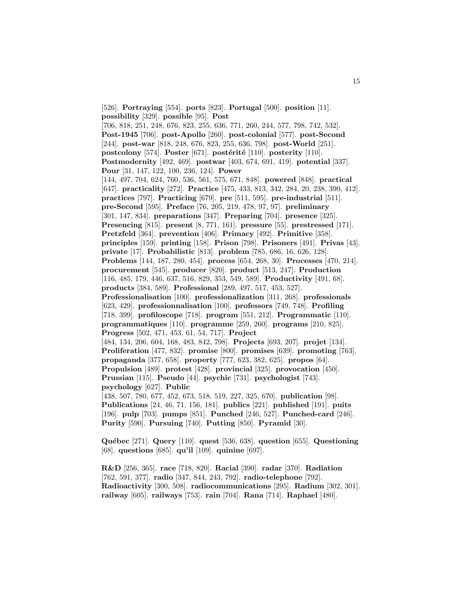[526]. **Portraying** [554]. **ports** [823]. **Portugal** [500]. **position** [11]. **possibility** [329]. **possible** [95]. **Post** [706, 818, 251, 248, 676, 823, 255, 636, 771, 260, 244, 577, 798, 742, 532]. **Post-1945** [706]. **post-Apollo** [260]. **post-colonial** [577]. **post-Second** [244]. **post-war** [818, 248, 676, 823, 255, 636, 798]. **post-World** [251]. **postcolony** [574]. **Poster** [671]. **postérité** [110]. **posterity** [110]. **Postmodernity** [492, 469]. **postwar** [403, 674, 691, 419]. **potential** [337]. **Pour** [31, 147, 122, 100, 236, 124]. **Power** [144, 497, 704, 624, 760, 536, 561, 575, 671, 848]. **powered** [848]. **practical** [647]. **practicality** [272]. **Practice** [475, 433, 813, 342, 284, 20, 238, 390, 412]. **practices** [797]. **Practicing** [679]. **pre** [511, 595]. **pre-industrial** [511]. **pre-Second** [595]. **Preface** [76, 205, 219, 478, 97, 97]. **preliminary** [301, 147, 834]. **preparations** [347]. **Preparing** [704]. **presence** [325]. **Presencing** [815]. **present** [8, 771, 161]. **pressure** [55]. **prestressed** [171]. **Pretzfeld** [364]. **prevention** [406]. **Primacy** [492]. **Primitive** [358]. **principles** [159]. **printing** [158]. **Prison** [798]. **Prisoners** [491]. **Privas** [43]. **private** [17]. **Probabilistic** [813]. **problem** [785, 686, 16, 626, 128]. **Problems** [144, 187, 280, 454]. **process** [654, 268, 30]. **Processes** [470, 214]. **procurement** [545]. **producer** [820]. **product** [513, 247]. **Production** [116, 485, 179, 446, 637, 516, 829, 353, 549, 589]. **Productivity** [491, 68]. **products** [384, 589]. **Professional** [289, 497, 517, 453, 527]. **Professionalisation** [100]. **professionalization** [311, 268]. **professionals** [623, 429]. **professionnalisation** [100]. **professors** [749, 748]. **Profiling** [718, 399]. **profiloscope** [718]. **program** [551, 212]. **Programmatic** [110]. **programmatiques** [110]. **programme** [259, 260]. **programs** [210, 825]. **Progress** [502, 471, 453, 61, 54, 717]. **Project** [484, 134, 206, 604, 168, 483, 842, 798]. **Projects** [693, 207]. **projet** [134]. **Proliferation** [477, 832]. **promise** [800]. **promises** [639]. **promoting** [763]. **propaganda** [377, 658]. **property** [777, 623, 382, 625]. **propos** [64]. **Propulsion** [489]. **protest** [428]. **provincial** [325]. **provocation** [450]. **Prussian** [115]. **Pseudo** [44]. **psychic** [731]. **psychologist** [743]. **psychology** [627]. **Public** [438, 507, 780, 677, 452, 673, 518, 519, 227, 325, 670]. **publication** [98]. **Publications** [24, 46, 71, 156, 181]. **publics** [221]. **published** [191]. **puits** [196]. **pulp** [703]. **pumps** [851]. **Punched** [246, 527]. **Punched-card** [246]. **Purity** [590]. **Pursuing** [740]. **Putting** [850]. **Pyramid** [30].

**Qu´ebec** [271]. **Query** [110]. **quest** [536, 638]. **question** [655]. **Questioning** [68]. **questions** [685]. **qu'il** [109]. **quinine** [697].

**R&D** [256, 365]. **race** [718, 820]. **Racial** [390]. **radar** [370]. **Radiation** [762, 591, 377]. **radio** [347, 844, 243, 792]. **radio-telephone** [792]. **Radioactivity** [300, 508]. **radiocommunications** [295]. **Radium** [302, 301]. **railway** [605]. **railways** [753]. **rain** [704]. **Rana** [714]. **Raphael** [480].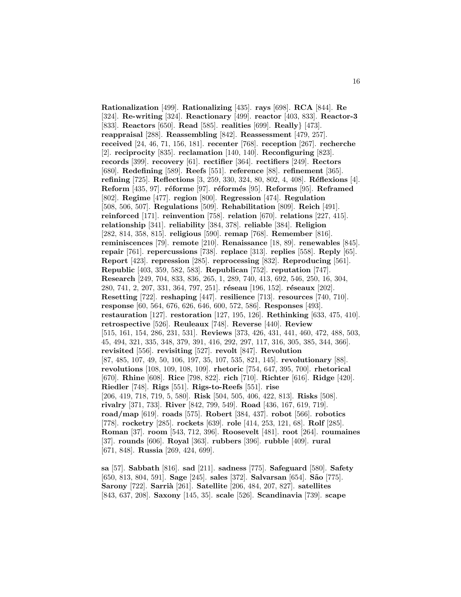**Rationalization** [499]. **Rationalizing** [435]. **rays** [698]. **RCA** [844]. **Re** [324]. **Re-writing** [324]. **Reactionary** [499]. **reactor** [403, 833]. **Reactor-3** [833]. **Reactors** [650]. **Read** [585]. **realities** [699]. **Really**} [473]. **reappraisal** [288]. **Reassembling** [842]. **Reassessment** [479, 257]. **received** [24, 46, 71, 156, 181]. **recenter** [768]. **reception** [267]. **recherche** [2]. **reciprocity** [835]. **reclamation** [140, 140]. **Reconfiguring** [823]. **records** [399]. **recovery** [61]. **rectifier** [364]. **rectifiers** [249]. **Rectors** [680]. **Redefining** [589]. **Reefs** [551]. **reference** [88]. **refinement** [365]. **refining** [725]. **Reflections** [3, 259, 330, 324, 80, 802, 4, 408]. **R´eflexions** [4]. **Reform** [435, 97]. **réforme** [97]. **réformés** [95]. **Reforms** [95]. **Reframed** [802]. **Regime** [477]. **region** [800]. **Regression** [474]. **Regulation** [508, 506, 507]. **Regulations** [509]. **Rehabilitation** [809]. **Reich** [491]. **reinforced** [171]. **reinvention** [758]. **relation** [670]. **relations** [227, 415]. **relationship** [341]. **reliability** [384, 378]. **reliable** [384]. **Religion** [282, 814, 358, 815]. **religious** [590]. **remap** [768]. **Remember** [816]. **reminiscences** [79]. **remote** [210]. **Renaissance** [18, 89]. **renewables** [845]. **repair** [761]. **repercussions** [738]. **replace** [313]. **replies** [558]. **Reply** [65]. **Report** [423]. **repression** [285]. **reprocessing** [832]. **Reproducing** [561]. **Republic** [403, 359, 582, 583]. **Republican** [752]. **reputation** [747]. **Research** [249, 704, 833, 836, 265, 1, 289, 740, 413, 692, 546, 250, 16, 304, 280, 741, 2, 207, 331, 364, 797, 251]. **r´eseau** [196, 152]. **r´eseaux** [202]. **Resetting** [722]. **reshaping** [447]. **resilience** [713]. **resources** [740, 710]. **response** [60, 564, 676, 626, 646, 600, 572, 586]. **Responses** [493]. **restauration** [127]. **restoration** [127, 195, 126]. **Rethinking** [633, 475, 410]. **retrospective** [526]. **Reuleaux** [748]. **Reverse** [440]. **Review** [515, 161, 154, 286, 231, 531]. **Reviews** [373, 426, 431, 441, 460, 472, 488, 503, 45, 494, 321, 335, 348, 379, 391, 416, 292, 297, 117, 316, 305, 385, 344, 366]. **revisited** [556]. **revisiting** [527]. **revolt** [847]. **Revolution** [87, 485, 107, 49, 50, 106, 197, 35, 107, 535, 821, 145]. **revolutionary** [88]. **revolutions** [108, 109, 108, 109]. **rhetoric** [754, 647, 395, 700]. **rhetorical** [670]. **Rhine** [608]. **Rice** [798, 822]. **rich** [710]. **Richter** [616]. **Ridge** [420]. **Riedler** [748]. **Rigs** [551]. **Rigs-to-Reefs** [551]. **rise** [206, 419, 718, 719, 5, 580]. **Risk** [504, 505, 406, 422, 813]. **Risks** [508]. **rivalry** [371, 733]. **River** [842, 799, 549]. **Road** [436, 167, 619, 719]. **road/map** [619]. **roads** [575]. **Robert** [384, 437]. **robot** [566]. **robotics** [778]. **rocketry** [285]. **rockets** [639]. **role** [414, 253, 121, 68]. **Rolf** [285]. **Roman** [37]. **room** [543, 712, 396]. **Roosevelt** [481]. **root** [264]. **roumaines** [37]. **rounds** [606]. **Royal** [363]. **rubbers** [396]. **rubble** [409]. **rural** [671, 848]. **Russia** [269, 424, 699].

**sa** [57]. **Sabbath** [816]. **sad** [211]. **sadness** [775]. **Safeguard** [580]. **Safety** [650, 813, 804, 591]. **Sage** [245]. **sales** [372]. **Salvarsan** [654]. **S˜ao** [775]. **Sarony** [722]. **Sarrià** [261]. **Satellite** [206, 484, 207, 827]. **satellites** [843, 637, 208]. **Saxony** [145, 35]. **scale** [526]. **Scandinavia** [739]. **scape**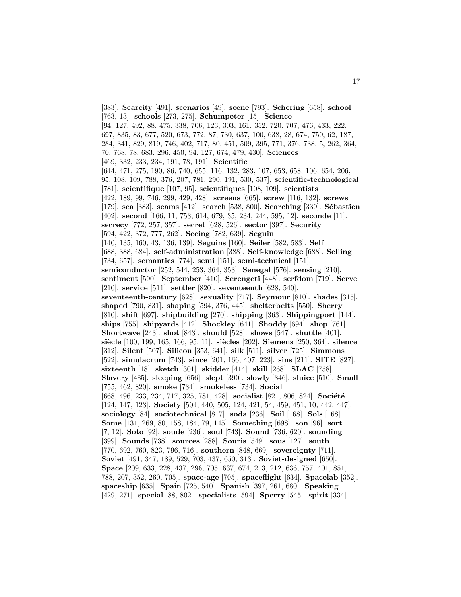[383]. **Scarcity** [491]. **scenarios** [49]. **scene** [793]. **Schering** [658]. **school** [763, 13]. **schools** [273, 275]. **Schumpeter** [15]. **Science** [94, 127, 492, 88, 475, 338, 706, 123, 303, 161, 352, 720, 707, 476, 433, 222, 697, 835, 83, 677, 520, 673, 772, 87, 730, 637, 100, 638, 28, 674, 759, 62, 187, 284, 341, 829, 819, 746, 402, 717, 80, 451, 509, 395, 771, 376, 738, 5, 262, 364, 70, 768, 78, 683, 296, 450, 94, 127, 674, 479, 430]. **Sciences** [469, 332, 233, 234, 191, 78, 191]. **Scientific** [644, 471, 275, 190, 86, 740, 655, 116, 132, 283, 107, 653, 658, 106, 654, 206, 95, 108, 109, 788, 376, 207, 781, 290, 191, 530, 537]. **scientific-technological** [781]. **scientifique** [107, 95]. **scientifiques** [108, 109]. **scientists** [422, 189, 99, 746, 299, 429, 428]. **screens** [665]. **screw** [116, 132]. **screws** [179]. **sea** [383]. **seams** [412]. **search** [538, 800]. **Searching** [339]. **S´ebastien** [402]. **second** [166, 11, 753, 614, 679, 35, 234, 244, 595, 12]. **seconde** [11]. **secrecy** [772, 257, 357]. **secret** [628, 526]. **sector** [397]. **Security** [594, 422, 372, 777, 262]. **Seeing** [782, 639]. **Seguin** [140, 135, 160, 43, 136, 139]. **Seguins** [160]. **Seiler** [582, 583]. **Self** [688, 388, 684]. **self-administration** [388]. **Self-knowledge** [688]. **Selling** [734, 657]. **semantics** [774]. **semi** [151]. **semi-technical** [151]. **semiconductor** [252, 544, 253, 364, 353]. **Senegal** [576]. **sensing** [210]. **sentiment** [590]. **September** [410]. **Serengeti** [448]. **serfdom** [719]. **Serve** [210]. **service** [511]. **settler** [820]. **seventeenth** [628, 540]. **seventeenth-century** [628]. **sexuality** [717]. **Seymour** [810]. **shades** [315]. **shaped** [790, 831]. **shaping** [594, 376, 445]. **shelterbelts** [550]. **Sherry** [810]. **shift** [697]. **shipbuilding** [270]. **shipping** [363]. **Shippingport** [144]. **ships** [755]. **shipyards** [412]. **Shockley** [641]. **Shoddy** [694]. **shop** [761]. **Shortwave** [243]. **shot** [843]. **should** [528]. **shows** [547]. **shuttle** [401]. **si`ecle** [100, 199, 165, 166, 95, 11]. **si`ecles** [202]. **Siemens** [250, 364]. **silence** [312]. **Silent** [507]. **Silicon** [353, 641]. **silk** [511]. **silver** [725]. **Simmons** [522]. **simulacrum** [743]. **since** [201, 166, 407, 223]. **sins** [211]. **SITE** [827]. **sixteenth** [18]. **sketch** [301]. **skidder** [414]. **skill** [268]. **SLAC** [758]. **Slavery** [485]. **sleeping** [656]. **slept** [390]. **slowly** [346]. **sluice** [510]. **Small** [755, 462, 820]. **smoke** [734]. **smokeless** [734]. **Social** [668, 496, 233, 234, 717, 325, 781, 428]. **socialist** [821, 806, 824]. **Société** [124, 147, 123]. **Society** [504, 440, 505, 124, 421, 54, 459, 451, 10, 442, 447]. **sociology** [84]. **sociotechnical** [817]. **soda** [236]. **Soil** [168]. **Sols** [168]. **Some** [131, 269, 80, 158, 184, 79, 145]. **Something** [698]. **son** [96]. **sort** [7, 12]. **Soto** [92]. **soude** [236]. **soul** [743]. **Sound** [736, 620]. **sounding** [399]. **Sounds** [738]. **sources** [288]. **Souris** [549]. **sous** [127]. **south** [770, 692, 760, 823, 796, 716]. **southern** [848, 669]. **sovereignty** [711]. **Soviet** [491, 347, 189, 529, 703, 437, 650, 313]. **Soviet-designed** [650]. **Space** [209, 633, 228, 437, 296, 705, 637, 674, 213, 212, 636, 757, 401, 851, 788, 207, 352, 260, 705]. **space-age** [705]. **spaceflight** [634]. **Spacelab** [352]. **spaceship** [635]. **Spain** [725, 540]. **Spanish** [397, 261, 680]. **Speaking** [429, 271]. **special** [88, 802]. **specialists** [594]. **Sperry** [545]. **spirit** [334].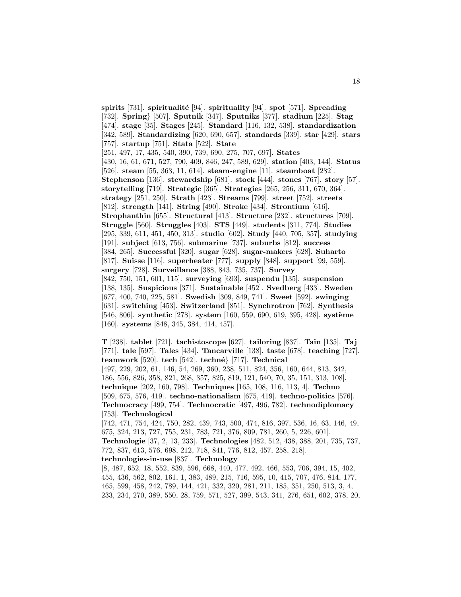**spirits** [731]. **spiritualité** [94]. **spirituality** [94]. **spot** [571]. **Spreading** [732]. **Spring**} [507]. **Sputnik** [347]. **Sputniks** [377]. **stadium** [225]. **Stag** [474]. **stage** [35]. **Stages** [245]. **Standard** [116, 132, 538]. **standardization** [342, 589]. **Standardizing** [620, 690, 657]. **standards** [339]. **star** [429]. **stars** [757]. **startup** [751]. **Stata** [522]. **State** [251, 497, 17, 435, 540, 390, 739, 690, 275, 707, 697]. **States** [430, 16, 61, 671, 527, 790, 409, 846, 247, 589, 629]. **station** [403, 144]. **Status** [526]. **steam** [55, 363, 11, 614]. **steam-engine** [11]. **steamboat** [282]. **Stephenson** [136]. **stewardship** [681]. **stock** [444]. **stones** [767]. **story** [57]. **storytelling** [719]. **Strategic** [365]. **Strategies** [265, 256, 311, 670, 364]. **strategy** [251, 250]. **Strath** [423]. **Streams** [799]. **street** [752]. **streets** [812]. **strength** [141]. **String** [490]. **Stroke** [434]. **Strontium** [616]. **Strophanthin** [655]. **Structural** [413]. **Structure** [232]. **structures** [709]. **Struggle** [560]. **Struggles** [403]. **STS** [449]. **students** [311, 774]. **Studies** [295, 339, 611, 451, 450, 313]. **studio** [602]. **Study** [440, 705, 357]. **studying** [191]. **subject** [613, 756]. **submarine** [737]. **suburbs** [812]. **success** [384, 265]. **Successful** [320]. **sugar** [628]. **sugar-makers** [628]. **Suharto** [817]. **Suisse** [116]. **superheater** [777]. **supply** [848]. **support** [99, 559]. **surgery** [728]. **Surveillance** [388, 843, 735, 737]. **Survey** [842, 750, 151, 601, 115]. **surveying** [693]. **suspendu** [135]. **suspension** [138, 135]. **Suspicious** [371]. **Sustainable** [452]. **Svedberg** [433]. **Sweden** [677, 400, 740, 225, 581]. **Swedish** [309, 849, 741]. **Sweet** [592]. **swinging** [631]. **switching** [453]. **Switzerland** [851]. **Synchrotron** [762]. **Synthesis** [546, 806]. **synthetic** [278]. **system** [160, 559, 690, 619, 395, 428]. **système** [160]. **systems** [848, 345, 384, 414, 457].

**T** [238]. **tablet** [721]. **tachistoscope** [627]. **tailoring** [837]. **Tain** [135]. **Taj** [771]. **tale** [597]. **Tales** [434]. **Tancarville** [138]. **taste** [678]. **teaching** [727]. **teamwork** [520]. **tech** [542]. **techn´e**} [717]. **Technical** [497, 229, 202, 61, 146, 54, 269, 360, 238, 511, 824, 356, 160, 644, 813, 342, 186, 556, 826, 358, 821, 268, 357, 825, 819, 121, 540, 70, 35, 151, 313, 108]. **technique** [202, 160, 798]. **Techniques** [165, 108, 116, 113, 4]. **Techno** [509, 675, 576, 419]. **techno-nationalism** [675, 419]. **techno-politics** [576]. **Technocracy** [499, 754]. **Technocratic** [497, 496, 782]. **technodiplomacy** [753]. **Technological** [742, 471, 754, 424, 750, 282, 439, 743, 500, 474, 816, 397, 536, 16, 63, 146, 49,

675, 324, 213, 727, 755, 231, 783, 721, 376, 809, 781, 260, 5, 226, 601].

**Technologie** [37, 2, 13, 233]. **Technologies** [482, 512, 438, 388, 201, 735, 737, 772, 837, 613, 576, 698, 212, 718, 841, 776, 812, 457, 258, 218].

**technologies-in-use** [837]. **Technology**

[8, 487, 652, 18, 552, 839, 596, 668, 440, 477, 492, 466, 553, 706, 394, 15, 402, 455, 436, 562, 802, 161, 1, 383, 489, 215, 716, 595, 10, 415, 707, 476, 814, 177, 465, 599, 458, 242, 789, 144, 421, 332, 320, 281, 211, 185, 351, 250, 513, 3, 4, 233, 234, 270, 389, 550, 28, 759, 571, 527, 399, 543, 341, 276, 651, 602, 378, 20,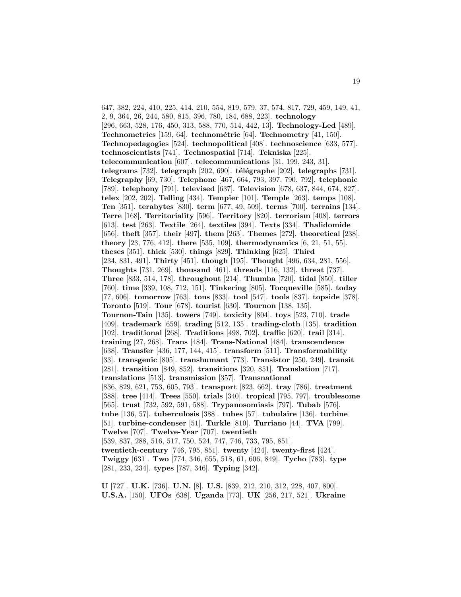647, 382, 224, 410, 225, 414, 210, 554, 819, 579, 37, 574, 817, 729, 459, 149, 41, 2, 9, 364, 26, 244, 580, 815, 396, 780, 184, 688, 223]. **technology** [296, 663, 528, 176, 450, 313, 588, 770, 514, 442, 13]. **Technology-Led** [489]. **Technometrics** [159, 64]. **technométrie** [64]. **Technometry** [41, 150]. **Technopedagogies** [524]. **technopolitical** [408]. **technoscience** [633, 577]. **technoscientists** [741]. **Technospatial** [714]. **Tekniska** [225]. **telecommunication** [607]. **telecommunications** [31, 199, 243, 31]. **telegrams** [732]. **telegraph** [202, 690]. **télégraphe** [202]. **telegraphs** [731]. **Telegraphy** [69, 730]. **Telephone** [467, 664, 793, 397, 790, 792]. **telephonic** [789]. **telephony** [791]. **televised** [637]. **Television** [678, 637, 844, 674, 827]. **telex** [202, 202]. **Telling** [434]. **Tempier** [101]. **Temple** [263]. **temps** [108]. **Ten** [351]. **terabytes** [830]. **term** [677, 49, 509]. **terms** [700]. **terrains** [134]. **Terre** [168]. **Territoriality** [596]. **Territory** [820]. **terrorism** [408]. **terrors** [613]. **test** [263]. **Textile** [264]. **textiles** [394]. **Texts** [334]. **Thalidomide** [656]. **theft** [357]. **their** [497]. **them** [263]. **Themes** [272]. **theoretical** [238]. **theory** [23, 776, 412]. **there** [535, 109]. **thermodynamics** [6, 21, 51, 55]. **theses** [351]. **thick** [530]. **things** [829]. **Thinking** [625]. **Third** [234, 831, 491]. **Thirty** [451]. **though** [195]. **Thought** [496, 634, 281, 556]. **Thoughts** [731, 269]. **thousand** [461]. **threads** [116, 132]. **threat** [737]. **Three** [833, 514, 178]. **throughout** [214]. **Thumba** [720]. **tidal** [850]. **tiller** [760]. **time** [339, 108, 712, 151]. **Tinkering** [805]. **Tocqueville** [585]. **today** [77, 606]. **tomorrow** [763]. **tons** [833]. **tool** [547]. **tools** [837]. **topside** [378]. **Toronto** [519]. **Tour** [678]. **tourist** [630]. **Tournon** [138, 135]. **Tournon-Tain** [135]. **towers** [749]. **toxicity** [804]. **toys** [523, 710]. **trade** [409]. **trademark** [659]. **trading** [512, 135]. **trading-cloth** [135]. **tradition** [102]. **traditional** [268]. **Traditions** [498, 702]. **traffic** [620]. **trail** [314]. **training** [27, 268]. **Trans** [484]. **Trans-National** [484]. **transcendence** [638]. **Transfer** [436, 177, 144, 415]. **transform** [511]. **Transformability** [33]. **transgenic** [805]. **transhumant** [773]. **Transistor** [250, 249]. **transit** [281]. **transition** [849, 852]. **transitions** [320, 851]. **Translation** [717]. **translations** [513]. **transmission** [357]. **Transnational** [836, 829, 621, 753, 605, 793]. **transport** [823, 662]. **tray** [786]. **treatment** [388]. **tree** [414]. **Trees** [550]. **trials** [340]. **tropical** [795, 797]. **troublesome** [565]. **trust** [732, 592, 591, 588]. **Trypanosomiasis** [797]. **Tubab** [576]. **tube** [136, 57]. **tuberculosis** [388]. **tubes** [57]. **tubulaire** [136]. **turbine** [51]. **turbine-condenser** [51]. **Turkle** [810]. **Turriano** [44]. **TVA** [799]. **Twelve** [707]. **Twelve-Year** [707]. **twentieth** [539, 837, 288, 516, 517, 750, 524, 747, 746, 733, 795, 851]. **twentieth-century** [746, 795, 851]. **twenty** [424]. **twenty-first** [424]. **Twiggy** [631]. **Two** [774, 346, 655, 518, 61, 606, 849]. **Tycho** [783]. **type** [281, 233, 234]. **types** [787, 346]. **Typing** [342].

**U** [727]. **U.K.** [736]. **U.N.** [8]. **U.S.** [839, 212, 210, 312, 228, 407, 800]. **U.S.A.** [150]. **UFOs** [638]. **Uganda** [773]. **UK** [256, 217, 521]. **Ukraine**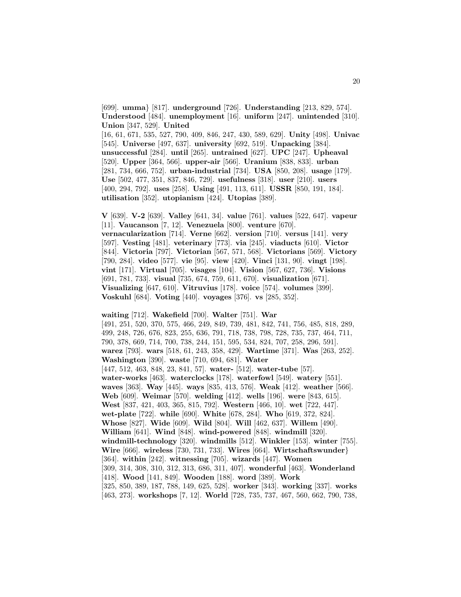[699]. **umma**} [817]. **underground** [726]. **Understanding** [213, 829, 574]. **Understood** [484]. **unemployment** [16]. **uniform** [247]. **unintended** [310]. **Union** [347, 529]. **United** [16, 61, 671, 535, 527, 790, 409, 846, 247, 430, 589, 629]. **Unity** [498]. **Univac** [545]. **Universe** [497, 637]. **university** [692, 519]. **Unpacking** [384]. **unsuccessful** [284]. **until** [265]. **untrained** [627]. **UPC** [247]. **Upheaval** [520]. **Upper** [364, 566]. **upper-air** [566]. **Uranium** [838, 833]. **urban** [281, 734, 666, 752]. **urban-industrial** [734]. **USA** [850, 208]. **usage** [179]. **Use** [502, 477, 351, 837, 846, 729]. **usefulness** [318]. **user** [210]. **users** [400, 294, 792]. **uses** [258]. **Using** [491, 113, 611]. **USSR** [850, 191, 184]. **utilisation** [352]. **utopianism** [424]. **Utopias** [389].

**V** [639]. **V-2** [639]. **Valley** [641, 34]. **value** [761]. **values** [522, 647]. **vapeur** [11]. **Vaucanson** [7, 12]. **Venezuela** [800]. **venture** [670]. **vernacularization** [714]. **Verne** [662]. **version** [710]. **versus** [141]. **very** [597]. **Vesting** [481]. **veterinary** [773]. **via** [245]. **viaducts** [610]. **Victor** [844]. **Victoria** [797]. **Victorian** [567, 571, 568]. **Victorians** [569]. **Victory** [790, 284]. **video** [577]. **vie** [95]. **view** [420]. **Vinci** [131, 90]. **vingt** [198]. **vint** [171]. **Virtual** [705]. **visages** [104]. **Vision** [567, 627, 736]. **Visions** [691, 781, 733]. **visual** [735, 674, 759, 611, 670]. **visualization** [671]. **Visualizing** [647, 610]. **Vitruvius** [178]. **voice** [574]. **volumes** [399]. **Voskuhl** [684]. **Voting** [440]. **voyages** [376]. **vs** [285, 352].

**waiting** [712]. **Wakefield** [700]. **Walter** [751]. **War** [491, 251, 520, 370, 575, 466, 249, 849, 739, 481, 842, 741, 756, 485, 818, 289, 499, 248, 726, 676, 823, 255, 636, 791, 718, 738, 798, 728, 735, 737, 464, 711, 790, 378, 669, 714, 700, 738, 244, 151, 595, 534, 824, 707, 258, 296, 591]. **warez** [793]. **wars** [518, 61, 243, 358, 429]. **Wartime** [371]. **Was** [263, 252]. **Washington** [390]. **waste** [710, 694, 681]. **Water** [447, 512, 463, 848, 23, 841, 57]. **water-** [512]. **water-tube** [57]. **water-works** [463]. **waterclocks** [178]. **waterfowl** [549]. **watery** [551]. **waves** [363]. **Way** [445]. **ways** [835, 413, 576]. **Weak** [412]. **weather** [566]. **Web** [609]. **Weimar** [570]. **welding** [412]. **wells** [196]. **were** [843, 615]. **West** [837, 421, 403, 365, 815, 792]. **Western** [466, 10]. **wet** [722, 447]. **wet-plate** [722]. **while** [690]. **White** [678, 284]. **Who** [619, 372, 824]. **Whose** [827]. **Wide** [609]. **Wild** [804]. **Will** [462, 637]. **Willem** [490]. **William** [641]. **Wind** [848]. **wind-powered** [848]. **windmill** [320]. **windmill-technology** [320]. **windmills** [512]. **Winkler** [153]. **winter** [755]. **Wire** [666]. **wireless** [730, 731, 733]. **Wires** [664]. **Wirtschaftswunder**} [364]. **within** [242]. **witnessing** [705]. **wizards** [447]. **Women** [309, 314, 308, 310, 312, 313, 686, 311, 407]. **wonderful** [463]. **Wonderland** [418]. **Wood** [141, 849]. **Wooden** [188]. **word** [389]. **Work** [325, 850, 389, 187, 788, 149, 625, 528]. **worker** [343]. **working** [337]. **works** [463, 273]. **workshops** [7, 12]. **World** [728, 735, 737, 467, 560, 662, 790, 738,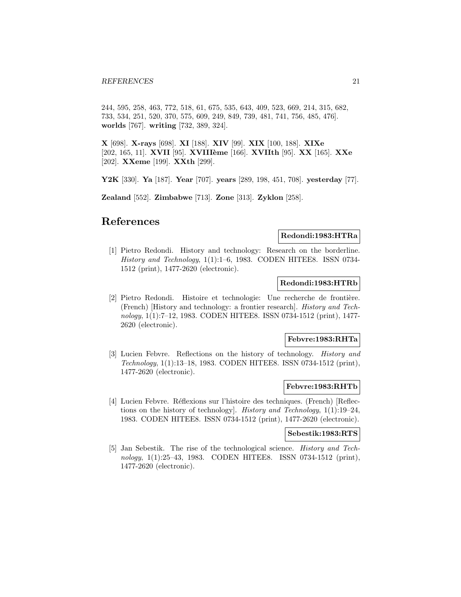244, 595, 258, 463, 772, 518, 61, 675, 535, 643, 409, 523, 669, 214, 315, 682, 733, 534, 251, 520, 370, 575, 609, 249, 849, 739, 481, 741, 756, 485, 476]. **worlds** [767]. **writing** [732, 389, 324].

**X** [698]. **X-rays** [698]. **XI** [188]. **XIV** [99]. **XIX** [100, 188]. **XIXe** [202, 165, 11]. **XVII** [95]. **XVIII`eme** [166]. **XVIIth** [95]. **XX** [165]. **XXe** [202]. **XXeme** [199]. **XXth** [299].

**Y2K** [330]. **Ya** [187]. **Year** [707]. **years** [289, 198, 451, 708]. **yesterday** [77].

**Zealand** [552]. **Zimbabwe** [713]. **Zone** [313]. **Zyklon** [258].

# **References**

# **Redondi:1983:HTRa**

[1] Pietro Redondi. History and technology: Research on the borderline. History and Technology, 1(1):1–6, 1983. CODEN HITEE8. ISSN 0734- 1512 (print), 1477-2620 (electronic).

#### **Redondi:1983:HTRb**

[2] Pietro Redondi. Histoire et technologie: Une recherche de frontière. (French) [History and technology: a frontier research]. History and Technology, 1(1):7–12, 1983. CODEN HITEE8. ISSN 0734-1512 (print), 1477- 2620 (electronic).

# **Febvre:1983:RHTa**

[3] Lucien Febvre. Reflections on the history of technology. History and Technology, 1(1):13–18, 1983. CODEN HITEE8. ISSN 0734-1512 (print), 1477-2620 (electronic).

#### **Febvre:1983:RHTb**

[4] Lucien Febvre. Réflexions sur l'histoire des techniques. (French) [Reflections on the history of technology]. History and Technology, 1(1):19–24, 1983. CODEN HITEE8. ISSN 0734-1512 (print), 1477-2620 (electronic).

#### **Sebestik:1983:RTS**

[5] Jan Sebestik. The rise of the technological science. History and Technology, 1(1):25–43, 1983. CODEN HITEE8. ISSN 0734-1512 (print), 1477-2620 (electronic).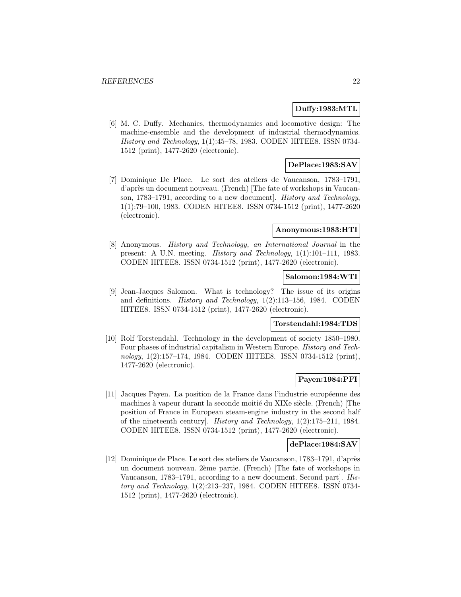# **Duffy:1983:MTL**

[6] M. C. Duffy. Mechanics, thermodynamics and locomotive design: The machine-ensemble and the development of industrial thermodynamics. History and Technology, 1(1):45–78, 1983. CODEN HITEE8. ISSN 0734- 1512 (print), 1477-2620 (electronic).

# **DePlace:1983:SAV**

[7] Dominique De Place. Le sort des ateliers de Vaucanson, 1783–1791, d'apr`es un document nouveau. (French) [The fate of workshops in Vaucanson, 1783–1791, according to a new document]. History and Technology, 1(1):79–100, 1983. CODEN HITEE8. ISSN 0734-1512 (print), 1477-2620 (electronic).

#### **Anonymous:1983:HTI**

[8] Anonymous. History and Technology, an International Journal in the present: A U.N. meeting. History and Technology, 1(1):101–111, 1983. CODEN HITEE8. ISSN 0734-1512 (print), 1477-2620 (electronic).

# **Salomon:1984:WTI**

[9] Jean-Jacques Salomon. What is technology? The issue of its origins and definitions. History and Technology, 1(2):113–156, 1984. CODEN HITEE8. ISSN 0734-1512 (print), 1477-2620 (electronic).

# **Torstendahl:1984:TDS**

[10] Rolf Torstendahl. Technology in the development of society 1850–1980. Four phases of industrial capitalism in Western Europe. History and Technology, 1(2):157–174, 1984. CODEN HITEE8. ISSN 0734-1512 (print), 1477-2620 (electronic).

# **Payen:1984:PFI**

[11] Jacques Payen. La position de la France dans l'industrie européenne des machines à vapeur durant la seconde moitié du XIXe siècle. (French) [The position of France in European steam-engine industry in the second half of the nineteenth century]. History and Technology, 1(2):175–211, 1984. CODEN HITEE8. ISSN 0734-1512 (print), 1477-2620 (electronic).

#### **dePlace:1984:SAV**

[12] Dominique de Place. Le sort des ateliers de Vaucanson, 1783–1791, d'après un document nouveau. 2ème partie. (French) [The fate of workshops in Vaucanson, 1783–1791, according to a new document. Second part]. History and Technology, 1(2):213–237, 1984. CODEN HITEE8. ISSN 0734- 1512 (print), 1477-2620 (electronic).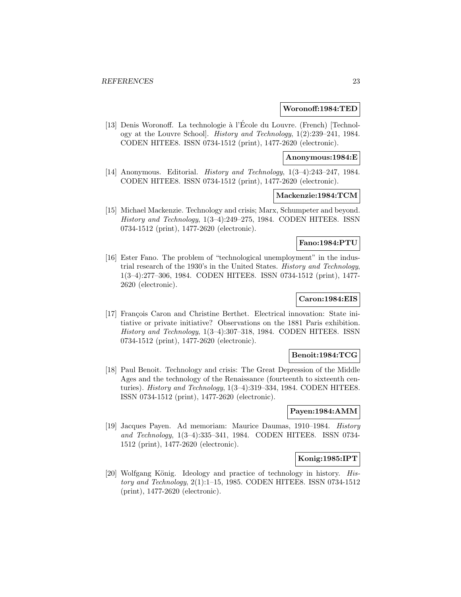### **Woronoff:1984:TED**

[13] Denis Woronoff. La technologie à l'École du Louvre. (French) [Technology at the Louvre School]. History and Technology, 1(2):239–241, 1984. CODEN HITEE8. ISSN 0734-1512 (print), 1477-2620 (electronic).

#### **Anonymous:1984:E**

[14] Anonymous. Editorial. History and Technology, 1(3–4):243–247, 1984. CODEN HITEE8. ISSN 0734-1512 (print), 1477-2620 (electronic).

# **Mackenzie:1984:TCM**

[15] Michael Mackenzie. Technology and crisis; Marx, Schumpeter and beyond. History and Technology, 1(3–4):249–275, 1984. CODEN HITEE8. ISSN 0734-1512 (print), 1477-2620 (electronic).

# **Fano:1984:PTU**

[16] Ester Fano. The problem of "technological unemployment" in the industrial research of the 1930's in the United States. History and Technology, 1(3–4):277–306, 1984. CODEN HITEE8. ISSN 0734-1512 (print), 1477- 2620 (electronic).

# **Caron:1984:EIS**

[17] François Caron and Christine Berthet. Electrical innovation: State initiative or private initiative? Observations on the 1881 Paris exhibition. History and Technology, 1(3–4):307–318, 1984. CODEN HITEE8. ISSN 0734-1512 (print), 1477-2620 (electronic).

# **Benoit:1984:TCG**

[18] Paul Benoit. Technology and crisis: The Great Depression of the Middle Ages and the technology of the Renaissance (fourteenth to sixteenth centuries). History and Technology, 1(3–4):319–334, 1984. CODEN HITEE8. ISSN 0734-1512 (print), 1477-2620 (electronic).

#### **Payen:1984:AMM**

[19] Jacques Payen. Ad memoriam: Maurice Daumas, 1910–1984. History and Technology, 1(3–4):335–341, 1984. CODEN HITEE8. ISSN 0734- 1512 (print), 1477-2620 (electronic).

# **Konig:1985:IPT**

[20] Wolfgang König. Ideology and practice of technology in history.  $His$ tory and Technology, 2(1):1–15, 1985. CODEN HITEE8. ISSN 0734-1512 (print), 1477-2620 (electronic).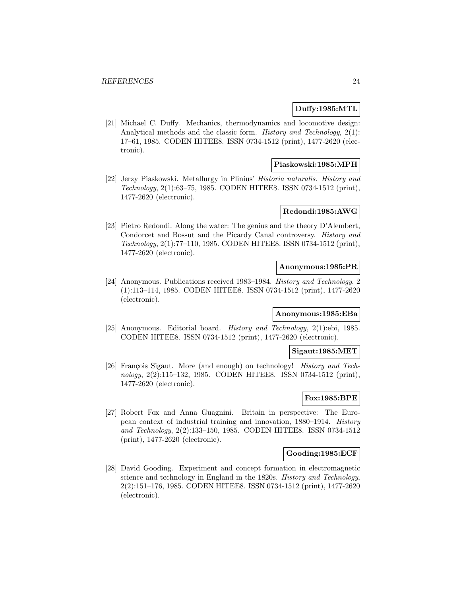# **Duffy:1985:MTL**

[21] Michael C. Duffy. Mechanics, thermodynamics and locomotive design: Analytical methods and the classic form. History and Technology, 2(1): 17–61, 1985. CODEN HITEE8. ISSN 0734-1512 (print), 1477-2620 (electronic).

# **Piaskowski:1985:MPH**

[22] Jerzy Piaskowski. Metallurgy in Plinius' Historia naturalis. History and Technology, 2(1):63–75, 1985. CODEN HITEE8. ISSN 0734-1512 (print), 1477-2620 (electronic).

# **Redondi:1985:AWG**

[23] Pietro Redondi. Along the water: The genius and the theory D'Alembert, Condorcet and Bossut and the Picardy Canal controversy. History and Technology, 2(1):77–110, 1985. CODEN HITEE8. ISSN 0734-1512 (print), 1477-2620 (electronic).

# **Anonymous:1985:PR**

[24] Anonymous. Publications received 1983–1984. History and Technology, 2 (1):113–114, 1985. CODEN HITEE8. ISSN 0734-1512 (print), 1477-2620 (electronic).

# **Anonymous:1985:EBa**

[25] Anonymous. Editorial board. History and Technology, 2(1):ebi, 1985. CODEN HITEE8. ISSN 0734-1512 (print), 1477-2620 (electronic).

#### **Sigaut:1985:MET**

[26] François Sigaut. More (and enough) on technology! *History and Tech*nology, 2(2):115–132, 1985. CODEN HITEE8. ISSN 0734-1512 (print), 1477-2620 (electronic).

# **Fox:1985:BPE**

[27] Robert Fox and Anna Guagnini. Britain in perspective: The European context of industrial training and innovation, 1880–1914. History and Technology, 2(2):133–150, 1985. CODEN HITEE8. ISSN 0734-1512 (print), 1477-2620 (electronic).

# **Gooding:1985:ECF**

[28] David Gooding. Experiment and concept formation in electromagnetic science and technology in England in the 1820s. History and Technology, 2(2):151–176, 1985. CODEN HITEE8. ISSN 0734-1512 (print), 1477-2620 (electronic).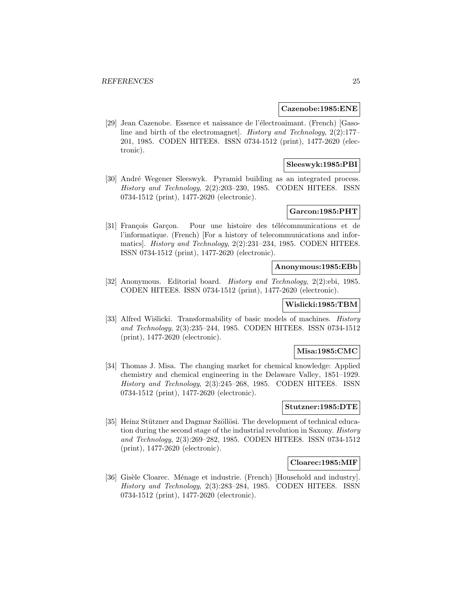#### **Cazenobe:1985:ENE**

[29] Jean Cazenobe. Essence et naissance de l'électroaimant. (French) [Gasoline and birth of the electromagnet]. History and Technology, 2(2):177– 201, 1985. CODEN HITEE8. ISSN 0734-1512 (print), 1477-2620 (electronic).

# **Sleeswyk:1985:PBI**

[30] Andr´e Wegener Sleeswyk. Pyramid building as an integrated process. History and Technology, 2(2):203–230, 1985. CODEN HITEE8. ISSN 0734-1512 (print), 1477-2620 (electronic).

# **Garcon:1985:PHT**

[31] François Garçon. Pour une histoire des télécommunications et de l'informatique. (French) [For a history of telecommunications and informatics]. History and Technology, 2(2):231–234, 1985. CODEN HITEE8. ISSN 0734-1512 (print), 1477-2620 (electronic).

# **Anonymous:1985:EBb**

[32] Anonymous. Editorial board. History and Technology, 2(2):ebi, 1985. CODEN HITEE8. ISSN 0734-1512 (print), 1477-2620 (electronic).

# **Wislicki:1985:TBM**

[33] Alfred Wiślicki. Transformability of basic models of machines. History and Technology, 2(3):235–244, 1985. CODEN HITEE8. ISSN 0734-1512 (print), 1477-2620 (electronic).

#### **Misa:1985:CMC**

[34] Thomas J. Misa. The changing market for chemical knowledge: Applied chemistry and chemical engineering in the Delaware Valley, 1851–1929. History and Technology, 2(3):245–268, 1985. CODEN HITEE8. ISSN 0734-1512 (print), 1477-2620 (electronic).

# **Stutzner:1985:DTE**

[35] Heinz Stützner and Dagmar Szöllösi. The development of technical education during the second stage of the industrial revolution in Saxony. History and Technology, 2(3):269–282, 1985. CODEN HITEE8. ISSN 0734-1512 (print), 1477-2620 (electronic).

# **Cloarec:1985:MIF**

[36] Gisèle Cloarec. Ménage et industrie. (French) [Household and industry]. History and Technology, 2(3):283–284, 1985. CODEN HITEE8. ISSN 0734-1512 (print), 1477-2620 (electronic).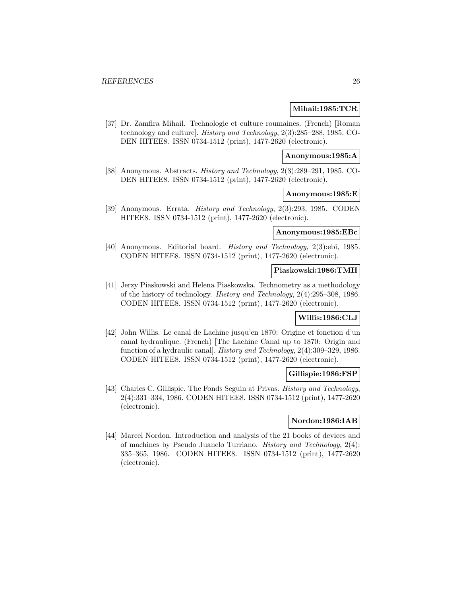# **Mihail:1985:TCR**

[37] Dr. Zamfira Mihail. Technologie et culture roumaines. (French) [Roman technology and culture]. History and Technology, 2(3):285–288, 1985. CO-DEN HITEE8. ISSN 0734-1512 (print), 1477-2620 (electronic).

# **Anonymous:1985:A**

[38] Anonymous. Abstracts. History and Technology, 2(3):289–291, 1985. CO-DEN HITEE8. ISSN 0734-1512 (print), 1477-2620 (electronic).

# **Anonymous:1985:E**

[39] Anonymous. Errata. History and Technology, 2(3):293, 1985. CODEN HITEE8. ISSN 0734-1512 (print), 1477-2620 (electronic).

# **Anonymous:1985:EBc**

[40] Anonymous. Editorial board. History and Technology, 2(3):ebi, 1985. CODEN HITEE8. ISSN 0734-1512 (print), 1477-2620 (electronic).

# **Piaskowski:1986:TMH**

[41] Jerzy Piaskowski and Helena Piaskowska. Technometry as a methodology of the history of technology. History and Technology, 2(4):295–308, 1986. CODEN HITEE8. ISSN 0734-1512 (print), 1477-2620 (electronic).

# **Willis:1986:CLJ**

[42] John Willis. Le canal de Lachine jusqu'en 1870: Origine et fonction d'un canal hydraulique. (French) [The Lachine Canal up to 1870: Origin and function of a hydraulic canal]. History and Technology, 2(4):309–329, 1986. CODEN HITEE8. ISSN 0734-1512 (print), 1477-2620 (electronic).

# **Gillispie:1986:FSP**

[43] Charles C. Gillispie. The Fonds Seguin at Privas. *History and Technology*, 2(4):331–334, 1986. CODEN HITEE8. ISSN 0734-1512 (print), 1477-2620 (electronic).

# **Nordon:1986:IAB**

[44] Marcel Nordon. Introduction and analysis of the 21 books of devices and of machines by Pseudo Juanelo Turriano. History and Technology, 2(4): 335–365, 1986. CODEN HITEE8. ISSN 0734-1512 (print), 1477-2620 (electronic).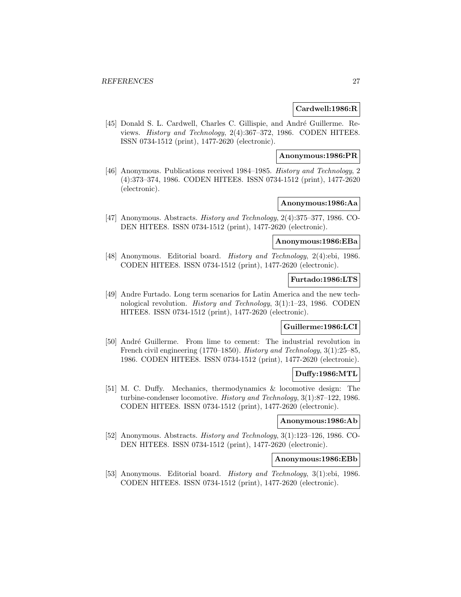# **Cardwell:1986:R**

[45] Donald S. L. Cardwell, Charles C. Gillispie, and André Guillerme. Reviews. History and Technology, 2(4):367–372, 1986. CODEN HITEE8. ISSN 0734-1512 (print), 1477-2620 (electronic).

# **Anonymous:1986:PR**

[46] Anonymous. Publications received 1984–1985. History and Technology, 2 (4):373–374, 1986. CODEN HITEE8. ISSN 0734-1512 (print), 1477-2620 (electronic).

# **Anonymous:1986:Aa**

[47] Anonymous. Abstracts. History and Technology, 2(4):375–377, 1986. CO-DEN HITEE8. ISSN 0734-1512 (print), 1477-2620 (electronic).

# **Anonymous:1986:EBa**

[48] Anonymous. Editorial board. *History and Technology*, 2(4):ebi, 1986. CODEN HITEE8. ISSN 0734-1512 (print), 1477-2620 (electronic).

# **Furtado:1986:LTS**

[49] Andre Furtado. Long term scenarios for Latin America and the new technological revolution. History and Technology, 3(1):1–23, 1986. CODEN HITEE8. ISSN 0734-1512 (print), 1477-2620 (electronic).

# **Guillerme:1986:LCI**

[50] André Guillerme. From lime to cement: The industrial revolution in French civil engineering (1770–1850). History and Technology, 3(1):25–85, 1986. CODEN HITEE8. ISSN 0734-1512 (print), 1477-2620 (electronic).

# **Duffy:1986:MTL**

[51] M. C. Duffy. Mechanics, thermodynamics & locomotive design: The turbine-condenser locomotive. History and Technology, 3(1):87–122, 1986. CODEN HITEE8. ISSN 0734-1512 (print), 1477-2620 (electronic).

# **Anonymous:1986:Ab**

[52] Anonymous. Abstracts. History and Technology, 3(1):123–126, 1986. CO-DEN HITEE8. ISSN 0734-1512 (print), 1477-2620 (electronic).

# **Anonymous:1986:EBb**

[53] Anonymous. Editorial board. History and Technology, 3(1):ebi, 1986. CODEN HITEE8. ISSN 0734-1512 (print), 1477-2620 (electronic).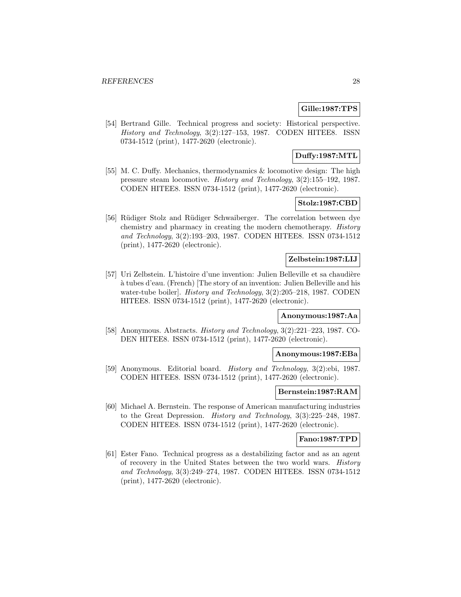# **Gille:1987:TPS**

[54] Bertrand Gille. Technical progress and society: Historical perspective. History and Technology, 3(2):127–153, 1987. CODEN HITEE8. ISSN 0734-1512 (print), 1477-2620 (electronic).

# **Duffy:1987:MTL**

[55] M. C. Duffy. Mechanics, thermodynamics & locomotive design: The high pressure steam locomotive. History and Technology, 3(2):155–192, 1987. CODEN HITEE8. ISSN 0734-1512 (print), 1477-2620 (electronic).

# **Stolz:1987:CBD**

[56] Rüdiger Stolz and Rüdiger Schwaiberger. The correlation between dye chemistry and pharmacy in creating the modern chemotherapy. History and Technology, 3(2):193–203, 1987. CODEN HITEE8. ISSN 0734-1512 (print), 1477-2620 (electronic).

# **Zelbstein:1987:LIJ**

[57] Uri Zelbstein. L'histoire d'une invention: Julien Belleville et sa chaudière a tubes d'eau. (French) [The story of an invention: Julien Belleville and his ` water-tube boiler]. *History and Technology*,  $3(2):205-218$ , 1987. CODEN HITEE8. ISSN 0734-1512 (print), 1477-2620 (electronic).

#### **Anonymous:1987:Aa**

[58] Anonymous. Abstracts. History and Technology, 3(2):221–223, 1987. CO-DEN HITEE8. ISSN 0734-1512 (print), 1477-2620 (electronic).

#### **Anonymous:1987:EBa**

[59] Anonymous. Editorial board. History and Technology, 3(2):ebi, 1987. CODEN HITEE8. ISSN 0734-1512 (print), 1477-2620 (electronic).

#### **Bernstein:1987:RAM**

[60] Michael A. Bernstein. The response of American manufacturing industries to the Great Depression. History and Technology, 3(3):225–248, 1987. CODEN HITEE8. ISSN 0734-1512 (print), 1477-2620 (electronic).

#### **Fano:1987:TPD**

[61] Ester Fano. Technical progress as a destabilizing factor and as an agent of recovery in the United States between the two world wars. History and Technology, 3(3):249–274, 1987. CODEN HITEE8. ISSN 0734-1512 (print), 1477-2620 (electronic).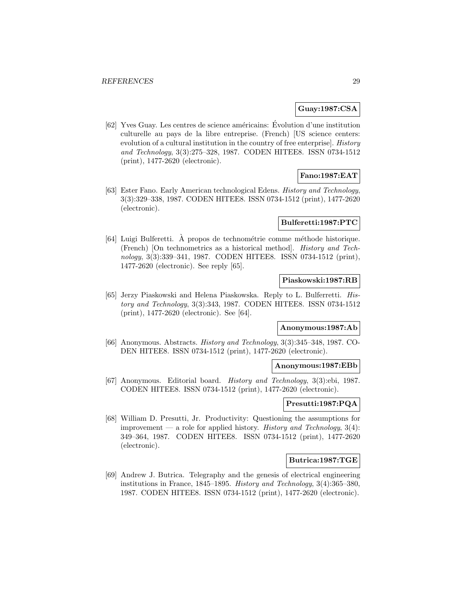# **Guay:1987:CSA**

 $[62]$  Yves Guay. Les centres de science américains: Évolution d'une institution culturelle au pays de la libre entreprise. (French) [US science centers: evolution of a cultural institution in the country of free enterprise]. History and Technology, 3(3):275–328, 1987. CODEN HITEE8. ISSN 0734-1512 (print), 1477-2620 (electronic).

# **Fano:1987:EAT**

[63] Ester Fano. Early American technological Edens. History and Technology, 3(3):329–338, 1987. CODEN HITEE8. ISSN 0734-1512 (print), 1477-2620 (electronic).

# **Bulferetti:1987:PTC**

 $[64]$  Luigi Bulferetti. À propos de technométrie comme méthode historique. (French) [On technometrics as a historical method]. History and Technology, 3(3):339–341, 1987. CODEN HITEE8. ISSN 0734-1512 (print), 1477-2620 (electronic). See reply [65].

# **Piaskowski:1987:RB**

[65] Jerzy Piaskowski and Helena Piaskowska. Reply to L. Bulferretti. History and Technology, 3(3):343, 1987. CODEN HITEE8. ISSN 0734-1512 (print), 1477-2620 (electronic). See [64].

# **Anonymous:1987:Ab**

[66] Anonymous. Abstracts. History and Technology, 3(3):345–348, 1987. CO-DEN HITEE8. ISSN 0734-1512 (print), 1477-2620 (electronic).

#### **Anonymous:1987:EBb**

[67] Anonymous. Editorial board. History and Technology, 3(3):ebi, 1987. CODEN HITEE8. ISSN 0734-1512 (print), 1477-2620 (electronic).

# **Presutti:1987:PQA**

[68] William D. Presutti, Jr. Productivity: Questioning the assumptions for improvement — a role for applied history. History and Technology,  $3(4)$ : 349–364, 1987. CODEN HITEE8. ISSN 0734-1512 (print), 1477-2620 (electronic).

# **Butrica:1987:TGE**

[69] Andrew J. Butrica. Telegraphy and the genesis of electrical engineering institutions in France, 1845–1895. History and Technology, 3(4):365–380, 1987. CODEN HITEE8. ISSN 0734-1512 (print), 1477-2620 (electronic).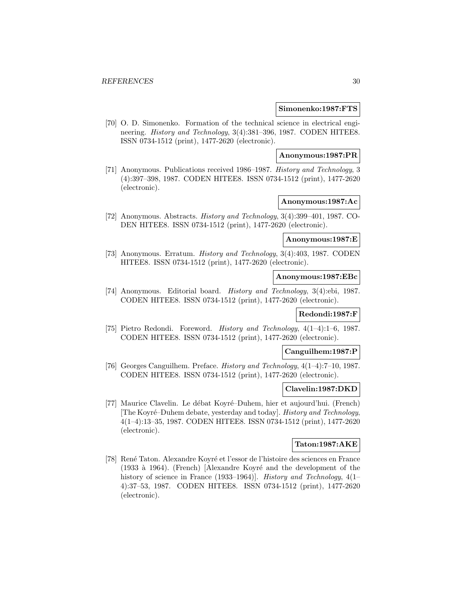#### **Simonenko:1987:FTS**

[70] O. D. Simonenko. Formation of the technical science in electrical engineering. History and Technology, 3(4):381–396, 1987. CODEN HITEE8. ISSN 0734-1512 (print), 1477-2620 (electronic).

# **Anonymous:1987:PR**

[71] Anonymous. Publications received 1986–1987. History and Technology, 3 (4):397–398, 1987. CODEN HITEE8. ISSN 0734-1512 (print), 1477-2620 (electronic).

# **Anonymous:1987:Ac**

[72] Anonymous. Abstracts. History and Technology, 3(4):399–401, 1987. CO-DEN HITEE8. ISSN 0734-1512 (print), 1477-2620 (electronic).

# **Anonymous:1987:E**

[73] Anonymous. Erratum. History and Technology, 3(4):403, 1987. CODEN HITEE8. ISSN 0734-1512 (print), 1477-2620 (electronic).

# **Anonymous:1987:EBc**

[74] Anonymous. Editorial board. History and Technology, 3(4):ebi, 1987. CODEN HITEE8. ISSN 0734-1512 (print), 1477-2620 (electronic).

# **Redondi:1987:F**

[75] Pietro Redondi. Foreword. History and Technology, 4(1–4):1–6, 1987. CODEN HITEE8. ISSN 0734-1512 (print), 1477-2620 (electronic).

# **Canguilhem:1987:P**

[76] Georges Canguilhem. Preface. History and Technology, 4(1–4):7–10, 1987. CODEN HITEE8. ISSN 0734-1512 (print), 1477-2620 (electronic).

# **Clavelin:1987:DKD**

[77] Maurice Clavelin. Le débat Koyré–Duhem, hier et aujourd'hui. (French) [The Koyré–Duhem debate, yesterday and today]. History and Technology, 4(1–4):13–35, 1987. CODEN HITEE8. ISSN 0734-1512 (print), 1477-2620 (electronic).

#### **Taton:1987:AKE**

[78] René Taton. Alexandre Koyré et l'essor de l'histoire des sciences en France (1933 à 1964). (French) [Alexandre Koyré and the development of the history of science in France (1933–1964). *History and Technology*, 4(1– 4):37–53, 1987. CODEN HITEE8. ISSN 0734-1512 (print), 1477-2620 (electronic).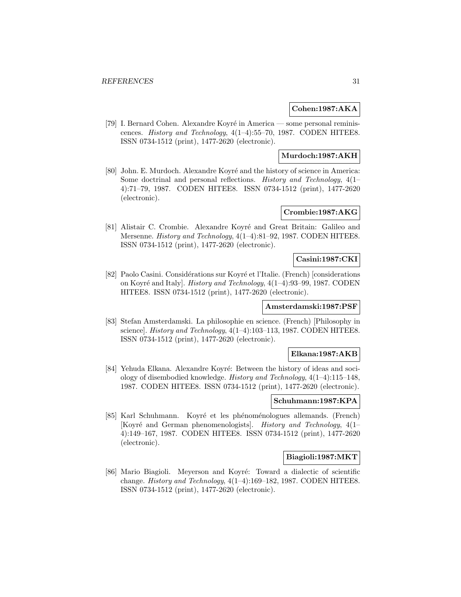# **Cohen:1987:AKA**

[79] I. Bernard Cohen. Alexandre Koyré in America — some personal reminiscences. History and Technology, 4(1–4):55–70, 1987. CODEN HITEE8. ISSN 0734-1512 (print), 1477-2620 (electronic).

# **Murdoch:1987:AKH**

[80] John. E. Murdoch. Alexandre Koyré and the history of science in America: Some doctrinal and personal reflections. History and Technology, 4(1– 4):71–79, 1987. CODEN HITEE8. ISSN 0734-1512 (print), 1477-2620 (electronic).

# **Crombie:1987:AKG**

[81] Alistair C. Crombie. Alexandre Koyré and Great Britain: Galileo and Mersenne. History and Technology, 4(1–4):81–92, 1987. CODEN HITEE8. ISSN 0734-1512 (print), 1477-2620 (electronic).

# **Casini:1987:CKI**

[82] Paolo Casini. Considérations sur Koyré et l'Italie. (French) [considerations on Koyr´e and Italy]. History and Technology, 4(1–4):93–99, 1987. CODEN HITEE8. ISSN 0734-1512 (print), 1477-2620 (electronic).

### **Amsterdamski:1987:PSF**

[83] Stefan Amsterdamski. La philosophie en science. (French) [Philosophy in science]. History and Technology, 4(1-4):103-113, 1987. CODEN HITEE8. ISSN 0734-1512 (print), 1477-2620 (electronic).

# **Elkana:1987:AKB**

[84] Yehuda Elkana. Alexandre Koyré: Between the history of ideas and soci-ology of disembodied knowledge. History and Technology, 4(1–4):115–148, 1987. CODEN HITEE8. ISSN 0734-1512 (print), 1477-2620 (electronic).

# **Schuhmann:1987:KPA**

[85] Karl Schuhmann. Koyré et les phénoménologues allemands. (French) [Koyré and German phenomenologists]. History and Technology, 4(1– 4):149–167, 1987. CODEN HITEE8. ISSN 0734-1512 (print), 1477-2620 (electronic).

# **Biagioli:1987:MKT**

[86] Mario Biagioli. Meyerson and Koyré: Toward a dialectic of scientific change. History and Technology, 4(1–4):169–182, 1987. CODEN HITEE8. ISSN 0734-1512 (print), 1477-2620 (electronic).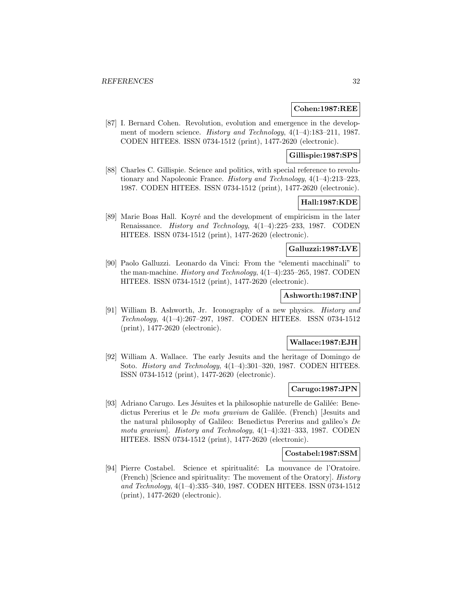### **Cohen:1987:REE**

[87] I. Bernard Cohen. Revolution, evolution and emergence in the development of modern science. History and Technology, 4(1–4):183–211, 1987. CODEN HITEE8. ISSN 0734-1512 (print), 1477-2620 (electronic).

# **Gillispie:1987:SPS**

[88] Charles C. Gillispie. Science and politics, with special reference to revolutionary and Napoleonic France. History and Technology, 4(1–4):213–223, 1987. CODEN HITEE8. ISSN 0734-1512 (print), 1477-2620 (electronic).

# **Hall:1987:KDE**

[89] Marie Boas Hall. Koyré and the development of empiricism in the later Renaissance. History and Technology, 4(1–4):225–233, 1987. CODEN HITEE8. ISSN 0734-1512 (print), 1477-2620 (electronic).

# **Galluzzi:1987:LVE**

[90] Paolo Galluzzi. Leonardo da Vinci: From the "elementi macchinali" to the man-machine. History and Technology, 4(1–4):235–265, 1987. CODEN HITEE8. ISSN 0734-1512 (print), 1477-2620 (electronic).

#### **Ashworth:1987:INP**

[91] William B. Ashworth, Jr. Iconography of a new physics. History and Technology, 4(1–4):267–297, 1987. CODEN HITEE8. ISSN 0734-1512 (print), 1477-2620 (electronic).

#### **Wallace:1987:EJH**

[92] William A. Wallace. The early Jesuits and the heritage of Domingo de Soto. History and Technology, 4(1–4):301–320, 1987. CODEN HITEE8. ISSN 0734-1512 (print), 1477-2620 (electronic).

# **Carugo:1987:JPN**

[93] Adriano Carugo. Les Jésuites et la philosophie naturelle de Galilée: Benedictus Pererius et le *De motu gravium* de Galilée. (French) [Jesuits and the natural philosophy of Galileo: Benedictus Pererius and galileo's De motu gravium]. History and Technology, 4(1–4):321–333, 1987. CODEN HITEE8. ISSN 0734-1512 (print), 1477-2620 (electronic).

#### **Costabel:1987:SSM**

[94] Pierre Costabel. Science et spiritualité: La mouvance de l'Oratoire. (French) [Science and spirituality: The movement of the Oratory]. History and Technology, 4(1–4):335–340, 1987. CODEN HITEE8. ISSN 0734-1512 (print), 1477-2620 (electronic).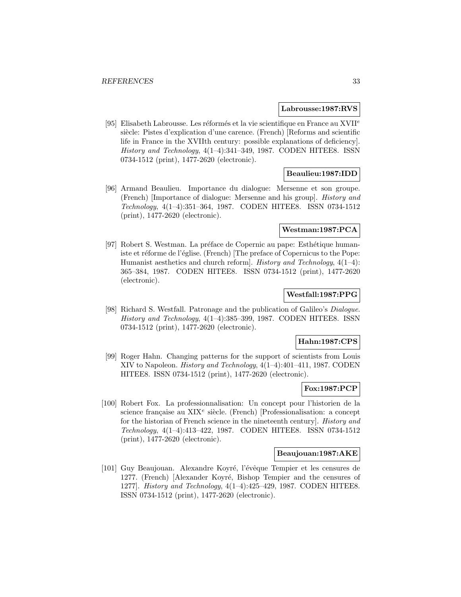#### **Labrousse:1987:RVS**

[95] Elisabeth Labrousse. Les réformés et la vie scientifique en France au XVII<sup>e</sup> siècle: Pistes d'explication d'une carence. (French) [Reforms and scientific life in France in the XVIIth century: possible explanations of deficiency]. History and Technology, 4(1–4):341–349, 1987. CODEN HITEE8. ISSN 0734-1512 (print), 1477-2620 (electronic).

# **Beaulieu:1987:IDD**

[96] Armand Beaulieu. Importance du dialogue: Mersenne et son groupe. (French) [Importance of dialogue: Mersenne and his group]. History and Technology, 4(1–4):351–364, 1987. CODEN HITEE8. ISSN 0734-1512 (print), 1477-2620 (electronic).

# **Westman:1987:PCA**

[97] Robert S. Westman. La préface de Copernic au pape: Esthétique humaniste et réforme de l'église. (French) [The preface of Copernicus to the Pope: Humanist aesthetics and church reform]. History and Technology,  $4(1-4)$ : 365–384, 1987. CODEN HITEE8. ISSN 0734-1512 (print), 1477-2620 (electronic).

# **Westfall:1987:PPG**

[98] Richard S. Westfall. Patronage and the publication of Galileo's Dialogue. History and Technology, 4(1–4):385–399, 1987. CODEN HITEE8. ISSN 0734-1512 (print), 1477-2620 (electronic).

#### **Hahn:1987:CPS**

[99] Roger Hahn. Changing patterns for the support of scientists from Louis XIV to Napoleon. History and Technology, 4(1–4):401–411, 1987. CODEN HITEE8. ISSN 0734-1512 (print), 1477-2620 (electronic).

#### **Fox:1987:PCP**

[100] Robert Fox. La professionnalisation: Un concept pour l'historien de la science française au XIX<sup>e</sup> siècle. (French) [Professionalisation: a concept for the historian of French science in the nineteenth century]. History and Technology, 4(1–4):413–422, 1987. CODEN HITEE8. ISSN 0734-1512 (print), 1477-2620 (electronic).

#### **Beaujouan:1987:AKE**

[101] Guy Beaujouan. Alexandre Koyré, l'évêque Tempier et les censures de 1277. (French) [Alexander Koyré, Bishop Tempier and the censures of 1277]. History and Technology, 4(1–4):425–429, 1987. CODEN HITEE8. ISSN 0734-1512 (print), 1477-2620 (electronic).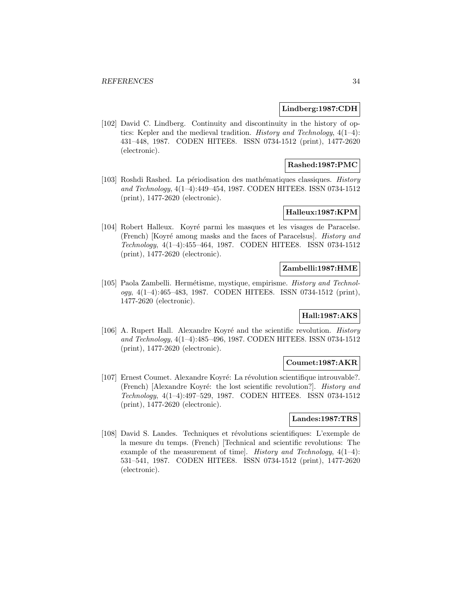### **Lindberg:1987:CDH**

[102] David C. Lindberg. Continuity and discontinuity in the history of optics: Kepler and the medieval tradition. History and Technology, 4(1–4): 431–448, 1987. CODEN HITEE8. ISSN 0734-1512 (print), 1477-2620 (electronic).

# **Rashed:1987:PMC**

[103] Roshdi Rashed. La périodisation des mathématiques classiques. History and Technology, 4(1–4):449–454, 1987. CODEN HITEE8. ISSN 0734-1512 (print), 1477-2620 (electronic).

# **Halleux:1987:KPM**

[104] Robert Halleux. Koyré parmi les masques et les visages de Paracelse. (French) [Koyré among masks and the faces of Paracelsus]. History and Technology, 4(1–4):455–464, 1987. CODEN HITEE8. ISSN 0734-1512 (print), 1477-2620 (electronic).

# **Zambelli:1987:HME**

[105] Paola Zambelli. Hermétisme, mystique, empirisme. History and Technology, 4(1–4):465–483, 1987. CODEN HITEE8. ISSN 0734-1512 (print), 1477-2620 (electronic).

# **Hall:1987:AKS**

[106] A. Rupert Hall. Alexandre Koyré and the scientific revolution. *History* and Technology, 4(1–4):485–496, 1987. CODEN HITEE8. ISSN 0734-1512 (print), 1477-2620 (electronic).

# **Coumet:1987:AKR**

[107] Ernest Coumet. Alexandre Koyré: La révolution scientifique introuvable?. (French) [Alexandre Koyré: the lost scientific revolution?]. *History and* Technology, 4(1–4):497–529, 1987. CODEN HITEE8. ISSN 0734-1512 (print), 1477-2620 (electronic).

### **Landes:1987:TRS**

[108] David S. Landes. Techniques et révolutions scientifiques: L'exemple de la mesure du temps. (French) [Technical and scientific revolutions: The example of the measurement of time]. History and Technology,  $4(1-4)$ : 531–541, 1987. CODEN HITEE8. ISSN 0734-1512 (print), 1477-2620 (electronic).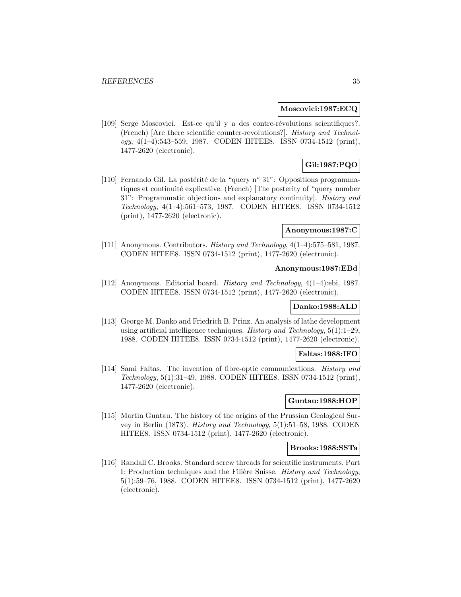#### **Moscovici:1987:ECQ**

[109] Serge Moscovici. Est-ce qu'il y a des contre-révolutions scientifiques?. (French) [Are there scientific counter-revolutions?]. History and Technology, 4(1–4):543–559, 1987. CODEN HITEE8. ISSN 0734-1512 (print), 1477-2620 (electronic).

# **Gil:1987:PQO**

[110] Fernando Gil. La postérité de la "query n° 31": Oppositions programmatiques et continuité explicative. (French) [The posterity of "query number 31": Programmatic objections and explanatory continuity]. History and Technology, 4(1–4):561–573, 1987. CODEN HITEE8. ISSN 0734-1512 (print), 1477-2620 (electronic).

# **Anonymous:1987:C**

[111] Anonymous. Contributors. History and Technology, 4(1–4):575–581, 1987. CODEN HITEE8. ISSN 0734-1512 (print), 1477-2620 (electronic).

# **Anonymous:1987:EBd**

[112] Anonymous. Editorial board. History and Technology, 4(1–4):ebi, 1987. CODEN HITEE8. ISSN 0734-1512 (print), 1477-2620 (electronic).

# **Danko:1988:ALD**

[113] George M. Danko and Friedrich B. Prinz. An analysis of lathe development using artificial intelligence techniques. History and Technology,  $5(1)$ :1-29, 1988. CODEN HITEE8. ISSN 0734-1512 (print), 1477-2620 (electronic).

# **Faltas:1988:IFO**

[114] Sami Faltas. The invention of fibre-optic communications. History and Technology, 5(1):31–49, 1988. CODEN HITEE8. ISSN 0734-1512 (print), 1477-2620 (electronic).

# **Guntau:1988:HOP**

[115] Martin Guntau. The history of the origins of the Prussian Geological Survey in Berlin (1873). History and Technology, 5(1):51–58, 1988. CODEN HITEE8. ISSN 0734-1512 (print), 1477-2620 (electronic).

# **Brooks:1988:SSTa**

[116] Randall C. Brooks. Standard screw threads for scientific instruments. Part I: Production techniques and the Filière Suisse. History and Technology, 5(1):59–76, 1988. CODEN HITEE8. ISSN 0734-1512 (print), 1477-2620 (electronic).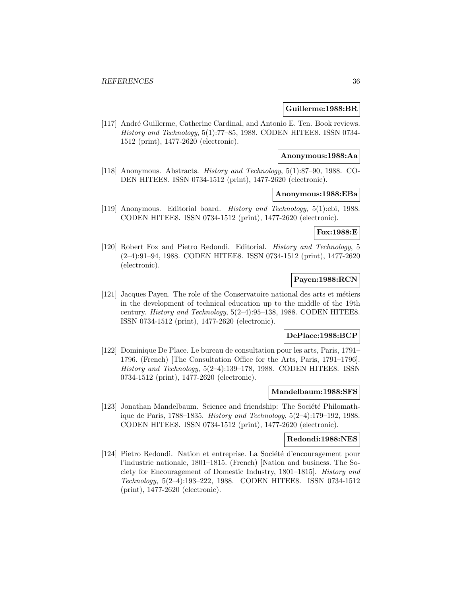#### **Guillerme:1988:BR**

[117] André Guillerme, Catherine Cardinal, and Antonio E. Ten. Book reviews. History and Technology, 5(1):77–85, 1988. CODEN HITEE8. ISSN 0734- 1512 (print), 1477-2620 (electronic).

#### **Anonymous:1988:Aa**

[118] Anonymous. Abstracts. History and Technology, 5(1):87–90, 1988. CO-DEN HITEE8. ISSN 0734-1512 (print), 1477-2620 (electronic).

### **Anonymous:1988:EBa**

[119] Anonymous. Editorial board. History and Technology, 5(1):ebi, 1988. CODEN HITEE8. ISSN 0734-1512 (print), 1477-2620 (electronic).

# **Fox:1988:E**

[120] Robert Fox and Pietro Redondi. Editorial. History and Technology, 5 (2–4):91–94, 1988. CODEN HITEE8. ISSN 0734-1512 (print), 1477-2620 (electronic).

# **Payen:1988:RCN**

[121] Jacques Payen. The role of the Conservatoire national des arts et métiers in the development of technical education up to the middle of the 19th century. History and Technology, 5(2–4):95–138, 1988. CODEN HITEE8. ISSN 0734-1512 (print), 1477-2620 (electronic).

# **DePlace:1988:BCP**

[122] Dominique De Place. Le bureau de consultation pour les arts, Paris, 1791– 1796. (French) [The Consultation Office for the Arts, Paris, 1791–1796]. History and Technology, 5(2–4):139–178, 1988. CODEN HITEE8. ISSN 0734-1512 (print), 1477-2620 (electronic).

#### **Mandelbaum:1988:SFS**

[123] Jonathan Mandelbaum. Science and friendship: The Société Philomathique de Paris, 1788–1835. History and Technology, 5(2–4):179–192, 1988. CODEN HITEE8. ISSN 0734-1512 (print), 1477-2620 (electronic).

### **Redondi:1988:NES**

[124] Pietro Redondi. Nation et entreprise. La Société d'encouragement pour l'industrie nationale, 1801–1815. (French) [Nation and business. The Society for Encouragement of Domestic Industry, 1801–1815]. History and Technology, 5(2–4):193–222, 1988. CODEN HITEE8. ISSN 0734-1512 (print), 1477-2620 (electronic).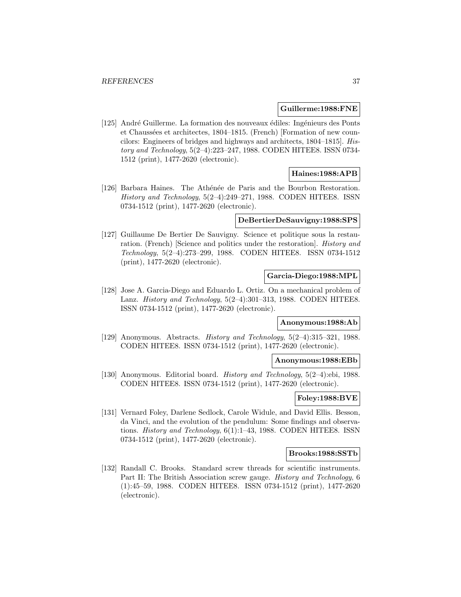#### **Guillerme:1988:FNE**

[125] André Guillerme. La formation des nouveaux édiles: Ingénieurs des Ponts et Chaussées et architectes, 1804–1815. (French) [Formation of new councilors: Engineers of bridges and highways and architects, 1804–1815]. History and Technology, 5(2–4):223–247, 1988. CODEN HITEE8. ISSN 0734- 1512 (print), 1477-2620 (electronic).

# **Haines:1988:APB**

[126] Barbara Haines. The Athénée de Paris and the Bourbon Restoration. History and Technology, 5(2–4):249–271, 1988. CODEN HITEE8. ISSN 0734-1512 (print), 1477-2620 (electronic).

#### **DeBertierDeSauvigny:1988:SPS**

[127] Guillaume De Bertier De Sauvigny. Science et politique sous la restauration. (French) [Science and politics under the restoration]. History and Technology, 5(2–4):273–299, 1988. CODEN HITEE8. ISSN 0734-1512 (print), 1477-2620 (electronic).

## **Garcia-Diego:1988:MPL**

[128] Jose A. Garcia-Diego and Eduardo L. Ortiz. On a mechanical problem of Lanz. History and Technology,  $5(2-4):301-313$ , 1988. CODEN HITEE8. ISSN 0734-1512 (print), 1477-2620 (electronic).

# **Anonymous:1988:Ab**

[129] Anonymous. Abstracts. History and Technology, 5(2–4):315–321, 1988. CODEN HITEE8. ISSN 0734-1512 (print), 1477-2620 (electronic).

#### **Anonymous:1988:EBb**

[130] Anonymous. Editorial board. History and Technology, 5(2–4):ebi, 1988. CODEN HITEE8. ISSN 0734-1512 (print), 1477-2620 (electronic).

# **Foley:1988:BVE**

[131] Vernard Foley, Darlene Sedlock, Carole Widule, and David Ellis. Besson, da Vinci, and the evolution of the pendulum: Some findings and observations. *History and Technology*, 6(1):1–43, 1988. CODEN HITEE8. ISSN 0734-1512 (print), 1477-2620 (electronic).

#### **Brooks:1988:SSTb**

[132] Randall C. Brooks. Standard screw threads for scientific instruments. Part II: The British Association screw gauge. History and Technology, 6 (1):45–59, 1988. CODEN HITEE8. ISSN 0734-1512 (print), 1477-2620 (electronic).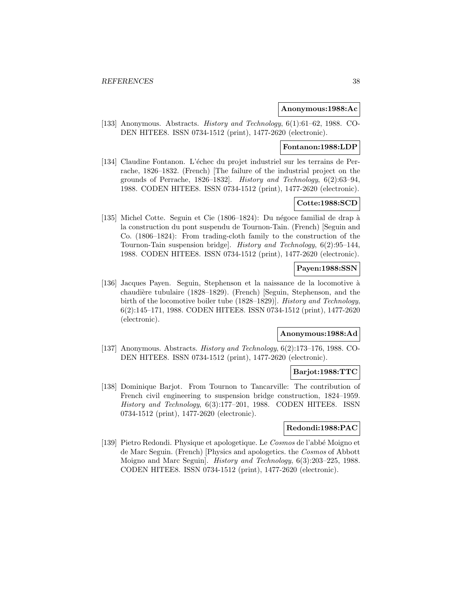### **Anonymous:1988:Ac**

[133] Anonymous. Abstracts. History and Technology, 6(1):61–62, 1988. CO-DEN HITEE8. ISSN 0734-1512 (print), 1477-2620 (electronic).

# **Fontanon:1988:LDP**

[134] Claudine Fontanon. L'échec du projet industriel sur les terrains de Perrache, 1826–1832. (French) [The failure of the industrial project on the grounds of Perrache, 1826–1832]. History and Technology, 6(2):63–94, 1988. CODEN HITEE8. ISSN 0734-1512 (print), 1477-2620 (electronic).

# **Cotte:1988:SCD**

[135] Michel Cotte. Seguin et Cie (1806–1824): Du négoce familial de drap à la construction du pont suspendu de Tournon-Tain. (French) [Seguin and Co. (1806–1824): From trading-cloth family to the construction of the Tournon-Tain suspension bridge]. History and Technology, 6(2):95–144, 1988. CODEN HITEE8. ISSN 0734-1512 (print), 1477-2620 (electronic).

# **Payen:1988:SSN**

[136] Jacques Payen. Seguin, Stephenson et la naissance de la locomotive à chaudière tubulaire (1828–1829). (French) [Seguin, Stephenson, and the birth of the locomotive boiler tube (1828–1829)]. History and Technology, 6(2):145–171, 1988. CODEN HITEE8. ISSN 0734-1512 (print), 1477-2620 (electronic).

#### **Anonymous:1988:Ad**

[137] Anonymous. Abstracts. History and Technology, 6(2):173–176, 1988. CO-DEN HITEE8. ISSN 0734-1512 (print), 1477-2620 (electronic).

# **Barjot:1988:TTC**

[138] Dominique Barjot. From Tournon to Tancarville: The contribution of French civil engineering to suspension bridge construction, 1824–1959. History and Technology, 6(3):177–201, 1988. CODEN HITEE8. ISSN 0734-1512 (print), 1477-2620 (electronic).

### **Redondi:1988:PAC**

[139] Pietro Redondi. Physique et apologetique. Le Cosmos de l'abbé Moigno et de Marc Seguin. (French) [Physics and apologetics. the Cosmos of Abbott Moigno and Marc Seguin]. History and Technology, 6(3):203–225, 1988. CODEN HITEE8. ISSN 0734-1512 (print), 1477-2620 (electronic).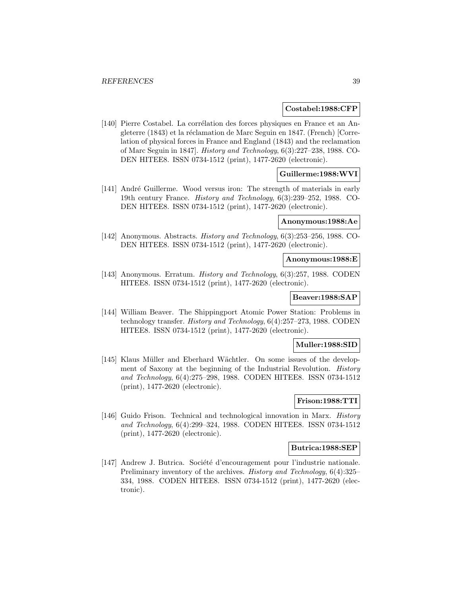#### **Costabel:1988:CFP**

[140] Pierre Costabel. La corrélation des forces physiques en France et an Angleterre (1843) et la réclamation de Marc Seguin en 1847. (French) [Correlation of physical forces in France and England (1843) and the reclamation of Marc Seguin in 1847]. History and Technology, 6(3):227–238, 1988. CO-DEN HITEE8. ISSN 0734-1512 (print), 1477-2620 (electronic).

# **Guillerme:1988:WVI**

[141] André Guillerme. Wood versus iron: The strength of materials in early 19th century France. History and Technology, 6(3):239–252, 1988. CO-DEN HITEE8. ISSN 0734-1512 (print), 1477-2620 (electronic).

# **Anonymous:1988:Ae**

[142] Anonymous. Abstracts. History and Technology, 6(3):253–256, 1988. CO-DEN HITEE8. ISSN 0734-1512 (print), 1477-2620 (electronic).

# **Anonymous:1988:E**

[143] Anonymous. Erratum. History and Technology, 6(3):257, 1988. CODEN HITEE8. ISSN 0734-1512 (print), 1477-2620 (electronic).

# **Beaver:1988:SAP**

[144] William Beaver. The Shippingport Atomic Power Station: Problems in technology transfer. History and Technology, 6(4):257–273, 1988. CODEN HITEE8. ISSN 0734-1512 (print), 1477-2620 (electronic).

### **Muller:1988:SID**

[145] Klaus Müller and Eberhard Wächtler. On some issues of the development of Saxony at the beginning of the Industrial Revolution. History and Technology, 6(4):275–298, 1988. CODEN HITEE8. ISSN 0734-1512 (print), 1477-2620 (electronic).

# **Frison:1988:TTI**

[146] Guido Frison. Technical and technological innovation in Marx. History and Technology, 6(4):299–324, 1988. CODEN HITEE8. ISSN 0734-1512 (print), 1477-2620 (electronic).

### **Butrica:1988:SEP**

[147] Andrew J. Butrica. Société d'encouragement pour l'industrie nationale. Preliminary inventory of the archives. History and Technology, 6(4):325– 334, 1988. CODEN HITEE8. ISSN 0734-1512 (print), 1477-2620 (electronic).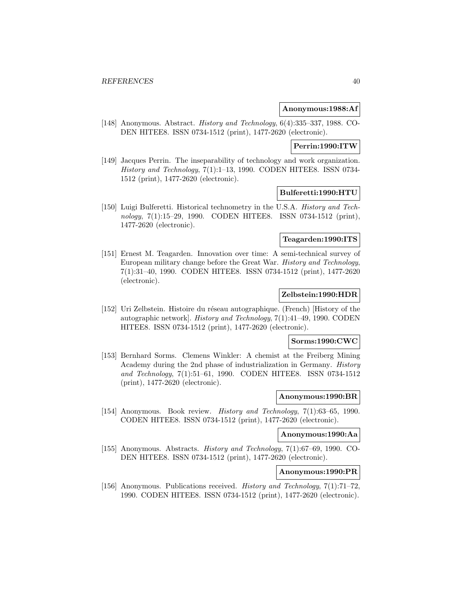### **Anonymous:1988:Af**

[148] Anonymous. Abstract. History and Technology, 6(4):335–337, 1988. CO-DEN HITEE8. ISSN 0734-1512 (print), 1477-2620 (electronic).

## **Perrin:1990:ITW**

[149] Jacques Perrin. The inseparability of technology and work organization. History and Technology, 7(1):1–13, 1990. CODEN HITEE8. ISSN 0734- 1512 (print), 1477-2620 (electronic).

#### **Bulferetti:1990:HTU**

[150] Luigi Bulferetti. Historical technometry in the U.S.A. History and Technology, 7(1):15–29, 1990. CODEN HITEE8. ISSN 0734-1512 (print), 1477-2620 (electronic).

# **Teagarden:1990:ITS**

[151] Ernest M. Teagarden. Innovation over time: A semi-technical survey of European military change before the Great War. History and Technology, 7(1):31–40, 1990. CODEN HITEE8. ISSN 0734-1512 (print), 1477-2620 (electronic).

#### **Zelbstein:1990:HDR**

[152] Uri Zelbstein. Histoire du réseau autographique. (French) [History of the autographic network]. History and Technology, 7(1):41–49, 1990. CODEN HITEE8. ISSN 0734-1512 (print), 1477-2620 (electronic).

#### **Sorms:1990:CWC**

[153] Bernhard Sorms. Clemens Winkler: A chemist at the Freiberg Mining Academy during the 2nd phase of industrialization in Germany. History and Technology, 7(1):51–61, 1990. CODEN HITEE8. ISSN 0734-1512 (print), 1477-2620 (electronic).

## **Anonymous:1990:BR**

[154] Anonymous. Book review. History and Technology, 7(1):63–65, 1990. CODEN HITEE8. ISSN 0734-1512 (print), 1477-2620 (electronic).

# **Anonymous:1990:Aa**

[155] Anonymous. Abstracts. History and Technology, 7(1):67–69, 1990. CO-DEN HITEE8. ISSN 0734-1512 (print), 1477-2620 (electronic).

# **Anonymous:1990:PR**

[156] Anonymous. Publications received. History and Technology, 7(1):71–72, 1990. CODEN HITEE8. ISSN 0734-1512 (print), 1477-2620 (electronic).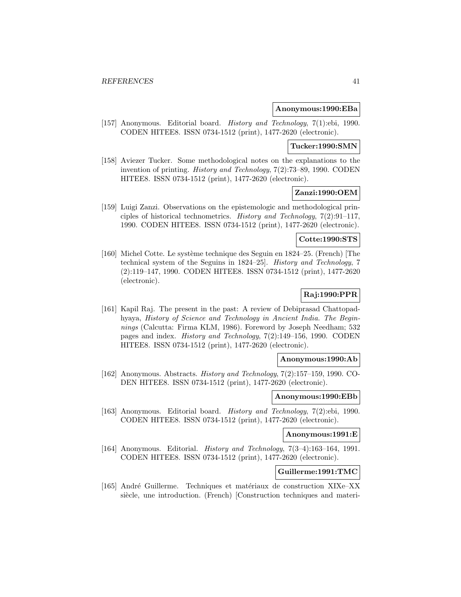#### **Anonymous:1990:EBa**

[157] Anonymous. Editorial board. History and Technology, 7(1):ebi, 1990. CODEN HITEE8. ISSN 0734-1512 (print), 1477-2620 (electronic).

### **Tucker:1990:SMN**

[158] Aviezer Tucker. Some methodological notes on the explanations to the invention of printing. History and Technology, 7(2):73–89, 1990. CODEN HITEE8. ISSN 0734-1512 (print), 1477-2620 (electronic).

# **Zanzi:1990:OEM**

[159] Luigi Zanzi. Observations on the epistemologic and methodological principles of historical technometrics. History and Technology, 7(2):91–117, 1990. CODEN HITEE8. ISSN 0734-1512 (print), 1477-2620 (electronic).

# **Cotte:1990:STS**

[160] Michel Cotte. Le système technique des Seguin en  $1824-25$ . (French) [The technical system of the Seguins in 1824–25]. History and Technology, 7 (2):119–147, 1990. CODEN HITEE8. ISSN 0734-1512 (print), 1477-2620 (electronic).

# **Raj:1990:PPR**

[161] Kapil Raj. The present in the past: A review of Debiprasad Chattopadhyaya, History of Science and Technology in Ancient India. The Beginnings (Calcutta: Firma KLM, 1986). Foreword by Joseph Needham; 532 pages and index. History and Technology, 7(2):149–156, 1990. CODEN HITEE8. ISSN 0734-1512 (print), 1477-2620 (electronic).

## **Anonymous:1990:Ab**

[162] Anonymous. Abstracts. History and Technology, 7(2):157–159, 1990. CO-DEN HITEE8. ISSN 0734-1512 (print), 1477-2620 (electronic).

# **Anonymous:1990:EBb**

[163] Anonymous. Editorial board. History and Technology, 7(2):ebi, 1990. CODEN HITEE8. ISSN 0734-1512 (print), 1477-2620 (electronic).

# **Anonymous:1991:E**

[164] Anonymous. Editorial. History and Technology, 7(3–4):163–164, 1991. CODEN HITEE8. ISSN 0734-1512 (print), 1477-2620 (electronic).

# **Guillerme:1991:TMC**

[165] André Guillerme. Techniques et matériaux de construction XIXe–XX siècle, une introduction. (French) [Construction techniques and materi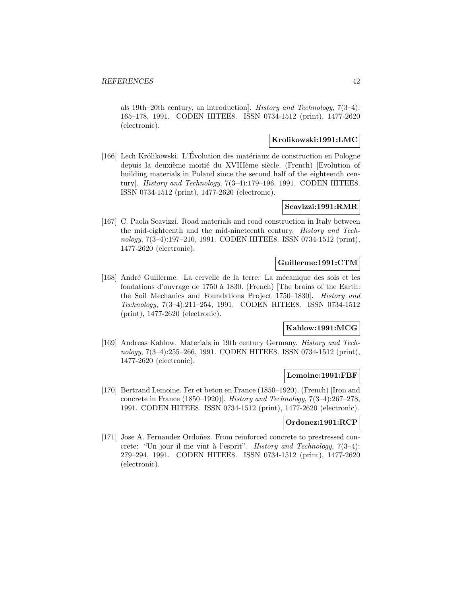als 19th–20th century, an introduction]. History and Technology, 7(3–4): 165–178, 1991. CODEN HITEE8. ISSN 0734-1512 (print), 1477-2620 (electronic).

### **Krolikowski:1991:LMC**

[166] Lech Królikowski. L'Évolution des matériaux de construction en Pologne depuis la deuxième moitié du XVIIIème siècle. (French) [Evolution of building materials in Poland since the second half of the eighteenth century]. *History and Technology*, 7(3-4):179-196, 1991. CODEN HITEE8. ISSN 0734-1512 (print), 1477-2620 (electronic).

### **Scavizzi:1991:RMR**

[167] C. Paola Scavizzi. Road materials and road construction in Italy between the mid-eighteenth and the mid-nineteenth century. History and Technology, 7(3–4):197–210, 1991. CODEN HITEE8. ISSN 0734-1512 (print), 1477-2620 (electronic).

# **Guillerme:1991:CTM**

[168] André Guillerme. La cervelle de la terre: La mécanique des sols et les fondations d'ouvrage de 1750 à 1830. (French) [The brains of the Earth: the Soil Mechanics and Foundations Project 1750–1830]. History and Technology, 7(3–4):211–254, 1991. CODEN HITEE8. ISSN 0734-1512 (print), 1477-2620 (electronic).

## **Kahlow:1991:MCG**

[169] Andreas Kahlow. Materials in 19th century Germany. History and Technology, 7(3–4):255–266, 1991. CODEN HITEE8. ISSN 0734-1512 (print), 1477-2620 (electronic).

## **Lemoine:1991:FBF**

[170] Bertrand Lemoine. Fer et beton en France (1850–1920). (French) [Iron and concrete in France (1850–1920)]. History and Technology, 7(3–4):267–278, 1991. CODEN HITEE8. ISSN 0734-1512 (print), 1477-2620 (electronic).

# **Ordonez:1991:RCP**

[171] Jose A. Fernandez Ordoñez. From reinforced concrete to prestressed concrete: "Un jour il me vint à l'esprit". History and Technology,  $7(3-4)$ : 279–294, 1991. CODEN HITEE8. ISSN 0734-1512 (print), 1477-2620 (electronic).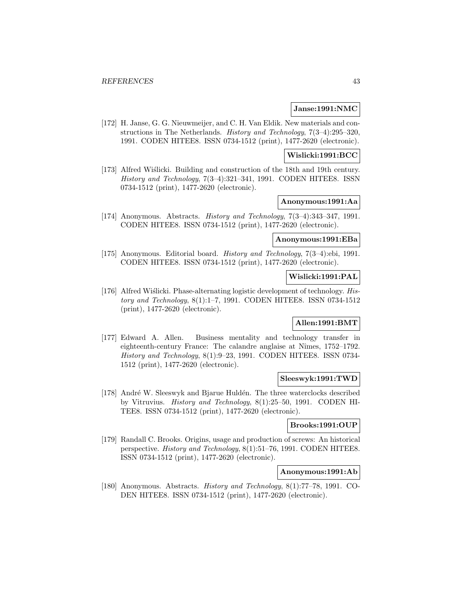#### **Janse:1991:NMC**

[172] H. Janse, G. G. Nieuwmeijer, and C. H. Van Eldik. New materials and constructions in The Netherlands. History and Technology, 7(3–4):295–320, 1991. CODEN HITEE8. ISSN 0734-1512 (print), 1477-2620 (electronic).

#### **Wislicki:1991:BCC**

[173] Alfred Wislicki. Building and construction of the 18th and 19th century. History and Technology, 7(3–4):321–341, 1991. CODEN HITEE8. ISSN 0734-1512 (print), 1477-2620 (electronic).

# **Anonymous:1991:Aa**

[174] Anonymous. Abstracts. History and Technology, 7(3–4):343–347, 1991. CODEN HITEE8. ISSN 0734-1512 (print), 1477-2620 (electronic).

### **Anonymous:1991:EBa**

[175] Anonymous. Editorial board. History and Technology, 7(3–4):ebi, 1991. CODEN HITEE8. ISSN 0734-1512 (print), 1477-2620 (electronic).

# **Wislicki:1991:PAL**

[176] Alfred Wiślicki. Phase-alternating logistic development of technology. History and Technology, 8(1):1–7, 1991. CODEN HITEE8. ISSN 0734-1512 (print), 1477-2620 (electronic).

# **Allen:1991:BMT**

[177] Edward A. Allen. Business mentality and technology transfer in eighteenth-century France: The calandre anglaise at Nîmes, 1752–1792. History and Technology, 8(1):9–23, 1991. CODEN HITEE8. ISSN 0734- 1512 (print), 1477-2620 (electronic).

#### **Sleeswyk:1991:TWD**

[178] André W. Sleeswyk and Bjarue Huldén. The three waterclocks described by Vitruvius. History and Technology, 8(1):25–50, 1991. CODEN HI-TEE8. ISSN 0734-1512 (print), 1477-2620 (electronic).

#### **Brooks:1991:OUP**

[179] Randall C. Brooks. Origins, usage and production of screws: An historical perspective. History and Technology, 8(1):51–76, 1991. CODEN HITEE8. ISSN 0734-1512 (print), 1477-2620 (electronic).

# **Anonymous:1991:Ab**

[180] Anonymous. Abstracts. History and Technology, 8(1):77–78, 1991. CO-DEN HITEE8. ISSN 0734-1512 (print), 1477-2620 (electronic).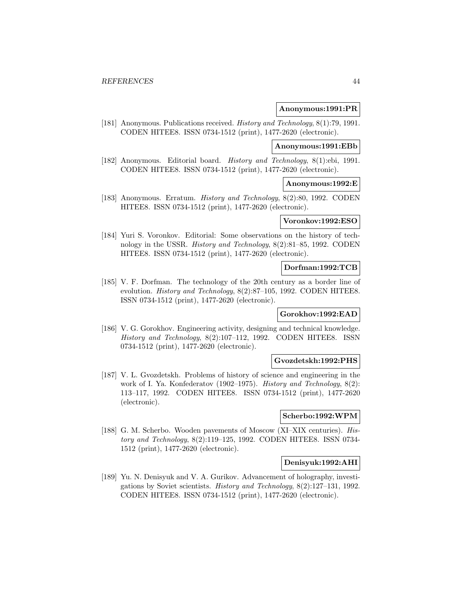#### **Anonymous:1991:PR**

[181] Anonymous. Publications received. History and Technology, 8(1):79, 1991. CODEN HITEE8. ISSN 0734-1512 (print), 1477-2620 (electronic).

# **Anonymous:1991:EBb**

[182] Anonymous. Editorial board. History and Technology, 8(1):ebi, 1991. CODEN HITEE8. ISSN 0734-1512 (print), 1477-2620 (electronic).

# **Anonymous:1992:E**

[183] Anonymous. Erratum. History and Technology, 8(2):80, 1992. CODEN HITEE8. ISSN 0734-1512 (print), 1477-2620 (electronic).

# **Voronkov:1992:ESO**

[184] Yuri S. Voronkov. Editorial: Some observations on the history of technology in the USSR. History and Technology, 8(2):81–85, 1992. CODEN HITEE8. ISSN 0734-1512 (print), 1477-2620 (electronic).

#### **Dorfman:1992:TCB**

[185] V. F. Dorfman. The technology of the 20th century as a border line of evolution. History and Technology, 8(2):87–105, 1992. CODEN HITEE8. ISSN 0734-1512 (print), 1477-2620 (electronic).

## **Gorokhov:1992:EAD**

[186] V. G. Gorokhov. Engineering activity, designing and technical knowledge. History and Technology, 8(2):107–112, 1992. CODEN HITEE8. ISSN 0734-1512 (print), 1477-2620 (electronic).

## **Gvozdetskh:1992:PHS**

[187] V. L. Gvozdetskh. Problems of history of science and engineering in the work of I. Ya. Konfederatov (1902–1975). History and Technology, 8(2): 113–117, 1992. CODEN HITEE8. ISSN 0734-1512 (print), 1477-2620 (electronic).

#### **Scherbo:1992:WPM**

[188] G. M. Scherbo. Wooden pavements of Moscow (XI–XIX centuries). History and Technology, 8(2):119–125, 1992. CODEN HITEE8. ISSN 0734- 1512 (print), 1477-2620 (electronic).

## **Denisyuk:1992:AHI**

[189] Yu. N. Denisyuk and V. A. Gurikov. Advancement of holography, investigations by Soviet scientists. History and Technology, 8(2):127–131, 1992. CODEN HITEE8. ISSN 0734-1512 (print), 1477-2620 (electronic).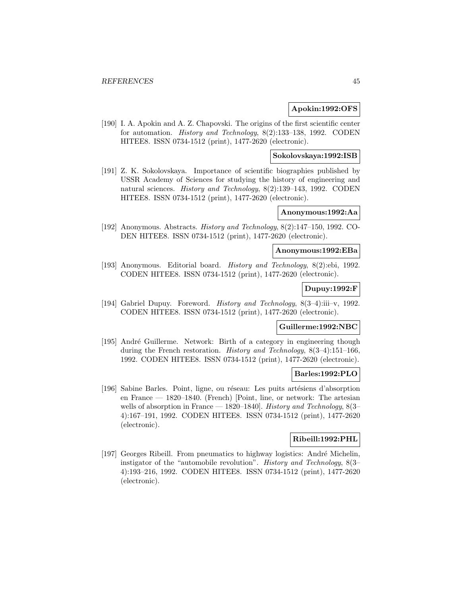### **Apokin:1992:OFS**

[190] I. A. Apokin and A. Z. Chapovski. The origins of the first scientific center for automation. History and Technology, 8(2):133–138, 1992. CODEN HITEE8. ISSN 0734-1512 (print), 1477-2620 (electronic).

#### **Sokolovskaya:1992:ISB**

[191] Z. K. Sokolovskaya. Importance of scientific biographies published by USSR Academy of Sciences for studying the history of engineering and natural sciences. History and Technology, 8(2):139–143, 1992. CODEN HITEE8. ISSN 0734-1512 (print), 1477-2620 (electronic).

### **Anonymous:1992:Aa**

[192] Anonymous. Abstracts. History and Technology, 8(2):147–150, 1992. CO-DEN HITEE8. ISSN 0734-1512 (print), 1477-2620 (electronic).

#### **Anonymous:1992:EBa**

[193] Anonymous. Editorial board. History and Technology, 8(2):ebi, 1992. CODEN HITEE8. ISSN 0734-1512 (print), 1477-2620 (electronic).

# **Dupuy:1992:F**

[194] Gabriel Dupuy. Foreword. History and Technology, 8(3–4):iii–v, 1992. CODEN HITEE8. ISSN 0734-1512 (print), 1477-2620 (electronic).

## **Guillerme:1992:NBC**

[195] André Guillerme. Network: Birth of a category in engineering though during the French restoration. History and Technology, 8(3–4):151–166, 1992. CODEN HITEE8. ISSN 0734-1512 (print), 1477-2620 (electronic).

## **Barles:1992:PLO**

[196] Sabine Barles. Point, ligne, ou réseau: Les puits artésiens d'absorption en France — 1820–1840. (French) [Point, line, or network: The artesian wells of absorption in France — 1820–1840. *History and Technology*, 8(3– 4):167–191, 1992. CODEN HITEE8. ISSN 0734-1512 (print), 1477-2620 (electronic).

# **Ribeill:1992:PHL**

[197] Georges Ribeill. From pneumatics to highway logistics: André Michelin, instigator of the "automobile revolution". History and Technology, 8(3– 4):193–216, 1992. CODEN HITEE8. ISSN 0734-1512 (print), 1477-2620 (electronic).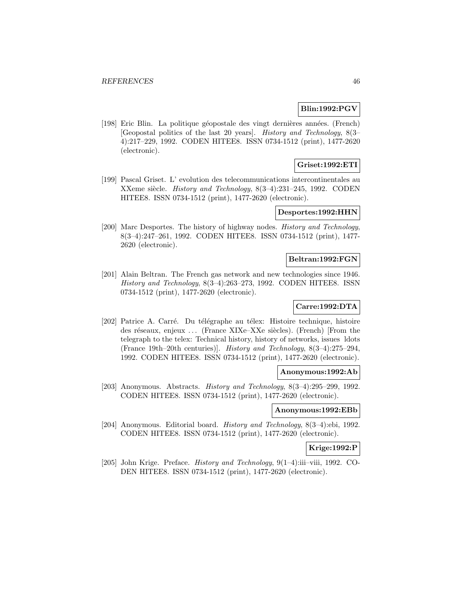# **Blin:1992:PGV**

[198] Eric Blin. La politique géopostale des vingt dernières années. (French) [Geopostal politics of the last 20 years]. History and Technology, 8(3– 4):217–229, 1992. CODEN HITEE8. ISSN 0734-1512 (print), 1477-2620 (electronic).

# **Griset:1992:ETI**

[199] Pascal Griset. L' evolution des telecommunications intercontinentales au XXeme siècle. *History and Technology*,  $8(3-4):231-245$ , 1992. CODEN HITEE8. ISSN 0734-1512 (print), 1477-2620 (electronic).

#### **Desportes:1992:HHN**

[200] Marc Desportes. The history of highway nodes. *History and Technology*, 8(3–4):247–261, 1992. CODEN HITEE8. ISSN 0734-1512 (print), 1477- 2620 (electronic).

#### **Beltran:1992:FGN**

[201] Alain Beltran. The French gas network and new technologies since 1946. History and Technology, 8(3–4):263–273, 1992. CODEN HITEE8. ISSN 0734-1512 (print), 1477-2620 (electronic).

## **Carre:1992:DTA**

[202] Patrice A. Carré. Du télégraphe au télex: Histoire technique, histoire des réseaux, enjeux ... (France XIXe–XXe siècles). (French) [From the telegraph to the telex: Technical history, history of networks, issues ldots (France 19th–20th centuries)]. History and Technology, 8(3–4):275–294, 1992. CODEN HITEE8. ISSN 0734-1512 (print), 1477-2620 (electronic).

## **Anonymous:1992:Ab**

[203] Anonymous. Abstracts. *History and Technology*, 8(3-4):295-299, 1992. CODEN HITEE8. ISSN 0734-1512 (print), 1477-2620 (electronic).

## **Anonymous:1992:EBb**

[204] Anonymous. Editorial board. History and Technology, 8(3–4):ebi, 1992. CODEN HITEE8. ISSN 0734-1512 (print), 1477-2620 (electronic).

# **Krige:1992:P**

[205] John Krige. Preface. History and Technology, 9(1–4):iii–viii, 1992. CO-DEN HITEE8. ISSN 0734-1512 (print), 1477-2620 (electronic).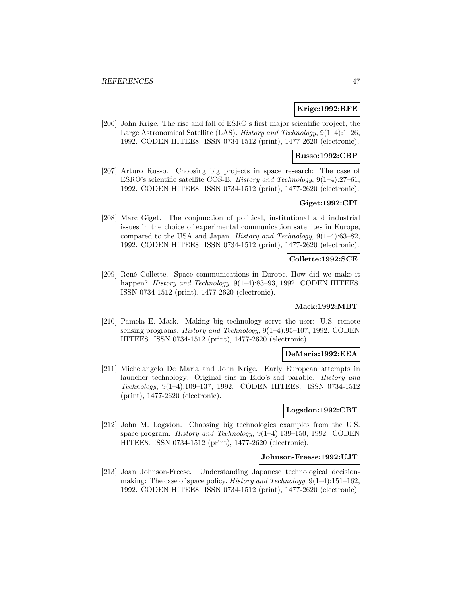# **Krige:1992:RFE**

[206] John Krige. The rise and fall of ESRO's first major scientific project, the Large Astronomical Satellite (LAS). History and Technology, 9(1–4):1–26, 1992. CODEN HITEE8. ISSN 0734-1512 (print), 1477-2620 (electronic).

## **Russo:1992:CBP**

[207] Arturo Russo. Choosing big projects in space research: The case of ESRO's scientific satellite COS-B. History and Technology, 9(1–4):27–61, 1992. CODEN HITEE8. ISSN 0734-1512 (print), 1477-2620 (electronic).

# **Giget:1992:CPI**

[208] Marc Giget. The conjunction of political, institutional and industrial issues in the choice of experimental communication satellites in Europe, compared to the USA and Japan. History and Technology, 9(1–4):63–82, 1992. CODEN HITEE8. ISSN 0734-1512 (print), 1477-2620 (electronic).

#### **Collette:1992:SCE**

[209] Ren´e Collette. Space communications in Europe. How did we make it happen? *History and Technology*, 9(1–4):83–93, 1992. CODEN HITEE8. ISSN 0734-1512 (print), 1477-2620 (electronic).

# **Mack:1992:MBT**

[210] Pamela E. Mack. Making big technology serve the user: U.S. remote sensing programs. History and Technology, 9(1–4):95–107, 1992. CODEN HITEE8. ISSN 0734-1512 (print), 1477-2620 (electronic).

## **DeMaria:1992:EEA**

[211] Michelangelo De Maria and John Krige. Early European attempts in launcher technology: Original sins in Eldo's sad parable. History and Technology, 9(1–4):109–137, 1992. CODEN HITEE8. ISSN 0734-1512 (print), 1477-2620 (electronic).

## **Logsdon:1992:CBT**

[212] John M. Logsdon. Choosing big technologies examples from the U.S. space program. History and Technology, 9(1–4):139–150, 1992. CODEN HITEE8. ISSN 0734-1512 (print), 1477-2620 (electronic).

#### **Johnson-Freese:1992:UJT**

[213] Joan Johnson-Freese. Understanding Japanese technological decisionmaking: The case of space policy. *History and Technology*,  $9(1-4)$ :151-162. 1992. CODEN HITEE8. ISSN 0734-1512 (print), 1477-2620 (electronic).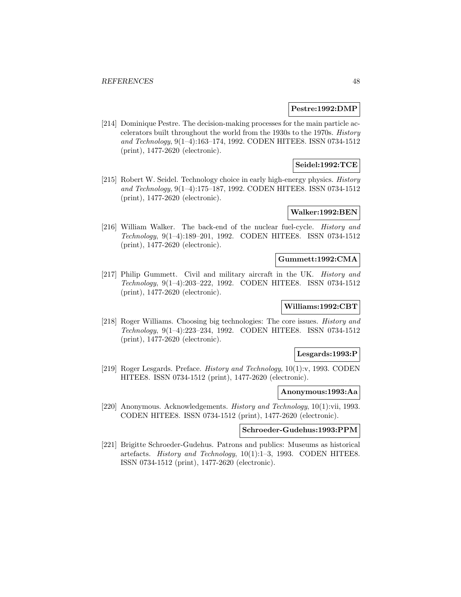### **Pestre:1992:DMP**

[214] Dominique Pestre. The decision-making processes for the main particle accelerators built throughout the world from the 1930s to the 1970s. History and Technology, 9(1–4):163–174, 1992. CODEN HITEE8. ISSN 0734-1512 (print), 1477-2620 (electronic).

# **Seidel:1992:TCE**

[215] Robert W. Seidel. Technology choice in early high-energy physics. History and Technology, 9(1–4):175–187, 1992. CODEN HITEE8. ISSN 0734-1512 (print), 1477-2620 (electronic).

# **Walker:1992:BEN**

[216] William Walker. The back-end of the nuclear fuel-cycle. History and Technology, 9(1–4):189–201, 1992. CODEN HITEE8. ISSN 0734-1512 (print), 1477-2620 (electronic).

#### **Gummett:1992:CMA**

[217] Philip Gummett. Civil and military aircraft in the UK. History and Technology, 9(1–4):203–222, 1992. CODEN HITEE8. ISSN 0734-1512 (print), 1477-2620 (electronic).

# **Williams:1992:CBT**

[218] Roger Williams. Choosing big technologies: The core issues. History and Technology, 9(1–4):223–234, 1992. CODEN HITEE8. ISSN 0734-1512 (print), 1477-2620 (electronic).

## **Lesgards:1993:P**

[219] Roger Lesgards. Preface. History and Technology, 10(1):v, 1993. CODEN HITEE8. ISSN 0734-1512 (print), 1477-2620 (electronic).

#### **Anonymous:1993:Aa**

[220] Anonymous. Acknowledgements. History and Technology, 10(1):vii, 1993. CODEN HITEE8. ISSN 0734-1512 (print), 1477-2620 (electronic).

### **Schroeder-Gudehus:1993:PPM**

[221] Brigitte Schroeder-Gudehus. Patrons and publics: Museums as historical artefacts. History and Technology, 10(1):1–3, 1993. CODEN HITEE8. ISSN 0734-1512 (print), 1477-2620 (electronic).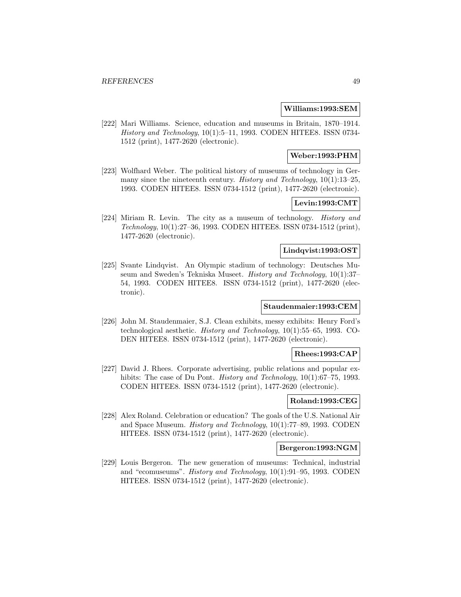#### **Williams:1993:SEM**

[222] Mari Williams. Science, education and museums in Britain, 1870–1914. History and Technology, 10(1):5–11, 1993. CODEN HITEE8. ISSN 0734- 1512 (print), 1477-2620 (electronic).

# **Weber:1993:PHM**

[223] Wolfhard Weber. The political history of museums of technology in Germany since the nineteenth century. *History and Technology*, 10(1):13–25, 1993. CODEN HITEE8. ISSN 0734-1512 (print), 1477-2620 (electronic).

# **Levin:1993:CMT**

[224] Miriam R. Levin. The city as a museum of technology. History and Technology, 10(1):27–36, 1993. CODEN HITEE8. ISSN 0734-1512 (print), 1477-2620 (electronic).

#### **Lindqvist:1993:OST**

[225] Svante Lindqvist. An Olympic stadium of technology: Deutsches Museum and Sweden's Tekniska Museet. History and Technology, 10(1):37– 54, 1993. CODEN HITEE8. ISSN 0734-1512 (print), 1477-2620 (electronic).

### **Staudenmaier:1993:CEM**

[226] John M. Staudenmaier, S.J. Clean exhibits, messy exhibits: Henry Ford's technological aesthetic. History and Technology, 10(1):55–65, 1993. CO-DEN HITEE8. ISSN 0734-1512 (print), 1477-2620 (electronic).

## **Rhees:1993:CAP**

[227] David J. Rhees. Corporate advertising, public relations and popular exhibits: The case of Du Pont. *History and Technology*, 10(1):67–75, 1993. CODEN HITEE8. ISSN 0734-1512 (print), 1477-2620 (electronic).

## **Roland:1993:CEG**

[228] Alex Roland. Celebration or education? The goals of the U.S. National Air and Space Museum. History and Technology, 10(1):77–89, 1993. CODEN HITEE8. ISSN 0734-1512 (print), 1477-2620 (electronic).

### **Bergeron:1993:NGM**

[229] Louis Bergeron. The new generation of museums: Technical, industrial and "ecomuseums". History and Technology, 10(1):91–95, 1993. CODEN HITEE8. ISSN 0734-1512 (print), 1477-2620 (electronic).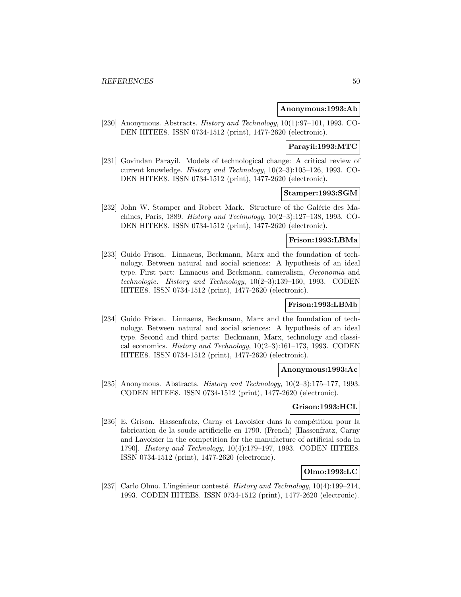### **Anonymous:1993:Ab**

[230] Anonymous. Abstracts. History and Technology, 10(1):97–101, 1993. CO-DEN HITEE8. ISSN 0734-1512 (print), 1477-2620 (electronic).

# **Parayil:1993:MTC**

[231] Govindan Parayil. Models of technological change: A critical review of current knowledge. History and Technology, 10(2–3):105–126, 1993. CO-DEN HITEE8. ISSN 0734-1512 (print), 1477-2620 (electronic).

## **Stamper:1993:SGM**

[232] John W. Stamper and Robert Mark. Structure of the Galérie des Machines, Paris, 1889. History and Technology, 10(2–3):127–138, 1993. CO-DEN HITEE8. ISSN 0734-1512 (print), 1477-2620 (electronic).

### **Frison:1993:LBMa**

[233] Guido Frison. Linnaeus, Beckmann, Marx and the foundation of technology. Between natural and social sciences: A hypothesis of an ideal type. First part: Linnaeus and Beckmann, cameralism, Oeconomia and technologie. History and Technology, 10(2–3):139–160, 1993. CODEN HITEE8. ISSN 0734-1512 (print), 1477-2620 (electronic).

## **Frison:1993:LBMb**

[234] Guido Frison. Linnaeus, Beckmann, Marx and the foundation of technology. Between natural and social sciences: A hypothesis of an ideal type. Second and third parts: Beckmann, Marx, technology and classical economics. History and Technology,  $10(2-3):161-173$ , 1993. CODEN HITEE8. ISSN 0734-1512 (print), 1477-2620 (electronic).

#### **Anonymous:1993:Ac**

[235] Anonymous. Abstracts. *History and Technology*,  $10(2-3):175-177$ , 1993. CODEN HITEE8. ISSN 0734-1512 (print), 1477-2620 (electronic).

## **Grison:1993:HCL**

[236] E. Grison. Hassenfratz, Carny et Lavoisier dans la compétition pour la fabrication de la soude artificielle en 1790. (French) [Hassenfratz, Carny and Lavoisier in the competition for the manufacture of artificial soda in 1790]. History and Technology, 10(4):179–197, 1993. CODEN HITEE8. ISSN 0734-1512 (print), 1477-2620 (electronic).

# **Olmo:1993:LC**

[237] Carlo Olmo. L'ingénieur contesté. History and Technology,  $10(4):199-214$ , 1993. CODEN HITEE8. ISSN 0734-1512 (print), 1477-2620 (electronic).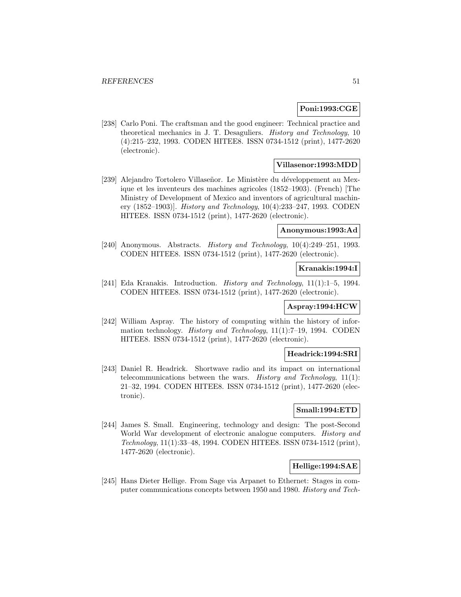#### **Poni:1993:CGE**

[238] Carlo Poni. The craftsman and the good engineer: Technical practice and theoretical mechanics in J. T. Desaguliers. History and Technology, 10 (4):215–232, 1993. CODEN HITEE8. ISSN 0734-1512 (print), 1477-2620 (electronic).

# **Villasenor:1993:MDD**

[239] Alejandro Tortolero Villaseñor. Le Ministère du développement au Mexique et les inventeurs des machines agricoles (1852–1903). (French) [The Ministry of Development of Mexico and inventors of agricultural machinery (1852–1903)]. History and Technology, 10(4):233–247, 1993. CODEN HITEE8. ISSN 0734-1512 (print), 1477-2620 (electronic).

#### **Anonymous:1993:Ad**

[240] Anonymous. Abstracts. *History and Technology*, 10(4):249–251, 1993. CODEN HITEE8. ISSN 0734-1512 (print), 1477-2620 (electronic).

#### **Kranakis:1994:I**

[241] Eda Kranakis. Introduction. History and Technology, 11(1):1-5, 1994. CODEN HITEE8. ISSN 0734-1512 (print), 1477-2620 (electronic).

## **Aspray:1994:HCW**

[242] William Aspray. The history of computing within the history of information technology. History and Technology, 11(1):7–19, 1994. CODEN HITEE8. ISSN 0734-1512 (print), 1477-2620 (electronic).

#### **Headrick:1994:SRI**

[243] Daniel R. Headrick. Shortwave radio and its impact on international telecommunications between the wars. *History and Technology*,  $11(1)$ : 21–32, 1994. CODEN HITEE8. ISSN 0734-1512 (print), 1477-2620 (electronic).

### **Small:1994:ETD**

[244] James S. Small. Engineering, technology and design: The post-Second World War development of electronic analogue computers. *History and* Technology, 11(1):33–48, 1994. CODEN HITEE8. ISSN 0734-1512 (print), 1477-2620 (electronic).

## **Hellige:1994:SAE**

[245] Hans Dieter Hellige. From Sage via Arpanet to Ethernet: Stages in computer communications concepts between 1950 and 1980. History and Tech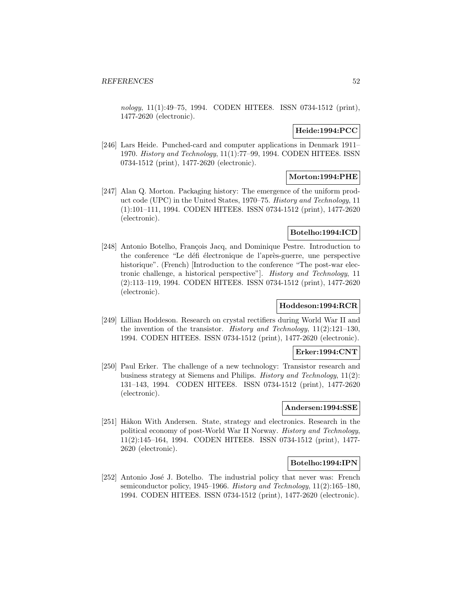nology, 11(1):49-75, 1994. CODEN HITEE8. ISSN 0734-1512 (print), 1477-2620 (electronic).

# **Heide:1994:PCC**

[246] Lars Heide. Punched-card and computer applications in Denmark 1911– 1970. History and Technology, 11(1):77–99, 1994. CODEN HITEE8. ISSN 0734-1512 (print), 1477-2620 (electronic).

## **Morton:1994:PHE**

[247] Alan Q. Morton. Packaging history: The emergence of the uniform product code (UPC) in the United States, 1970–75. History and Technology, 11 (1):101–111, 1994. CODEN HITEE8. ISSN 0734-1512 (print), 1477-2620 (electronic).

# **Botelho:1994:ICD**

[248] Antonio Botelho, François Jacq, and Dominique Pestre. Introduction to the conference "Le défi électronique de l'après-guerre, une perspective historique". (French) [Introduction to the conference "The post-war electronic challenge, a historical perspective"]. History and Technology, 11 (2):113–119, 1994. CODEN HITEE8. ISSN 0734-1512 (print), 1477-2620 (electronic).

# **Hoddeson:1994:RCR**

[249] Lillian Hoddeson. Research on crystal rectifiers during World War II and the invention of the transistor. History and Technology, 11(2):121–130, 1994. CODEN HITEE8. ISSN 0734-1512 (print), 1477-2620 (electronic).

# **Erker:1994:CNT**

[250] Paul Erker. The challenge of a new technology: Transistor research and business strategy at Siemens and Philips. History and Technology, 11(2): 131–143, 1994. CODEN HITEE8. ISSN 0734-1512 (print), 1477-2620 (electronic).

#### **Andersen:1994:SSE**

[251] Håkon With Andersen. State, strategy and electronics. Research in the political economy of post-World War II Norway. History and Technology, 11(2):145–164, 1994. CODEN HITEE8. ISSN 0734-1512 (print), 1477- 2620 (electronic).

## **Botelho:1994:IPN**

[252] Antonio José J. Botelho. The industrial policy that never was: French semiconductor policy, 1945–1966. History and Technology, 11(2):165–180, 1994. CODEN HITEE8. ISSN 0734-1512 (print), 1477-2620 (electronic).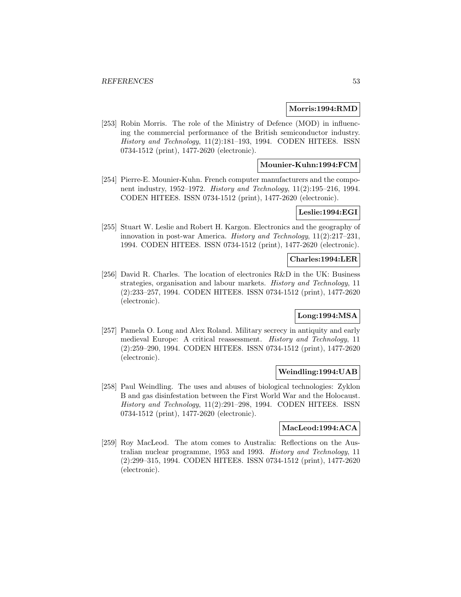#### **Morris:1994:RMD**

[253] Robin Morris. The role of the Ministry of Defence (MOD) in influencing the commercial performance of the British semiconductor industry. History and Technology, 11(2):181–193, 1994. CODEN HITEE8. ISSN 0734-1512 (print), 1477-2620 (electronic).

## **Mounier-Kuhn:1994:FCM**

[254] Pierre-E. Mounier-Kuhn. French computer manufacturers and the component industry, 1952–1972. History and Technology, 11(2):195–216, 1994. CODEN HITEE8. ISSN 0734-1512 (print), 1477-2620 (electronic).

#### **Leslie:1994:EGI**

[255] Stuart W. Leslie and Robert H. Kargon. Electronics and the geography of innovation in post-war America. History and Technology, 11(2):217–231, 1994. CODEN HITEE8. ISSN 0734-1512 (print), 1477-2620 (electronic).

#### **Charles:1994:LER**

[256] David R. Charles. The location of electronics R&D in the UK: Business strategies, organisation and labour markets. History and Technology, 11 (2):233–257, 1994. CODEN HITEE8. ISSN 0734-1512 (print), 1477-2620 (electronic).

## **Long:1994:MSA**

[257] Pamela O. Long and Alex Roland. Military secrecy in antiquity and early medieval Europe: A critical reassessment. History and Technology, 11 (2):259–290, 1994. CODEN HITEE8. ISSN 0734-1512 (print), 1477-2620 (electronic).

#### **Weindling:1994:UAB**

[258] Paul Weindling. The uses and abuses of biological technologies: Zyklon B and gas disinfestation between the First World War and the Holocaust. History and Technology, 11(2):291–298, 1994. CODEN HITEE8. ISSN 0734-1512 (print), 1477-2620 (electronic).

# **MacLeod:1994:ACA**

[259] Roy MacLeod. The atom comes to Australia: Reflections on the Australian nuclear programme, 1953 and 1993. History and Technology, 11 (2):299–315, 1994. CODEN HITEE8. ISSN 0734-1512 (print), 1477-2620 (electronic).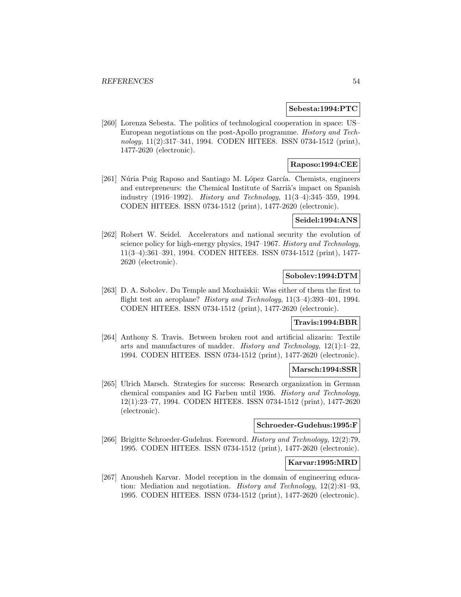#### **Sebesta:1994:PTC**

[260] Lorenza Sebesta. The politics of technological cooperation in space: US– European negotiations on the post-Apollo programme. History and Technology, 11(2):317–341, 1994. CODEN HITEE8. ISSN 0734-1512 (print), 1477-2620 (electronic).

## **Raposo:1994:CEE**

[261] Núria Puig Raposo and Santiago M. López García. Chemists, engineers and entrepreneurs: the Chemical Institute of Sarrià's impact on Spanish industry (1916–1992). History and Technology, 11(3–4):345–359, 1994. CODEN HITEE8. ISSN 0734-1512 (print), 1477-2620 (electronic).

#### **Seidel:1994:ANS**

[262] Robert W. Seidel. Accelerators and national security the evolution of science policy for high-energy physics, 1947–1967. History and Technology, 11(3–4):361–391, 1994. CODEN HITEE8. ISSN 0734-1512 (print), 1477- 2620 (electronic).

## **Sobolev:1994:DTM**

[263] D. A. Sobolev. Du Temple and Mozhaiskii: Was either of them the first to flight test an aeroplane? History and Technology, 11(3–4):393–401, 1994. CODEN HITEE8. ISSN 0734-1512 (print), 1477-2620 (electronic).

# **Travis:1994:BBR**

[264] Anthony S. Travis. Between broken root and artificial alizarin: Textile arts and manufactures of madder. *History and Technology*,  $12(1):1-22$ , 1994. CODEN HITEE8. ISSN 0734-1512 (print), 1477-2620 (electronic).

#### **Marsch:1994:SSR**

[265] Ulrich Marsch. Strategies for success: Research organization in German chemical companies and IG Farben until 1936. History and Technology, 12(1):23–77, 1994. CODEN HITEE8. ISSN 0734-1512 (print), 1477-2620 (electronic).

# **Schroeder-Gudehus:1995:F**

[266] Brigitte Schroeder-Gudehus. Foreword. History and Technology, 12(2):79, 1995. CODEN HITEE8. ISSN 0734-1512 (print), 1477-2620 (electronic).

#### **Karvar:1995:MRD**

[267] Anousheh Karvar. Model reception in the domain of engineering education: Mediation and negotiation. History and Technology, 12(2):81–93, 1995. CODEN HITEE8. ISSN 0734-1512 (print), 1477-2620 (electronic).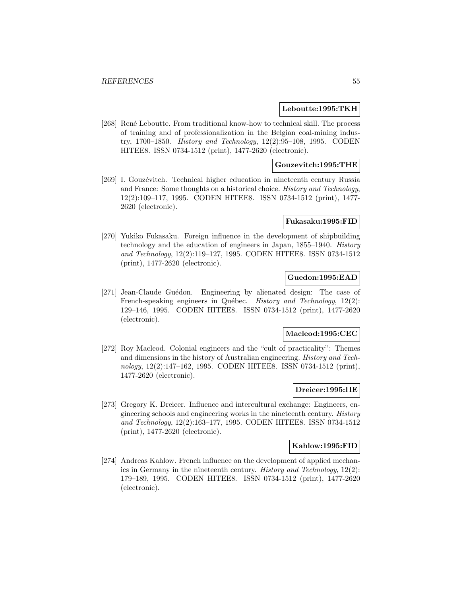#### **Leboutte:1995:TKH**

[268] René Leboutte. From traditional know-how to technical skill. The process of training and of professionalization in the Belgian coal-mining industry, 1700–1850. History and Technology, 12(2):95–108, 1995. CODEN HITEE8. ISSN 0734-1512 (print), 1477-2620 (electronic).

## **Gouzevitch:1995:THE**

[269] I. Gouzévitch. Technical higher education in nineteenth century Russia and France: Some thoughts on a historical choice. History and Technology, 12(2):109–117, 1995. CODEN HITEE8. ISSN 0734-1512 (print), 1477- 2620 (electronic).

### **Fukasaku:1995:FID**

[270] Yukiko Fukasaku. Foreign influence in the development of shipbuilding technology and the education of engineers in Japan, 1855–1940. History and Technology, 12(2):119–127, 1995. CODEN HITEE8. ISSN 0734-1512 (print), 1477-2620 (electronic).

# **Guedon:1995:EAD**

[271] Jean-Claude Guédon. Engineering by alienated design: The case of French-speaking engineers in Québec. History and Technology, 12(2): 129–146, 1995. CODEN HITEE8. ISSN 0734-1512 (print), 1477-2620 (electronic).

#### **Macleod:1995:CEC**

[272] Roy Macleod. Colonial engineers and the "cult of practicality": Themes and dimensions in the history of Australian engineering. History and Technology, 12(2):147–162, 1995. CODEN HITEE8. ISSN 0734-1512 (print), 1477-2620 (electronic).

## **Dreicer:1995:IIE**

[273] Gregory K. Dreicer. Influence and intercultural exchange: Engineers, engineering schools and engineering works in the nineteenth century. History and Technology, 12(2):163–177, 1995. CODEN HITEE8. ISSN 0734-1512 (print), 1477-2620 (electronic).

#### **Kahlow:1995:FID**

[274] Andreas Kahlow. French influence on the development of applied mechanics in Germany in the nineteenth century. History and Technology, 12(2): 179–189, 1995. CODEN HITEE8. ISSN 0734-1512 (print), 1477-2620 (electronic).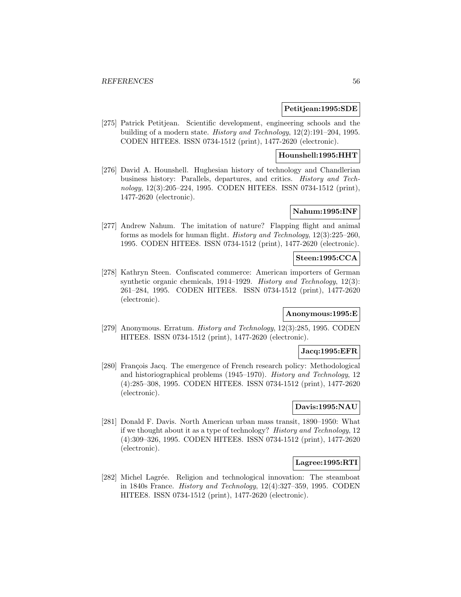### **Petitjean:1995:SDE**

[275] Patrick Petitjean. Scientific development, engineering schools and the building of a modern state. History and Technology, 12(2):191–204, 1995. CODEN HITEE8. ISSN 0734-1512 (print), 1477-2620 (electronic).

#### **Hounshell:1995:HHT**

[276] David A. Hounshell. Hughesian history of technology and Chandlerian business history: Parallels, departures, and critics. History and Technology, 12(3):205–224, 1995. CODEN HITEE8. ISSN 0734-1512 (print), 1477-2620 (electronic).

# **Nahum:1995:INF**

[277] Andrew Nahum. The imitation of nature? Flapping flight and animal forms as models for human flight. History and Technology, 12(3):225–260, 1995. CODEN HITEE8. ISSN 0734-1512 (print), 1477-2620 (electronic).

### **Steen:1995:CCA**

[278] Kathryn Steen. Confiscated commerce: American importers of German synthetic organic chemicals, 1914–1929. History and Technology, 12(3): 261–284, 1995. CODEN HITEE8. ISSN 0734-1512 (print), 1477-2620 (electronic).

# **Anonymous:1995:E**

[279] Anonymous. Erratum. History and Technology, 12(3):285, 1995. CODEN HITEE8. ISSN 0734-1512 (print), 1477-2620 (electronic).

#### **Jacq:1995:EFR**

[280] François Jacq. The emergence of French research policy: Methodological and historiographical problems (1945–1970). History and Technology, 12 (4):285–308, 1995. CODEN HITEE8. ISSN 0734-1512 (print), 1477-2620 (electronic).

# **Davis:1995:NAU**

[281] Donald F. Davis. North American urban mass transit, 1890–1950: What if we thought about it as a type of technology? History and Technology, 12 (4):309–326, 1995. CODEN HITEE8. ISSN 0734-1512 (print), 1477-2620 (electronic).

## **Lagree:1995:RTI**

[282] Michel Lagrée. Religion and technological innovation: The steamboat in 1840s France. History and Technology, 12(4):327–359, 1995. CODEN HITEE8. ISSN 0734-1512 (print), 1477-2620 (electronic).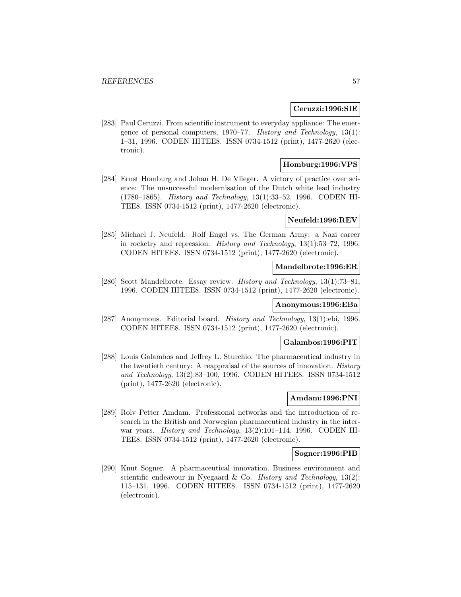#### **Ceruzzi:1996:SIE**

[283] Paul Ceruzzi. From scientific instrument to everyday appliance: The emergence of personal computers, 1970–77. History and Technology, 13(1): 1–31, 1996. CODEN HITEE8. ISSN 0734-1512 (print), 1477-2620 (electronic).

## **Homburg:1996:VPS**

[284] Ernst Homburg and Johan H. De Vlieger. A victory of practice over science: The unsuccessful modernisation of the Dutch white lead industry (1780–1865). History and Technology, 13(1):33–52, 1996. CODEN HI-TEE8. ISSN 0734-1512 (print), 1477-2620 (electronic).

#### **Neufeld:1996:REV**

[285] Michael J. Neufeld. Rolf Engel vs. The German Army: a Nazi career in rocketry and repression. History and Technology, 13(1):53–72, 1996. CODEN HITEE8. ISSN 0734-1512 (print), 1477-2620 (electronic).

#### **Mandelbrote:1996:ER**

[286] Scott Mandelbrote. Essay review. History and Technology, 13(1):73–81, 1996. CODEN HITEE8. ISSN 0734-1512 (print), 1477-2620 (electronic).

#### **Anonymous:1996:EBa**

[287] Anonymous. Editorial board. History and Technology, 13(1):ebi, 1996. CODEN HITEE8. ISSN 0734-1512 (print), 1477-2620 (electronic).

#### **Galambos:1996:PIT**

[288] Louis Galambos and Jeffrey L. Sturchio. The pharmaceutical industry in the twentieth century: A reappraisal of the sources of innovation. History and Technology, 13(2):83–100, 1996. CODEN HITEE8. ISSN 0734-1512 (print), 1477-2620 (electronic).

#### **Amdam:1996:PNI**

[289] Rolv Petter Amdam. Professional networks and the introduction of research in the British and Norwegian pharmaceutical industry in the interwar years. History and Technology, 13(2):101–114, 1996. CODEN HI-TEE8. ISSN 0734-1512 (print), 1477-2620 (electronic).

#### **Sogner:1996:PIB**

[290] Knut Sogner. A pharmaceutical innovation. Business environment and scientific endeavour in Nyegaard & Co. History and Technology,  $13(2)$ : 115–131, 1996. CODEN HITEE8. ISSN 0734-1512 (print), 1477-2620 (electronic).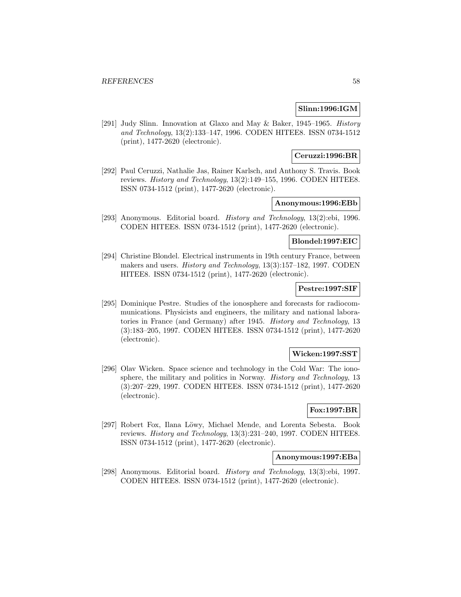### **Slinn:1996:IGM**

[291] Judy Slinn. Innovation at Glaxo and May & Baker, 1945–1965. History and Technology, 13(2):133–147, 1996. CODEN HITEE8. ISSN 0734-1512 (print), 1477-2620 (electronic).

## **Ceruzzi:1996:BR**

[292] Paul Ceruzzi, Nathalie Jas, Rainer Karlsch, and Anthony S. Travis. Book reviews. History and Technology, 13(2):149–155, 1996. CODEN HITEE8. ISSN 0734-1512 (print), 1477-2620 (electronic).

# **Anonymous:1996:EBb**

[293] Anonymous. Editorial board. History and Technology, 13(2):ebi, 1996. CODEN HITEE8. ISSN 0734-1512 (print), 1477-2620 (electronic).

# **Blondel:1997:EIC**

[294] Christine Blondel. Electrical instruments in 19th century France, between makers and users. History and Technology, 13(3):157–182, 1997. CODEN HITEE8. ISSN 0734-1512 (print), 1477-2620 (electronic).

## **Pestre:1997:SIF**

[295] Dominique Pestre. Studies of the ionosphere and forecasts for radiocommunications. Physicists and engineers, the military and national laboratories in France (and Germany) after 1945. History and Technology, 13 (3):183–205, 1997. CODEN HITEE8. ISSN 0734-1512 (print), 1477-2620 (electronic).

### **Wicken:1997:SST**

[296] Olav Wicken. Space science and technology in the Cold War: The ionosphere, the military and politics in Norway. *History and Technology*, 13 (3):207–229, 1997. CODEN HITEE8. ISSN 0734-1512 (print), 1477-2620 (electronic).

## **Fox:1997:BR**

[297] Robert Fox, Ilana Löwy, Michael Mende, and Lorenta Sebesta. Book reviews. History and Technology, 13(3):231–240, 1997. CODEN HITEE8. ISSN 0734-1512 (print), 1477-2620 (electronic).

#### **Anonymous:1997:EBa**

[298] Anonymous. Editorial board. History and Technology, 13(3):ebi, 1997. CODEN HITEE8. ISSN 0734-1512 (print), 1477-2620 (electronic).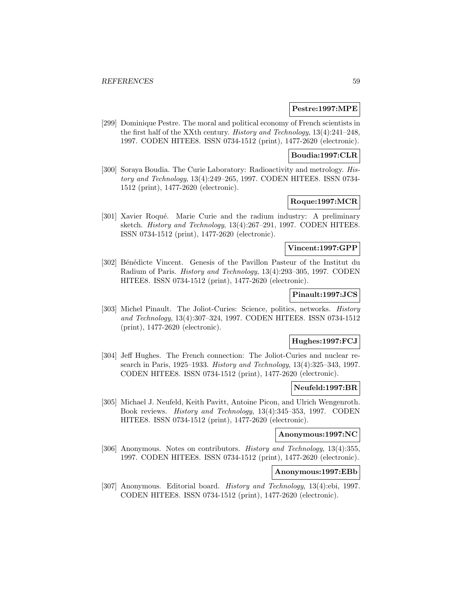#### **Pestre:1997:MPE**

[299] Dominique Pestre. The moral and political economy of French scientists in the first half of the XXth century. History and Technology, 13(4):241–248, 1997. CODEN HITEE8. ISSN 0734-1512 (print), 1477-2620 (electronic).

## **Boudia:1997:CLR**

[300] Soraya Boudia. The Curie Laboratory: Radioactivity and metrology. History and Technology, 13(4):249–265, 1997. CODEN HITEE8. ISSN 0734- 1512 (print), 1477-2620 (electronic).

# **Roque:1997:MCR**

[301] Xavier Roqué. Marie Curie and the radium industry: A preliminary sketch. History and Technology, 13(4):267–291, 1997. CODEN HITEE8. ISSN 0734-1512 (print), 1477-2620 (electronic).

# **Vincent:1997:GPP**

[302] Bénédicte Vincent. Genesis of the Pavillon Pasteur of the Institut du Radium of Paris. History and Technology, 13(4):293–305, 1997. CODEN HITEE8. ISSN 0734-1512 (print), 1477-2620 (electronic).

#### **Pinault:1997:JCS**

[303] Michel Pinault. The Joliot-Curies: Science, politics, networks. History and Technology, 13(4):307–324, 1997. CODEN HITEE8. ISSN 0734-1512 (print), 1477-2620 (electronic).

## **Hughes:1997:FCJ**

[304] Jeff Hughes. The French connection: The Joliot-Curies and nuclear research in Paris, 1925–1933. History and Technology, 13(4):325–343, 1997. CODEN HITEE8. ISSN 0734-1512 (print), 1477-2620 (electronic).

#### **Neufeld:1997:BR**

[305] Michael J. Neufeld, Keith Pavitt, Antoine Picon, and Ulrich Wengenroth. Book reviews. History and Technology, 13(4):345–353, 1997. CODEN HITEE8. ISSN 0734-1512 (print), 1477-2620 (electronic).

# **Anonymous:1997:NC**

[306] Anonymous. Notes on contributors. History and Technology, 13(4):355, 1997. CODEN HITEE8. ISSN 0734-1512 (print), 1477-2620 (electronic).

# **Anonymous:1997:EBb**

[307] Anonymous. Editorial board. History and Technology, 13(4):ebi, 1997. CODEN HITEE8. ISSN 0734-1512 (print), 1477-2620 (electronic).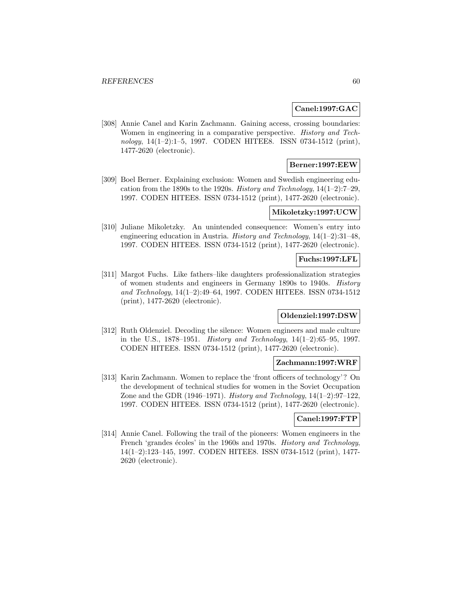### **Canel:1997:GAC**

[308] Annie Canel and Karin Zachmann. Gaining access, crossing boundaries: Women in engineering in a comparative perspective. History and Technology, 14(1–2):1–5, 1997. CODEN HITEE8. ISSN 0734-1512 (print), 1477-2620 (electronic).

# **Berner:1997:EEW**

[309] Boel Berner. Explaining exclusion: Women and Swedish engineering education from the 1890s to the 1920s. History and Technology,  $14(1-2)$ : 7-29. 1997. CODEN HITEE8. ISSN 0734-1512 (print), 1477-2620 (electronic).

#### **Mikoletzky:1997:UCW**

[310] Juliane Mikoletzky. An unintended consequence: Women's entry into engineering education in Austria. History and Technology, 14(1–2):31–48, 1997. CODEN HITEE8. ISSN 0734-1512 (print), 1477-2620 (electronic).

## **Fuchs:1997:LFL**

[311] Margot Fuchs. Like fathers–like daughters professionalization strategies of women students and engineers in Germany 1890s to 1940s. History and Technology, 14(1–2):49–64, 1997. CODEN HITEE8. ISSN 0734-1512 (print), 1477-2620 (electronic).

## **Oldenziel:1997:DSW**

[312] Ruth Oldenziel. Decoding the silence: Women engineers and male culture in the U.S., 1878–1951. History and Technology, 14(1–2):65–95, 1997. CODEN HITEE8. ISSN 0734-1512 (print), 1477-2620 (electronic).

## **Zachmann:1997:WRF**

[313] Karin Zachmann. Women to replace the 'front officers of technology'? On the development of technical studies for women in the Soviet Occupation Zone and the GDR (1946–1971). History and Technology,  $14(1-2):97-122$ , 1997. CODEN HITEE8. ISSN 0734-1512 (print), 1477-2620 (electronic).

# **Canel:1997:FTP**

[314] Annie Canel. Following the trail of the pioneers: Women engineers in the French 'grandes écoles' in the 1960s and 1970s. History and Technology, 14(1–2):123–145, 1997. CODEN HITEE8. ISSN 0734-1512 (print), 1477- 2620 (electronic).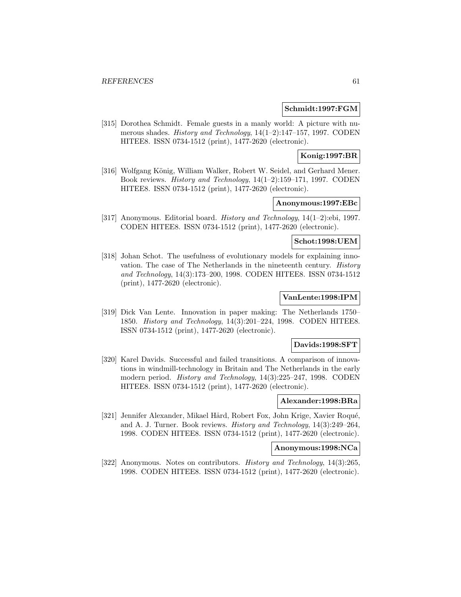#### **Schmidt:1997:FGM**

[315] Dorothea Schmidt. Female guests in a manly world: A picture with numerous shades. History and Technology, 14(1–2):147–157, 1997. CODEN HITEE8. ISSN 0734-1512 (print), 1477-2620 (electronic).

# **Konig:1997:BR**

[316] Wolfgang König, William Walker, Robert W. Seidel, and Gerhard Mener. Book reviews. History and Technology, 14(1–2):159–171, 1997. CODEN HITEE8. ISSN 0734-1512 (print), 1477-2620 (electronic).

# **Anonymous:1997:EBc**

[317] Anonymous. Editorial board. History and Technology, 14(1–2):ebi, 1997. CODEN HITEE8. ISSN 0734-1512 (print), 1477-2620 (electronic).

### **Schot:1998:UEM**

[318] Johan Schot. The usefulness of evolutionary models for explaining innovation. The case of The Netherlands in the nineteenth century. History and Technology, 14(3):173–200, 1998. CODEN HITEE8. ISSN 0734-1512 (print), 1477-2620 (electronic).

# **VanLente:1998:IPM**

[319] Dick Van Lente. Innovation in paper making: The Netherlands 1750– 1850. History and Technology, 14(3):201–224, 1998. CODEN HITEE8. ISSN 0734-1512 (print), 1477-2620 (electronic).

## **Davids:1998:SFT**

[320] Karel Davids. Successful and failed transitions. A comparison of innovations in windmill-technology in Britain and The Netherlands in the early modern period. History and Technology, 14(3):225–247, 1998. CODEN HITEE8. ISSN 0734-1512 (print), 1477-2620 (electronic).

# **Alexander:1998:BRa**

[321] Jennifer Alexander, Mikael Hård, Robert Fox, John Krige, Xavier Roqué, and A. J. Turner. Book reviews. History and Technology, 14(3):249–264, 1998. CODEN HITEE8. ISSN 0734-1512 (print), 1477-2620 (electronic).

# **Anonymous:1998:NCa**

[322] Anonymous. Notes on contributors. History and Technology, 14(3):265, 1998. CODEN HITEE8. ISSN 0734-1512 (print), 1477-2620 (electronic).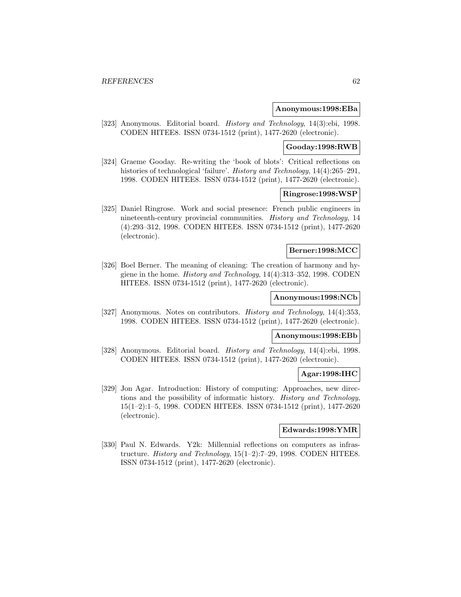#### **Anonymous:1998:EBa**

[323] Anonymous. Editorial board. History and Technology, 14(3):ebi, 1998. CODEN HITEE8. ISSN 0734-1512 (print), 1477-2620 (electronic).

#### **Gooday:1998:RWB**

[324] Graeme Gooday. Re-writing the 'book of blots': Critical reflections on histories of technological 'failure'. *History and Technology*, 14(4):265–291, 1998. CODEN HITEE8. ISSN 0734-1512 (print), 1477-2620 (electronic).

#### **Ringrose:1998:WSP**

[325] Daniel Ringrose. Work and social presence: French public engineers in nineteenth-century provincial communities. History and Technology, 14 (4):293–312, 1998. CODEN HITEE8. ISSN 0734-1512 (print), 1477-2620 (electronic).

#### **Berner:1998:MCC**

[326] Boel Berner. The meaning of cleaning: The creation of harmony and hygiene in the home. History and Technology, 14(4):313–352, 1998. CODEN HITEE8. ISSN 0734-1512 (print), 1477-2620 (electronic).

# **Anonymous:1998:NCb**

[327] Anonymous. Notes on contributors. *History and Technology*, 14(4):353, 1998. CODEN HITEE8. ISSN 0734-1512 (print), 1477-2620 (electronic).

# **Anonymous:1998:EBb**

[328] Anonymous. Editorial board. History and Technology, 14(4):ebi, 1998. CODEN HITEE8. ISSN 0734-1512 (print), 1477-2620 (electronic).

# **Agar:1998:IHC**

[329] Jon Agar. Introduction: History of computing: Approaches, new directions and the possibility of informatic history. History and Technology, 15(1–2):1–5, 1998. CODEN HITEE8. ISSN 0734-1512 (print), 1477-2620 (electronic).

### **Edwards:1998:YMR**

[330] Paul N. Edwards. Y2k: Millennial reflections on computers as infrastructure. History and Technology, 15(1–2):7–29, 1998. CODEN HITEE8. ISSN 0734-1512 (print), 1477-2620 (electronic).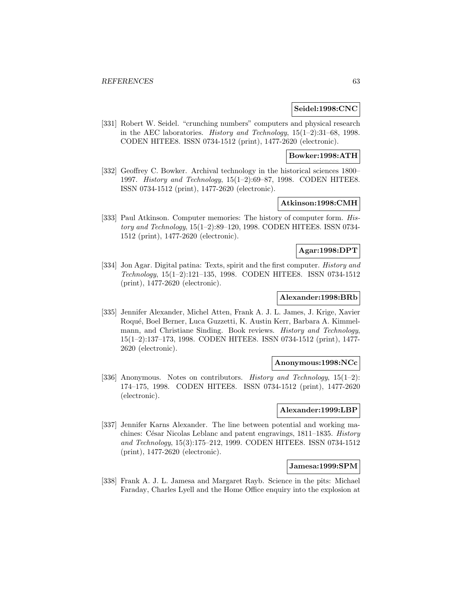#### **Seidel:1998:CNC**

[331] Robert W. Seidel. "crunching numbers" computers and physical research in the AEC laboratories. History and Technology, 15(1–2):31–68, 1998. CODEN HITEE8. ISSN 0734-1512 (print), 1477-2620 (electronic).

#### **Bowker:1998:ATH**

[332] Geoffrey C. Bowker. Archival technology in the historical sciences 1800– 1997. History and Technology, 15(1–2):69–87, 1998. CODEN HITEE8. ISSN 0734-1512 (print), 1477-2620 (electronic).

# **Atkinson:1998:CMH**

[333] Paul Atkinson. Computer memories: The history of computer form. History and Technology, 15(1–2):89–120, 1998. CODEN HITEE8. ISSN 0734- 1512 (print), 1477-2620 (electronic).

# **Agar:1998:DPT**

[334] Jon Agar. Digital patina: Texts, spirit and the first computer. History and Technology, 15(1–2):121–135, 1998. CODEN HITEE8. ISSN 0734-1512 (print), 1477-2620 (electronic).

## **Alexander:1998:BRb**

[335] Jennifer Alexander, Michel Atten, Frank A. J. L. James, J. Krige, Xavier Roqu´e, Boel Berner, Luca Guzzetti, K. Austin Kerr, Barbara A. Kimmelmann, and Christiane Sinding. Book reviews. History and Technology, 15(1–2):137–173, 1998. CODEN HITEE8. ISSN 0734-1512 (print), 1477- 2620 (electronic).

## **Anonymous:1998:NCc**

[336] Anonymous. Notes on contributors. History and Technology, 15(1–2): 174–175, 1998. CODEN HITEE8. ISSN 0734-1512 (print), 1477-2620 (electronic).

## **Alexander:1999:LBP**

[337] Jennifer Karns Alexander. The line between potential and working machines: César Nicolas Leblanc and patent engravings,  $1811-1835$ . *History* and Technology, 15(3):175–212, 1999. CODEN HITEE8. ISSN 0734-1512 (print), 1477-2620 (electronic).

#### **Jamesa:1999:SPM**

[338] Frank A. J. L. Jamesa and Margaret Rayb. Science in the pits: Michael Faraday, Charles Lyell and the Home Office enquiry into the explosion at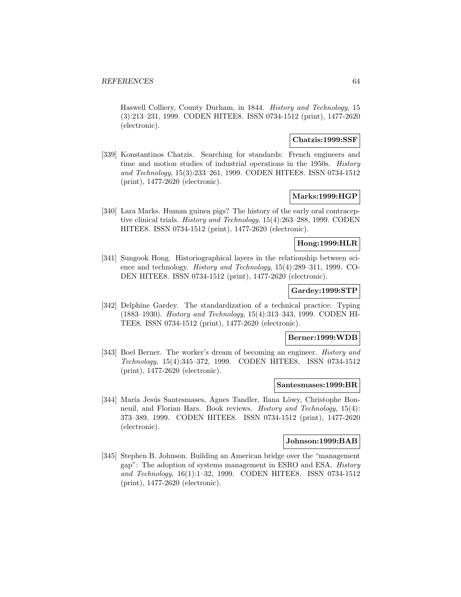Haswell Colliery, County Durham, in 1844. History and Technology, 15 (3):213–231, 1999. CODEN HITEE8. ISSN 0734-1512 (print), 1477-2620 (electronic).

## **Chatzis:1999:SSF**

[339] Konstantinos Chatzis. Searching for standards: French engineers and time and motion studies of industrial operations in the 1950s. History and Technology, 15(3):233–261, 1999. CODEN HITEE8. ISSN 0734-1512 (print), 1477-2620 (electronic).

#### **Marks:1999:HGP**

[340] Lara Marks. Human guinea pigs? The history of the early oral contraceptive clinical trials. History and Technology, 15(4):263–288, 1999. CODEN HITEE8. ISSN 0734-1512 (print), 1477-2620 (electronic).

## **Hong:1999:HLR**

[341] Sungook Hong. Historiographical layers in the relationship between science and technology. History and Technology, 15(4):289–311, 1999. CO-DEN HITEE8. ISSN 0734-1512 (print), 1477-2620 (electronic).

# **Gardey:1999:STP**

[342] Delphine Gardey. The standardization of a technical practice: Typing (1883–1930). History and Technology, 15(4):313–343, 1999. CODEN HI-TEE8. ISSN 0734-1512 (print), 1477-2620 (electronic).

#### **Berner:1999:WDB**

[343] Boel Berner. The worker's dream of becoming an engineer. History and Technology, 15(4):345–372, 1999. CODEN HITEE8. ISSN 0734-1512 (print), 1477-2620 (electronic).

#### **Santesmases:1999:BR**

[344] María Jesús Santesmases, Agnes Tandler, Ilana Löwy, Christophe Bonneuil, and Florian Hars. Book reviews. History and Technology, 15(4): 373–389, 1999. CODEN HITEE8. ISSN 0734-1512 (print), 1477-2620 (electronic).

### **Johnson:1999:BAB**

[345] Stephen B. Johnson. Building an American bridge over the "management gap": The adoption of systems management in ESRO and ESA. History and Technology, 16(1):1–32, 1999. CODEN HITEE8. ISSN 0734-1512 (print), 1477-2620 (electronic).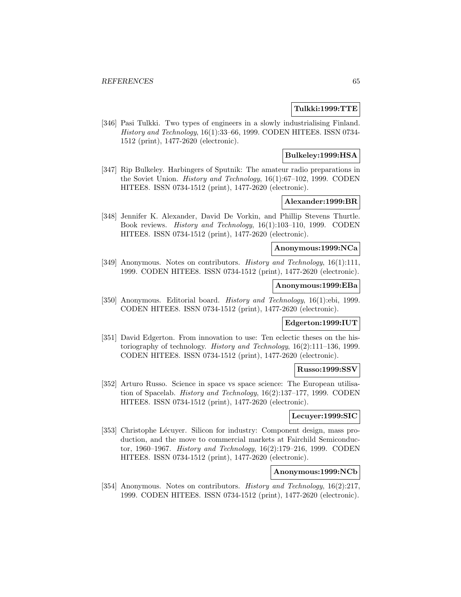## **Tulkki:1999:TTE**

[346] Pasi Tulkki. Two types of engineers in a slowly industrialising Finland. History and Technology, 16(1):33–66, 1999. CODEN HITEE8. ISSN 0734- 1512 (print), 1477-2620 (electronic).

## **Bulkeley:1999:HSA**

[347] Rip Bulkeley. Harbingers of Sputnik: The amateur radio preparations in the Soviet Union. History and Technology, 16(1):67–102, 1999. CODEN HITEE8. ISSN 0734-1512 (print), 1477-2620 (electronic).

# **Alexander:1999:BR**

[348] Jennifer K. Alexander, David De Vorkin, and Phillip Stevens Thurtle. Book reviews. History and Technology, 16(1):103–110, 1999. CODEN HITEE8. ISSN 0734-1512 (print), 1477-2620 (electronic).

# **Anonymous:1999:NCa**

[349] Anonymous. Notes on contributors. *History and Technology*, 16(1):111, 1999. CODEN HITEE8. ISSN 0734-1512 (print), 1477-2620 (electronic).

#### **Anonymous:1999:EBa**

[350] Anonymous. Editorial board. History and Technology, 16(1):ebi, 1999. CODEN HITEE8. ISSN 0734-1512 (print), 1477-2620 (electronic).

# **Edgerton:1999:IUT**

[351] David Edgerton. From innovation to use: Ten eclectic theses on the historiography of technology. History and Technology, 16(2):111–136, 1999. CODEN HITEE8. ISSN 0734-1512 (print), 1477-2620 (electronic).

#### **Russo:1999:SSV**

[352] Arturo Russo. Science in space vs space science: The European utilisation of Spacelab. History and Technology, 16(2):137–177, 1999. CODEN HITEE8. ISSN 0734-1512 (print), 1477-2620 (electronic).

## **Lecuyer:1999:SIC**

[353] Christophe Lécuyer. Silicon for industry: Component design, mass production, and the move to commercial markets at Fairchild Semiconductor, 1960–1967. History and Technology, 16(2):179–216, 1999. CODEN HITEE8. ISSN 0734-1512 (print), 1477-2620 (electronic).

# **Anonymous:1999:NCb**

[354] Anonymous. Notes on contributors. *History and Technology*, 16(2):217, 1999. CODEN HITEE8. ISSN 0734-1512 (print), 1477-2620 (electronic).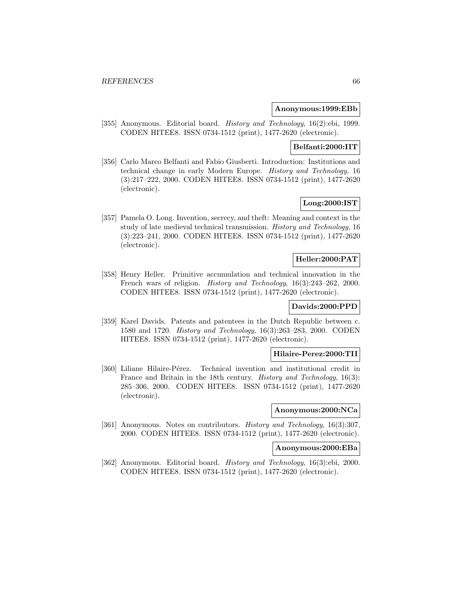#### **Anonymous:1999:EBb**

[355] Anonymous. Editorial board. History and Technology, 16(2):ebi, 1999. CODEN HITEE8. ISSN 0734-1512 (print), 1477-2620 (electronic).

# **Belfanti:2000:IIT**

[356] Carlo Marco Belfanti and Fabio Giusberti. Introduction: Institutions and technical change in early Modern Europe. History and Technology, 16 (3):217–222, 2000. CODEN HITEE8. ISSN 0734-1512 (print), 1477-2620 (electronic).

# **Long:2000:IST**

[357] Pamela O. Long. Invention, secrecy, and theft: Meaning and context in the study of late medieval technical transmission. History and Technology, 16 (3):223–241, 2000. CODEN HITEE8. ISSN 0734-1512 (print), 1477-2620 (electronic).

# **Heller:2000:PAT**

[358] Henry Heller. Primitive accumulation and technical innovation in the French wars of religion. History and Technology, 16(3):243–262, 2000. CODEN HITEE8. ISSN 0734-1512 (print), 1477-2620 (electronic).

# **Davids:2000:PPD**

[359] Karel Davids. Patents and patentees in the Dutch Republic between c. 1580 and 1720. History and Technology, 16(3):263–283, 2000. CODEN HITEE8. ISSN 0734-1512 (print), 1477-2620 (electronic).

#### **Hilaire-Perez:2000:TII**

[360] Liliane Hilaire-Pérez. Technical invention and institutional credit in France and Britain in the 18th century. *History and Technology*, 16(3): 285–306, 2000. CODEN HITEE8. ISSN 0734-1512 (print), 1477-2620 (electronic).

# **Anonymous:2000:NCa**

[361] Anonymous. Notes on contributors. History and Technology, 16(3):307, 2000. CODEN HITEE8. ISSN 0734-1512 (print), 1477-2620 (electronic).

# **Anonymous:2000:EBa**

[362] Anonymous. Editorial board. History and Technology, 16(3):ebi, 2000. CODEN HITEE8. ISSN 0734-1512 (print), 1477-2620 (electronic).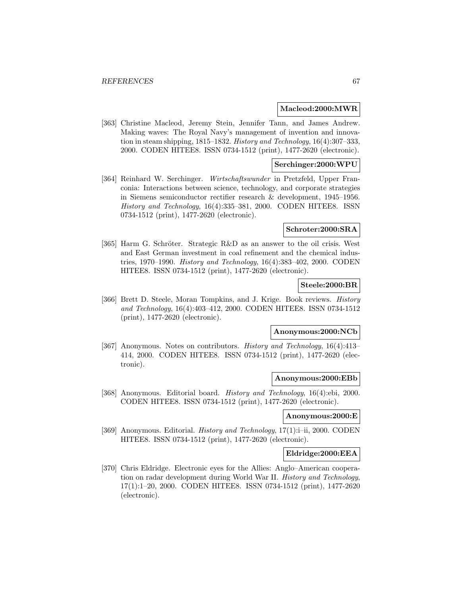#### **Macleod:2000:MWR**

[363] Christine Macleod, Jeremy Stein, Jennifer Tann, and James Andrew. Making waves: The Royal Navy's management of invention and innovation in steam shipping, 1815–1832. History and Technology, 16(4):307–333, 2000. CODEN HITEE8. ISSN 0734-1512 (print), 1477-2620 (electronic).

#### **Serchinger:2000:WPU**

[364] Reinhard W. Serchinger. Wirtschaftswunder in Pretzfeld, Upper Franconia: Interactions between science, technology, and corporate strategies in Siemens semiconductor rectifier research & development, 1945–1956. History and Technology, 16(4):335–381, 2000. CODEN HITEE8. ISSN 0734-1512 (print), 1477-2620 (electronic).

## **Schroter:2000:SRA**

[365] Harm G. Schröter. Strategic R&D as an answer to the oil crisis. West and East German investment in coal refinement and the chemical industries, 1970–1990. History and Technology, 16(4):383–402, 2000. CODEN HITEE8. ISSN 0734-1512 (print), 1477-2620 (electronic).

# **Steele:2000:BR**

[366] Brett D. Steele, Moran Tompkins, and J. Krige. Book reviews. *History* and Technology, 16(4):403–412, 2000. CODEN HITEE8. ISSN 0734-1512 (print), 1477-2620 (electronic).

#### **Anonymous:2000:NCb**

[367] Anonymous. Notes on contributors. History and Technology, 16(4):413– 414, 2000. CODEN HITEE8. ISSN 0734-1512 (print), 1477-2620 (electronic).

#### **Anonymous:2000:EBb**

[368] Anonymous. Editorial board. History and Technology, 16(4):ebi, 2000. CODEN HITEE8. ISSN 0734-1512 (print), 1477-2620 (electronic).

# **Anonymous:2000:E**

[369] Anonymous. Editorial. *History and Technology*, 17(1):i-ii, 2000. CODEN HITEE8. ISSN 0734-1512 (print), 1477-2620 (electronic).

#### **Eldridge:2000:EEA**

[370] Chris Eldridge. Electronic eyes for the Allies: Anglo–American cooperation on radar development during World War II. History and Technology, 17(1):1–20, 2000. CODEN HITEE8. ISSN 0734-1512 (print), 1477-2620 (electronic).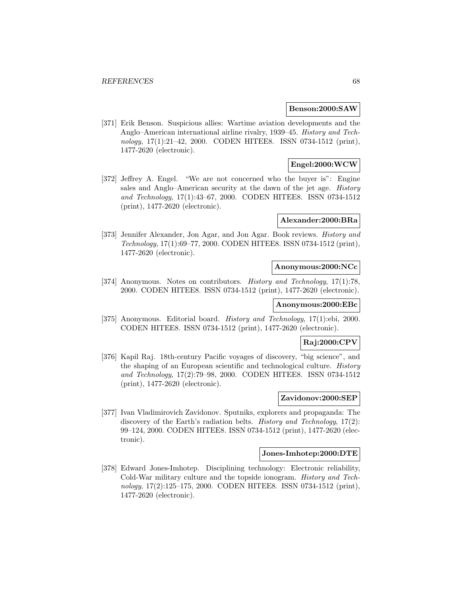#### **Benson:2000:SAW**

[371] Erik Benson. Suspicious allies: Wartime aviation developments and the Anglo–American international airline rivalry, 1939–45. History and Technology, 17(1):21-42, 2000. CODEN HITEE8. ISSN 0734-1512 (print), 1477-2620 (electronic).

# **Engel:2000:WCW**

[372] Jeffrey A. Engel. "We are not concerned who the buyer is": Engine sales and Anglo–American security at the dawn of the jet age. History and Technology, 17(1):43–67, 2000. CODEN HITEE8. ISSN 0734-1512 (print), 1477-2620 (electronic).

#### **Alexander:2000:BRa**

[373] Jennifer Alexander, Jon Agar, and Jon Agar. Book reviews. *History and* Technology, 17(1):69–77, 2000. CODEN HITEE8. ISSN 0734-1512 (print), 1477-2620 (electronic).

## **Anonymous:2000:NCc**

[374] Anonymous. Notes on contributors. History and Technology, 17(1):78, 2000. CODEN HITEE8. ISSN 0734-1512 (print), 1477-2620 (electronic).

## **Anonymous:2000:EBc**

[375] Anonymous. Editorial board. History and Technology, 17(1):ebi, 2000. CODEN HITEE8. ISSN 0734-1512 (print), 1477-2620 (electronic).

## **Raj:2000:CPV**

[376] Kapil Raj. 18th-century Pacific voyages of discovery, "big science", and the shaping of an European scientific and technological culture. History and Technology, 17(2):79–98, 2000. CODEN HITEE8. ISSN 0734-1512 (print), 1477-2620 (electronic).

#### **Zavidonov:2000:SEP**

[377] Ivan Vladimirovich Zavidonov. Sputniks, explorers and propaganda: The discovery of the Earth's radiation belts. History and Technology, 17(2): 99–124, 2000. CODEN HITEE8. ISSN 0734-1512 (print), 1477-2620 (electronic).

#### **Jones-Imhotep:2000:DTE**

[378] Edward Jones-Imhotep. Disciplining technology: Electronic reliability, Cold-War military culture and the topside ionogram. History and Technology, 17(2):125–175, 2000. CODEN HITEE8. ISSN 0734-1512 (print), 1477-2620 (electronic).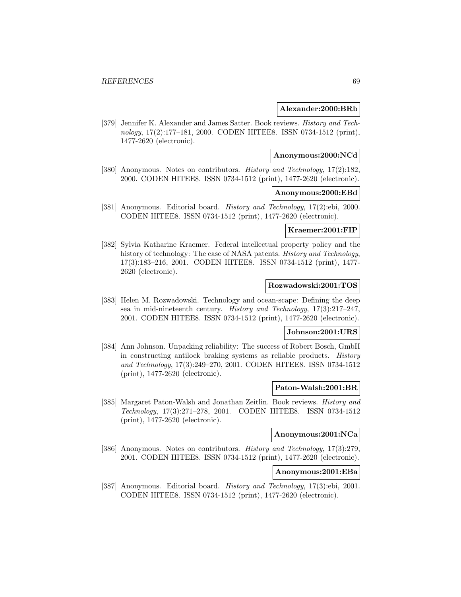#### **Alexander:2000:BRb**

[379] Jennifer K. Alexander and James Satter. Book reviews. History and Technology, 17(2):177–181, 2000. CODEN HITEE8. ISSN 0734-1512 (print), 1477-2620 (electronic).

#### **Anonymous:2000:NCd**

[380] Anonymous. Notes on contributors. History and Technology, 17(2):182, 2000. CODEN HITEE8. ISSN 0734-1512 (print), 1477-2620 (electronic).

#### **Anonymous:2000:EBd**

[381] Anonymous. Editorial board. History and Technology, 17(2):ebi, 2000. CODEN HITEE8. ISSN 0734-1512 (print), 1477-2620 (electronic).

### **Kraemer:2001:FIP**

[382] Sylvia Katharine Kraemer. Federal intellectual property policy and the history of technology: The case of NASA patents. *History and Technology*, 17(3):183–216, 2001. CODEN HITEE8. ISSN 0734-1512 (print), 1477- 2620 (electronic).

#### **Rozwadowski:2001:TOS**

[383] Helen M. Rozwadowski. Technology and ocean-scape: Defining the deep sea in mid-nineteenth century. History and Technology, 17(3):217–247, 2001. CODEN HITEE8. ISSN 0734-1512 (print), 1477-2620 (electronic).

#### **Johnson:2001:URS**

[384] Ann Johnson. Unpacking reliability: The success of Robert Bosch, GmbH in constructing antilock braking systems as reliable products. History and Technology, 17(3):249–270, 2001. CODEN HITEE8. ISSN 0734-1512 (print), 1477-2620 (electronic).

#### **Paton-Walsh:2001:BR**

[385] Margaret Paton-Walsh and Jonathan Zeitlin. Book reviews. History and Technology, 17(3):271–278, 2001. CODEN HITEE8. ISSN 0734-1512 (print), 1477-2620 (electronic).

# **Anonymous:2001:NCa**

[386] Anonymous. Notes on contributors. History and Technology, 17(3):279, 2001. CODEN HITEE8. ISSN 0734-1512 (print), 1477-2620 (electronic).

# **Anonymous:2001:EBa**

[387] Anonymous. Editorial board. History and Technology, 17(3):ebi, 2001. CODEN HITEE8. ISSN 0734-1512 (print), 1477-2620 (electronic).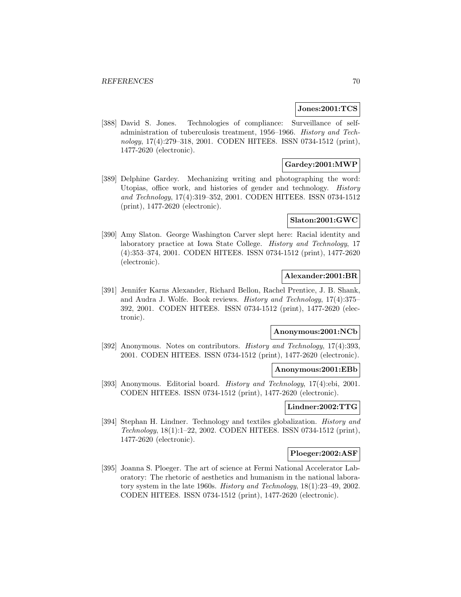#### **Jones:2001:TCS**

[388] David S. Jones. Technologies of compliance: Surveillance of selfadministration of tuberculosis treatment, 1956–1966. History and Technology, 17(4):279–318, 2001. CODEN HITEE8. ISSN 0734-1512 (print), 1477-2620 (electronic).

# **Gardey:2001:MWP**

[389] Delphine Gardey. Mechanizing writing and photographing the word: Utopias, office work, and histories of gender and technology. History and Technology, 17(4):319–352, 2001. CODEN HITEE8. ISSN 0734-1512 (print), 1477-2620 (electronic).

### **Slaton:2001:GWC**

[390] Amy Slaton. George Washington Carver slept here: Racial identity and laboratory practice at Iowa State College. History and Technology, 17 (4):353–374, 2001. CODEN HITEE8. ISSN 0734-1512 (print), 1477-2620 (electronic).

#### **Alexander:2001:BR**

[391] Jennifer Karns Alexander, Richard Bellon, Rachel Prentice, J. B. Shank, and Audra J. Wolfe. Book reviews. History and Technology, 17(4):375– 392, 2001. CODEN HITEE8. ISSN 0734-1512 (print), 1477-2620 (electronic).

#### **Anonymous:2001:NCb**

[392] Anonymous. Notes on contributors. History and Technology, 17(4):393, 2001. CODEN HITEE8. ISSN 0734-1512 (print), 1477-2620 (electronic).

#### **Anonymous:2001:EBb**

[393] Anonymous. Editorial board. History and Technology, 17(4):ebi, 2001. CODEN HITEE8. ISSN 0734-1512 (print), 1477-2620 (electronic).

#### **Lindner:2002:TTG**

[394] Stephan H. Lindner. Technology and textiles globalization. History and Technology, 18(1):1–22, 2002. CODEN HITEE8. ISSN 0734-1512 (print), 1477-2620 (electronic).

#### **Ploeger:2002:ASF**

[395] Joanna S. Ploeger. The art of science at Fermi National Accelerator Laboratory: The rhetoric of aesthetics and humanism in the national laboratory system in the late 1960s. History and Technology, 18(1):23–49, 2002. CODEN HITEE8. ISSN 0734-1512 (print), 1477-2620 (electronic).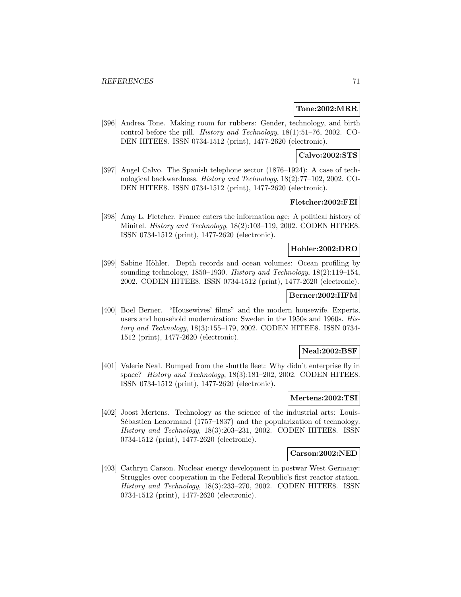### **Tone:2002:MRR**

[396] Andrea Tone. Making room for rubbers: Gender, technology, and birth control before the pill. History and Technology, 18(1):51–76, 2002. CO-DEN HITEE8. ISSN 0734-1512 (print), 1477-2620 (electronic).

## **Calvo:2002:STS**

[397] Angel Calvo. The Spanish telephone sector (1876–1924): A case of technological backwardness. History and Technology, 18(2):77–102, 2002. CO-DEN HITEE8. ISSN 0734-1512 (print), 1477-2620 (electronic).

# **Fletcher:2002:FEI**

[398] Amy L. Fletcher. France enters the information age: A political history of Minitel. *History and Technology*, 18(2):103–119, 2002. CODEN HITEE8. ISSN 0734-1512 (print), 1477-2620 (electronic).

# **Hohler:2002:DRO**

[399] Sabine Höhler. Depth records and ocean volumes: Ocean profiling by sounding technology, 1850–1930. History and Technology, 18(2):119–154, 2002. CODEN HITEE8. ISSN 0734-1512 (print), 1477-2620 (electronic).

## **Berner:2002:HFM**

[400] Boel Berner. "Housewives' films" and the modern housewife. Experts, users and household modernization: Sweden in the 1950s and 1960s. History and Technology, 18(3):155–179, 2002. CODEN HITEE8. ISSN 0734- 1512 (print), 1477-2620 (electronic).

## **Neal:2002:BSF**

[401] Valerie Neal. Bumped from the shuttle fleet: Why didn't enterprise fly in space? History and Technology, 18(3):181-202, 2002. CODEN HITEE8. ISSN 0734-1512 (print), 1477-2620 (electronic).

# **Mertens:2002:TSI**

[402] Joost Mertens. Technology as the science of the industrial arts: Louis-Sébastien Lenormand  $(1757-1837)$  and the popularization of technology. History and Technology, 18(3):203–231, 2002. CODEN HITEE8. ISSN 0734-1512 (print), 1477-2620 (electronic).

#### **Carson:2002:NED**

[403] Cathryn Carson. Nuclear energy development in postwar West Germany: Struggles over cooperation in the Federal Republic's first reactor station. History and Technology, 18(3):233–270, 2002. CODEN HITEE8. ISSN 0734-1512 (print), 1477-2620 (electronic).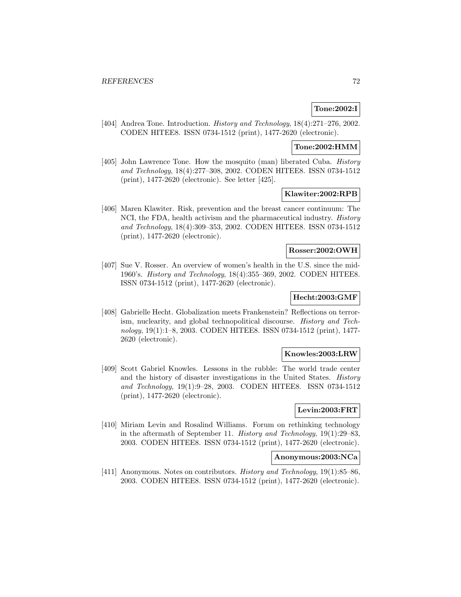# **Tone:2002:I**

[404] Andrea Tone. Introduction. History and Technology, 18(4):271–276, 2002. CODEN HITEE8. ISSN 0734-1512 (print), 1477-2620 (electronic).

# **Tone:2002:HMM**

[405] John Lawrence Tone. How the mosquito (man) liberated Cuba. History and Technology, 18(4):277–308, 2002. CODEN HITEE8. ISSN 0734-1512 (print), 1477-2620 (electronic). See letter [425].

## **Klawiter:2002:RPB**

[406] Maren Klawiter. Risk, prevention and the breast cancer continuum: The NCI, the FDA, health activism and the pharmaceutical industry. *History* and Technology, 18(4):309–353, 2002. CODEN HITEE8. ISSN 0734-1512 (print), 1477-2620 (electronic).

# **Rosser:2002:OWH**

[407] Sue V. Rosser. An overview of women's health in the U.S. since the mid-1960's. History and Technology, 18(4):355–369, 2002. CODEN HITEE8. ISSN 0734-1512 (print), 1477-2620 (electronic).

# **Hecht:2003:GMF**

[408] Gabrielle Hecht. Globalization meets Frankenstein? Reflections on terrorism, nuclearity, and global technopolitical discourse. History and Technology, 19(1):1–8, 2003. CODEN HITEE8. ISSN 0734-1512 (print), 1477- 2620 (electronic).

#### **Knowles:2003:LRW**

[409] Scott Gabriel Knowles. Lessons in the rubble: The world trade center and the history of disaster investigations in the United States. History and Technology, 19(1):9–28, 2003. CODEN HITEE8. ISSN 0734-1512 (print), 1477-2620 (electronic).

# **Levin:2003:FRT**

[410] Miriam Levin and Rosalind Williams. Forum on rethinking technology in the aftermath of September 11. History and Technology, 19(1):29–83, 2003. CODEN HITEE8. ISSN 0734-1512 (print), 1477-2620 (electronic).

#### **Anonymous:2003:NCa**

[411] Anonymous. Notes on contributors. History and Technology, 19(1):85–86, 2003. CODEN HITEE8. ISSN 0734-1512 (print), 1477-2620 (electronic).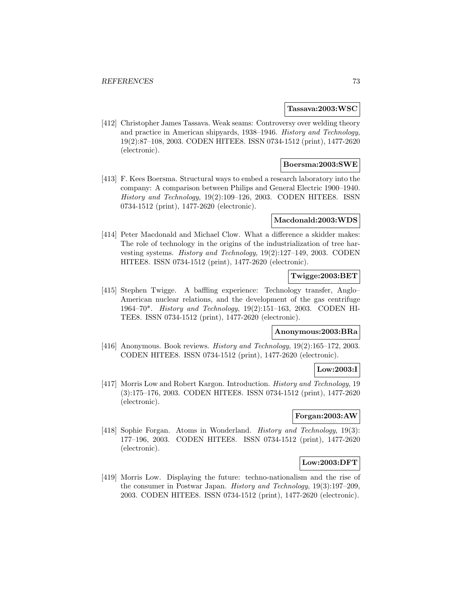### **Tassava:2003:WSC**

[412] Christopher James Tassava. Weak seams: Controversy over welding theory and practice in American shipyards, 1938–1946. History and Technology, 19(2):87–108, 2003. CODEN HITEE8. ISSN 0734-1512 (print), 1477-2620 (electronic).

## **Boersma:2003:SWE**

[413] F. Kees Boersma. Structural ways to embed a research laboratory into the company: A comparison between Philips and General Electric 1900–1940. History and Technology, 19(2):109–126, 2003. CODEN HITEE8. ISSN 0734-1512 (print), 1477-2620 (electronic).

### **Macdonald:2003:WDS**

[414] Peter Macdonald and Michael Clow. What a difference a skidder makes: The role of technology in the origins of the industrialization of tree harvesting systems. History and Technology, 19(2):127–149, 2003. CODEN HITEE8. ISSN 0734-1512 (print), 1477-2620 (electronic).

## **Twigge:2003:BET**

[415] Stephen Twigge. A baffling experience: Technology transfer, Anglo– American nuclear relations, and the development of the gas centrifuge 1964–70\*. History and Technology, 19(2):151–163, 2003. CODEN HI-TEE8. ISSN 0734-1512 (print), 1477-2620 (electronic).

### **Anonymous:2003:BRa**

[416] Anonymous. Book reviews. History and Technology, 19(2):165-172, 2003. CODEN HITEE8. ISSN 0734-1512 (print), 1477-2620 (electronic).

### **Low:2003:I**

[417] Morris Low and Robert Kargon. Introduction. History and Technology, 19 (3):175–176, 2003. CODEN HITEE8. ISSN 0734-1512 (print), 1477-2620 (electronic).

## **Forgan:2003:AW**

[418] Sophie Forgan. Atoms in Wonderland. *History and Technology*, 19(3): 177–196, 2003. CODEN HITEE8. ISSN 0734-1512 (print), 1477-2620 (electronic).

## **Low:2003:DFT**

[419] Morris Low. Displaying the future: techno-nationalism and the rise of the consumer in Postwar Japan. History and Technology, 19(3):197–209, 2003. CODEN HITEE8. ISSN 0734-1512 (print), 1477-2620 (electronic).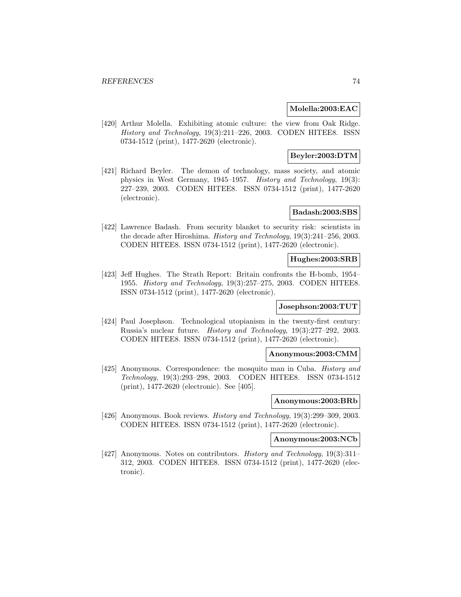### **Molella:2003:EAC**

[420] Arthur Molella. Exhibiting atomic culture: the view from Oak Ridge. History and Technology, 19(3):211–226, 2003. CODEN HITEE8. ISSN 0734-1512 (print), 1477-2620 (electronic).

## **Beyler:2003:DTM**

[421] Richard Beyler. The demon of technology, mass society, and atomic physics in West Germany, 1945–1957. History and Technology, 19(3): 227–239, 2003. CODEN HITEE8. ISSN 0734-1512 (print), 1477-2620 (electronic).

## **Badash:2003:SBS**

[422] Lawrence Badash. From security blanket to security risk: scientists in the decade after Hiroshima. History and Technology, 19(3):241–256, 2003. CODEN HITEE8. ISSN 0734-1512 (print), 1477-2620 (electronic).

## **Hughes:2003:SRB**

[423] Jeff Hughes. The Strath Report: Britain confronts the H-bomb, 1954– 1955. History and Technology, 19(3):257–275, 2003. CODEN HITEE8. ISSN 0734-1512 (print), 1477-2620 (electronic).

### **Josephson:2003:TUT**

[424] Paul Josephson. Technological utopianism in the twenty-first century: Russia's nuclear future. History and Technology, 19(3):277–292, 2003. CODEN HITEE8. ISSN 0734-1512 (print), 1477-2620 (electronic).

#### **Anonymous:2003:CMM**

[425] Anonymous. Correspondence: the mosquito man in Cuba. History and Technology, 19(3):293–298, 2003. CODEN HITEE8. ISSN 0734-1512 (print), 1477-2620 (electronic). See [405].

### **Anonymous:2003:BRb**

[426] Anonymous. Book reviews. *History and Technology*, 19(3):299–309, 2003. CODEN HITEE8. ISSN 0734-1512 (print), 1477-2620 (electronic).

### **Anonymous:2003:NCb**

[427] Anonymous. Notes on contributors. History and Technology, 19(3):311– 312, 2003. CODEN HITEE8. ISSN 0734-1512 (print), 1477-2620 (electronic).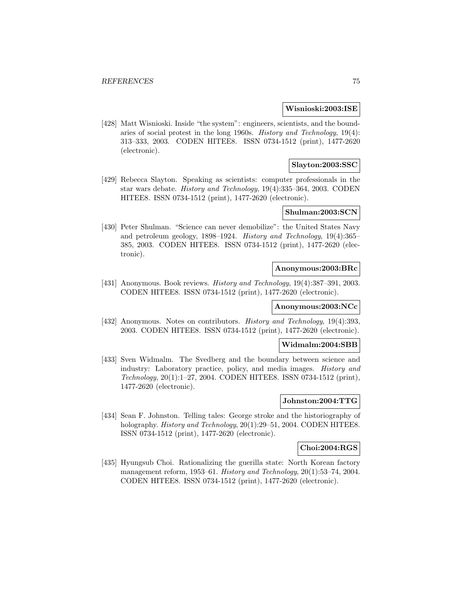### **Wisnioski:2003:ISE**

[428] Matt Wisnioski. Inside "the system": engineers, scientists, and the boundaries of social protest in the long 1960s. History and Technology, 19(4): 313–333, 2003. CODEN HITEE8. ISSN 0734-1512 (print), 1477-2620 (electronic).

## **Slayton:2003:SSC**

[429] Rebecca Slayton. Speaking as scientists: computer professionals in the star wars debate. History and Technology, 19(4):335–364, 2003. CODEN HITEE8. ISSN 0734-1512 (print), 1477-2620 (electronic).

## **Shulman:2003:SCN**

[430] Peter Shulman. "Science can never demobilize": the United States Navy and petroleum geology, 1898–1924. History and Technology, 19(4):365– 385, 2003. CODEN HITEE8. ISSN 0734-1512 (print), 1477-2620 (electronic).

## **Anonymous:2003:BRc**

[431] Anonymous. Book reviews. History and Technology, 19(4):387-391, 2003. CODEN HITEE8. ISSN 0734-1512 (print), 1477-2620 (electronic).

### **Anonymous:2003:NCc**

[432] Anonymous. Notes on contributors. History and Technology, 19(4):393, 2003. CODEN HITEE8. ISSN 0734-1512 (print), 1477-2620 (electronic).

## **Widmalm:2004:SBB**

[433] Sven Widmalm. The Svedberg and the boundary between science and industry: Laboratory practice, policy, and media images. History and Technology, 20(1):1–27, 2004. CODEN HITEE8. ISSN 0734-1512 (print), 1477-2620 (electronic).

# **Johnston:2004:TTG**

[434] Sean F. Johnston. Telling tales: George stroke and the historiography of holography. *History and Technology*, 20(1):29–51, 2004. CODEN HITEE8. ISSN 0734-1512 (print), 1477-2620 (electronic).

### **Choi:2004:RGS**

[435] Hyungsub Choi. Rationalizing the guerilla state: North Korean factory management reform, 1953–61. History and Technology, 20(1):53–74, 2004. CODEN HITEE8. ISSN 0734-1512 (print), 1477-2620 (electronic).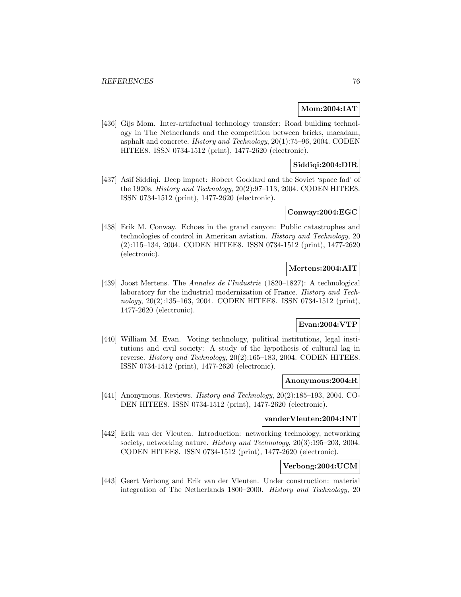## **Mom:2004:IAT**

[436] Gijs Mom. Inter-artifactual technology transfer: Road building technology in The Netherlands and the competition between bricks, macadam, asphalt and concrete. History and Technology, 20(1):75–96, 2004. CODEN HITEE8. ISSN 0734-1512 (print), 1477-2620 (electronic).

## **Siddiqi:2004:DIR**

[437] Asif Siddiqi. Deep impact: Robert Goddard and the Soviet 'space fad' of the 1920s. History and Technology, 20(2):97–113, 2004. CODEN HITEE8. ISSN 0734-1512 (print), 1477-2620 (electronic).

### **Conway:2004:EGC**

[438] Erik M. Conway. Echoes in the grand canyon: Public catastrophes and technologies of control in American aviation. History and Technology, 20 (2):115–134, 2004. CODEN HITEE8. ISSN 0734-1512 (print), 1477-2620 (electronic).

## **Mertens:2004:AIT**

[439] Joost Mertens. The Annales de l'Industrie (1820–1827): A technological laboratory for the industrial modernization of France. History and Technology, 20(2):135–163, 2004. CODEN HITEE8. ISSN 0734-1512 (print), 1477-2620 (electronic).

# **Evan:2004:VTP**

[440] William M. Evan. Voting technology, political institutions, legal institutions and civil society: A study of the hypothesis of cultural lag in reverse. History and Technology, 20(2):165–183, 2004. CODEN HITEE8. ISSN 0734-1512 (print), 1477-2620 (electronic).

#### **Anonymous:2004:R**

[441] Anonymous. Reviews. History and Technology, 20(2):185–193, 2004. CO-DEN HITEE8. ISSN 0734-1512 (print), 1477-2620 (electronic).

### **vanderVleuten:2004:INT**

[442] Erik van der Vleuten. Introduction: networking technology, networking society, networking nature. History and Technology, 20(3):195–203, 2004. CODEN HITEE8. ISSN 0734-1512 (print), 1477-2620 (electronic).

## **Verbong:2004:UCM**

[443] Geert Verbong and Erik van der Vleuten. Under construction: material integration of The Netherlands 1800–2000. History and Technology, 20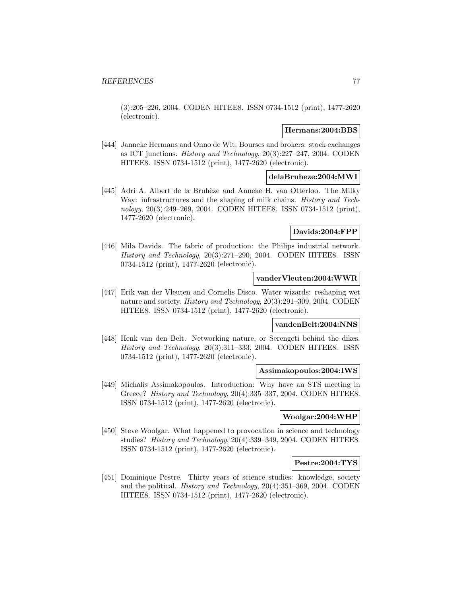(3):205–226, 2004. CODEN HITEE8. ISSN 0734-1512 (print), 1477-2620 (electronic).

### **Hermans:2004:BBS**

[444] Janneke Hermans and Onno de Wit. Bourses and brokers: stock exchanges as ICT junctions. History and Technology, 20(3):227–247, 2004. CODEN HITEE8. ISSN 0734-1512 (print), 1477-2620 (electronic).

## **delaBruheze:2004:MWI**

[445] Adri A. Albert de la Bruhèze and Anneke H. van Otterloo. The Milky Way: infrastructures and the shaping of milk chains. *History and Tech*nology, 20(3):249–269, 2004. CODEN HITEE8. ISSN 0734-1512 (print), 1477-2620 (electronic).

## **Davids:2004:FPP**

[446] Mila Davids. The fabric of production: the Philips industrial network. History and Technology, 20(3):271–290, 2004. CODEN HITEE8. ISSN 0734-1512 (print), 1477-2620 (electronic).

### **vanderVleuten:2004:WWR**

[447] Erik van der Vleuten and Cornelis Disco. Water wizards: reshaping wet nature and society. History and Technology, 20(3):291–309, 2004. CODEN HITEE8. ISSN 0734-1512 (print), 1477-2620 (electronic).

## **vandenBelt:2004:NNS**

[448] Henk van den Belt. Networking nature, or Serengeti behind the dikes. History and Technology, 20(3):311–333, 2004. CODEN HITEE8. ISSN 0734-1512 (print), 1477-2620 (electronic).

#### **Assimakopoulos:2004:IWS**

[449] Michalis Assimakopoulos. Introduction: Why have an STS meeting in Greece? History and Technology, 20(4):335–337, 2004. CODEN HITEE8. ISSN 0734-1512 (print), 1477-2620 (electronic).

### **Woolgar:2004:WHP**

[450] Steve Woolgar. What happened to provocation in science and technology studies? History and Technology, 20(4):339–349, 2004. CODEN HITEE8. ISSN 0734-1512 (print), 1477-2620 (electronic).

### **Pestre:2004:TYS**

[451] Dominique Pestre. Thirty years of science studies: knowledge, society and the political. History and Technology, 20(4):351–369, 2004. CODEN HITEE8. ISSN 0734-1512 (print), 1477-2620 (electronic).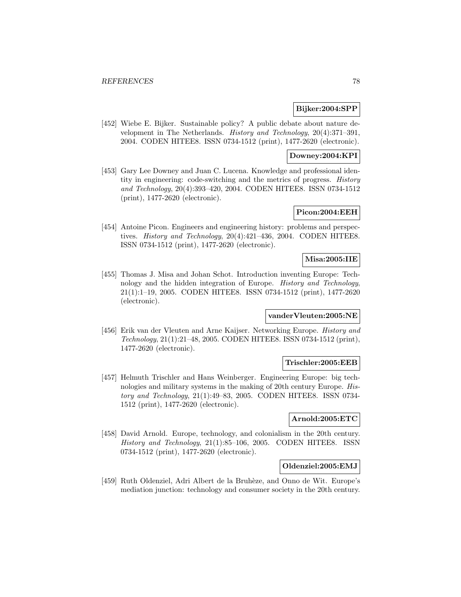### **Bijker:2004:SPP**

[452] Wiebe E. Bijker. Sustainable policy? A public debate about nature development in The Netherlands. History and Technology, 20(4):371–391, 2004. CODEN HITEE8. ISSN 0734-1512 (print), 1477-2620 (electronic).

### **Downey:2004:KPI**

[453] Gary Lee Downey and Juan C. Lucena. Knowledge and professional identity in engineering: code-switching and the metrics of progress. History and Technology, 20(4):393–420, 2004. CODEN HITEE8. ISSN 0734-1512 (print), 1477-2620 (electronic).

### **Picon:2004:EEH**

[454] Antoine Picon. Engineers and engineering history: problems and perspectives. History and Technology, 20(4):421–436, 2004. CODEN HITEE8. ISSN 0734-1512 (print), 1477-2620 (electronic).

## **Misa:2005:IIE**

[455] Thomas J. Misa and Johan Schot. Introduction inventing Europe: Technology and the hidden integration of Europe. History and Technology, 21(1):1–19, 2005. CODEN HITEE8. ISSN 0734-1512 (print), 1477-2620 (electronic).

## **vanderVleuten:2005:NE**

[456] Erik van der Vleuten and Arne Kaijser. Networking Europe. History and Technology, 21(1):21–48, 2005. CODEN HITEE8. ISSN 0734-1512 (print), 1477-2620 (electronic).

### **Trischler:2005:EEB**

[457] Helmuth Trischler and Hans Weinberger. Engineering Europe: big technologies and military systems in the making of 20th century Europe. History and Technology, 21(1):49–83, 2005. CODEN HITEE8. ISSN 0734- 1512 (print), 1477-2620 (electronic).

## **Arnold:2005:ETC**

[458] David Arnold. Europe, technology, and colonialism in the 20th century. History and Technology, 21(1):85–106, 2005. CODEN HITEE8. ISSN 0734-1512 (print), 1477-2620 (electronic).

### **Oldenziel:2005:EMJ**

[459] Ruth Oldenziel, Adri Albert de la Bruhèze, and Onno de Wit. Europe's mediation junction: technology and consumer society in the 20th century.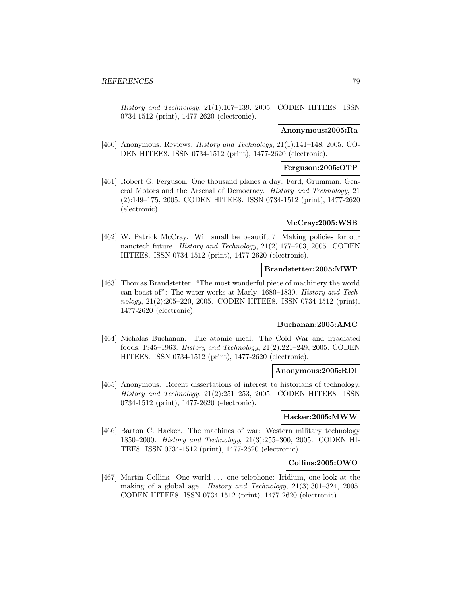History and Technology, 21(1):107–139, 2005. CODEN HITEE8. ISSN 0734-1512 (print), 1477-2620 (electronic).

#### **Anonymous:2005:Ra**

[460] Anonymous. Reviews. *History and Technology*, 21(1):141-148, 2005. CO-DEN HITEE8. ISSN 0734-1512 (print), 1477-2620 (electronic).

#### **Ferguson:2005:OTP**

[461] Robert G. Ferguson. One thousand planes a day: Ford, Grumman, General Motors and the Arsenal of Democracy. History and Technology, 21 (2):149–175, 2005. CODEN HITEE8. ISSN 0734-1512 (print), 1477-2620 (electronic).

## **McCray:2005:WSB**

[462] W. Patrick McCray. Will small be beautiful? Making policies for our nanotech future. History and Technology, 21(2):177–203, 2005. CODEN HITEE8. ISSN 0734-1512 (print), 1477-2620 (electronic).

### **Brandstetter:2005:MWP**

[463] Thomas Brandstetter. "The most wonderful piece of machinery the world can boast of": The water-works at Marly, 1680–1830. History and Technology, 21(2):205–220, 2005. CODEN HITEE8. ISSN 0734-1512 (print), 1477-2620 (electronic).

# **Buchanan:2005:AMC**

[464] Nicholas Buchanan. The atomic meal: The Cold War and irradiated foods, 1945–1963. History and Technology, 21(2):221–249, 2005. CODEN HITEE8. ISSN 0734-1512 (print), 1477-2620 (electronic).

#### **Anonymous:2005:RDI**

[465] Anonymous. Recent dissertations of interest to historians of technology. History and Technology, 21(2):251–253, 2005. CODEN HITEE8. ISSN 0734-1512 (print), 1477-2620 (electronic).

### **Hacker:2005:MWW**

[466] Barton C. Hacker. The machines of war: Western military technology 1850–2000. History and Technology, 21(3):255–300, 2005. CODEN HI-TEE8. ISSN 0734-1512 (print), 1477-2620 (electronic).

### **Collins:2005:OWO**

[467] Martin Collins. One world ... one telephone: Iridium, one look at the making of a global age. History and Technology, 21(3):301–324, 2005. CODEN HITEE8. ISSN 0734-1512 (print), 1477-2620 (electronic).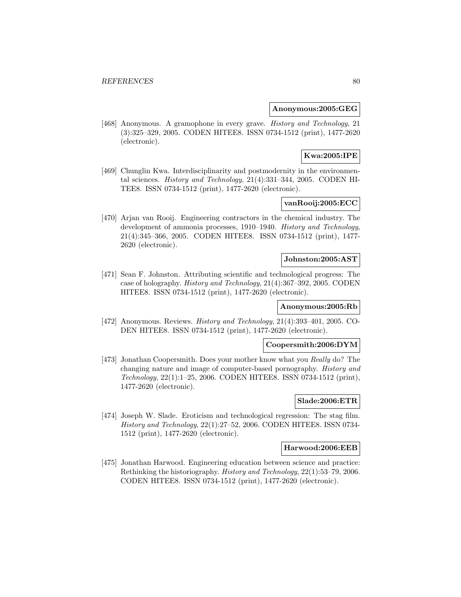### **Anonymous:2005:GEG**

[468] Anonymous. A gramophone in every grave. History and Technology, 21 (3):325–329, 2005. CODEN HITEE8. ISSN 0734-1512 (print), 1477-2620 (electronic).

# **Kwa:2005:IPE**

[469] Chunglin Kwa. Interdisciplinarity and postmodernity in the environmental sciences. History and Technology, 21(4):331–344, 2005. CODEN HI-TEE8. ISSN 0734-1512 (print), 1477-2620 (electronic).

# **vanRooij:2005:ECC**

[470] Arjan van Rooij. Engineering contractors in the chemical industry. The development of ammonia processes, 1910–1940. History and Technology, 21(4):345–366, 2005. CODEN HITEE8. ISSN 0734-1512 (print), 1477- 2620 (electronic).

### **Johnston:2005:AST**

[471] Sean F. Johnston. Attributing scientific and technological progress: The case of holography. History and Technology, 21(4):367–392, 2005. CODEN HITEE8. ISSN 0734-1512 (print), 1477-2620 (electronic).

## **Anonymous:2005:Rb**

[472] Anonymous. Reviews. History and Technology, 21(4):393–401, 2005. CO-DEN HITEE8. ISSN 0734-1512 (print), 1477-2620 (electronic).

## **Coopersmith:2006:DYM**

[473] Jonathan Coopersmith. Does your mother know what you Really do? The changing nature and image of computer-based pornography. History and Technology, 22(1):1–25, 2006. CODEN HITEE8. ISSN 0734-1512 (print), 1477-2620 (electronic).

## **Slade:2006:ETR**

[474] Joseph W. Slade. Eroticism and technological regression: The stag film. History and Technology, 22(1):27–52, 2006. CODEN HITEE8. ISSN 0734- 1512 (print), 1477-2620 (electronic).

## **Harwood:2006:EEB**

[475] Jonathan Harwood. Engineering education between science and practice: Rethinking the historiography. History and Technology, 22(1):53–79, 2006. CODEN HITEE8. ISSN 0734-1512 (print), 1477-2620 (electronic).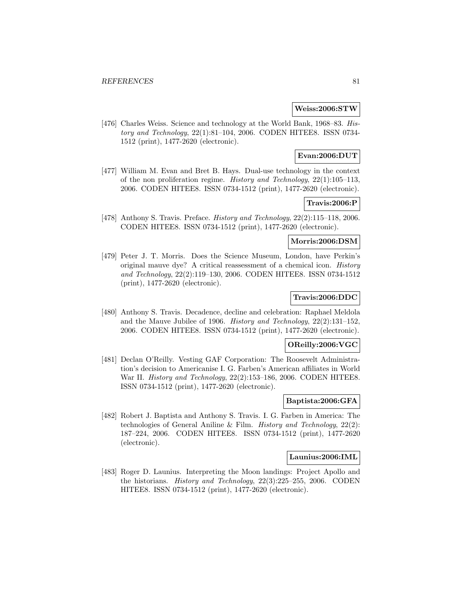### **Weiss:2006:STW**

[476] Charles Weiss. Science and technology at the World Bank, 1968–83. History and Technology, 22(1):81–104, 2006. CODEN HITEE8. ISSN 0734- 1512 (print), 1477-2620 (electronic).

## **Evan:2006:DUT**

[477] William M. Evan and Bret B. Hays. Dual-use technology in the context of the non proliferation regime. History and Technology, 22(1):105–113, 2006. CODEN HITEE8. ISSN 0734-1512 (print), 1477-2620 (electronic).

## **Travis:2006:P**

[478] Anthony S. Travis. Preface. History and Technology, 22(2):115–118, 2006. CODEN HITEE8. ISSN 0734-1512 (print), 1477-2620 (electronic).

## **Morris:2006:DSM**

[479] Peter J. T. Morris. Does the Science Museum, London, have Perkin's original mauve dye? A critical reassessment of a chemical icon. History and Technology, 22(2):119–130, 2006. CODEN HITEE8. ISSN 0734-1512 (print), 1477-2620 (electronic).

## **Travis:2006:DDC**

[480] Anthony S. Travis. Decadence, decline and celebration: Raphael Meldola and the Mauve Jubilee of 1906. History and Technology, 22(2):131–152, 2006. CODEN HITEE8. ISSN 0734-1512 (print), 1477-2620 (electronic).

## **OReilly:2006:VGC**

[481] Declan O'Reilly. Vesting GAF Corporation: The Roosevelt Administration's decision to Americanise I. G. Farben's American affiliates in World War II. History and Technology, 22(2):153–186, 2006. CODEN HITEE8. ISSN 0734-1512 (print), 1477-2620 (electronic).

# **Baptista:2006:GFA**

[482] Robert J. Baptista and Anthony S. Travis. I. G. Farben in America: The technologies of General Aniline & Film. *History and Technology*,  $22(2)$ : 187–224, 2006. CODEN HITEE8. ISSN 0734-1512 (print), 1477-2620 (electronic).

#### **Launius:2006:IML**

[483] Roger D. Launius. Interpreting the Moon landings: Project Apollo and the historians. History and Technology, 22(3):225–255, 2006. CODEN HITEE8. ISSN 0734-1512 (print), 1477-2620 (electronic).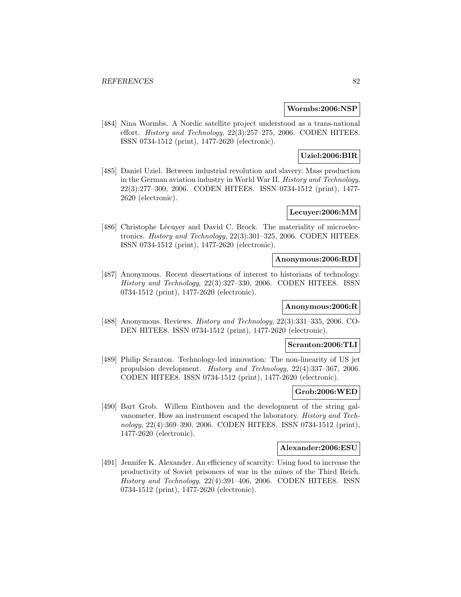### **Wormbs:2006:NSP**

[484] Nina Wormbs. A Nordic satellite project understood as a trans-national effort. History and Technology, 22(3):257–275, 2006. CODEN HITEE8. ISSN 0734-1512 (print), 1477-2620 (electronic).

# **Uziel:2006:BIR**

[485] Daniel Uziel. Between industrial revolution and slavery. Mass production in the German aviation industry in World War II. History and Technology, 22(3):277–300, 2006. CODEN HITEE8. ISSN 0734-1512 (print), 1477- 2620 (electronic).

### **Lecuyer:2006:MM**

[486] Christophe Lécuyer and David C. Brock. The materiality of microelectronics. History and Technology, 22(3):301–325, 2006. CODEN HITEE8. ISSN 0734-1512 (print), 1477-2620 (electronic).

### **Anonymous:2006:RDI**

[487] Anonymous. Recent dissertations of interest to historians of technology. History and Technology, 22(3):327–330, 2006. CODEN HITEE8. ISSN 0734-1512 (print), 1477-2620 (electronic).

## **Anonymous:2006:R**

[488] Anonymous. Reviews. History and Technology, 22(3):331–335, 2006. CO-DEN HITEE8. ISSN 0734-1512 (print), 1477-2620 (electronic).

# **Scranton:2006:TLI**

[489] Philip Scranton. Technology-led innovation: The non-linearity of US jet propulsion development. History and Technology, 22(4):337–367, 2006. CODEN HITEE8. ISSN 0734-1512 (print), 1477-2620 (electronic).

#### **Grob:2006:WED**

[490] Bart Grob. Willem Einthoven and the development of the string galvanometer. How an instrument escaped the laboratory. History and Technology, 22(4):369–390, 2006. CODEN HITEE8. ISSN 0734-1512 (print), 1477-2620 (electronic).

### **Alexander:2006:ESU**

[491] Jennifer K. Alexander. An efficiency of scarcity: Using food to increase the productivity of Soviet prisoners of war in the mines of the Third Reich. History and Technology, 22(4):391–406, 2006. CODEN HITEE8. ISSN 0734-1512 (print), 1477-2620 (electronic).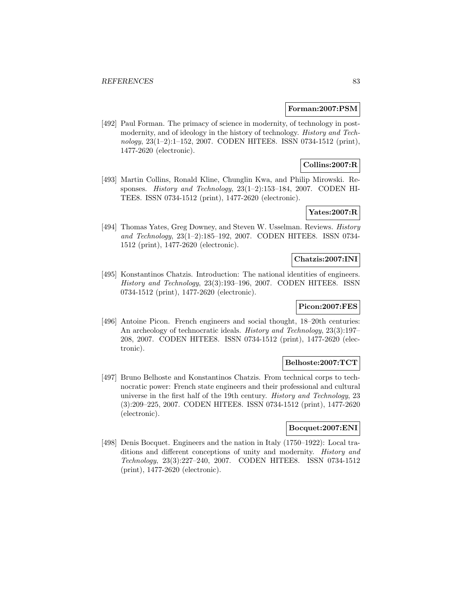### **Forman:2007:PSM**

[492] Paul Forman. The primacy of science in modernity, of technology in postmodernity, and of ideology in the history of technology. History and Technology, 23(1–2):1–152, 2007. CODEN HITEE8. ISSN 0734-1512 (print), 1477-2620 (electronic).

# **Collins:2007:R**

[493] Martin Collins, Ronald Kline, Chunglin Kwa, and Philip Mirowski. Responses. History and Technology, 23(1–2):153–184, 2007. CODEN HI-TEE8. ISSN 0734-1512 (print), 1477-2620 (electronic).

### **Yates:2007:R**

[494] Thomas Yates, Greg Downey, and Steven W. Usselman. Reviews. History and Technology, 23(1–2):185–192, 2007. CODEN HITEE8. ISSN 0734- 1512 (print), 1477-2620 (electronic).

### **Chatzis:2007:INI**

[495] Konstantinos Chatzis. Introduction: The national identities of engineers. History and Technology, 23(3):193–196, 2007. CODEN HITEE8. ISSN 0734-1512 (print), 1477-2620 (electronic).

# **Picon:2007:FES**

[496] Antoine Picon. French engineers and social thought, 18–20th centuries: An archeology of technocratic ideals. History and Technology, 23(3):197– 208, 2007. CODEN HITEE8. ISSN 0734-1512 (print), 1477-2620 (electronic).

## **Belhoste:2007:TCT**

[497] Bruno Belhoste and Konstantinos Chatzis. From technical corps to technocratic power: French state engineers and their professional and cultural universe in the first half of the 19th century. History and Technology, 23 (3):209–225, 2007. CODEN HITEE8. ISSN 0734-1512 (print), 1477-2620 (electronic).

### **Bocquet:2007:ENI**

[498] Denis Bocquet. Engineers and the nation in Italy (1750–1922): Local traditions and different conceptions of unity and modernity. History and Technology, 23(3):227–240, 2007. CODEN HITEE8. ISSN 0734-1512 (print), 1477-2620 (electronic).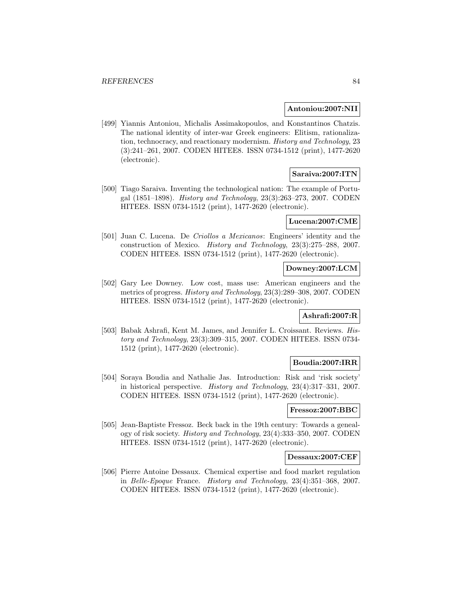#### **Antoniou:2007:NII**

[499] Yiannis Antoniou, Michalis Assimakopoulos, and Konstantinos Chatzis. The national identity of inter-war Greek engineers: Elitism, rationalization, technocracy, and reactionary modernism. History and Technology, 23 (3):241–261, 2007. CODEN HITEE8. ISSN 0734-1512 (print), 1477-2620 (electronic).

## **Saraiva:2007:ITN**

[500] Tiago Saraiva. Inventing the technological nation: The example of Portugal (1851–1898). History and Technology, 23(3):263–273, 2007. CODEN HITEE8. ISSN 0734-1512 (print), 1477-2620 (electronic).

#### **Lucena:2007:CME**

[501] Juan C. Lucena. De Criollos a Mexicanos: Engineers' identity and the construction of Mexico. History and Technology, 23(3):275–288, 2007. CODEN HITEE8. ISSN 0734-1512 (print), 1477-2620 (electronic).

### **Downey:2007:LCM**

[502] Gary Lee Downey. Low cost, mass use: American engineers and the metrics of progress. History and Technology, 23(3):289–308, 2007. CODEN HITEE8. ISSN 0734-1512 (print), 1477-2620 (electronic).

#### **Ashrafi:2007:R**

[503] Babak Ashrafi, Kent M. James, and Jennifer L. Croissant. Reviews. History and Technology, 23(3):309–315, 2007. CODEN HITEE8. ISSN 0734- 1512 (print), 1477-2620 (electronic).

### **Boudia:2007:IRR**

[504] Soraya Boudia and Nathalie Jas. Introduction: Risk and 'risk society' in historical perspective. History and Technology, 23(4):317–331, 2007. CODEN HITEE8. ISSN 0734-1512 (print), 1477-2620 (electronic).

### **Fressoz:2007:BBC**

[505] Jean-Baptiste Fressoz. Beck back in the 19th century: Towards a genealogy of risk society. History and Technology, 23(4):333–350, 2007. CODEN HITEE8. ISSN 0734-1512 (print), 1477-2620 (electronic).

#### **Dessaux:2007:CEF**

[506] Pierre Antoine Dessaux. Chemical expertise and food market regulation in Belle-Epoque France. History and Technology, 23(4):351–368, 2007. CODEN HITEE8. ISSN 0734-1512 (print), 1477-2620 (electronic).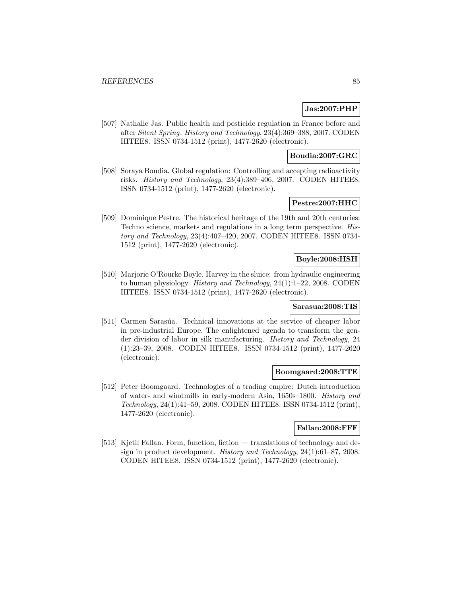## **Jas:2007:PHP**

[507] Nathalie Jas. Public health and pesticide regulation in France before and after Silent Spring. History and Technology, 23(4):369–388, 2007. CODEN HITEE8. ISSN 0734-1512 (print), 1477-2620 (electronic).

### **Boudia:2007:GRC**

[508] Soraya Boudia. Global regulation: Controlling and accepting radioactivity risks. History and Technology, 23(4):389–406, 2007. CODEN HITEE8. ISSN 0734-1512 (print), 1477-2620 (electronic).

## **Pestre:2007:HHC**

[509] Dominique Pestre. The historical heritage of the 19th and 20th centuries: Techno science, markets and regulations in a long term perspective. History and Technology, 23(4):407–420, 2007. CODEN HITEE8. ISSN 0734- 1512 (print), 1477-2620 (electronic).

## **Boyle:2008:HSH**

[510] Marjorie O'Rourke Boyle. Harvey in the sluice: from hydraulic engineering to human physiology. History and Technology, 24(1):1–22, 2008. CODEN HITEE8. ISSN 0734-1512 (print), 1477-2620 (electronic).

## **Sarasua:2008:TIS**

[511] Carmen Sarasúa. Technical innovations at the service of cheaper labor in pre-industrial Europe. The enlightened agenda to transform the gender division of labor in silk manufacturing. History and Technology, 24 (1):23–39, 2008. CODEN HITEE8. ISSN 0734-1512 (print), 1477-2620 (electronic).

#### **Boomgaard:2008:TTE**

[512] Peter Boomgaard. Technologies of a trading empire: Dutch introduction of water- and windmills in early-modern Asia, 1650s–1800. History and Technology, 24(1):41–59, 2008. CODEN HITEE8. ISSN 0734-1512 (print), 1477-2620 (electronic).

## **Fallan:2008:FFF**

[513] Kjetil Fallan. Form, function, fiction — translations of technology and design in product development. History and Technology, 24(1):61–87, 2008. CODEN HITEE8. ISSN 0734-1512 (print), 1477-2620 (electronic).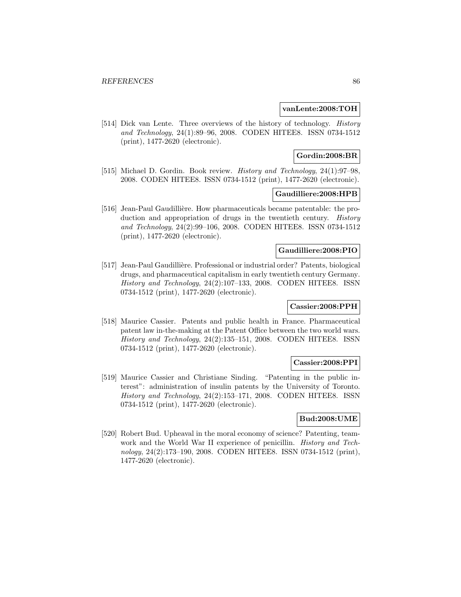### **vanLente:2008:TOH**

[514] Dick van Lente. Three overviews of the history of technology. History and Technology, 24(1):89–96, 2008. CODEN HITEE8. ISSN 0734-1512 (print), 1477-2620 (electronic).

### **Gordin:2008:BR**

[515] Michael D. Gordin. Book review. History and Technology, 24(1):97–98, 2008. CODEN HITEE8. ISSN 0734-1512 (print), 1477-2620 (electronic).

### **Gaudilliere:2008:HPB**

[516] Jean-Paul Gaudillière. How pharmaceuticals became patentable: the production and appropriation of drugs in the twentieth century. *History* and Technology, 24(2):99–106, 2008. CODEN HITEE8. ISSN 0734-1512 (print), 1477-2620 (electronic).

### **Gaudilliere:2008:PIO**

[517] Jean-Paul Gaudillière. Professional or industrial order? Patents, biological drugs, and pharmaceutical capitalism in early twentieth century Germany. History and Technology, 24(2):107–133, 2008. CODEN HITEE8. ISSN 0734-1512 (print), 1477-2620 (electronic).

### **Cassier:2008:PPH**

[518] Maurice Cassier. Patents and public health in France. Pharmaceutical patent law in-the-making at the Patent Office between the two world wars. History and Technology, 24(2):135–151, 2008. CODEN HITEE8. ISSN 0734-1512 (print), 1477-2620 (electronic).

## **Cassier:2008:PPI**

[519] Maurice Cassier and Christiane Sinding. "Patenting in the public interest": administration of insulin patents by the University of Toronto. History and Technology, 24(2):153–171, 2008. CODEN HITEE8. ISSN 0734-1512 (print), 1477-2620 (electronic).

# **Bud:2008:UME**

[520] Robert Bud. Upheaval in the moral economy of science? Patenting, teamwork and the World War II experience of penicillin. *History and Tech*nology, 24(2):173–190, 2008. CODEN HITEE8. ISSN 0734-1512 (print), 1477-2620 (electronic).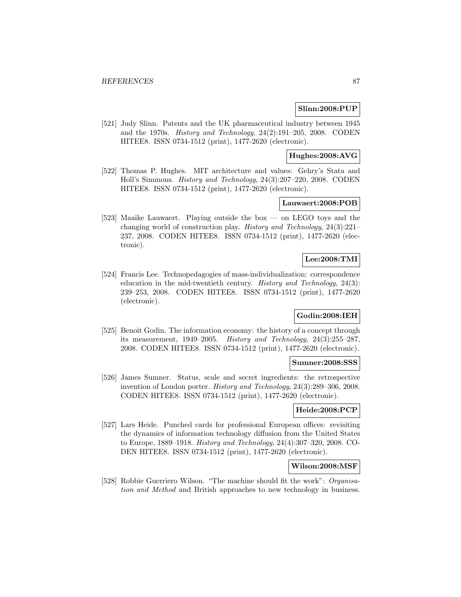### **Slinn:2008:PUP**

[521] Judy Slinn. Patents and the UK pharmaceutical industry between 1945 and the 1970s. History and Technology, 24(2):191–205, 2008. CODEN HITEE8. ISSN 0734-1512 (print), 1477-2620 (electronic).

### **Hughes:2008:AVG**

[522] Thomas P. Hughes. MIT architecture and values: Gehry's Stata and Holl's Simmons. History and Technology, 24(3):207–220, 2008. CODEN HITEE8. ISSN 0734-1512 (print), 1477-2620 (electronic).

### **Lauwaert:2008:POB**

[523] Maaike Lauwaert. Playing outside the box — on LEGO toys and the changing world of construction play. History and Technology, 24(3):221– 237, 2008. CODEN HITEE8. ISSN 0734-1512 (print), 1477-2620 (electronic).

## **Lee:2008:TMI**

[524] Francis Lee. Technopedagogies of mass-individualization: correspondence education in the mid-twentieth century. History and Technology, 24(3): 239–253, 2008. CODEN HITEE8. ISSN 0734-1512 (print), 1477-2620 (electronic).

## **Godin:2008:IEH**

[525] Benoît Godin. The information economy: the history of a concept through its measurement, 1949–2005. History and Technology, 24(3):255–287, 2008. CODEN HITEE8. ISSN 0734-1512 (print), 1477-2620 (electronic).

#### **Sumner:2008:SSS**

[526] James Sumner. Status, scale and secret ingredients: the retrospective invention of London porter. History and Technology, 24(3):289–306, 2008. CODEN HITEE8. ISSN 0734-1512 (print), 1477-2620 (electronic).

### **Heide:2008:PCP**

[527] Lars Heide. Punched cards for professional European offices: revisiting the dynamics of information technology diffusion from the United States to Europe, 1889–1918. History and Technology, 24(4):307–320, 2008. CO-DEN HITEE8. ISSN 0734-1512 (print), 1477-2620 (electronic).

### **Wilson:2008:MSF**

[528] Robbie Guerriero Wilson. "The machine should fit the work": Organisation and Method and British approaches to new technology in business.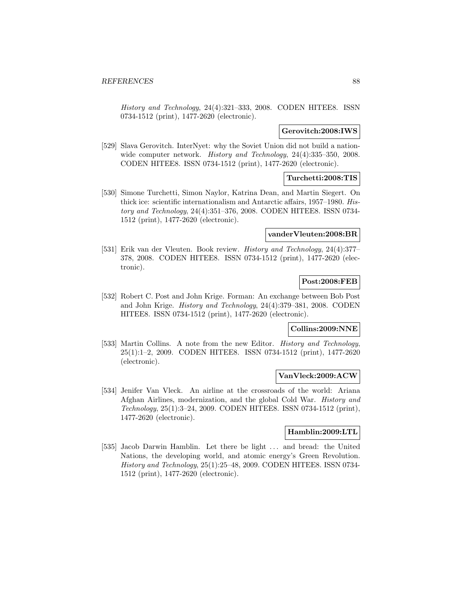History and Technology, 24(4):321–333, 2008. CODEN HITEE8. ISSN 0734-1512 (print), 1477-2620 (electronic).

#### **Gerovitch:2008:IWS**

[529] Slava Gerovitch. InterNyet: why the Soviet Union did not build a nationwide computer network. *History and Technology*, 24(4):335–350, 2008. CODEN HITEE8. ISSN 0734-1512 (print), 1477-2620 (electronic).

## **Turchetti:2008:TIS**

[530] Simone Turchetti, Simon Naylor, Katrina Dean, and Martin Siegert. On thick ice: scientific internationalism and Antarctic affairs, 1957–1980. History and Technology, 24(4):351–376, 2008. CODEN HITEE8. ISSN 0734- 1512 (print), 1477-2620 (electronic).

#### **vanderVleuten:2008:BR**

[531] Erik van der Vleuten. Book review. History and Technology, 24(4):377– 378, 2008. CODEN HITEE8. ISSN 0734-1512 (print), 1477-2620 (electronic).

## **Post:2008:FEB**

[532] Robert C. Post and John Krige. Forman: An exchange between Bob Post and John Krige. History and Technology, 24(4):379–381, 2008. CODEN HITEE8. ISSN 0734-1512 (print), 1477-2620 (electronic).

## **Collins:2009:NNE**

[533] Martin Collins. A note from the new Editor. *History and Technology*, 25(1):1–2, 2009. CODEN HITEE8. ISSN 0734-1512 (print), 1477-2620 (electronic).

### **VanVleck:2009:ACW**

[534] Jenifer Van Vleck. An airline at the crossroads of the world: Ariana Afghan Airlines, modernization, and the global Cold War. History and Technology, 25(1):3–24, 2009. CODEN HITEE8. ISSN 0734-1512 (print), 1477-2620 (electronic).

#### **Hamblin:2009:LTL**

[535] Jacob Darwin Hamblin. Let there be light ... and bread: the United Nations, the developing world, and atomic energy's Green Revolution. History and Technology, 25(1):25–48, 2009. CODEN HITEE8. ISSN 0734- 1512 (print), 1477-2620 (electronic).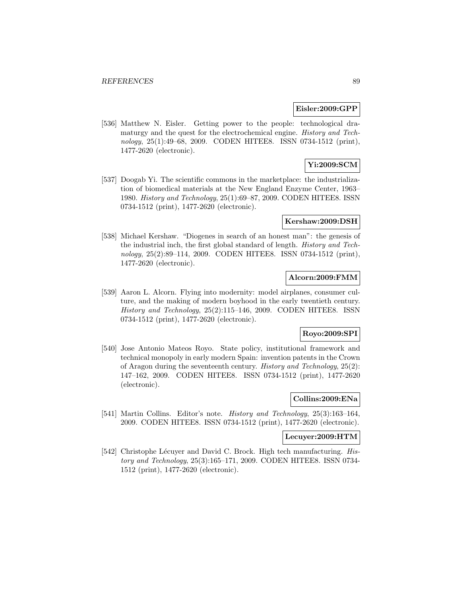### **Eisler:2009:GPP**

[536] Matthew N. Eisler. Getting power to the people: technological dramaturgy and the quest for the electrochemical engine. History and Technology, 25(1):49–68, 2009. CODEN HITEE8. ISSN 0734-1512 (print), 1477-2620 (electronic).

# **Yi:2009:SCM**

[537] Doogab Yi. The scientific commons in the marketplace: the industrialization of biomedical materials at the New England Enzyme Center, 1963– 1980. History and Technology, 25(1):69–87, 2009. CODEN HITEE8. ISSN 0734-1512 (print), 1477-2620 (electronic).

#### **Kershaw:2009:DSH**

[538] Michael Kershaw. "Diogenes in search of an honest man": the genesis of the industrial inch, the first global standard of length. History and Technology, 25(2):89–114, 2009. CODEN HITEE8. ISSN 0734-1512 (print), 1477-2620 (electronic).

# **Alcorn:2009:FMM**

[539] Aaron L. Alcorn. Flying into modernity: model airplanes, consumer culture, and the making of modern boyhood in the early twentieth century. History and Technology, 25(2):115–146, 2009. CODEN HITEE8. ISSN 0734-1512 (print), 1477-2620 (electronic).

### **Royo:2009:SPI**

[540] Jose Antonio Mateos Royo. State policy, institutional framework and technical monopoly in early modern Spain: invention patents in the Crown of Aragon during the seventeenth century. History and Technology, 25(2): 147–162, 2009. CODEN HITEE8. ISSN 0734-1512 (print), 1477-2620 (electronic).

# **Collins:2009:ENa**

[541] Martin Collins. Editor's note. History and Technology, 25(3):163–164, 2009. CODEN HITEE8. ISSN 0734-1512 (print), 1477-2620 (electronic).

### **Lecuyer:2009:HTM**

[542] Christophe Lécuyer and David C. Brock. High tech manufacturing. History and Technology, 25(3):165–171, 2009. CODEN HITEE8. ISSN 0734- 1512 (print), 1477-2620 (electronic).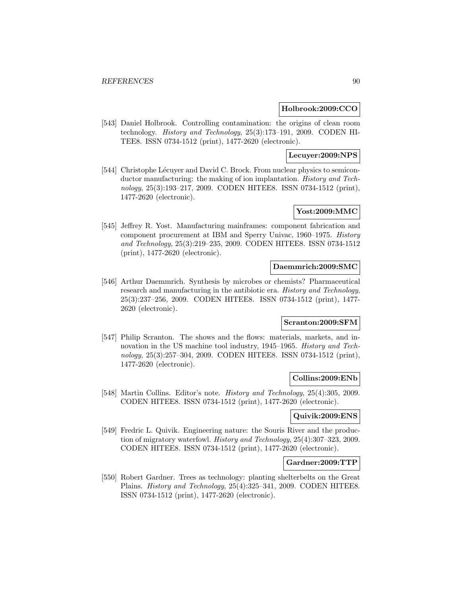### **Holbrook:2009:CCO**

[543] Daniel Holbrook. Controlling contamination: the origins of clean room technology. History and Technology, 25(3):173–191, 2009. CODEN HI-TEE8. ISSN 0734-1512 (print), 1477-2620 (electronic).

### **Lecuyer:2009:NPS**

[544] Christophe Lécuyer and David C. Brock. From nuclear physics to semiconductor manufacturing: the making of ion implantation. History and Technology, 25(3):193–217, 2009. CODEN HITEE8. ISSN 0734-1512 (print), 1477-2620 (electronic).

# **Yost:2009:MMC**

[545] Jeffrey R. Yost. Manufacturing mainframes: component fabrication and component procurement at IBM and Sperry Univac, 1960–1975. History and Technology, 25(3):219–235, 2009. CODEN HITEE8. ISSN 0734-1512 (print), 1477-2620 (electronic).

## **Daemmrich:2009:SMC**

[546] Arthur Daemmrich. Synthesis by microbes or chemists? Pharmaceutical research and manufacturing in the antibiotic era. History and Technology, 25(3):237–256, 2009. CODEN HITEE8. ISSN 0734-1512 (print), 1477- 2620 (electronic).

## **Scranton:2009:SFM**

[547] Philip Scranton. The shows and the flows: materials, markets, and innovation in the US machine tool industry, 1945–1965. History and Technology, 25(3):257–304, 2009. CODEN HITEE8. ISSN 0734-1512 (print), 1477-2620 (electronic).

#### **Collins:2009:ENb**

[548] Martin Collins. Editor's note. History and Technology, 25(4):305, 2009. CODEN HITEE8. ISSN 0734-1512 (print), 1477-2620 (electronic).

## **Quivik:2009:ENS**

[549] Fredric L. Quivik. Engineering nature: the Souris River and the production of migratory waterfowl. History and Technology, 25(4):307–323, 2009. CODEN HITEE8. ISSN 0734-1512 (print), 1477-2620 (electronic).

### **Gardner:2009:TTP**

[550] Robert Gardner. Trees as technology: planting shelterbelts on the Great Plains. History and Technology, 25(4):325–341, 2009. CODEN HITEE8. ISSN 0734-1512 (print), 1477-2620 (electronic).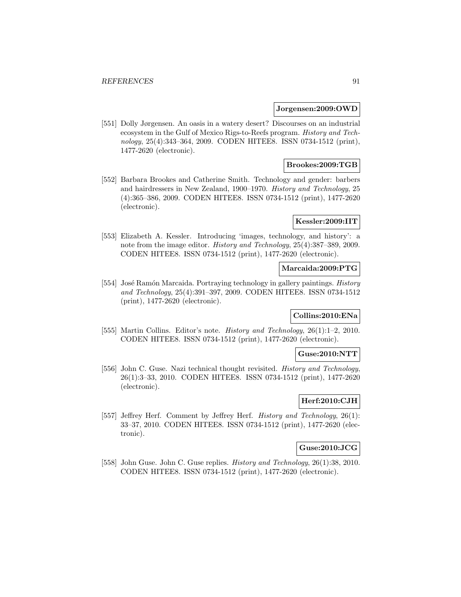#### **Jorgensen:2009:OWD**

[551] Dolly Jørgensen. An oasis in a watery desert? Discourses on an industrial ecosystem in the Gulf of Mexico Rigs-to-Reefs program. History and Technology, 25(4):343–364, 2009. CODEN HITEE8. ISSN 0734-1512 (print), 1477-2620 (electronic).

## **Brookes:2009:TGB**

[552] Barbara Brookes and Catherine Smith. Technology and gender: barbers and hairdressers in New Zealand, 1900–1970. History and Technology, 25 (4):365–386, 2009. CODEN HITEE8. ISSN 0734-1512 (print), 1477-2620 (electronic).

### **Kessler:2009:IIT**

[553] Elizabeth A. Kessler. Introducing 'images, technology, and history': a note from the image editor. History and Technology, 25(4):387–389, 2009. CODEN HITEE8. ISSN 0734-1512 (print), 1477-2620 (electronic).

### **Marcaida:2009:PTG**

[554] José Ramón Marcaida. Portraying technology in gallery paintings. History and Technology, 25(4):391–397, 2009. CODEN HITEE8. ISSN 0734-1512 (print), 1477-2620 (electronic).

#### **Collins:2010:ENa**

[555] Martin Collins. Editor's note. History and Technology, 26(1):1–2, 2010. CODEN HITEE8. ISSN 0734-1512 (print), 1477-2620 (electronic).

### **Guse:2010:NTT**

[556] John C. Guse. Nazi technical thought revisited. History and Technology, 26(1):3–33, 2010. CODEN HITEE8. ISSN 0734-1512 (print), 1477-2620 (electronic).

## **Herf:2010:CJH**

[557] Jeffrey Herf. Comment by Jeffrey Herf. *History and Technology*, 26(1): 33–37, 2010. CODEN HITEE8. ISSN 0734-1512 (print), 1477-2620 (electronic).

# **Guse:2010:JCG**

[558] John Guse. John C. Guse replies. *History and Technology*, 26(1):38, 2010. CODEN HITEE8. ISSN 0734-1512 (print), 1477-2620 (electronic).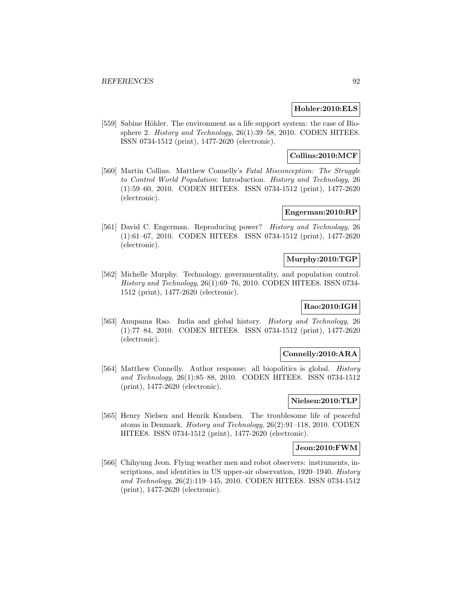## **Hohler:2010:ELS**

[559] Sabine Höhler. The environment as a life support system: the case of Biosphere 2. History and Technology, 26(1):39-58, 2010. CODEN HITEE8. ISSN 0734-1512 (print), 1477-2620 (electronic).

## **Collins:2010:MCF**

[560] Martin Collins. Matthew Connelly's Fatal Misconception: The Struggle to Control World Population: Introduction. History and Technology, 26 (1):59–60, 2010. CODEN HITEE8. ISSN 0734-1512 (print), 1477-2620 (electronic).

## **Engerman:2010:RP**

[561] David C. Engerman. Reproducing power? History and Technology, 26 (1):61–67, 2010. CODEN HITEE8. ISSN 0734-1512 (print), 1477-2620 (electronic).

## **Murphy:2010:TGP**

[562] Michelle Murphy. Technology, governmentality, and population control. History and Technology, 26(1):69–76, 2010. CODEN HITEE8. ISSN 0734- 1512 (print), 1477-2620 (electronic).

# **Rao:2010:IGH**

[563] Anupama Rao. India and global history. History and Technology, 26 (1):77–84, 2010. CODEN HITEE8. ISSN 0734-1512 (print), 1477-2620 (electronic).

### **Connelly:2010:ARA**

[564] Matthew Connelly. Author response: all biopolitics is global. History and Technology, 26(1):85–88, 2010. CODEN HITEE8. ISSN 0734-1512 (print), 1477-2620 (electronic).

## **Nielsen:2010:TLP**

[565] Henry Nielsen and Henrik Knudsen. The troublesome life of peaceful atoms in Denmark. History and Technology, 26(2):91–118, 2010. CODEN HITEE8. ISSN 0734-1512 (print), 1477-2620 (electronic).

# **Jeon:2010:FWM**

[566] Chihyung Jeon. Flying weather men and robot observers: instruments, inscriptions, and identities in US upper-air observation, 1920–1940. History and Technology, 26(2):119–145, 2010. CODEN HITEE8. ISSN 0734-1512 (print), 1477-2620 (electronic).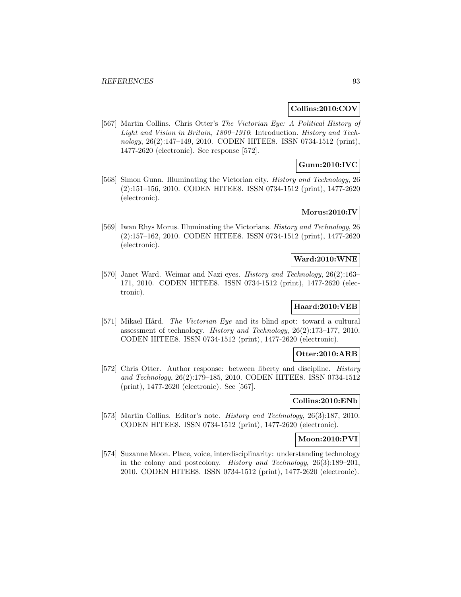### **Collins:2010:COV**

[567] Martin Collins. Chris Otter's The Victorian Eye: A Political History of Light and Vision in Britain, 1800–1910: Introduction. History and Technology, 26(2):147–149, 2010. CODEN HITEE8. ISSN 0734-1512 (print), 1477-2620 (electronic). See response [572].

## **Gunn:2010:IVC**

[568] Simon Gunn. Illuminating the Victorian city. History and Technology, 26 (2):151–156, 2010. CODEN HITEE8. ISSN 0734-1512 (print), 1477-2620 (electronic).

# **Morus:2010:IV**

[569] Iwan Rhys Morus. Illuminating the Victorians. History and Technology, 26 (2):157–162, 2010. CODEN HITEE8. ISSN 0734-1512 (print), 1477-2620 (electronic).

## **Ward:2010:WNE**

[570] Janet Ward. Weimar and Nazi eyes. History and Technology, 26(2):163– 171, 2010. CODEN HITEE8. ISSN 0734-1512 (print), 1477-2620 (electronic).

# **Haard:2010:VEB**

[571] Mikael Hård. *The Victorian Eye* and its blind spot: toward a cultural assessment of technology. History and Technology, 26(2):173–177, 2010. CODEN HITEE8. ISSN 0734-1512 (print), 1477-2620 (electronic).

### **Otter:2010:ARB**

[572] Chris Otter. Author response: between liberty and discipline. *History* and Technology, 26(2):179–185, 2010. CODEN HITEE8. ISSN 0734-1512 (print), 1477-2620 (electronic). See [567].

## **Collins:2010:ENb**

[573] Martin Collins. Editor's note. History and Technology, 26(3):187, 2010. CODEN HITEE8. ISSN 0734-1512 (print), 1477-2620 (electronic).

#### **Moon:2010:PVI**

[574] Suzanne Moon. Place, voice, interdisciplinarity: understanding technology in the colony and postcolony. History and Technology, 26(3):189–201, 2010. CODEN HITEE8. ISSN 0734-1512 (print), 1477-2620 (electronic).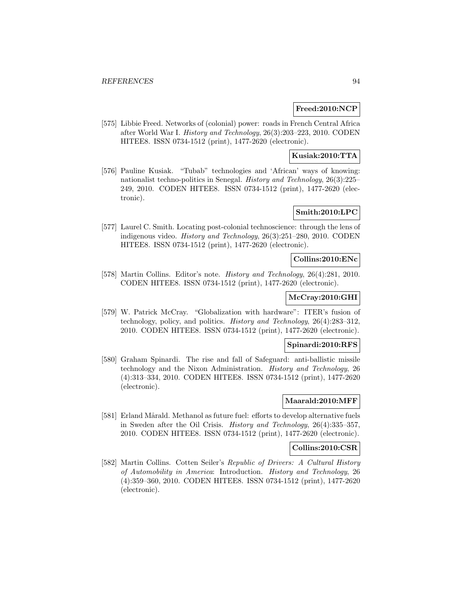## **Freed:2010:NCP**

[575] Libbie Freed. Networks of (colonial) power: roads in French Central Africa after World War I. History and Technology, 26(3):203–223, 2010. CODEN HITEE8. ISSN 0734-1512 (print), 1477-2620 (electronic).

## **Kusiak:2010:TTA**

[576] Pauline Kusiak. "Tubab" technologies and 'African' ways of knowing: nationalist techno-politics in Senegal. History and Technology, 26(3):225– 249, 2010. CODEN HITEE8. ISSN 0734-1512 (print), 1477-2620 (electronic).

# **Smith:2010:LPC**

[577] Laurel C. Smith. Locating post-colonial technoscience: through the lens of indigenous video. History and Technology, 26(3):251–280, 2010. CODEN HITEE8. ISSN 0734-1512 (print), 1477-2620 (electronic).

## **Collins:2010:ENc**

[578] Martin Collins. Editor's note. History and Technology, 26(4):281, 2010. CODEN HITEE8. ISSN 0734-1512 (print), 1477-2620 (electronic).

# **McCray:2010:GHI**

[579] W. Patrick McCray. "Globalization with hardware": ITER's fusion of technology, policy, and politics. History and Technology, 26(4):283–312, 2010. CODEN HITEE8. ISSN 0734-1512 (print), 1477-2620 (electronic).

## **Spinardi:2010:RFS**

[580] Graham Spinardi. The rise and fall of Safeguard: anti-ballistic missile technology and the Nixon Administration. History and Technology, 26 (4):313–334, 2010. CODEN HITEE8. ISSN 0734-1512 (print), 1477-2620 (electronic).

# **Maarald:2010:MFF**

[581] Erland Mårald. Methanol as future fuel: efforts to develop alternative fuels in Sweden after the Oil Crisis. History and Technology, 26(4):335–357, 2010. CODEN HITEE8. ISSN 0734-1512 (print), 1477-2620 (electronic).

# **Collins:2010:CSR**

[582] Martin Collins. Cotten Seiler's Republic of Drivers: A Cultural History of Automobility in America: Introduction. History and Technology, 26 (4):359–360, 2010. CODEN HITEE8. ISSN 0734-1512 (print), 1477-2620 (electronic).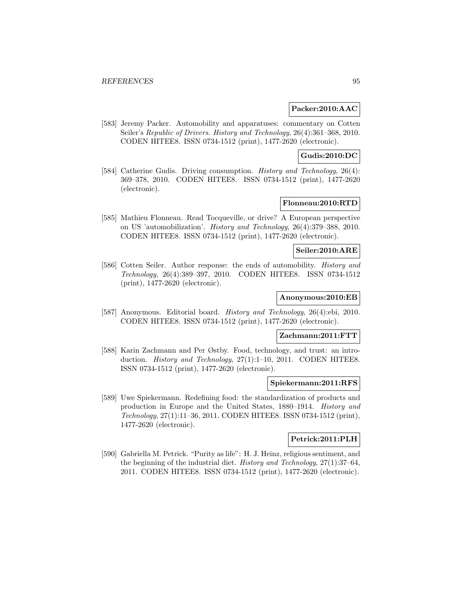### **Packer:2010:AAC**

[583] Jeremy Packer. Automobility and apparatuses: commentary on Cotten Seiler's Republic of Drivers. History and Technology, 26(4):361–368, 2010. CODEN HITEE8. ISSN 0734-1512 (print), 1477-2620 (electronic).

### **Gudis:2010:DC**

[584] Catherine Gudis. Driving consumption. *History and Technology*, 26(4): 369–378, 2010. CODEN HITEE8. ISSN 0734-1512 (print), 1477-2620 (electronic).

## **Flonneau:2010:RTD**

[585] Mathieu Flonneau. Read Tocqueville, or drive? A European perspective on US 'automobilization'. History and Technology, 26(4):379–388, 2010. CODEN HITEE8. ISSN 0734-1512 (print), 1477-2620 (electronic).

### **Seiler:2010:ARE**

[586] Cotten Seiler. Author response: the ends of automobility. History and Technology, 26(4):389–397, 2010. CODEN HITEE8. ISSN 0734-1512 (print), 1477-2620 (electronic).

### **Anonymous:2010:EB**

[587] Anonymous. Editorial board. History and Technology, 26(4):ebi, 2010. CODEN HITEE8. ISSN 0734-1512 (print), 1477-2620 (electronic).

# **Zachmann:2011:FTT**

[588] Karin Zachmann and Per Østby. Food, technology, and trust: an introduction. *History and Technology*, 27(1):1–10, 2011. CODEN HITEE8. ISSN 0734-1512 (print), 1477-2620 (electronic).

#### **Spiekermann:2011:RFS**

[589] Uwe Spiekermann. Redefining food: the standardization of products and production in Europe and the United States, 1880–1914. History and Technology, 27(1):11–36, 2011. CODEN HITEE8. ISSN 0734-1512 (print), 1477-2620 (electronic).

# **Petrick:2011:PLH**

[590] Gabriella M. Petrick. "Purity as life": H. J. Heinz, religious sentiment, and the beginning of the industrial diet. History and Technology, 27(1):37–64, 2011. CODEN HITEE8. ISSN 0734-1512 (print), 1477-2620 (electronic).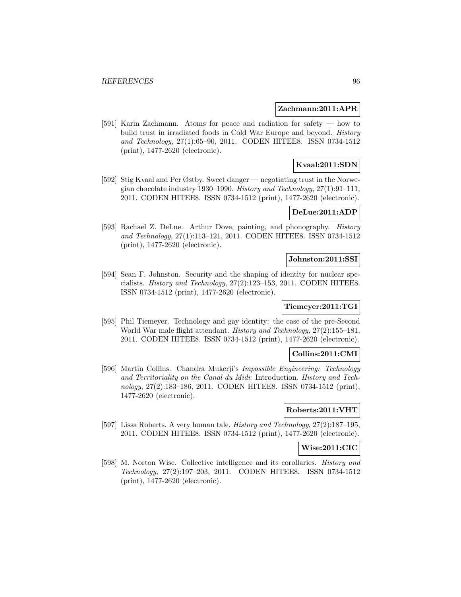### **Zachmann:2011:APR**

[591] Karin Zachmann. Atoms for peace and radiation for safety — how to build trust in irradiated foods in Cold War Europe and beyond. History and Technology, 27(1):65–90, 2011. CODEN HITEE8. ISSN 0734-1512 (print), 1477-2620 (electronic).

## **Kvaal:2011:SDN**

[592] Stig Kvaal and Per Østby. Sweet danger — negotiating trust in the Norwegian chocolate industry 1930–1990. History and Technology, 27(1):91–111, 2011. CODEN HITEE8. ISSN 0734-1512 (print), 1477-2620 (electronic).

### **DeLue:2011:ADP**

[593] Rachael Z. DeLue. Arthur Dove, painting, and phonography. History and Technology, 27(1):113–121, 2011. CODEN HITEE8. ISSN 0734-1512 (print), 1477-2620 (electronic).

#### **Johnston:2011:SSI**

[594] Sean F. Johnston. Security and the shaping of identity for nuclear specialists. History and Technology, 27(2):123–153, 2011. CODEN HITEE8. ISSN 0734-1512 (print), 1477-2620 (electronic).

## **Tiemeyer:2011:TGI**

[595] Phil Tiemeyer. Technology and gay identity: the case of the pre-Second World War male flight attendant. History and Technology, 27(2):155–181, 2011. CODEN HITEE8. ISSN 0734-1512 (print), 1477-2620 (electronic).

### **Collins:2011:CMI**

[596] Martin Collins. Chandra Mukerji's Impossible Engineering: Technology and Territoriality on the Canal du Midi: Introduction. History and Technology, 27(2):183–186, 2011. CODEN HITEE8. ISSN 0734-1512 (print), 1477-2620 (electronic).

## **Roberts:2011:VHT**

[597] Lissa Roberts. A very human tale. History and Technology, 27(2):187–195, 2011. CODEN HITEE8. ISSN 0734-1512 (print), 1477-2620 (electronic).

## **Wise:2011:CIC**

[598] M. Norton Wise. Collective intelligence and its corollaries. History and Technology, 27(2):197–203, 2011. CODEN HITEE8. ISSN 0734-1512 (print), 1477-2620 (electronic).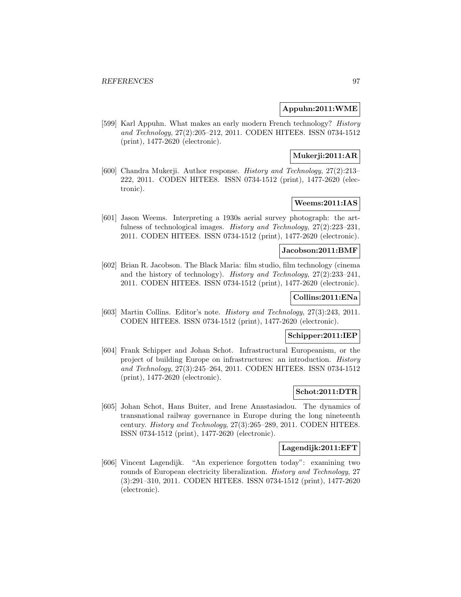## **Appuhn:2011:WME**

[599] Karl Appuhn. What makes an early modern French technology? History and Technology, 27(2):205–212, 2011. CODEN HITEE8. ISSN 0734-1512 (print), 1477-2620 (electronic).

# **Mukerji:2011:AR**

[600] Chandra Mukerji. Author response. History and Technology, 27(2):213– 222, 2011. CODEN HITEE8. ISSN 0734-1512 (print), 1477-2620 (electronic).

## **Weems:2011:IAS**

[601] Jason Weems. Interpreting a 1930s aerial survey photograph: the artfulness of technological images. History and Technology, 27(2):223–231, 2011. CODEN HITEE8. ISSN 0734-1512 (print), 1477-2620 (electronic).

### **Jacobson:2011:BMF**

[602] Brian R. Jacobson. The Black Maria: film studio, film technology (cinema and the history of technology). History and Technology, 27(2):233–241, 2011. CODEN HITEE8. ISSN 0734-1512 (print), 1477-2620 (electronic).

# **Collins:2011:ENa**

[603] Martin Collins. Editor's note. History and Technology, 27(3):243, 2011. CODEN HITEE8. ISSN 0734-1512 (print), 1477-2620 (electronic).

## **Schipper:2011:IEP**

[604] Frank Schipper and Johan Schot. Infrastructural Europeanism, or the project of building Europe on infrastructures: an introduction. History and Technology, 27(3):245–264, 2011. CODEN HITEE8. ISSN 0734-1512 (print), 1477-2620 (electronic).

### **Schot:2011:DTR**

[605] Johan Schot, Hans Buiter, and Irene Anastasiadou. The dynamics of transnational railway governance in Europe during the long nineteenth century. History and Technology, 27(3):265–289, 2011. CODEN HITEE8. ISSN 0734-1512 (print), 1477-2620 (electronic).

### **Lagendijk:2011:EFT**

[606] Vincent Lagendijk. "An experience forgotten today": examining two rounds of European electricity liberalization. History and Technology, 27 (3):291–310, 2011. CODEN HITEE8. ISSN 0734-1512 (print), 1477-2620 (electronic).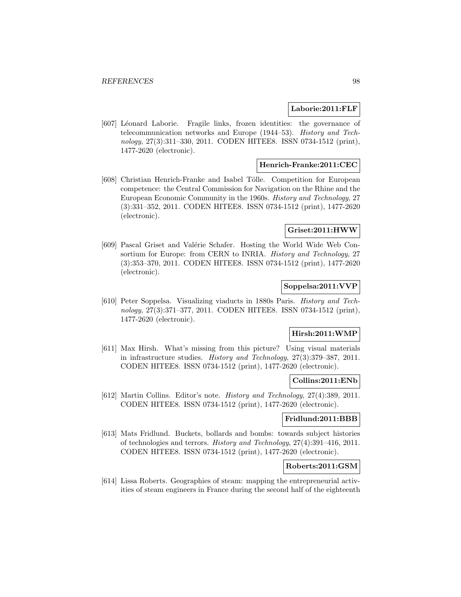### **Laborie:2011:FLF**

[607] Léonard Laborie. Fragile links, frozen identities: the governance of telecommunication networks and Europe (1944–53). History and Technology, 27(3):311–330, 2011. CODEN HITEE8. ISSN 0734-1512 (print), 1477-2620 (electronic).

## **Henrich-Franke:2011:CEC**

[608] Christian Henrich-Franke and Isabel Tölle. Competition for European competence: the Central Commission for Navigation on the Rhine and the European Economic Community in the 1960s. History and Technology, 27 (3):331–352, 2011. CODEN HITEE8. ISSN 0734-1512 (print), 1477-2620 (electronic).

### **Griset:2011:HWW**

[609] Pascal Griset and Valérie Schafer. Hosting the World Wide Web Consortium for Europe: from CERN to INRIA. History and Technology, 27 (3):353–370, 2011. CODEN HITEE8. ISSN 0734-1512 (print), 1477-2620 (electronic).

## **Soppelsa:2011:VVP**

[610] Peter Soppelsa. Visualizing viaducts in 1880s Paris. History and Technology, 27(3):371–377, 2011. CODEN HITEE8. ISSN 0734-1512 (print), 1477-2620 (electronic).

### **Hirsh:2011:WMP**

[611] Max Hirsh. What's missing from this picture? Using visual materials in infrastructure studies. History and Technology, 27(3):379–387, 2011. CODEN HITEE8. ISSN 0734-1512 (print), 1477-2620 (electronic).

### **Collins:2011:ENb**

[612] Martin Collins. Editor's note. History and Technology, 27(4):389, 2011. CODEN HITEE8. ISSN 0734-1512 (print), 1477-2620 (electronic).

#### **Fridlund:2011:BBB**

[613] Mats Fridlund. Buckets, bollards and bombs: towards subject histories of technologies and terrors. History and Technology, 27(4):391–416, 2011. CODEN HITEE8. ISSN 0734-1512 (print), 1477-2620 (electronic).

## **Roberts:2011:GSM**

[614] Lissa Roberts. Geographies of steam: mapping the entrepreneurial activities of steam engineers in France during the second half of the eighteenth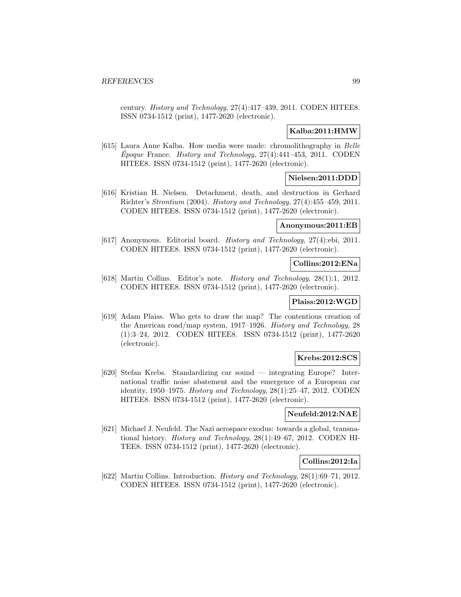century. History and Technology, 27(4):417–439, 2011. CODEN HITEE8. ISSN 0734-1512 (print), 1477-2620 (electronic).

## **Kalba:2011:HMW**

[615] Laura Anne Kalba. How media were made: chromolithography in Belle Epoque France. History and Technology,  $27(4)$ :441–453, 2011. CODEN HITEE8. ISSN 0734-1512 (print), 1477-2620 (electronic).

## **Nielsen:2011:DDD**

[616] Kristian H. Nielsen. Detachment, death, and destruction in Gerhard Richter's Strontium (2004). History and Technology, 27(4):455–459, 2011. CODEN HITEE8. ISSN 0734-1512 (print), 1477-2620 (electronic).

## **Anonymous:2011:EB**

[617] Anonymous. Editorial board. History and Technology, 27(4):ebi, 2011. CODEN HITEE8. ISSN 0734-1512 (print), 1477-2620 (electronic).

## **Collins:2012:ENa**

[618] Martin Collins. Editor's note. History and Technology, 28(1):1, 2012. CODEN HITEE8. ISSN 0734-1512 (print), 1477-2620 (electronic).

### **Plaiss:2012:WGD**

[619] Adam Plaiss. Who gets to draw the map? The contentious creation of the American road/map system, 1917–1926. History and Technology, 28 (1):3–24, 2012. CODEN HITEE8. ISSN 0734-1512 (print), 1477-2620 (electronic).

### **Krebs:2012:SCS**

[620] Stefan Krebs. Standardizing car sound — integrating Europe? International traffic noise abatement and the emergence of a European car identity, 1950–1975. History and Technology, 28(1):25–47, 2012. CODEN HITEE8. ISSN 0734-1512 (print), 1477-2620 (electronic).

### **Neufeld:2012:NAE**

[621] Michael J. Neufeld. The Nazi aerospace exodus: towards a global, transnational history. History and Technology, 28(1):49–67, 2012. CODEN HI-TEE8. ISSN 0734-1512 (print), 1477-2620 (electronic).

#### **Collins:2012:Ia**

[622] Martin Collins. Introduction. History and Technology, 28(1):69–71, 2012. CODEN HITEE8. ISSN 0734-1512 (print), 1477-2620 (electronic).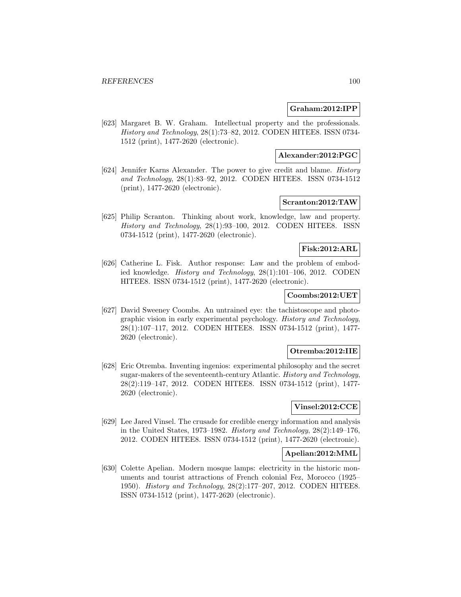### **Graham:2012:IPP**

[623] Margaret B. W. Graham. Intellectual property and the professionals. History and Technology, 28(1):73–82, 2012. CODEN HITEE8. ISSN 0734- 1512 (print), 1477-2620 (electronic).

## **Alexander:2012:PGC**

[624] Jennifer Karns Alexander. The power to give credit and blame. History and Technology, 28(1):83–92, 2012. CODEN HITEE8. ISSN 0734-1512 (print), 1477-2620 (electronic).

# **Scranton:2012:TAW**

[625] Philip Scranton. Thinking about work, knowledge, law and property. History and Technology, 28(1):93–100, 2012. CODEN HITEE8. ISSN 0734-1512 (print), 1477-2620 (electronic).

# **Fisk:2012:ARL**

[626] Catherine L. Fisk. Author response: Law and the problem of embodied knowledge. History and Technology, 28(1):101–106, 2012. CODEN HITEE8. ISSN 0734-1512 (print), 1477-2620 (electronic).

## **Coombs:2012:UET**

[627] David Sweeney Coombs. An untrained eye: the tachistoscope and photographic vision in early experimental psychology. History and Technology, 28(1):107–117, 2012. CODEN HITEE8. ISSN 0734-1512 (print), 1477- 2620 (electronic).

### **Otremba:2012:IIE**

[628] Eric Otremba. Inventing ingenios: experimental philosophy and the secret sugar-makers of the seventeenth-century Atlantic. History and Technology, 28(2):119–147, 2012. CODEN HITEE8. ISSN 0734-1512 (print), 1477- 2620 (electronic).

## **Vinsel:2012:CCE**

[629] Lee Jared Vinsel. The crusade for credible energy information and analysis in the United States, 1973–1982. History and Technology, 28(2):149–176, 2012. CODEN HITEE8. ISSN 0734-1512 (print), 1477-2620 (electronic).

## **Apelian:2012:MML**

[630] Colette Apelian. Modern mosque lamps: electricity in the historic monuments and tourist attractions of French colonial Fez, Morocco (1925– 1950). History and Technology, 28(2):177–207, 2012. CODEN HITEE8. ISSN 0734-1512 (print), 1477-2620 (electronic).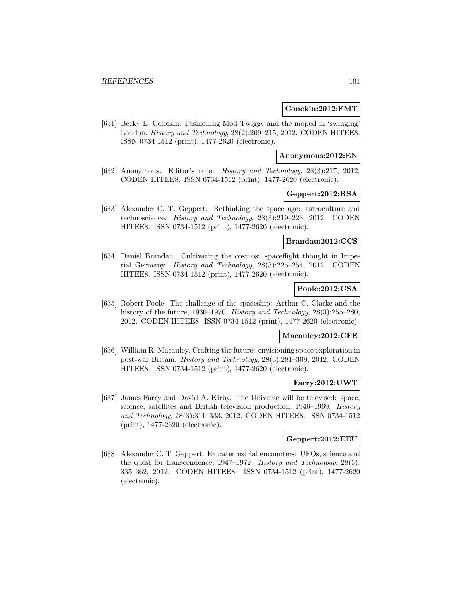### **Conekin:2012:FMT**

[631] Becky E. Conekin. Fashioning Mod Twiggy and the moped in 'swinging' London. History and Technology, 28(2):209–215, 2012. CODEN HITEE8. ISSN 0734-1512 (print), 1477-2620 (electronic).

### **Anonymous:2012:EN**

[632] Anonymous. Editor's note. History and Technology, 28(3):217, 2012. CODEN HITEE8. ISSN 0734-1512 (print), 1477-2620 (electronic).

## **Geppert:2012:RSA**

[633] Alexander C. T. Geppert. Rethinking the space age: astroculture and technoscience. History and Technology, 28(3):219–223, 2012. CODEN HITEE8. ISSN 0734-1512 (print), 1477-2620 (electronic).

### **Brandau:2012:CCS**

[634] Daniel Brandau. Cultivating the cosmos: spaceflight thought in Imperial Germany. History and Technology, 28(3):225–254, 2012. CODEN HITEE8. ISSN 0734-1512 (print), 1477-2620 (electronic).

## **Poole:2012:CSA**

[635] Robert Poole. The challenge of the spaceship: Arthur C. Clarke and the history of the future, 1930–1970. History and Technology, 28(3):255–280, 2012. CODEN HITEE8. ISSN 0734-1512 (print), 1477-2620 (electronic).

## **Macauley:2012:CFE**

[636] William R. Macauley. Crafting the future: envisioning space exploration in post-war Britain. History and Technology, 28(3):281–309, 2012. CODEN HITEE8. ISSN 0734-1512 (print), 1477-2620 (electronic).

### **Farry:2012:UWT**

[637] James Farry and David A. Kirby. The Universe will be televised: space, science, satellites and British television production, 1946–1969. History and Technology, 28(3):311–333, 2012. CODEN HITEE8. ISSN 0734-1512 (print), 1477-2620 (electronic).

# **Geppert:2012:EEU**

[638] Alexander C. T. Geppert. Extraterrestrial encounters: UFOs, science and the quest for transcendence, 1947–1972. History and Technology, 28(3): 335–362, 2012. CODEN HITEE8. ISSN 0734-1512 (print), 1477-2620 (electronic).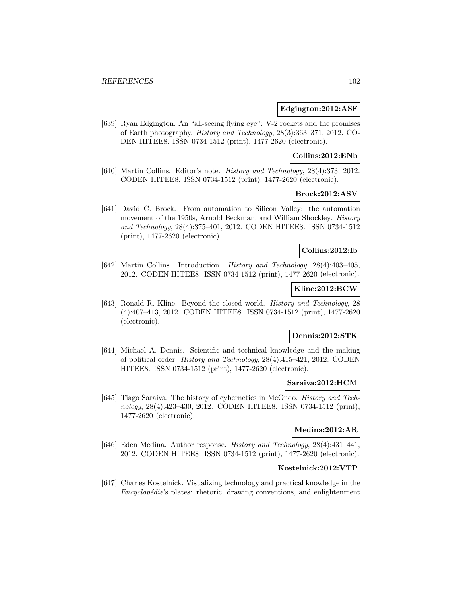### **Edgington:2012:ASF**

[639] Ryan Edgington. An "all-seeing flying eye": V-2 rockets and the promises of Earth photography. History and Technology, 28(3):363–371, 2012. CO-DEN HITEE8. ISSN 0734-1512 (print), 1477-2620 (electronic).

## **Collins:2012:ENb**

[640] Martin Collins. Editor's note. History and Technology, 28(4):373, 2012. CODEN HITEE8. ISSN 0734-1512 (print), 1477-2620 (electronic).

### **Brock:2012:ASV**

[641] David C. Brock. From automation to Silicon Valley: the automation movement of the 1950s, Arnold Beckman, and William Shockley. *History* and Technology, 28(4):375–401, 2012. CODEN HITEE8. ISSN 0734-1512 (print), 1477-2620 (electronic).

### **Collins:2012:Ib**

[642] Martin Collins. Introduction. History and Technology, 28(4):403–405, 2012. CODEN HITEE8. ISSN 0734-1512 (print), 1477-2620 (electronic).

## **Kline:2012:BCW**

[643] Ronald R. Kline. Beyond the closed world. History and Technology, 28 (4):407–413, 2012. CODEN HITEE8. ISSN 0734-1512 (print), 1477-2620 (electronic).

## **Dennis:2012:STK**

[644] Michael A. Dennis. Scientific and technical knowledge and the making of political order. History and Technology, 28(4):415–421, 2012. CODEN HITEE8. ISSN 0734-1512 (print), 1477-2620 (electronic).

#### **Saraiva:2012:HCM**

[645] Tiago Saraiva. The history of cybernetics in McOndo. History and Technology, 28(4):423–430, 2012. CODEN HITEE8. ISSN 0734-1512 (print), 1477-2620 (electronic).

### **Medina:2012:AR**

[646] Eden Medina. Author response. History and Technology, 28(4):431–441, 2012. CODEN HITEE8. ISSN 0734-1512 (print), 1477-2620 (electronic).

## **Kostelnick:2012:VTP**

[647] Charles Kostelnick. Visualizing technology and practical knowledge in the  $Encyclopédie's$  plates: rhetoric, drawing conventions, and enlightenment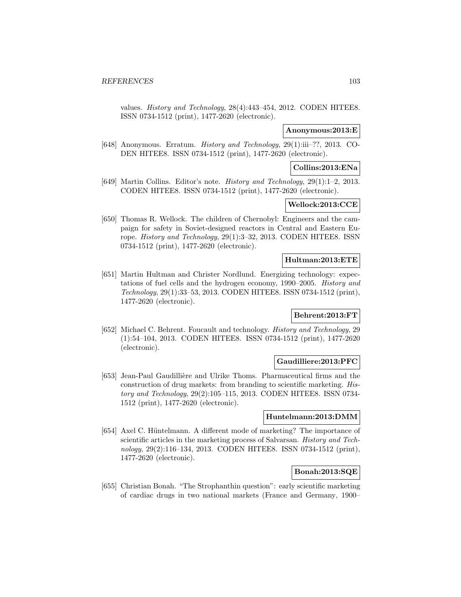values. History and Technology, 28(4):443–454, 2012. CODEN HITEE8. ISSN 0734-1512 (print), 1477-2620 (electronic).

## **Anonymous:2013:E**

[648] Anonymous. Erratum. History and Technology, 29(1):iii–??, 2013. CO-DEN HITEE8. ISSN 0734-1512 (print), 1477-2620 (electronic).

### **Collins:2013:ENa**

[649] Martin Collins. Editor's note. History and Technology, 29(1):1–2, 2013. CODEN HITEE8. ISSN 0734-1512 (print), 1477-2620 (electronic).

## **Wellock:2013:CCE**

[650] Thomas R. Wellock. The children of Chernobyl: Engineers and the campaign for safety in Soviet-designed reactors in Central and Eastern Europe. History and Technology, 29(1):3–32, 2013. CODEN HITEE8. ISSN 0734-1512 (print), 1477-2620 (electronic).

## **Hultman:2013:ETE**

[651] Martin Hultman and Christer Nordlund. Energizing technology: expectations of fuel cells and the hydrogen economy, 1990–2005. History and Technology, 29(1):33–53, 2013. CODEN HITEE8. ISSN 0734-1512 (print), 1477-2620 (electronic).

# **Behrent:2013:FT**

[652] Michael C. Behrent. Foucault and technology. History and Technology, 29 (1):54–104, 2013. CODEN HITEE8. ISSN 0734-1512 (print), 1477-2620 (electronic).

## **Gaudilliere:2013:PFC**

[653] Jean-Paul Gaudillière and Ulrike Thoms. Pharmaceutical firms and the construction of drug markets: from branding to scientific marketing. History and Technology, 29(2):105–115, 2013. CODEN HITEE8. ISSN 0734- 1512 (print), 1477-2620 (electronic).

### **Huntelmann:2013:DMM**

[654] Axel C. Hüntelmann. A different mode of marketing? The importance of scientific articles in the marketing process of Salvarsan. History and Technology, 29(2):116–134, 2013. CODEN HITEE8. ISSN 0734-1512 (print), 1477-2620 (electronic).

# **Bonah:2013:SQE**

[655] Christian Bonah. "The Strophanthin question": early scientific marketing of cardiac drugs in two national markets (France and Germany, 1900–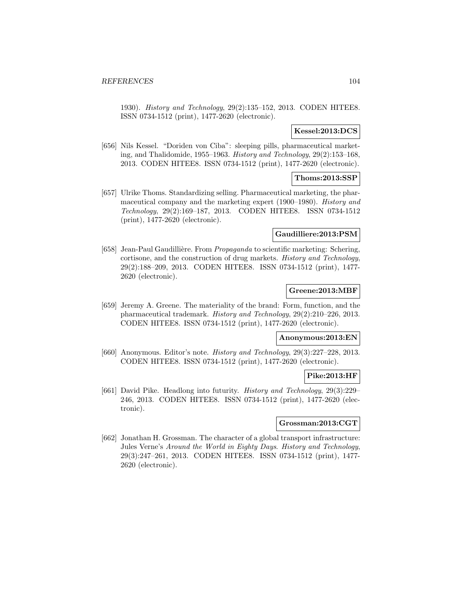1930). History and Technology, 29(2):135–152, 2013. CODEN HITEE8. ISSN 0734-1512 (print), 1477-2620 (electronic).

### **Kessel:2013:DCS**

[656] Nils Kessel. "Doriden von Ciba": sleeping pills, pharmaceutical marketing, and Thalidomide, 1955–1963. History and Technology, 29(2):153–168, 2013. CODEN HITEE8. ISSN 0734-1512 (print), 1477-2620 (electronic).

## **Thoms:2013:SSP**

[657] Ulrike Thoms. Standardizing selling. Pharmaceutical marketing, the pharmaceutical company and the marketing expert (1900–1980). History and Technology, 29(2):169–187, 2013. CODEN HITEE8. ISSN 0734-1512 (print), 1477-2620 (electronic).

#### **Gaudilliere:2013:PSM**

[658] Jean-Paul Gaudillière. From *Propaganda* to scientific marketing: Schering, cortisone, and the construction of drug markets. History and Technology, 29(2):188–209, 2013. CODEN HITEE8. ISSN 0734-1512 (print), 1477- 2620 (electronic).

## **Greene:2013:MBF**

[659] Jeremy A. Greene. The materiality of the brand: Form, function, and the pharmaceutical trademark. History and Technology, 29(2):210–226, 2013. CODEN HITEE8. ISSN 0734-1512 (print), 1477-2620 (electronic).

## **Anonymous:2013:EN**

[660] Anonymous. Editor's note. History and Technology, 29(3):227–228, 2013. CODEN HITEE8. ISSN 0734-1512 (print), 1477-2620 (electronic).

#### **Pike:2013:HF**

[661] David Pike. Headlong into futurity. History and Technology, 29(3):229– 246, 2013. CODEN HITEE8. ISSN 0734-1512 (print), 1477-2620 (electronic).

## **Grossman:2013:CGT**

[662] Jonathan H. Grossman. The character of a global transport infrastructure: Jules Verne's Around the World in Eighty Days. History and Technology, 29(3):247–261, 2013. CODEN HITEE8. ISSN 0734-1512 (print), 1477- 2620 (electronic).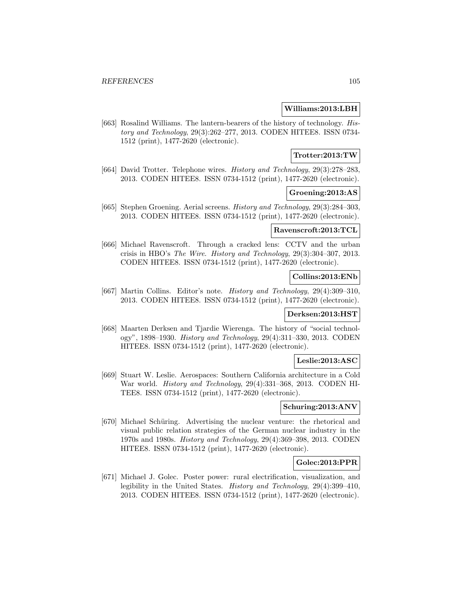### **Williams:2013:LBH**

[663] Rosalind Williams. The lantern-bearers of the history of technology. History and Technology, 29(3):262–277, 2013. CODEN HITEE8. ISSN 0734- 1512 (print), 1477-2620 (electronic).

### **Trotter:2013:TW**

[664] David Trotter. Telephone wires. History and Technology, 29(3):278–283, 2013. CODEN HITEE8. ISSN 0734-1512 (print), 1477-2620 (electronic).

### **Groening:2013:AS**

[665] Stephen Groening. Aerial screens. History and Technology, 29(3):284–303, 2013. CODEN HITEE8. ISSN 0734-1512 (print), 1477-2620 (electronic).

## **Ravenscroft:2013:TCL**

[666] Michael Ravenscroft. Through a cracked lens: CCTV and the urban crisis in HBO's The Wire. History and Technology, 29(3):304–307, 2013. CODEN HITEE8. ISSN 0734-1512 (print), 1477-2620 (electronic).

### **Collins:2013:ENb**

[667] Martin Collins. Editor's note. History and Technology, 29(4):309–310, 2013. CODEN HITEE8. ISSN 0734-1512 (print), 1477-2620 (electronic).

## **Derksen:2013:HST**

[668] Maarten Derksen and Tjardie Wierenga. The history of "social technology", 1898–1930. History and Technology, 29(4):311–330, 2013. CODEN HITEE8. ISSN 0734-1512 (print), 1477-2620 (electronic).

## **Leslie:2013:ASC**

[669] Stuart W. Leslie. Aerospaces: Southern California architecture in a Cold War world. History and Technology, 29(4):331–368, 2013. CODEN HI-TEE8. ISSN 0734-1512 (print), 1477-2620 (electronic).

### **Schuring:2013:ANV**

[670] Michael Schüring. Advertising the nuclear venture: the rhetorical and visual public relation strategies of the German nuclear industry in the 1970s and 1980s. History and Technology, 29(4):369–398, 2013. CODEN HITEE8. ISSN 0734-1512 (print), 1477-2620 (electronic).

### **Golec:2013:PPR**

[671] Michael J. Golec. Poster power: rural electrification, visualization, and legibility in the United States. History and Technology, 29(4):399–410, 2013. CODEN HITEE8. ISSN 0734-1512 (print), 1477-2620 (electronic).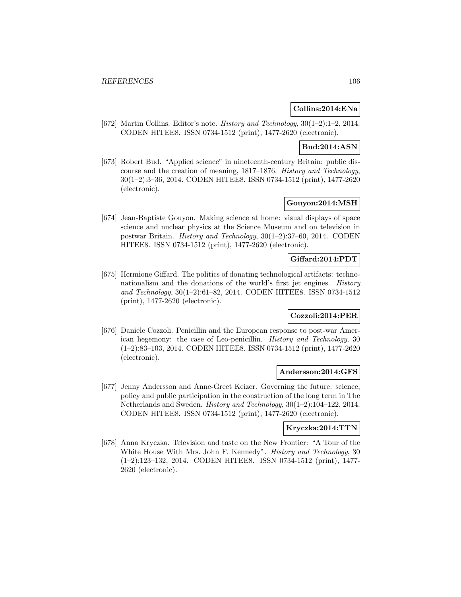### **Collins:2014:ENa**

[672] Martin Collins. Editor's note. History and Technology, 30(1–2):1–2, 2014. CODEN HITEE8. ISSN 0734-1512 (print), 1477-2620 (electronic).

# **Bud:2014:ASN**

[673] Robert Bud. "Applied science" in nineteenth-century Britain: public discourse and the creation of meaning, 1817–1876. History and Technology, 30(1–2):3–36, 2014. CODEN HITEE8. ISSN 0734-1512 (print), 1477-2620 (electronic).

## **Gouyon:2014:MSH**

[674] Jean-Baptiste Gouyon. Making science at home: visual displays of space science and nuclear physics at the Science Museum and on television in postwar Britain. History and Technology, 30(1–2):37–60, 2014. CODEN HITEE8. ISSN 0734-1512 (print), 1477-2620 (electronic).

## **Giffard:2014:PDT**

[675] Hermione Giffard. The politics of donating technological artifacts: technonationalism and the donations of the world's first jet engines. *History* and Technology, 30(1–2):61–82, 2014. CODEN HITEE8. ISSN 0734-1512 (print), 1477-2620 (electronic).

## **Cozzoli:2014:PER**

[676] Daniele Cozzoli. Penicillin and the European response to post-war American hegemony: the case of Leo-penicillin. History and Technology, 30 (1–2):83–103, 2014. CODEN HITEE8. ISSN 0734-1512 (print), 1477-2620 (electronic).

#### **Andersson:2014:GFS**

[677] Jenny Andersson and Anne-Greet Keizer. Governing the future: science, policy and public participation in the construction of the long term in The Netherlands and Sweden. History and Technology, 30(1–2):104–122, 2014. CODEN HITEE8. ISSN 0734-1512 (print), 1477-2620 (electronic).

## **Kryczka:2014:TTN**

[678] Anna Kryczka. Television and taste on the New Frontier: "A Tour of the White House With Mrs. John F. Kennedy". *History and Technology*, 30 (1–2):123–132, 2014. CODEN HITEE8. ISSN 0734-1512 (print), 1477- 2620 (electronic).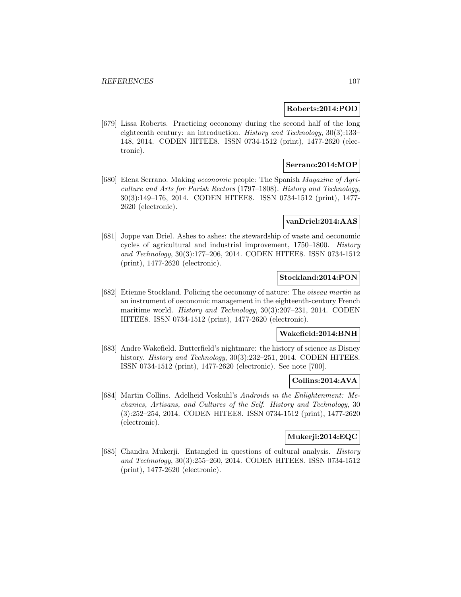### **Roberts:2014:POD**

[679] Lissa Roberts. Practicing oeconomy during the second half of the long eighteenth century: an introduction. History and Technology, 30(3):133– 148, 2014. CODEN HITEE8. ISSN 0734-1512 (print), 1477-2620 (electronic).

# **Serrano:2014:MOP**

[680] Elena Serrano. Making oeconomic people: The Spanish Magazine of Agriculture and Arts for Parish Rectors (1797–1808). History and Technology, 30(3):149–176, 2014. CODEN HITEE8. ISSN 0734-1512 (print), 1477- 2620 (electronic).

### **vanDriel:2014:AAS**

[681] Joppe van Driel. Ashes to ashes: the stewardship of waste and oeconomic cycles of agricultural and industrial improvement, 1750–1800. History and Technology, 30(3):177–206, 2014. CODEN HITEE8. ISSN 0734-1512 (print), 1477-2620 (electronic).

## **Stockland:2014:PON**

[682] Etienne Stockland. Policing the oeconomy of nature: The oiseau martin as an instrument of oeconomic management in the eighteenth-century French maritime world. History and Technology, 30(3):207–231, 2014. CODEN HITEE8. ISSN 0734-1512 (print), 1477-2620 (electronic).

### **Wakefield:2014:BNH**

[683] Andre Wakefield. Butterfield's nightmare: the history of science as Disney history. *History and Technology*, 30(3):232–251, 2014. CODEN HITEE8. ISSN 0734-1512 (print), 1477-2620 (electronic). See note [700].

### **Collins:2014:AVA**

[684] Martin Collins. Adelheid Voskuhl's Androids in the Enlightenment: Mechanics, Artisans, and Cultures of the Self. History and Technology, 30 (3):252–254, 2014. CODEN HITEE8. ISSN 0734-1512 (print), 1477-2620 (electronic).

# **Mukerji:2014:EQC**

[685] Chandra Mukerji. Entangled in questions of cultural analysis. History and Technology, 30(3):255–260, 2014. CODEN HITEE8. ISSN 0734-1512 (print), 1477-2620 (electronic).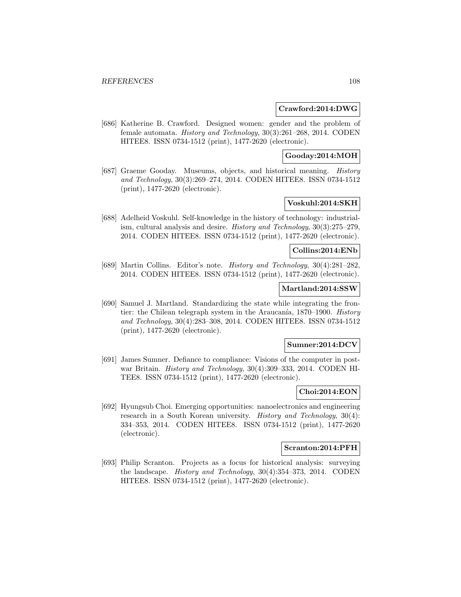### **Crawford:2014:DWG**

[686] Katherine B. Crawford. Designed women: gender and the problem of female automata. History and Technology, 30(3):261–268, 2014. CODEN HITEE8. ISSN 0734-1512 (print), 1477-2620 (electronic).

## **Gooday:2014:MOH**

[687] Graeme Gooday. Museums, objects, and historical meaning. History and Technology, 30(3):269–274, 2014. CODEN HITEE8. ISSN 0734-1512 (print), 1477-2620 (electronic).

## **Voskuhl:2014:SKH**

[688] Adelheid Voskuhl. Self-knowledge in the history of technology: industrialism, cultural analysis and desire. History and Technology, 30(3):275–279, 2014. CODEN HITEE8. ISSN 0734-1512 (print), 1477-2620 (electronic).

## **Collins:2014:ENb**

[689] Martin Collins. Editor's note. History and Technology, 30(4):281–282, 2014. CODEN HITEE8. ISSN 0734-1512 (print), 1477-2620 (electronic).

## **Martland:2014:SSW**

[690] Samuel J. Martland. Standardizing the state while integrating the frontier: the Chilean telegraph system in the Araucanía,  $1870-1900$ . *History* and Technology, 30(4):283–308, 2014. CODEN HITEE8. ISSN 0734-1512 (print), 1477-2620 (electronic).

#### **Sumner:2014:DCV**

[691] James Sumner. Defiance to compliance: Visions of the computer in postwar Britain. History and Technology, 30(4):309–333, 2014. CODEN HI-TEE8. ISSN 0734-1512 (print), 1477-2620 (electronic).

### **Choi:2014:EON**

[692] Hyungsub Choi. Emerging opportunities: nanoelectronics and engineering research in a South Korean university. *History and Technology*, 30(4): 334–353, 2014. CODEN HITEE8. ISSN 0734-1512 (print), 1477-2620 (electronic).

## **Scranton:2014:PFH**

[693] Philip Scranton. Projects as a focus for historical analysis: surveying the landscape. History and Technology, 30(4):354–373, 2014. CODEN HITEE8. ISSN 0734-1512 (print), 1477-2620 (electronic).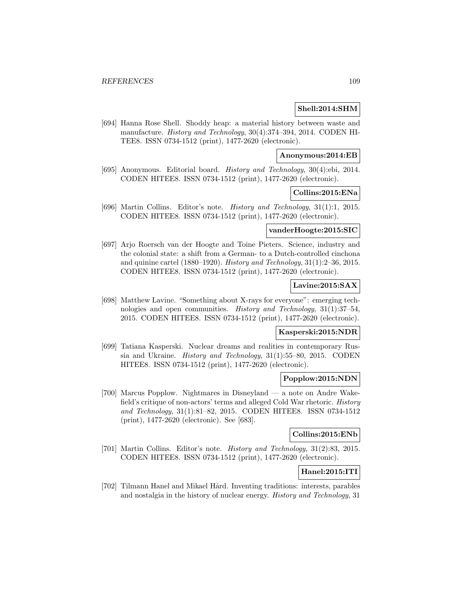### **Shell:2014:SHM**

[694] Hanna Rose Shell. Shoddy heap: a material history between waste and manufacture. History and Technology, 30(4):374–394, 2014. CODEN HI-TEE8. ISSN 0734-1512 (print), 1477-2620 (electronic).

### **Anonymous:2014:EB**

[695] Anonymous. Editorial board. History and Technology, 30(4):ebi, 2014. CODEN HITEE8. ISSN 0734-1512 (print), 1477-2620 (electronic).

### **Collins:2015:ENa**

[696] Martin Collins. Editor's note. History and Technology, 31(1):1, 2015. CODEN HITEE8. ISSN 0734-1512 (print), 1477-2620 (electronic).

#### **vanderHoogte:2015:SIC**

[697] Arjo Roersch van der Hoogte and Toine Pieters. Science, industry and the colonial state: a shift from a German- to a Dutch-controlled cinchona and quinine cartel (1880–1920). History and Technology,  $31(1):2-36$ , 2015. CODEN HITEE8. ISSN 0734-1512 (print), 1477-2620 (electronic).

## **Lavine:2015:SAX**

[698] Matthew Lavine. "Something about X-rays for everyone": emerging technologies and open communities. History and Technology, 31(1):37–54, 2015. CODEN HITEE8. ISSN 0734-1512 (print), 1477-2620 (electronic).

#### **Kasperski:2015:NDR**

[699] Tatiana Kasperski. Nuclear dreams and realities in contemporary Russia and Ukraine. History and Technology, 31(1):55–80, 2015. CODEN HITEE8. ISSN 0734-1512 (print), 1477-2620 (electronic).

### **Popplow:2015:NDN**

[700] Marcus Popplow. Nightmares in Disneyland — a note on Andre Wakefield's critique of non-actors' terms and alleged Cold War rhetoric. History and Technology, 31(1):81–82, 2015. CODEN HITEE8. ISSN 0734-1512 (print), 1477-2620 (electronic). See [683].

### **Collins:2015:ENb**

[701] Martin Collins. Editor's note. History and Technology, 31(2):83, 2015. CODEN HITEE8. ISSN 0734-1512 (print), 1477-2620 (electronic).

## **Hanel:2015:ITI**

[702] Tilmann Hanel and Mikael Hård. Inventing traditions: interests, parables and nostalgia in the history of nuclear energy. History and Technology, 31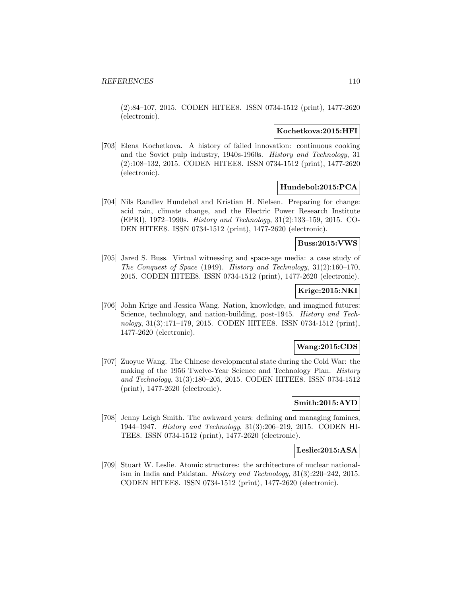(2):84–107, 2015. CODEN HITEE8. ISSN 0734-1512 (print), 1477-2620 (electronic).

### **Kochetkova:2015:HFI**

[703] Elena Kochetkova. A history of failed innovation: continuous cooking and the Soviet pulp industry, 1940s-1960s. History and Technology, 31 (2):108–132, 2015. CODEN HITEE8. ISSN 0734-1512 (print), 1477-2620 (electronic).

## **Hundebol:2015:PCA**

[704] Nils Randlev Hundebøl and Kristian H. Nielsen. Preparing for change: acid rain, climate change, and the Electric Power Research Institute (EPRI), 1972–1990s. History and Technology, 31(2):133–159, 2015. CO-DEN HITEE8. ISSN 0734-1512 (print), 1477-2620 (electronic).

#### **Buss:2015:VWS**

[705] Jared S. Buss. Virtual witnessing and space-age media: a case study of The Conquest of Space (1949). History and Technology, 31(2):160–170, 2015. CODEN HITEE8. ISSN 0734-1512 (print), 1477-2620 (electronic).

## **Krige:2015:NKI**

[706] John Krige and Jessica Wang. Nation, knowledge, and imagined futures: Science, technology, and nation-building, post-1945. *History and Tech*nology, 31(3):171–179, 2015. CODEN HITEE8. ISSN 0734-1512 (print), 1477-2620 (electronic).

## **Wang:2015:CDS**

[707] Zuoyue Wang. The Chinese developmental state during the Cold War: the making of the 1956 Twelve-Year Science and Technology Plan. History and Technology, 31(3):180–205, 2015. CODEN HITEE8. ISSN 0734-1512 (print), 1477-2620 (electronic).

#### **Smith:2015:AYD**

[708] Jenny Leigh Smith. The awkward years: defining and managing famines, 1944–1947. History and Technology, 31(3):206–219, 2015. CODEN HI-TEE8. ISSN 0734-1512 (print), 1477-2620 (electronic).

#### **Leslie:2015:ASA**

[709] Stuart W. Leslie. Atomic structures: the architecture of nuclear nationalism in India and Pakistan. History and Technology, 31(3):220–242, 2015. CODEN HITEE8. ISSN 0734-1512 (print), 1477-2620 (electronic).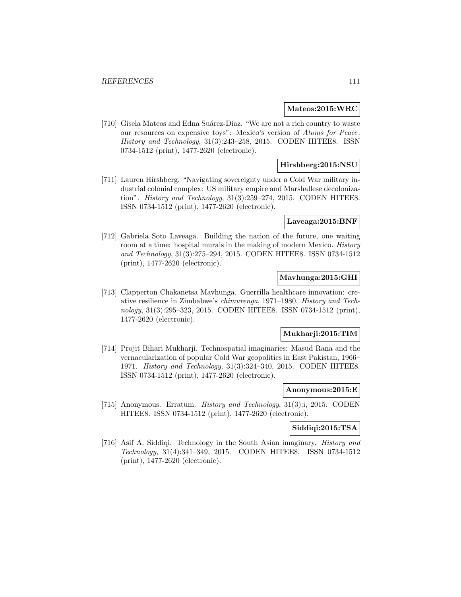### **Mateos:2015:WRC**

[710] Gisela Mateos and Edna Suárez-Díaz. "We are not a rich country to waste our resources on expensive toys": Mexico's version of Atoms for Peace. History and Technology, 31(3):243–258, 2015. CODEN HITEE8. ISSN 0734-1512 (print), 1477-2620 (electronic).

## **Hirshberg:2015:NSU**

[711] Lauren Hirshberg. "Navigating sovereignty under a Cold War military industrial colonial complex: US military empire and Marshallese decolonization". History and Technology, 31(3):259–274, 2015. CODEN HITEE8. ISSN 0734-1512 (print), 1477-2620 (electronic).

#### **Laveaga:2015:BNF**

[712] Gabriela Soto Laveaga. Building the nation of the future, one waiting room at a time: hospital murals in the making of modern Mexico. History and Technology, 31(3):275–294, 2015. CODEN HITEE8. ISSN 0734-1512 (print), 1477-2620 (electronic).

### **Mavhunga:2015:GHI**

[713] Clapperton Chakanetsa Mavhunga. Guerrilla healthcare innovation: creative resilience in Zimbabwe's chimurenga, 1971–1980. History and Technology, 31(3):295–323, 2015. CODEN HITEE8. ISSN 0734-1512 (print), 1477-2620 (electronic).

### **Mukharji:2015:TIM**

[714] Projit Bihari Mukharji. Technospatial imaginaries: Masud Rana and the vernacularization of popular Cold War geopolitics in East Pakistan, 1966– 1971. History and Technology, 31(3):324–340, 2015. CODEN HITEE8. ISSN 0734-1512 (print), 1477-2620 (electronic).

### **Anonymous:2015:E**

[715] Anonymous. Erratum. History and Technology, 31(3):i, 2015. CODEN HITEE8. ISSN 0734-1512 (print), 1477-2620 (electronic).

### **Siddiqi:2015:TSA**

[716] Asif A. Siddiqi. Technology in the South Asian imaginary. *History and* Technology, 31(4):341–349, 2015. CODEN HITEE8. ISSN 0734-1512 (print), 1477-2620 (electronic).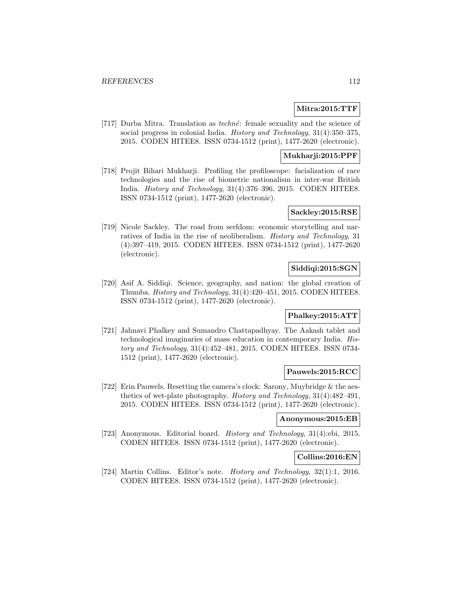### **Mitra:2015:TTF**

[717] Durba Mitra. Translation as *techné*: female sexuality and the science of social progress in colonial India. History and Technology, 31(4):350–375, 2015. CODEN HITEE8. ISSN 0734-1512 (print), 1477-2620 (electronic).

### **Mukharji:2015:PPF**

[718] Projit Bihari Mukharji. Profiling the profiloscope: facialization of race technologies and the rise of biometric nationalism in inter-war British India. History and Technology, 31(4):376–396, 2015. CODEN HITEE8. ISSN 0734-1512 (print), 1477-2620 (electronic).

#### **Sackley:2015:RSE**

[719] Nicole Sackley. The road from serfdom: economic storytelling and narratives of India in the rise of neoliberalism. History and Technology, 31 (4):397–419, 2015. CODEN HITEE8. ISSN 0734-1512 (print), 1477-2620 (electronic).

## **Siddiqi:2015:SGN**

[720] Asif A. Siddiqi. Science, geography, and nation: the global creation of Thumba. History and Technology, 31(4):420–451, 2015. CODEN HITEE8. ISSN 0734-1512 (print), 1477-2620 (electronic).

### **Phalkey:2015:ATT**

[721] Jahnavi Phalkey and Sumandro Chattapadhyay. The Aakash tablet and technological imaginaries of mass education in contemporary India. History and Technology, 31(4):452–481, 2015. CODEN HITEE8. ISSN 0734- 1512 (print), 1477-2620 (electronic).

#### **Pauwels:2015:RCC**

[722] Erin Pauwels. Resetting the camera's clock: Sarony, Muybridge & the aesthetics of wet-plate photography. History and Technology, 31(4):482–491, 2015. CODEN HITEE8. ISSN 0734-1512 (print), 1477-2620 (electronic).

#### **Anonymous:2015:EB**

[723] Anonymous. Editorial board. History and Technology, 31(4):ebi, 2015. CODEN HITEE8. ISSN 0734-1512 (print), 1477-2620 (electronic).

#### **Collins:2016:EN**

[724] Martin Collins. Editor's note. History and Technology, 32(1):1, 2016. CODEN HITEE8. ISSN 0734-1512 (print), 1477-2620 (electronic).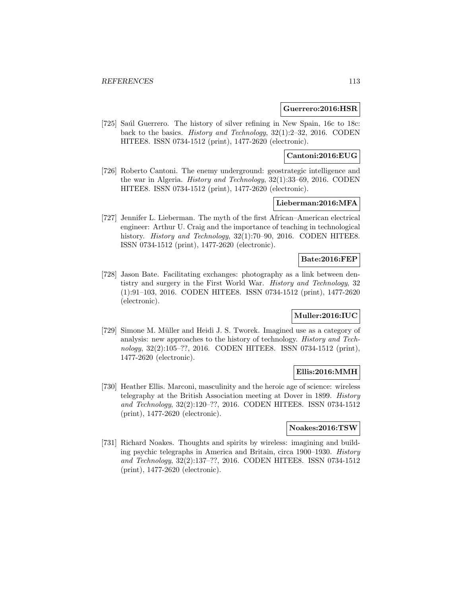#### **Guerrero:2016:HSR**

[725] Saúl Guerrero. The history of silver refining in New Spain, 16c to 18c: back to the basics. History and Technology, 32(1):2–32, 2016. CODEN HITEE8. ISSN 0734-1512 (print), 1477-2620 (electronic).

## **Cantoni:2016:EUG**

[726] Roberto Cantoni. The enemy underground: geostrategic intelligence and the war in Algeria. History and Technology, 32(1):33–69, 2016. CODEN HITEE8. ISSN 0734-1512 (print), 1477-2620 (electronic).

## **Lieberman:2016:MFA**

[727] Jennifer L. Lieberman. The myth of the first African–American electrical engineer: Arthur U. Craig and the importance of teaching in technological history. *History and Technology*, 32(1):70–90, 2016. CODEN HITEE8. ISSN 0734-1512 (print), 1477-2620 (electronic).

### **Bate:2016:FEP**

[728] Jason Bate. Facilitating exchanges: photography as a link between dentistry and surgery in the First World War. History and Technology, 32 (1):91–103, 2016. CODEN HITEE8. ISSN 0734-1512 (print), 1477-2620 (electronic).

## **Muller:2016:IUC**

[729] Simone M. Müller and Heidi J. S. Tworek. Imagined use as a category of analysis: new approaches to the history of technology. History and Technology, 32(2):105–??, 2016. CODEN HITEE8. ISSN 0734-1512 (print), 1477-2620 (electronic).

### **Ellis:2016:MMH**

[730] Heather Ellis. Marconi, masculinity and the heroic age of science: wireless telegraphy at the British Association meeting at Dover in 1899. History and Technology, 32(2):120–??, 2016. CODEN HITEE8. ISSN 0734-1512 (print), 1477-2620 (electronic).

### **Noakes:2016:TSW**

[731] Richard Noakes. Thoughts and spirits by wireless: imagining and building psychic telegraphs in America and Britain, circa 1900–1930. History and Technology, 32(2):137–??, 2016. CODEN HITEE8. ISSN 0734-1512 (print), 1477-2620 (electronic).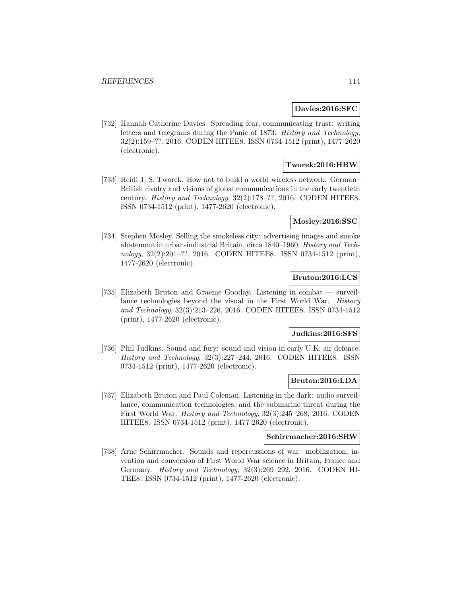#### **Davies:2016:SFC**

[732] Hannah Catherine Davies. Spreading fear, communicating trust: writing letters and telegrams during the Panic of 1873. History and Technology, 32(2):159–??, 2016. CODEN HITEE8. ISSN 0734-1512 (print), 1477-2620 (electronic).

## **Tworek:2016:HBW**

[733] Heidi J. S. Tworek. How not to build a world wireless network: German– British rivalry and visions of global communications in the early twentieth century. History and Technology, 32(2):178–??, 2016. CODEN HITEE8. ISSN 0734-1512 (print), 1477-2620 (electronic).

### **Mosley:2016:SSC**

[734] Stephen Mosley. Selling the smokeless city: advertising images and smoke abatement in urban-industrial Britain, circa 1840–1960. History and Technology, 32(2):201–??, 2016. CODEN HITEE8. ISSN 0734-1512 (print), 1477-2620 (electronic).

## **Bruton:2016:LCS**

[735] Elizabeth Bruton and Graeme Gooday. Listening in combat — surveillance technologies beyond the visual in the First World War. History and Technology, 32(3):213–226, 2016. CODEN HITEE8. ISSN 0734-1512 (print), 1477-2620 (electronic).

#### **Judkins:2016:SFS**

[736] Phil Judkins. Sound and fury: sound and vision in early U.K. air defence. History and Technology, 32(3):227–244, 2016. CODEN HITEE8. ISSN 0734-1512 (print), 1477-2620 (electronic).

### **Bruton:2016:LDA**

[737] Elizabeth Bruton and Paul Coleman. Listening in the dark: audio surveillance, communication technologies, and the submarine threat during the First World War. History and Technology, 32(3):245–268, 2016. CODEN HITEE8. ISSN 0734-1512 (print), 1477-2620 (electronic).

#### **Schirrmacher:2016:SRW**

[738] Arne Schirrmacher. Sounds and repercussions of war: mobilization, invention and conversion of First World War science in Britain, France and Germany. History and Technology, 32(3):269–292, 2016. CODEN HI-TEE8. ISSN 0734-1512 (print), 1477-2620 (electronic).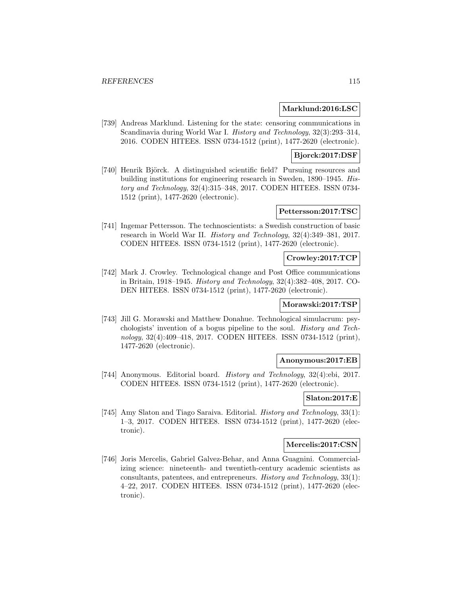#### **Marklund:2016:LSC**

[739] Andreas Marklund. Listening for the state: censoring communications in Scandinavia during World War I. History and Technology, 32(3):293–314, 2016. CODEN HITEE8. ISSN 0734-1512 (print), 1477-2620 (electronic).

## **Bjorck:2017:DSF**

[740] Henrik Björck. A distinguished scientific field? Pursuing resources and building institutions for engineering research in Sweden, 1890–1945. History and Technology, 32(4):315–348, 2017. CODEN HITEE8. ISSN 0734- 1512 (print), 1477-2620 (electronic).

## **Pettersson:2017:TSC**

[741] Ingemar Pettersson. The technoscientists: a Swedish construction of basic research in World War II. History and Technology, 32(4):349–381, 2017. CODEN HITEE8. ISSN 0734-1512 (print), 1477-2620 (electronic).

#### **Crowley:2017:TCP**

[742] Mark J. Crowley. Technological change and Post Office communications in Britain, 1918–1945. History and Technology, 32(4):382–408, 2017. CO-DEN HITEE8. ISSN 0734-1512 (print), 1477-2620 (electronic).

### **Morawski:2017:TSP**

[743] Jill G. Morawski and Matthew Donahue. Technological simulacrum: psychologists' invention of a bogus pipeline to the soul. History and Technology, 32(4):409–418, 2017. CODEN HITEE8. ISSN 0734-1512 (print), 1477-2620 (electronic).

### **Anonymous:2017:EB**

[744] Anonymous. Editorial board. History and Technology, 32(4):ebi, 2017. CODEN HITEE8. ISSN 0734-1512 (print), 1477-2620 (electronic).

## **Slaton:2017:E**

[745] Amy Slaton and Tiago Saraiva. Editorial. History and Technology, 33(1): 1–3, 2017. CODEN HITEE8. ISSN 0734-1512 (print), 1477-2620 (electronic).

#### **Mercelis:2017:CSN**

[746] Joris Mercelis, Gabriel Galvez-Behar, and Anna Guagnini. Commercializing science: nineteenth- and twentieth-century academic scientists as consultants, patentees, and entrepreneurs. History and Technology, 33(1): 4–22, 2017. CODEN HITEE8. ISSN 0734-1512 (print), 1477-2620 (electronic).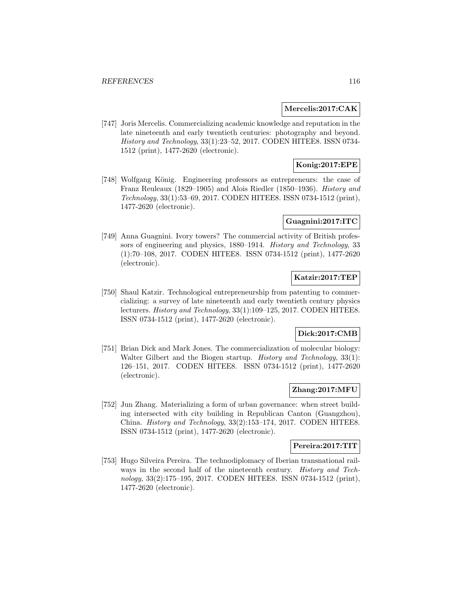#### **Mercelis:2017:CAK**

[747] Joris Mercelis. Commercializing academic knowledge and reputation in the late nineteenth and early twentieth centuries: photography and beyond. History and Technology, 33(1):23–52, 2017. CODEN HITEE8. ISSN 0734- 1512 (print), 1477-2620 (electronic).

# **Konig:2017:EPE**

[748] Wolfgang König. Engineering professors as entrepreneurs: the case of Franz Reuleaux (1829–1905) and Alois Riedler (1850–1936). History and Technology, 33(1):53–69, 2017. CODEN HITEE8. ISSN 0734-1512 (print), 1477-2620 (electronic).

## **Guagnini:2017:ITC**

[749] Anna Guagnini. Ivory towers? The commercial activity of British professors of engineering and physics, 1880–1914. History and Technology, 33 (1):70–108, 2017. CODEN HITEE8. ISSN 0734-1512 (print), 1477-2620 (electronic).

## **Katzir:2017:TEP**

[750] Shaul Katzir. Technological entrepreneurship from patenting to commercializing: a survey of late nineteenth and early twentieth century physics lecturers. History and Technology, 33(1):109–125, 2017. CODEN HITEE8. ISSN 0734-1512 (print), 1477-2620 (electronic).

### **Dick:2017:CMB**

[751] Brian Dick and Mark Jones. The commercialization of molecular biology: Walter Gilbert and the Biogen startup. *History and Technology*, 33(1): 126–151, 2017. CODEN HITEE8. ISSN 0734-1512 (print), 1477-2620 (electronic).

## **Zhang:2017:MFU**

[752] Jun Zhang. Materializing a form of urban governance: when street building intersected with city building in Republican Canton (Guangzhou), China. History and Technology, 33(2):153–174, 2017. CODEN HITEE8. ISSN 0734-1512 (print), 1477-2620 (electronic).

#### **Pereira:2017:TIT**

[753] Hugo Silveira Pereira. The technodiplomacy of Iberian transnational railways in the second half of the nineteenth century. *History and Tech*nology, 33(2):175–195, 2017. CODEN HITEE8. ISSN 0734-1512 (print), 1477-2620 (electronic).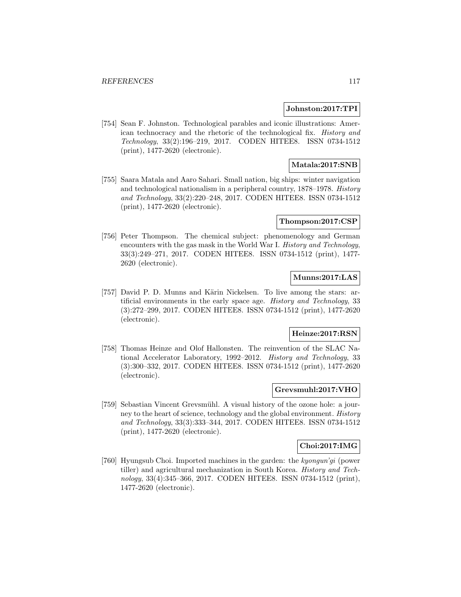#### **Johnston:2017:TPI**

[754] Sean F. Johnston. Technological parables and iconic illustrations: American technocracy and the rhetoric of the technological fix. History and Technology, 33(2):196–219, 2017. CODEN HITEE8. ISSN 0734-1512 (print), 1477-2620 (electronic).

## **Matala:2017:SNB**

[755] Saara Matala and Aaro Sahari. Small nation, big ships: winter navigation and technological nationalism in a peripheral country, 1878–1978. History and Technology, 33(2):220–248, 2017. CODEN HITEE8. ISSN 0734-1512 (print), 1477-2620 (electronic).

#### **Thompson:2017:CSP**

[756] Peter Thompson. The chemical subject: phenomenology and German encounters with the gas mask in the World War I. History and Technology, 33(3):249–271, 2017. CODEN HITEE8. ISSN 0734-1512 (print), 1477- 2620 (electronic).

## **Munns:2017:LAS**

[757] David P. D. Munns and Kärin Nickelsen. To live among the stars: artificial environments in the early space age. History and Technology, 33 (3):272–299, 2017. CODEN HITEE8. ISSN 0734-1512 (print), 1477-2620 (electronic).

### **Heinze:2017:RSN**

[758] Thomas Heinze and Olof Hallonsten. The reinvention of the SLAC National Accelerator Laboratory, 1992–2012. History and Technology, 33 (3):300–332, 2017. CODEN HITEE8. ISSN 0734-1512 (print), 1477-2620 (electronic).

### **Grevsmuhl:2017:VHO**

[759] Sebastian Vincent Grevsmühl. A visual history of the ozone hole: a journey to the heart of science, technology and the global environment. History and Technology, 33(3):333–344, 2017. CODEN HITEE8. ISSN 0734-1512 (print), 1477-2620 (electronic).

#### **Choi:2017:IMG**

[760] Hyungsub Choi. Imported machines in the garden: the kyongun'gi (power tiller) and agricultural mechanization in South Korea. History and Technology, 33(4):345–366, 2017. CODEN HITEE8. ISSN 0734-1512 (print), 1477-2620 (electronic).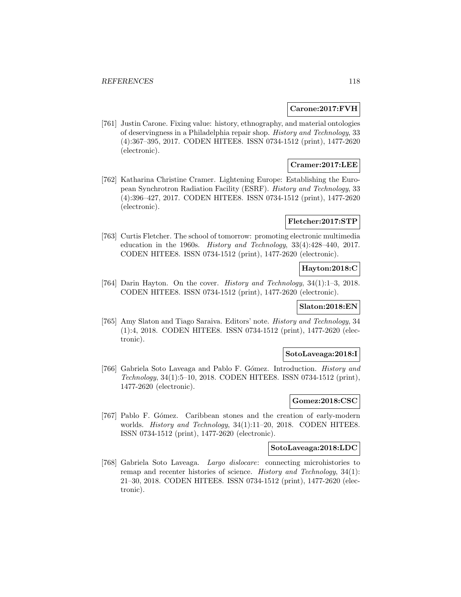#### **Carone:2017:FVH**

[761] Justin Carone. Fixing value: history, ethnography, and material ontologies of deservingness in a Philadelphia repair shop. History and Technology, 33 (4):367–395, 2017. CODEN HITEE8. ISSN 0734-1512 (print), 1477-2620 (electronic).

## **Cramer:2017:LEE**

[762] Katharina Christine Cramer. Lightening Europe: Establishing the European Synchrotron Radiation Facility (ESRF). History and Technology, 33 (4):396–427, 2017. CODEN HITEE8. ISSN 0734-1512 (print), 1477-2620 (electronic).

#### **Fletcher:2017:STP**

[763] Curtis Fletcher. The school of tomorrow: promoting electronic multimedia education in the 1960s. History and Technology, 33(4):428–440, 2017. CODEN HITEE8. ISSN 0734-1512 (print), 1477-2620 (electronic).

#### **Hayton:2018:C**

[764] Darin Hayton. On the cover. History and Technology, 34(1):1–3, 2018. CODEN HITEE8. ISSN 0734-1512 (print), 1477-2620 (electronic).

### **Slaton:2018:EN**

[765] Amy Slaton and Tiago Saraiva. Editors' note. History and Technology, 34 (1):4, 2018. CODEN HITEE8. ISSN 0734-1512 (print), 1477-2620 (electronic).

#### **SotoLaveaga:2018:I**

[766] Gabriela Soto Laveaga and Pablo F. Gómez. Introduction. *History and* Technology, 34(1):5–10, 2018. CODEN HITEE8. ISSN 0734-1512 (print), 1477-2620 (electronic).

### **Gomez:2018:CSC**

[767] Pablo F. Gómez. Caribbean stones and the creation of early-modern worlds. *History and Technology*, 34(1):11–20, 2018. CODEN HITEE8. ISSN 0734-1512 (print), 1477-2620 (electronic).

### **SotoLaveaga:2018:LDC**

[768] Gabriela Soto Laveaga. Largo dislocare: connecting microhistories to remap and recenter histories of science. History and Technology, 34(1): 21–30, 2018. CODEN HITEE8. ISSN 0734-1512 (print), 1477-2620 (electronic).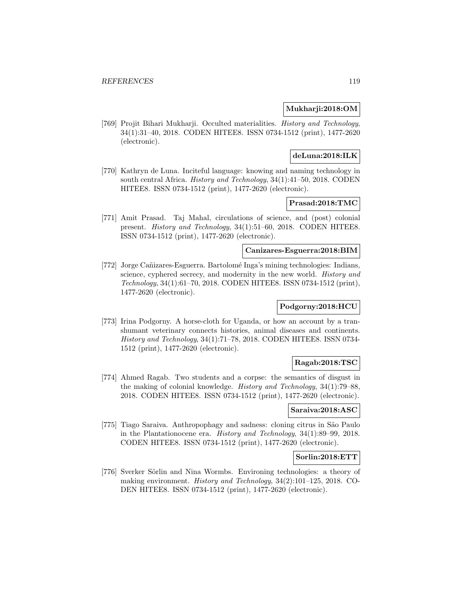### **Mukharji:2018:OM**

[769] Projit Bihari Mukharji. Occulted materialities. History and Technology, 34(1):31–40, 2018. CODEN HITEE8. ISSN 0734-1512 (print), 1477-2620 (electronic).

## **deLuna:2018:ILK**

[770] Kathryn de Luna. Inciteful language: knowing and naming technology in south central Africa. History and Technology, 34(1):41–50, 2018. CODEN HITEE8. ISSN 0734-1512 (print), 1477-2620 (electronic).

## **Prasad:2018:TMC**

[771] Amit Prasad. Taj Mahal, circulations of science, and (post) colonial present. History and Technology, 34(1):51–60, 2018. CODEN HITEE8. ISSN 0734-1512 (print), 1477-2620 (electronic).

#### **Canizares-Esguerra:2018:BIM**

[772] Jorge Cañizares-Esguerra. Bartolomé Inga's mining technologies: Indians, science, cyphered secrecy, and modernity in the new world. History and Technology, 34(1):61–70, 2018. CODEN HITEE8. ISSN 0734-1512 (print), 1477-2620 (electronic).

### **Podgorny:2018:HCU**

[773] Irina Podgorny. A horse-cloth for Uganda, or how an account by a transhumant veterinary connects histories, animal diseases and continents. History and Technology, 34(1):71–78, 2018. CODEN HITEE8. ISSN 0734- 1512 (print), 1477-2620 (electronic).

### **Ragab:2018:TSC**

[774] Ahmed Ragab. Two students and a corpse: the semantics of disgust in the making of colonial knowledge. History and Technology, 34(1):79–88, 2018. CODEN HITEE8. ISSN 0734-1512 (print), 1477-2620 (electronic).

### **Saraiva:2018:ASC**

[775] Tiago Saraiva. Anthropophagy and sadness: cloning citrus in S˜ao Paulo in the Plantationocene era. History and Technology, 34(1):89–99, 2018. CODEN HITEE8. ISSN 0734-1512 (print), 1477-2620 (electronic).

### **Sorlin:2018:ETT**

[776] Sverker Sörlin and Nina Wormbs. Environing technologies: a theory of making environment. History and Technology, 34(2):101–125, 2018. CO-DEN HITEE8. ISSN 0734-1512 (print), 1477-2620 (electronic).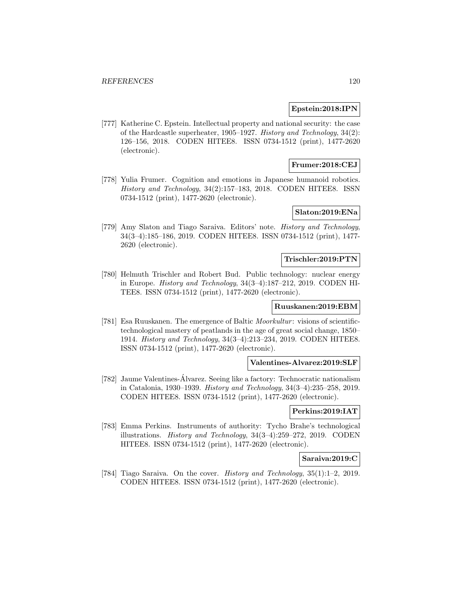### **Epstein:2018:IPN**

[777] Katherine C. Epstein. Intellectual property and national security: the case of the Hardcastle superheater, 1905–1927. History and Technology, 34(2): 126–156, 2018. CODEN HITEE8. ISSN 0734-1512 (print), 1477-2620 (electronic).

## **Frumer:2018:CEJ**

[778] Yulia Frumer. Cognition and emotions in Japanese humanoid robotics. History and Technology, 34(2):157–183, 2018. CODEN HITEE8. ISSN 0734-1512 (print), 1477-2620 (electronic).

### **Slaton:2019:ENa**

[779] Amy Slaton and Tiago Saraiva. Editors' note. History and Technology, 34(3–4):185–186, 2019. CODEN HITEE8. ISSN 0734-1512 (print), 1477- 2620 (electronic).

#### **Trischler:2019:PTN**

[780] Helmuth Trischler and Robert Bud. Public technology: nuclear energy in Europe. History and Technology, 34(3–4):187–212, 2019. CODEN HI-TEE8. ISSN 0734-1512 (print), 1477-2620 (electronic).

#### **Ruuskanen:2019:EBM**

[781] Esa Ruuskanen. The emergence of Baltic Moorkultur : visions of scientifictechnological mastery of peatlands in the age of great social change, 1850– 1914. History and Technology, 34(3–4):213–234, 2019. CODEN HITEE8. ISSN 0734-1512 (print), 1477-2620 (electronic).

### **Valentines-Alvarez:2019:SLF**

[782] Jaume Valentines-Alvarez. Seeing like a factory: Technocratic nationalism ´ in Catalonia, 1930–1939. History and Technology, 34(3–4):235–258, 2019. CODEN HITEE8. ISSN 0734-1512 (print), 1477-2620 (electronic).

### **Perkins:2019:IAT**

[783] Emma Perkins. Instruments of authority: Tycho Brahe's technological illustrations. History and Technology, 34(3–4):259–272, 2019. CODEN HITEE8. ISSN 0734-1512 (print), 1477-2620 (electronic).

### **Saraiva:2019:C**

[784] Tiago Saraiva. On the cover. History and Technology, 35(1):1–2, 2019. CODEN HITEE8. ISSN 0734-1512 (print), 1477-2620 (electronic).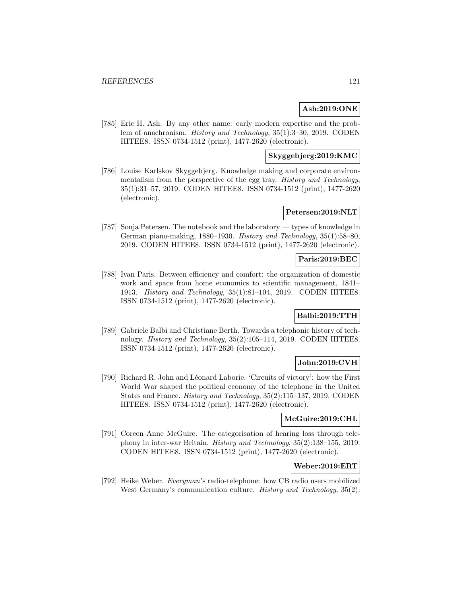## **Ash:2019:ONE**

[785] Eric H. Ash. By any other name: early modern expertise and the problem of anachronism. History and Technology, 35(1):3–30, 2019. CODEN HITEE8. ISSN 0734-1512 (print), 1477-2620 (electronic).

## **Skyggebjerg:2019:KMC**

[786] Louise Karlskov Skyggebjerg. Knowledge making and corporate environmentalism from the perspective of the egg tray. History and Technology, 35(1):31–57, 2019. CODEN HITEE8. ISSN 0734-1512 (print), 1477-2620 (electronic).

## **Petersen:2019:NLT**

[787] Sonja Petersen. The notebook and the laboratory — types of knowledge in German piano-making, 1880–1930. History and Technology, 35(1):58–80, 2019. CODEN HITEE8. ISSN 0734-1512 (print), 1477-2620 (electronic).

## **Paris:2019:BEC**

[788] Ivan Paris. Between efficiency and comfort: the organization of domestic work and space from home economics to scientific management, 1841– 1913. History and Technology, 35(1):81–104, 2019. CODEN HITEE8. ISSN 0734-1512 (print), 1477-2620 (electronic).

## **Balbi:2019:TTH**

[789] Gabriele Balbi and Christiane Berth. Towards a telephonic history of technology. History and Technology, 35(2):105–114, 2019. CODEN HITEE8. ISSN 0734-1512 (print), 1477-2620 (electronic).

### **John:2019:CVH**

[790] Richard R. John and L´eonard Laborie. 'Circuits of victory': how the First World War shaped the political economy of the telephone in the United States and France. History and Technology, 35(2):115–137, 2019. CODEN HITEE8. ISSN 0734-1512 (print), 1477-2620 (electronic).

### **McGuire:2019:CHL**

[791] Coreen Anne McGuire. The categorisation of hearing loss through telephony in inter-war Britain. History and Technology, 35(2):138–155, 2019. CODEN HITEE8. ISSN 0734-1512 (print), 1477-2620 (electronic).

### **Weber:2019:ERT**

[792] Heike Weber. Everyman's radio-telephone: how CB radio users mobilized West Germany's communication culture. *History and Technology*, 35(2):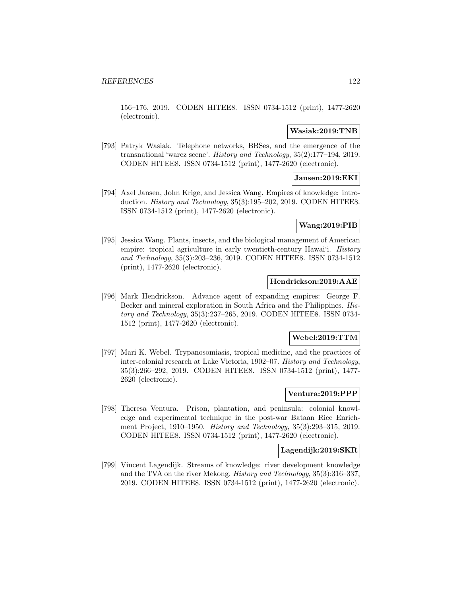156–176, 2019. CODEN HITEE8. ISSN 0734-1512 (print), 1477-2620 (electronic).

#### **Wasiak:2019:TNB**

[793] Patryk Wasiak. Telephone networks, BBSes, and the emergence of the transnational 'warez scene'. History and Technology, 35(2):177–194, 2019. CODEN HITEE8. ISSN 0734-1512 (print), 1477-2620 (electronic).

## **Jansen:2019:EKI**

[794] Axel Jansen, John Krige, and Jessica Wang. Empires of knowledge: introduction. *History and Technology*, 35(3):195–202, 2019. CODEN HITEE8. ISSN 0734-1512 (print), 1477-2620 (electronic).

## **Wang:2019:PIB**

[795] Jessica Wang. Plants, insects, and the biological management of American empire: tropical agriculture in early twentieth-century Hawai'i. History and Technology, 35(3):203–236, 2019. CODEN HITEE8. ISSN 0734-1512 (print), 1477-2620 (electronic).

## **Hendrickson:2019:AAE**

[796] Mark Hendrickson. Advance agent of expanding empires: George F. Becker and mineral exploration in South Africa and the Philippines. History and Technology, 35(3):237–265, 2019. CODEN HITEE8. ISSN 0734- 1512 (print), 1477-2620 (electronic).

#### **Webel:2019:TTM**

[797] Mari K. Webel. Trypanosomiasis, tropical medicine, and the practices of inter-colonial research at Lake Victoria, 1902–07. History and Technology, 35(3):266–292, 2019. CODEN HITEE8. ISSN 0734-1512 (print), 1477- 2620 (electronic).

### **Ventura:2019:PPP**

[798] Theresa Ventura. Prison, plantation, and peninsula: colonial knowledge and experimental technique in the post-war Bataan Rice Enrichment Project, 1910–1950. History and Technology, 35(3):293–315, 2019. CODEN HITEE8. ISSN 0734-1512 (print), 1477-2620 (electronic).

#### **Lagendijk:2019:SKR**

[799] Vincent Lagendijk. Streams of knowledge: river development knowledge and the TVA on the river Mekong. History and Technology, 35(3):316–337, 2019. CODEN HITEE8. ISSN 0734-1512 (print), 1477-2620 (electronic).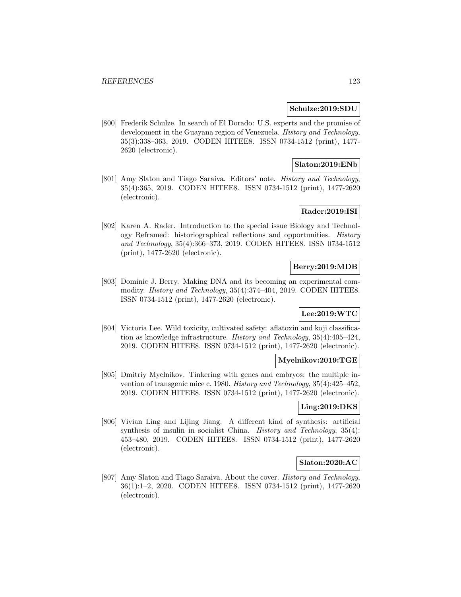#### **Schulze:2019:SDU**

[800] Frederik Schulze. In search of El Dorado: U.S. experts and the promise of development in the Guayana region of Venezuela. History and Technology, 35(3):338–363, 2019. CODEN HITEE8. ISSN 0734-1512 (print), 1477- 2620 (electronic).

## **Slaton:2019:ENb**

[801] Amy Slaton and Tiago Saraiva. Editors' note. History and Technology, 35(4):365, 2019. CODEN HITEE8. ISSN 0734-1512 (print), 1477-2620 (electronic).

# **Rader:2019:ISI**

[802] Karen A. Rader. Introduction to the special issue Biology and Technology Reframed: historiographical reflections and opportunities. History and Technology, 35(4):366–373, 2019. CODEN HITEE8. ISSN 0734-1512 (print), 1477-2620 (electronic).

## **Berry:2019:MDB**

[803] Dominic J. Berry. Making DNA and its becoming an experimental commodity. History and Technology, 35(4):374–404, 2019. CODEN HITEE8. ISSN 0734-1512 (print), 1477-2620 (electronic).

## **Lee:2019:WTC**

[804] Victoria Lee. Wild toxicity, cultivated safety: aflatoxin and koji classification as knowledge infrastructure. History and Technology, 35(4):405–424, 2019. CODEN HITEE8. ISSN 0734-1512 (print), 1477-2620 (electronic).

#### **Myelnikov:2019:TGE**

[805] Dmitriy Myelnikov. Tinkering with genes and embryos: the multiple invention of transgenic mice c. 1980. History and Technology, 35(4):425–452, 2019. CODEN HITEE8. ISSN 0734-1512 (print), 1477-2620 (electronic).

## **Ling:2019:DKS**

[806] Vivian Ling and Lijing Jiang. A different kind of synthesis: artificial synthesis of insulin in socialist China. History and Technology, 35(4): 453–480, 2019. CODEN HITEE8. ISSN 0734-1512 (print), 1477-2620 (electronic).

#### **Slaton:2020:AC**

[807] Amy Slaton and Tiago Saraiva. About the cover. History and Technology, 36(1):1–2, 2020. CODEN HITEE8. ISSN 0734-1512 (print), 1477-2620 (electronic).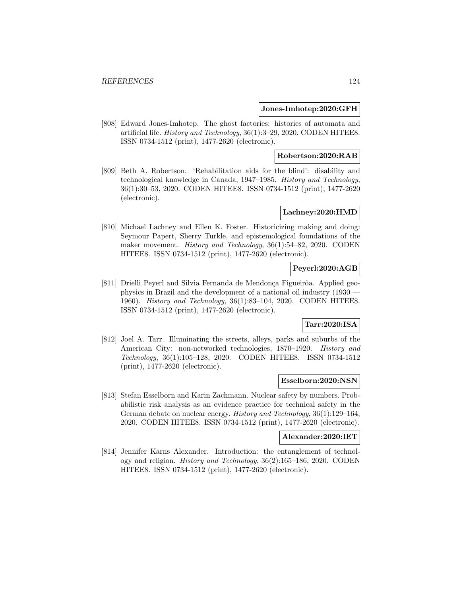#### **Jones-Imhotep:2020:GFH**

[808] Edward Jones-Imhotep. The ghost factories: histories of automata and artificial life. History and Technology, 36(1):3–29, 2020. CODEN HITEE8. ISSN 0734-1512 (print), 1477-2620 (electronic).

## **Robertson:2020:RAB**

[809] Beth A. Robertson. 'Rehabilitation aids for the blind': disability and technological knowledge in Canada, 1947–1985. History and Technology, 36(1):30–53, 2020. CODEN HITEE8. ISSN 0734-1512 (print), 1477-2620 (electronic).

### **Lachney:2020:HMD**

[810] Michael Lachney and Ellen K. Foster. Historicizing making and doing: Seymour Papert, Sherry Turkle, and epistemological foundations of the maker movement. History and Technology, 36(1):54–82, 2020. CODEN HITEE8. ISSN 0734-1512 (print), 1477-2620 (electronic).

## **Peyerl:2020:AGB**

[811] Drielli Peyerl and Silvia Fernanda de Mendonça Figueirôa. Applied geophysics in Brazil and the development of a national oil industry (1930 — 1960). History and Technology, 36(1):83–104, 2020. CODEN HITEE8. ISSN 0734-1512 (print), 1477-2620 (electronic).

## **Tarr:2020:ISA**

[812] Joel A. Tarr. Illuminating the streets, alleys, parks and suburbs of the American City: non-networked technologies, 1870–1920. History and Technology, 36(1):105–128, 2020. CODEN HITEE8. ISSN 0734-1512 (print), 1477-2620 (electronic).

#### **Esselborn:2020:NSN**

[813] Stefan Esselborn and Karin Zachmann. Nuclear safety by numbers. Probabilistic risk analysis as an evidence practice for technical safety in the German debate on nuclear energy. History and Technology, 36(1):129–164, 2020. CODEN HITEE8. ISSN 0734-1512 (print), 1477-2620 (electronic).

#### **Alexander:2020:IET**

[814] Jennifer Karns Alexander. Introduction: the entanglement of technology and religion. History and Technology, 36(2):165–186, 2020. CODEN HITEE8. ISSN 0734-1512 (print), 1477-2620 (electronic).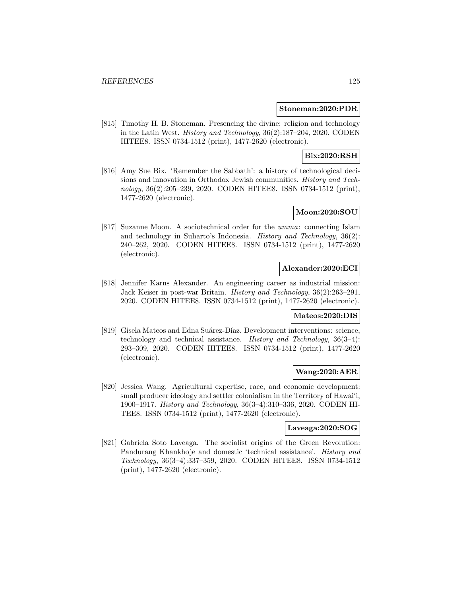#### **Stoneman:2020:PDR**

[815] Timothy H. B. Stoneman. Presencing the divine: religion and technology in the Latin West. History and Technology, 36(2):187–204, 2020. CODEN HITEE8. ISSN 0734-1512 (print), 1477-2620 (electronic).

# **Bix:2020:RSH**

[816] Amy Sue Bix. 'Remember the Sabbath': a history of technological decisions and innovation in Orthodox Jewish communities. History and Technology, 36(2):205–239, 2020. CODEN HITEE8. ISSN 0734-1512 (print), 1477-2620 (electronic).

## **Moon:2020:SOU**

[817] Suzanne Moon. A sociotechnical order for the umma: connecting Islam and technology in Suharto's Indonesia. History and Technology, 36(2): 240–262, 2020. CODEN HITEE8. ISSN 0734-1512 (print), 1477-2620 (electronic).

### **Alexander:2020:ECI**

[818] Jennifer Karns Alexander. An engineering career as industrial mission: Jack Keiser in post-war Britain. History and Technology, 36(2):263–291, 2020. CODEN HITEE8. ISSN 0734-1512 (print), 1477-2620 (electronic).

#### **Mateos:2020:DIS**

[819] Gisela Mateos and Edna Suárez-Díaz. Development interventions: science, technology and technical assistance. History and Technology, 36(3–4): 293–309, 2020. CODEN HITEE8. ISSN 0734-1512 (print), 1477-2620 (electronic).

### **Wang:2020:AER**

[820] Jessica Wang. Agricultural expertise, race, and economic development: small producer ideology and settler colonialism in the Territory of Hawai'i, 1900–1917. History and Technology, 36(3–4):310–336, 2020. CODEN HI-TEE8. ISSN 0734-1512 (print), 1477-2620 (electronic).

### **Laveaga:2020:SOG**

[821] Gabriela Soto Laveaga. The socialist origins of the Green Revolution: Pandurang Khankhoje and domestic 'technical assistance'. History and Technology, 36(3–4):337–359, 2020. CODEN HITEE8. ISSN 0734-1512 (print), 1477-2620 (electronic).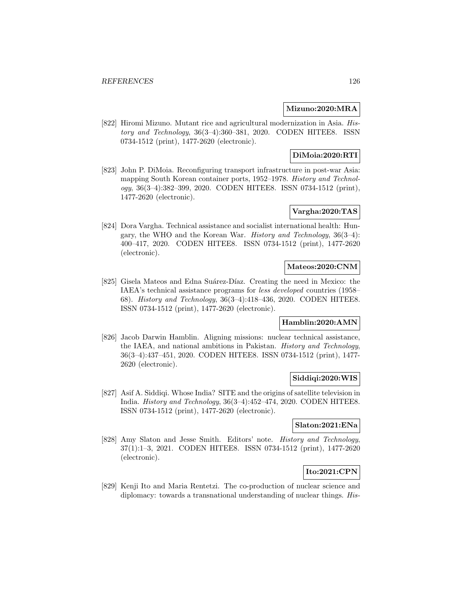### **Mizuno:2020:MRA**

[822] Hiromi Mizuno. Mutant rice and agricultural modernization in Asia. History and Technology, 36(3–4):360–381, 2020. CODEN HITEE8. ISSN 0734-1512 (print), 1477-2620 (electronic).

## **DiMoia:2020:RTI**

[823] John P. DiMoia. Reconfiguring transport infrastructure in post-war Asia: mapping South Korean container ports, 1952–1978. History and Technology, 36(3–4):382–399, 2020. CODEN HITEE8. ISSN 0734-1512 (print), 1477-2620 (electronic).

# **Vargha:2020:TAS**

[824] Dora Vargha. Technical assistance and socialist international health: Hungary, the WHO and the Korean War. History and Technology, 36(3–4): 400–417, 2020. CODEN HITEE8. ISSN 0734-1512 (print), 1477-2620 (electronic).

## **Mateos:2020:CNM**

[825] Gisela Mateos and Edna Suárez-Díaz. Creating the need in Mexico: the IAEA's technical assistance programs for less developed countries (1958– 68). History and Technology, 36(3–4):418–436, 2020. CODEN HITEE8. ISSN 0734-1512 (print), 1477-2620 (electronic).

### **Hamblin:2020:AMN**

[826] Jacob Darwin Hamblin. Aligning missions: nuclear technical assistance, the IAEA, and national ambitions in Pakistan. History and Technology, 36(3–4):437–451, 2020. CODEN HITEE8. ISSN 0734-1512 (print), 1477- 2620 (electronic).

### **Siddiqi:2020:WIS**

[827] Asif A. Siddiqi. Whose India? SITE and the origins of satellite television in India. History and Technology, 36(3–4):452–474, 2020. CODEN HITEE8. ISSN 0734-1512 (print), 1477-2620 (electronic).

## **Slaton:2021:ENa**

[828] Amy Slaton and Jesse Smith. Editors' note. History and Technology, 37(1):1–3, 2021. CODEN HITEE8. ISSN 0734-1512 (print), 1477-2620 (electronic).

# **Ito:2021:CPN**

[829] Kenji Ito and Maria Rentetzi. The co-production of nuclear science and diplomacy: towards a transnational understanding of nuclear things. His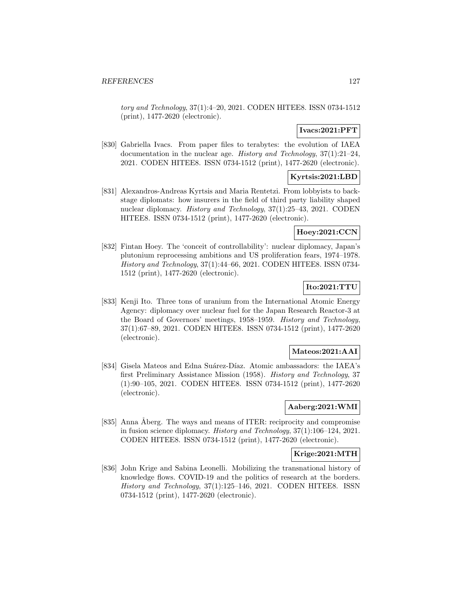tory and Technology, 37(1):4–20, 2021. CODEN HITEE8. ISSN 0734-1512 (print), 1477-2620 (electronic).

### **Ivacs:2021:PFT**

[830] Gabriella Ivacs. From paper files to terabytes: the evolution of IAEA documentation in the nuclear age. History and Technology, 37(1):21–24, 2021. CODEN HITEE8. ISSN 0734-1512 (print), 1477-2620 (electronic).

### **Kyrtsis:2021:LBD**

[831] Alexandros-Andreas Kyrtsis and Maria Rentetzi. From lobbyists to backstage diplomats: how insurers in the field of third party liability shaped nuclear diplomacy. History and Technology, 37(1):25–43, 2021. CODEN HITEE8. ISSN 0734-1512 (print), 1477-2620 (electronic).

## **Hoey:2021:CCN**

[832] Fintan Hoey. The 'conceit of controllability': nuclear diplomacy, Japan's plutonium reprocessing ambitions and US proliferation fears, 1974–1978. History and Technology, 37(1):44–66, 2021. CODEN HITEE8. ISSN 0734- 1512 (print), 1477-2620 (electronic).

## **Ito:2021:TTU**

[833] Kenji Ito. Three tons of uranium from the International Atomic Energy Agency: diplomacy over nuclear fuel for the Japan Research Reactor-3 at the Board of Governors' meetings, 1958–1959. History and Technology, 37(1):67–89, 2021. CODEN HITEE8. ISSN 0734-1512 (print), 1477-2620 (electronic).

## **Mateos:2021:AAI**

[834] Gisela Mateos and Edna Suárez-Díaz. Atomic ambassadors: the IAEA's first Preliminary Assistance Mission (1958). History and Technology, 37 (1):90–105, 2021. CODEN HITEE8. ISSN 0734-1512 (print), 1477-2620 (electronic).

### **Aaberg:2021:WMI**

[835] Anna Åberg. The ways and means of ITER: reciprocity and compromise in fusion science diplomacy. History and Technology, 37(1):106–124, 2021. CODEN HITEE8. ISSN 0734-1512 (print), 1477-2620 (electronic).

### **Krige:2021:MTH**

[836] John Krige and Sabina Leonelli. Mobilizing the transnational history of knowledge flows. COVID-19 and the politics of research at the borders. History and Technology, 37(1):125–146, 2021. CODEN HITEE8. ISSN 0734-1512 (print), 1477-2620 (electronic).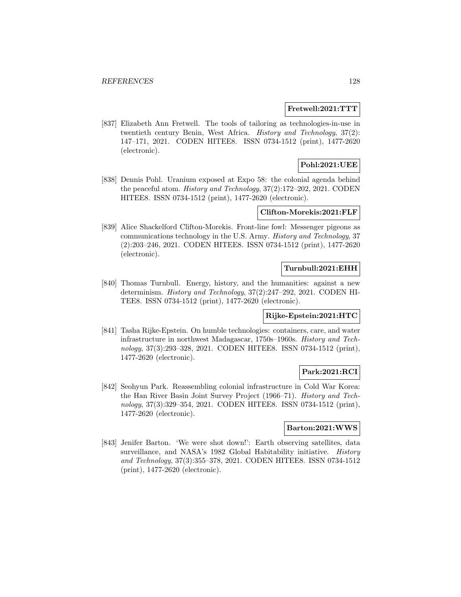#### **Fretwell:2021:TTT**

[837] Elizabeth Ann Fretwell. The tools of tailoring as technologies-in-use in twentieth century Benin, West Africa. History and Technology, 37(2): 147–171, 2021. CODEN HITEE8. ISSN 0734-1512 (print), 1477-2620 (electronic).

## **Pohl:2021:UEE**

[838] Dennis Pohl. Uranium exposed at Expo 58: the colonial agenda behind the peaceful atom. History and Technology, 37(2):172–202, 2021. CODEN HITEE8. ISSN 0734-1512 (print), 1477-2620 (electronic).

### **Clifton-Morekis:2021:FLF**

[839] Alice Shackelford Clifton-Morekis. Front-line fowl: Messenger pigeons as communications technology in the U.S. Army. History and Technology, 37 (2):203–246, 2021. CODEN HITEE8. ISSN 0734-1512 (print), 1477-2620 (electronic).

## **Turnbull:2021:EHH**

[840] Thomas Turnbull. Energy, history, and the humanities: against a new determinism. History and Technology, 37(2):247–292, 2021. CODEN HI-TEE8. ISSN 0734-1512 (print), 1477-2620 (electronic).

### **Rijke-Epstein:2021:HTC**

[841] Tasha Rijke-Epstein. On humble technologies: containers, care, and water infrastructure in northwest Madagascar, 1750s–1960s. History and Technology, 37(3):293–328, 2021. CODEN HITEE8. ISSN 0734-1512 (print), 1477-2620 (electronic).

### **Park:2021:RCI**

[842] Seohyun Park. Reassembling colonial infrastructure in Cold War Korea: the Han River Basin Joint Survey Project (1966–71). History and Technology, 37(3):329–354, 2021. CODEN HITEE8. ISSN 0734-1512 (print), 1477-2620 (electronic).

#### **Barton:2021:WWS**

[843] Jenifer Barton. 'We were shot down!': Earth observing satellites, data surveillance, and NASA's 1982 Global Habitability initiative. History and Technology, 37(3):355–378, 2021. CODEN HITEE8. ISSN 0734-1512 (print), 1477-2620 (electronic).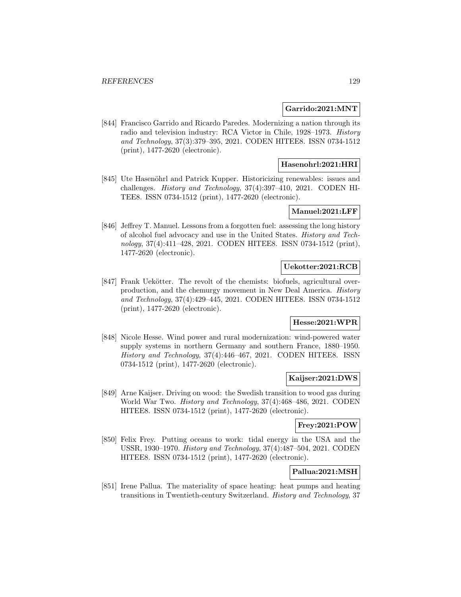### **Garrido:2021:MNT**

[844] Francisco Garrido and Ricardo Paredes. Modernizing a nation through its radio and television industry: RCA Victor in Chile, 1928–1973. History and Technology, 37(3):379–395, 2021. CODEN HITEE8. ISSN 0734-1512 (print), 1477-2620 (electronic).

### **Hasenohrl:2021:HRI**

[845] Ute Hasenöhrl and Patrick Kupper. Historicizing renewables: issues and challenges. History and Technology, 37(4):397–410, 2021. CODEN HI-TEE8. ISSN 0734-1512 (print), 1477-2620 (electronic).

## **Manuel:2021:LFF**

[846] Jeffrey T. Manuel. Lessons from a forgotten fuel: assessing the long history of alcohol fuel advocacy and use in the United States. History and Technology, 37(4):411–428, 2021. CODEN HITEE8. ISSN 0734-1512 (print), 1477-2620 (electronic).

## **Uekotter:2021:RCB**

[847] Frank Uekötter. The revolt of the chemists: biofuels, agricultural overproduction, and the chemurgy movement in New Deal America. History and Technology, 37(4):429–445, 2021. CODEN HITEE8. ISSN 0734-1512 (print), 1477-2620 (electronic).

## **Hesse:2021:WPR**

[848] Nicole Hesse. Wind power and rural modernization: wind-powered water supply systems in northern Germany and southern France, 1880–1950. History and Technology, 37(4):446–467, 2021. CODEN HITEE8. ISSN 0734-1512 (print), 1477-2620 (electronic).

### **Kaijser:2021:DWS**

[849] Arne Kaijser. Driving on wood: the Swedish transition to wood gas during World War Two. History and Technology, 37(4):468–486, 2021. CODEN HITEE8. ISSN 0734-1512 (print), 1477-2620 (electronic).

## **Frey:2021:POW**

[850] Felix Frey. Putting oceans to work: tidal energy in the USA and the USSR, 1930–1970. History and Technology, 37(4):487–504, 2021. CODEN HITEE8. ISSN 0734-1512 (print), 1477-2620 (electronic).

# **Pallua:2021:MSH**

[851] Irene Pallua. The materiality of space heating: heat pumps and heating transitions in Twentieth-century Switzerland. History and Technology, 37